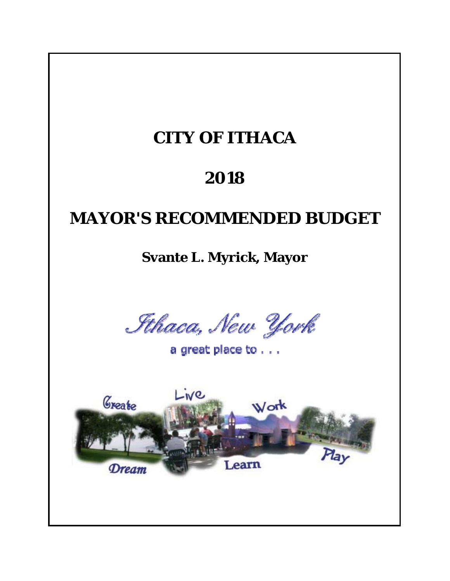# **CITY OF ITHACA**

# **2018**

# **MAYOR'S RECOMMENDED BUDGET**

**Svante L. Myrick, Mayor**

Sthaca, New York

a great place to . . .

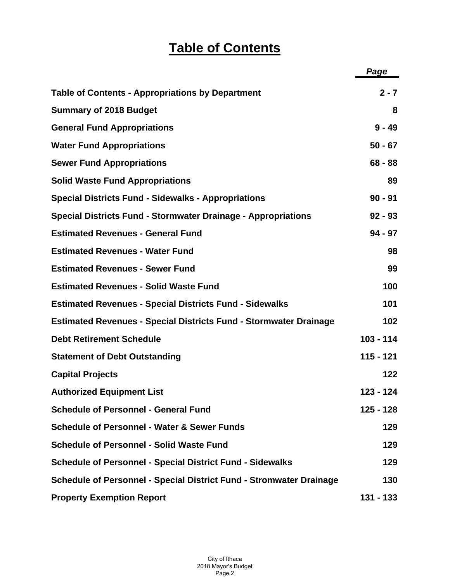|                                                                            | Page        |
|----------------------------------------------------------------------------|-------------|
| <b>Table of Contents - Appropriations by Department</b>                    | $2 - 7$     |
| <b>Summary of 2018 Budget</b>                                              | 8           |
| <b>General Fund Appropriations</b>                                         | $9 - 49$    |
| <b>Water Fund Appropriations</b>                                           | $50 - 67$   |
| <b>Sewer Fund Appropriations</b>                                           | $68 - 88$   |
| <b>Solid Waste Fund Appropriations</b>                                     | 89          |
| <b>Special Districts Fund - Sidewalks - Appropriations</b>                 | $90 - 91$   |
| <b>Special Districts Fund - Stormwater Drainage - Appropriations</b>       | $92 - 93$   |
| <b>Estimated Revenues - General Fund</b>                                   | $94 - 97$   |
| <b>Estimated Revenues - Water Fund</b>                                     | 98          |
| <b>Estimated Revenues - Sewer Fund</b>                                     | 99          |
| <b>Estimated Revenues - Solid Waste Fund</b>                               | 100         |
| <b>Estimated Revenues - Special Districts Fund - Sidewalks</b>             | 101         |
| <b>Estimated Revenues - Special Districts Fund - Stormwater Drainage</b>   | 102         |
| <b>Debt Retirement Schedule</b>                                            | $103 - 114$ |
| <b>Statement of Debt Outstanding</b>                                       | $115 - 121$ |
| <b>Capital Projects</b>                                                    | 122         |
| <b>Authorized Equipment List</b>                                           | 123 - 124   |
| <b>Schedule of Personnel - General Fund</b>                                | 125 - 128   |
| <b>Schedule of Personnel - Water &amp; Sewer Funds</b>                     | 129         |
| <b>Schedule of Personnel - Solid Waste Fund</b>                            | 129         |
| <b>Schedule of Personnel - Special District Fund - Sidewalks</b>           | 129         |
| <b>Schedule of Personnel - Special District Fund - Stromwater Drainage</b> | 130         |
| <b>Property Exemption Report</b>                                           | 131 - 133   |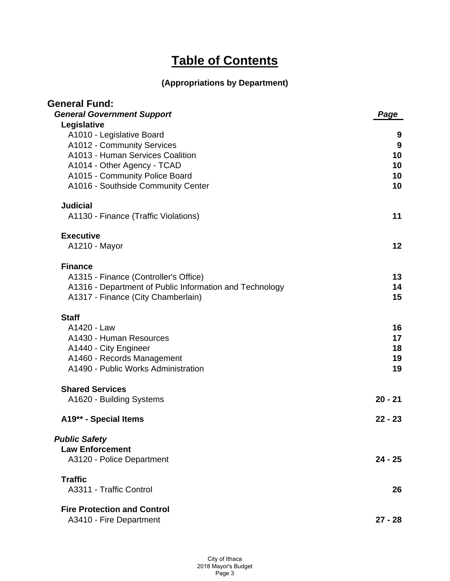| <b>General Fund:</b>                                    |           |
|---------------------------------------------------------|-----------|
| <b>General Government Support</b>                       | Page      |
| Legislative                                             |           |
| A1010 - Legislative Board                               | 9         |
| A1012 - Community Services                              | 9         |
| A1013 - Human Services Coalition                        | 10        |
| A1014 - Other Agency - TCAD                             | 10        |
| A1015 - Community Police Board                          | 10        |
| A1016 - Southside Community Center                      | 10        |
| <b>Judicial</b>                                         |           |
| A1130 - Finance (Traffic Violations)                    | 11        |
| <b>Executive</b>                                        |           |
| A1210 - Mayor                                           | 12        |
| <b>Finance</b>                                          |           |
| A1315 - Finance (Controller's Office)                   | 13        |
| A1316 - Department of Public Information and Technology | 14        |
| A1317 - Finance (City Chamberlain)                      | 15        |
| <b>Staff</b>                                            |           |
| A1420 - Law                                             | 16        |
| A1430 - Human Resources                                 | 17        |
| A1440 - City Engineer                                   | 18        |
| A1460 - Records Management                              | 19        |
| A1490 - Public Works Administration                     | 19        |
| <b>Shared Services</b>                                  |           |
| A1620 - Building Systems                                | $20 - 21$ |
| A19** - Special Items                                   | $22 - 23$ |
| <b>Public Safety</b>                                    |           |
| <b>Law Enforcement</b>                                  |           |
| A3120 - Police Department                               | $24 - 25$ |
| <b>Traffic</b>                                          |           |
| A3311 - Traffic Control                                 | 26        |
| <b>Fire Protection and Control</b>                      |           |
| A3410 - Fire Department                                 | $27 - 28$ |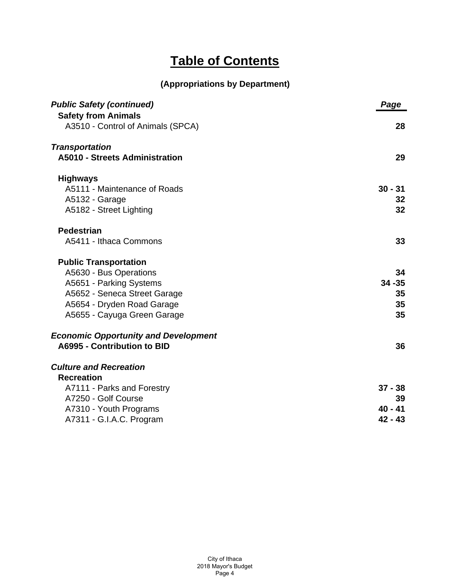| <b>Public Safety (continued)</b>            | Page      |
|---------------------------------------------|-----------|
| <b>Safety from Animals</b>                  |           |
| A3510 - Control of Animals (SPCA)           | 28        |
| <b>Transportation</b>                       |           |
| <b>A5010 - Streets Administration</b>       | 29        |
| <b>Highways</b>                             |           |
| A5111 - Maintenance of Roads                | $30 - 31$ |
| A5132 - Garage                              | 32        |
| A5182 - Street Lighting                     | 32        |
| <b>Pedestrian</b>                           |           |
| A5411 - Ithaca Commons                      | 33        |
| <b>Public Transportation</b>                |           |
| A5630 - Bus Operations                      | 34        |
| A5651 - Parking Systems                     | $34 - 35$ |
| A5652 - Seneca Street Garage                | 35        |
| A5654 - Dryden Road Garage                  | 35        |
| A5655 - Cayuga Green Garage                 | 35        |
| <b>Economic Opportunity and Development</b> |           |
| A6995 - Contribution to BID                 | 36        |
| <b>Culture and Recreation</b>               |           |
| <b>Recreation</b>                           |           |
| A7111 - Parks and Forestry                  | $37 - 38$ |
| A7250 - Golf Course                         | 39        |
| A7310 - Youth Programs                      | $40 - 41$ |
| A7311 - G.I.A.C. Program                    | $42 - 43$ |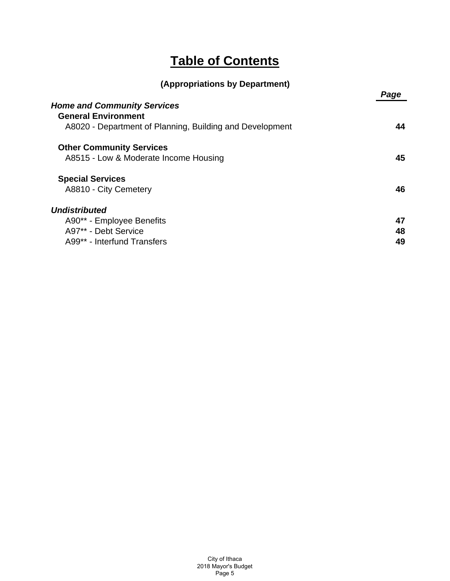|  |  | (Appropriations by Department) |
|--|--|--------------------------------|
|  |  |                                |

|                                                          | Page |
|----------------------------------------------------------|------|
| <b>Home and Community Services</b>                       |      |
| <b>General Environment</b>                               |      |
| A8020 - Department of Planning, Building and Development | 44   |
| <b>Other Community Services</b>                          |      |
| A8515 - Low & Moderate Income Housing                    | 45   |
| <b>Special Services</b>                                  |      |
| A8810 - City Cemetery                                    | 46   |
| <b>Undistributed</b>                                     |      |
| A90** - Employee Benefits                                | 47   |
| A97** - Debt Service                                     | 48   |
| A99** - Interfund Transfers                              | 49   |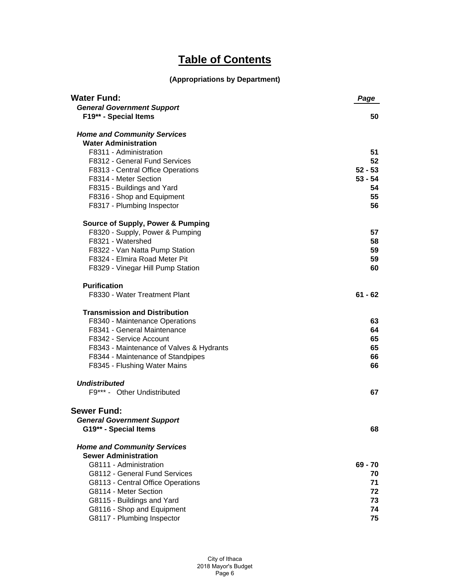| <b>Water Fund:</b>                           | Page      |
|----------------------------------------------|-----------|
| <b>General Government Support</b>            |           |
| F19** - Special Items                        | 50        |
| <b>Home and Community Services</b>           |           |
| <b>Water Administration</b>                  |           |
| F8311 - Administration                       | 51        |
| F8312 - General Fund Services                | 52        |
| F8313 - Central Office Operations            | $52 - 53$ |
| F8314 - Meter Section                        | $53 - 54$ |
| F8315 - Buildings and Yard                   | 54        |
| F8316 - Shop and Equipment                   | 55        |
| F8317 - Plumbing Inspector                   | 56        |
| <b>Source of Supply, Power &amp; Pumping</b> |           |
| F8320 - Supply, Power & Pumping              | 57        |
| F8321 - Watershed                            | 58        |
| F8322 - Van Natta Pump Station               | 59        |
| F8324 - Elmira Road Meter Pit                | 59        |
| F8329 - Vinegar Hill Pump Station            | 60        |
| <b>Purification</b>                          |           |
| F8330 - Water Treatment Plant                | $61 - 62$ |
| <b>Transmission and Distribution</b>         |           |
| F8340 - Maintenance Operations               | 63        |
| F8341 - General Maintenance                  | 64        |
| F8342 - Service Account                      | 65        |
| F8343 - Maintenance of Valves & Hydrants     | 65        |
| F8344 - Maintenance of Standpipes            | 66        |
| F8345 - Flushing Water Mains                 | 66        |
| <b>Undistributed</b>                         |           |
| F9*** - Other Undistributed                  | 67        |
| <b>Sewer Fund:</b>                           |           |
| <b>General Government Support</b>            |           |
| G19** - Special Items                        | 68        |
| <b>Home and Community Services</b>           |           |
| <b>Sewer Administration</b>                  |           |
| G8111 - Administration                       | 69 - 70   |
| G8112 - General Fund Services                | 70        |
| G8113 - Central Office Operations            | 71        |
| G8114 - Meter Section                        | 72        |
| G8115 - Buildings and Yard                   | 73        |
| G8116 - Shop and Equipment                   | 74        |
| G8117 - Plumbing Inspector                   | 75        |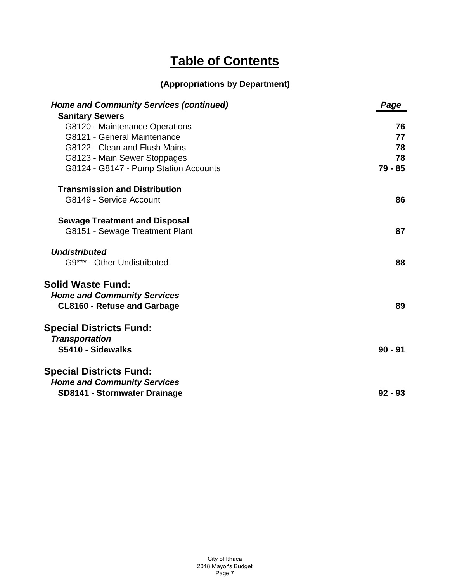| <b>Home and Community Services (continued)</b>           | Page      |
|----------------------------------------------------------|-----------|
| <b>Sanitary Sewers</b><br>G8120 - Maintenance Operations | 76        |
| G8121 - General Maintenance                              | 77        |
| G8122 - Clean and Flush Mains                            | 78        |
| G8123 - Main Sewer Stoppages                             | 78        |
| G8124 - G8147 - Pump Station Accounts                    | 79 - 85   |
| <b>Transmission and Distribution</b>                     |           |
| G8149 - Service Account                                  | 86        |
| <b>Sewage Treatment and Disposal</b>                     |           |
| G8151 - Sewage Treatment Plant                           | 87        |
| <b>Undistributed</b>                                     |           |
| G9*** - Other Undistributed                              | 88        |
| <b>Solid Waste Fund:</b>                                 |           |
| <b>Home and Community Services</b>                       |           |
| <b>CL8160 - Refuse and Garbage</b>                       | 89        |
| <b>Special Districts Fund:</b>                           |           |
| <b>Transportation</b>                                    |           |
| S5410 - Sidewalks                                        | $90 - 91$ |
| <b>Special Districts Fund:</b>                           |           |
| <b>Home and Community Services</b>                       |           |
| SD8141 - Stormwater Drainage                             | $92 - 93$ |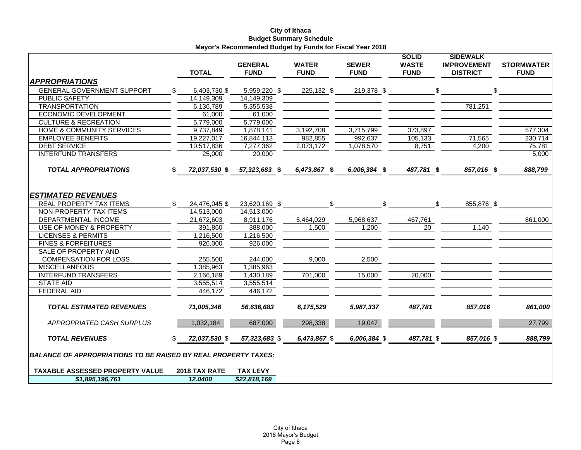#### **City of Ithaca Budget Summary Schedule Mayor's Recommended Budget by Funds for Fiscal Year 2018**

|                                                                       |     | <b>TOTAL</b>        | <b>GENERAL</b><br><b>FUND</b> | <b>WATER</b><br><b>FUND</b> | <b>SEWER</b><br><b>FUND</b> | <b>SOLID</b><br><b>WASTE</b><br><b>FUND</b> | <b>SIDEWALK</b><br><b>IMPROVEMENT</b><br><b>DISTRICT</b> | <b>STORMWATER</b><br><b>FUND</b> |
|-----------------------------------------------------------------------|-----|---------------------|-------------------------------|-----------------------------|-----------------------------|---------------------------------------------|----------------------------------------------------------|----------------------------------|
| <b>APPROPRIATIONS</b>                                                 |     |                     |                               |                             |                             |                                             |                                                          |                                  |
| <b>GENERAL GOVERNMENT SUPPORT</b>                                     | \$. | 6,403,730 \$        | 5,959,220 \$                  | 225,132 \$                  | 219,378 \$                  |                                             | \$<br>\$                                                 |                                  |
| <b>PUBLIC SAFETY</b>                                                  |     | 14,149,309          | 14,149,309                    |                             |                             |                                             |                                                          |                                  |
| <b>TRANSPORTATION</b>                                                 |     | 6,136,789           | 5,355,538                     |                             |                             |                                             | 781,251                                                  |                                  |
| <b>ECONOMIC DEVELOPMENT</b>                                           |     | $\overline{6}1,000$ | 61,000                        |                             |                             |                                             |                                                          |                                  |
| <b>CULTURE &amp; RECREATION</b>                                       |     | 5,779,000           | 5,779,000                     |                             |                             |                                             |                                                          |                                  |
| <b>HOME &amp; COMMUNITY SERVICES</b>                                  |     | 9,737,849           | 1,878,141                     | 3,192,708                   | 3,715,799                   | 373,897                                     |                                                          | 577,304                          |
| <b>EMPLOYEE BENEFITS</b>                                              |     | 19,227,017          | 16.844.113                    | 982,855                     | 992,637                     | 105,133                                     | 71,565                                                   | 230,714                          |
| <b>DEBT SERVICE</b>                                                   |     | 10,517,836          | 7,277,362                     | 2,073,172                   | 1,078,570                   | 8,751                                       | 4,200                                                    | 75,781                           |
| <b>INTERFUND TRANSFERS</b>                                            |     | 25,000              | 20,000                        |                             |                             |                                             |                                                          | 5,000                            |
| <b>TOTAL APPROPRIATIONS</b>                                           |     | 72,037,530 \$       | 57,323,683 \$                 | 6,473,867 \$                | 6,006,384 \$                | 487,781 \$                                  | 857,016 \$                                               | 888,799                          |
| <b>ESTIMATED REVENUES</b>                                             |     |                     |                               |                             |                             |                                             |                                                          |                                  |
| <b>REAL PROPERTY TAX ITEMS</b>                                        | \$  | 24,476,045 \$       | 23,620,169 \$                 | \$                          | \$                          |                                             | \$<br>855,876 \$                                         |                                  |
| NON-PROPERTY TAX ITEMS                                                |     | 14,513,000          | 14,513,000                    |                             |                             |                                             |                                                          |                                  |
| DEPARTMENTAL INCOME                                                   |     | 21,672,603          | 8,911,176                     | 5,464,029                   | 5,968,637                   | 467,761                                     |                                                          | 861,000                          |
| <b>USE OF MONEY &amp; PROPERTY</b>                                    |     | 391.860             | 388,000                       | 1,500                       | 1,200                       | 20                                          | 1,140                                                    |                                  |
| <b>LICENSES &amp; PERMITS</b>                                         |     | 1,216,500           | 1,216,500                     |                             |                             |                                             |                                                          |                                  |
| <b>FINES &amp; FORFEITURES</b>                                        |     | 926,000             | 926,000                       |                             |                             |                                             |                                                          |                                  |
| SALE OF PROPERTY AND                                                  |     |                     |                               |                             |                             |                                             |                                                          |                                  |
| <b>COMPENSATION FOR LOSS</b>                                          |     | 255,500             | 244,000                       | 9,000                       | 2,500                       |                                             |                                                          |                                  |
| <b>MISCELLANEOUS</b>                                                  |     | 1,385,963           | 1,385,963                     |                             |                             |                                             |                                                          |                                  |
| <b>INTERFUND TRANSFERS</b>                                            |     | 2,166,189           | 1,430,189                     | 701,000                     | 15,000                      | 20,000                                      |                                                          |                                  |
| <b>STATE AID</b>                                                      |     | 3,555,514           | 3,555,514                     |                             |                             |                                             |                                                          |                                  |
| <b>FEDERAL AID</b>                                                    |     | 446,172             | 446,172                       |                             |                             |                                             |                                                          |                                  |
| <b>TOTAL ESTIMATED REVENUES</b>                                       |     | 71,005,346          | 56,636,683                    | 6,175,529                   | 5,987,337                   | 487,781                                     | 857,016                                                  | 861,000                          |
| APPROPRIATED CASH SURPLUS                                             |     | 1,032,184           | 687,000                       | 298,338                     | 19,047                      |                                             |                                                          | 27,799                           |
| <b>TOTAL REVENUES</b>                                                 | \$  | 72,037,530 \$       | 57,323,683 \$                 | 6,473,867 \$                | 6,006,384 \$                | 487,781 \$                                  | 857,016 \$                                               | 888,799                          |
| <b>BALANCE OF APPROPRIATIONS TO BE RAISED BY REAL PROPERTY TAXES.</b> |     |                     |                               |                             |                             |                                             |                                                          |                                  |
| <b>TAXABLE ASSESSED PROPERTY VALUE</b>                                |     | 2018 TAX RATE       | <b>TAX LEVY</b>               |                             |                             |                                             |                                                          |                                  |
| \$1,895,196,761                                                       |     | 12.0400             | \$22,818,169                  |                             |                             |                                             |                                                          |                                  |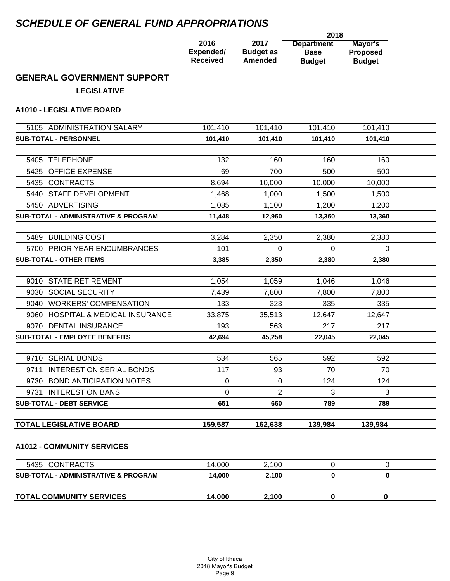# *SCHEDULE OF GENERAL FUND APPROPRIATIONS*

|                 |                  | 2018              |                 |
|-----------------|------------------|-------------------|-----------------|
| 2016            | 2017             | <b>Department</b> | Mayor's         |
| Expended/       | <b>Budget as</b> | <b>Base</b>       | <b>Proposed</b> |
| <b>Received</b> | Amended          | <b>Budget</b>     | <b>Budget</b>   |

# **GENERAL GOVERNMENT SUPPORT**

**LEGISLATIVE**

### **A1010 - LEGISLATIVE BOARD**

| 5105 ADMINISTRATION SALARY                      | 101,410  | 101,410  | 101,410  | 101,410      |  |
|-------------------------------------------------|----------|----------|----------|--------------|--|
| <b>SUB-TOTAL - PERSONNEL</b>                    | 101,410  | 101,410  | 101,410  | 101,410      |  |
|                                                 |          |          |          |              |  |
| 5405 TELEPHONE                                  | 132      | 160      | 160      | 160          |  |
| 5425 OFFICE EXPENSE                             | 69       | 700      | 500      | 500          |  |
| 5435 CONTRACTS                                  | 8.694    | 10,000   | 10,000   | 10,000       |  |
| 5440 STAFF DEVELOPMENT                          | 1,468    | 1,000    | 1,500    | 1,500        |  |
| 5450 ADVERTISING                                | 1,085    | 1,100    | 1,200    | 1,200        |  |
| <b>SUB-TOTAL - ADMINISTRATIVE &amp; PROGRAM</b> | 11,448   | 12,960   | 13,360   | 13,360       |  |
|                                                 |          |          |          |              |  |
| 5489 BUILDING COST                              | 3,284    | 2,350    | 2,380    | 2,380        |  |
| 5700 PRIOR YEAR ENCUMBRANCES                    | 101      | $\Omega$ | 0        | $\Omega$     |  |
| <b>SUB-TOTAL - OTHER ITEMS</b>                  | 3,385    | 2,350    | 2,380    | 2,380        |  |
|                                                 |          |          |          |              |  |
| 9010 STATE RETIREMENT                           | 1,054    | 1,059    | 1,046    | 1,046        |  |
| 9030 SOCIAL SECURITY                            | 7.439    | 7,800    | 7,800    | 7,800        |  |
| 9040 WORKERS' COMPENSATION                      | 133      | 323      | 335      | 335          |  |
| 9060 HOSPITAL & MEDICAL INSURANCE               | 33,875   | 35,513   | 12.647   | 12,647       |  |
| 9070 DENTAL INSURANCE                           | 193      | 563      | 217      | 217          |  |
| <b>SUB-TOTAL - EMPLOYEE BENEFITS</b>            | 42,694   | 45,258   | 22,045   | 22,045       |  |
|                                                 |          |          |          |              |  |
| 9710 SERIAL BONDS                               | 534      | 565      | 592      | 592          |  |
| 9711 INTEREST ON SERIAL BONDS                   | 117      | 93       | 70       | 70           |  |
| 9730 BOND ANTICIPATION NOTES                    | 0        | 0        | 124      | 124          |  |
| 9731 INTEREST ON BANS                           | $\Omega$ | 2        | 3        | 3            |  |
| <b>SUB-TOTAL - DEBT SERVICE</b>                 | 651      | 660      | 789      | 789          |  |
|                                                 |          |          |          |              |  |
| <b>TOTAL LEGISLATIVE BOARD</b>                  | 159,587  | 162,638  | 139,984  | 139,984      |  |
| <b>A1012 - COMMUNITY SERVICES</b>               |          |          |          |              |  |
|                                                 |          |          |          |              |  |
| 5435 CONTRACTS                                  | 14,000   | 2,100    | 0        | $\Omega$     |  |
| SUB-TOTAL - ADMINISTRATIVE & PROGRAM            | 14,000   | 2,100    | $\bf{0}$ | $\mathbf{0}$ |  |
|                                                 |          |          |          |              |  |
| <b>TOTAL COMMUNITY SERVICES</b>                 | 14,000   | 2,100    | 0        | $\bf{0}$     |  |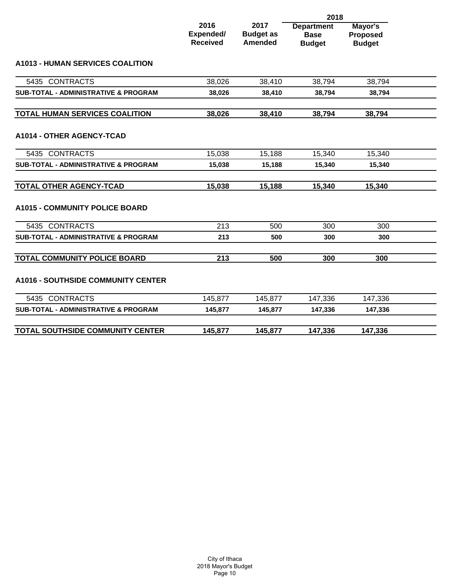|                                                 |                                      |                                            | 2018                                              |                                             |  |
|-------------------------------------------------|--------------------------------------|--------------------------------------------|---------------------------------------------------|---------------------------------------------|--|
|                                                 | 2016<br>Expended/<br><b>Received</b> | 2017<br><b>Budget as</b><br><b>Amended</b> | <b>Department</b><br><b>Base</b><br><b>Budget</b> | Mayor's<br><b>Proposed</b><br><b>Budget</b> |  |
| <b>A1013 - HUMAN SERVICES COALITION</b>         |                                      |                                            |                                                   |                                             |  |
| 5435 CONTRACTS                                  | 38,026                               | 38,410                                     | 38,794                                            | 38,794                                      |  |
| SUB-TOTAL - ADMINISTRATIVE & PROGRAM            | 38,026                               | 38,410                                     | 38,794                                            | 38,794                                      |  |
| <b>TOTAL HUMAN SERVICES COALITION</b>           | 38,026                               | 38,410                                     | 38,794                                            | 38,794                                      |  |
| A1014 - OTHER AGENCY-TCAD                       |                                      |                                            |                                                   |                                             |  |
| 5435 CONTRACTS                                  | 15,038                               | 15,188                                     | 15,340                                            | 15,340                                      |  |
| <b>SUB-TOTAL - ADMINISTRATIVE &amp; PROGRAM</b> | 15,038                               | 15,188                                     | 15,340                                            | 15,340                                      |  |
| <b>TOTAL OTHER AGENCY-TCAD</b>                  | 15,038                               | 15,188                                     | 15,340                                            | 15,340                                      |  |
| <b>A1015 - COMMUNITY POLICE BOARD</b>           |                                      |                                            |                                                   |                                             |  |
| 5435 CONTRACTS                                  | 213                                  | 500                                        | 300                                               | 300                                         |  |
| <b>SUB-TOTAL - ADMINISTRATIVE &amp; PROGRAM</b> | 213                                  | 500                                        | 300                                               | 300                                         |  |
| <b>TOTAL COMMUNITY POLICE BOARD</b>             | 213                                  | 500                                        | 300                                               | 300                                         |  |
| <b>A1016 - SOUTHSIDE COMMUNITY CENTER</b>       |                                      |                                            |                                                   |                                             |  |
| 5435 CONTRACTS                                  | 145,877                              | 145,877                                    | 147,336                                           | 147,336                                     |  |
| SUB-TOTAL - ADMINISTRATIVE & PROGRAM            | 145,877                              | 145,877                                    | 147,336                                           | 147,336                                     |  |
| TOTAL SOUTHSIDE COMMUNITY CENTER                | 145,877                              | 145,877                                    | 147,336                                           | 147,336                                     |  |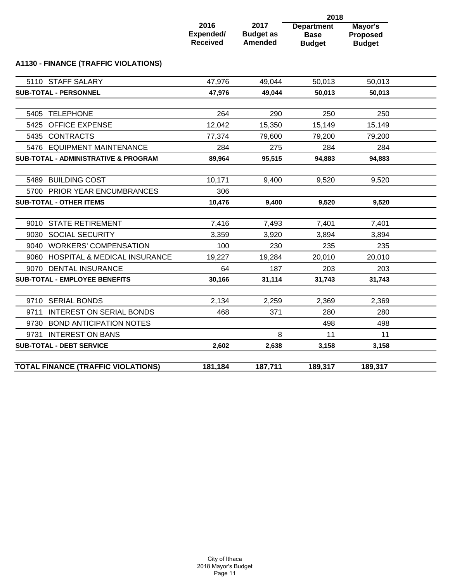|                                                 |                                      |                                            | 2018                                              |                                             |  |
|-------------------------------------------------|--------------------------------------|--------------------------------------------|---------------------------------------------------|---------------------------------------------|--|
|                                                 | 2016<br>Expended/<br><b>Received</b> | 2017<br><b>Budget as</b><br><b>Amended</b> | <b>Department</b><br><b>Base</b><br><b>Budget</b> | Mayor's<br><b>Proposed</b><br><b>Budget</b> |  |
| A1130 - FINANCE (TRAFFIC VIOLATIONS)            |                                      |                                            |                                                   |                                             |  |
| 5110 STAFF SALARY                               | 47,976                               | 49,044                                     | 50,013                                            | 50,013                                      |  |
| SUB-TOTAL - PERSONNEL                           | 47,976                               | 49,044                                     | 50,013                                            | 50,013                                      |  |
| 5405 TELEPHONE                                  | 264                                  | 290                                        | 250                                               | 250                                         |  |
| <b>OFFICE EXPENSE</b><br>5425                   | 12,042                               | 15,350                                     | 15,149                                            | 15,149                                      |  |
| 5435 CONTRACTS                                  | 77,374                               | 79,600                                     | 79,200                                            | 79,200                                      |  |
| 5476 EQUIPMENT MAINTENANCE                      | 284                                  | 275                                        | 284                                               | 284                                         |  |
| <b>SUB-TOTAL - ADMINISTRATIVE &amp; PROGRAM</b> | 89,964                               | 95,515                                     | 94,883                                            | 94,883                                      |  |
|                                                 |                                      |                                            |                                                   |                                             |  |
| 5489 BUILDING COST                              | 10,171                               | 9,400                                      | 9,520                                             | 9,520                                       |  |
| 5700 PRIOR YEAR ENCUMBRANCES                    | 306                                  |                                            |                                                   |                                             |  |
| <b>SUB-TOTAL - OTHER ITEMS</b>                  | 10,476                               | 9,400                                      | 9,520                                             | 9,520                                       |  |
|                                                 |                                      |                                            |                                                   |                                             |  |
| <b>STATE RETIREMENT</b><br>9010                 | 7,416                                | 7,493                                      | 7,401                                             | 7,401                                       |  |
| 9030 SOCIAL SECURITY                            | 3,359                                | 3,920                                      | 3,894                                             | 3,894                                       |  |
| 9040 WORKERS' COMPENSATION                      | 100                                  | 230                                        | 235                                               | 235                                         |  |
| 9060 HOSPITAL & MEDICAL INSURANCE               | 19,227                               | 19,284                                     | 20,010                                            | 20,010                                      |  |
| 9070 DENTAL INSURANCE                           | 64                                   | 187                                        | 203                                               | 203                                         |  |
| <b>SUB-TOTAL - EMPLOYEE BENEFITS</b>            | 30,166                               | 31,114                                     | 31,743                                            | 31,743                                      |  |
|                                                 |                                      |                                            |                                                   |                                             |  |
| 9710 SERIAL BONDS                               | 2,134                                | 2,259                                      | 2,369                                             | 2,369                                       |  |
| <b>INTEREST ON SERIAL BONDS</b><br>9711         | 468                                  | 371                                        | 280                                               | 280                                         |  |
| <b>BOND ANTICIPATION NOTES</b><br>9730          |                                      |                                            | 498                                               | 498                                         |  |
| <b>INTEREST ON BANS</b><br>9731                 |                                      | 8                                          | 11                                                | 11                                          |  |
| <b>SUB-TOTAL - DEBT SERVICE</b>                 | 2,602                                | 2,638                                      | 3,158                                             | 3,158                                       |  |
| <b>TOTAL FINANCE (TRAFFIC VIOLATIONS)</b>       | 181,184                              | 187,711                                    | 189,317                                           | 189,317                                     |  |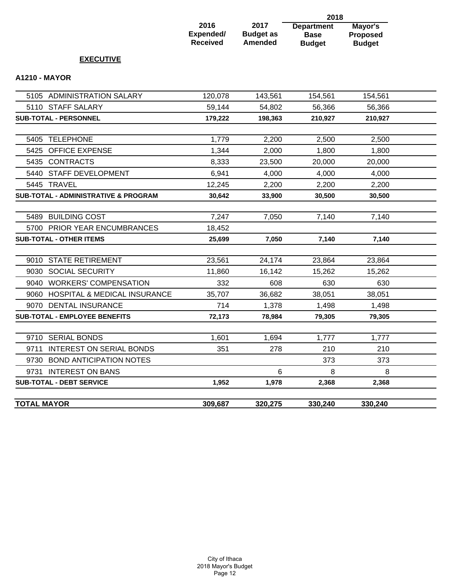|                                         |                                             |                                            | 2018                                              |                                             |  |
|-----------------------------------------|---------------------------------------------|--------------------------------------------|---------------------------------------------------|---------------------------------------------|--|
|                                         | 2016<br><b>Expended/</b><br><b>Received</b> | 2017<br><b>Budget as</b><br><b>Amended</b> | <b>Department</b><br><b>Base</b><br><b>Budget</b> | Mayor's<br><b>Proposed</b><br><b>Budget</b> |  |
| <b>EXECUTIVE</b>                        |                                             |                                            |                                                   |                                             |  |
| <b>A1210 - MAYOR</b>                    |                                             |                                            |                                                   |                                             |  |
| 5105 ADMINISTRATION SALARY              | 120,078                                     | 143,561                                    | 154,561                                           | 154,561                                     |  |
| 5110 STAFF SALARY                       | 59,144                                      | 54,802                                     | 56,366                                            | 56,366                                      |  |
| <b>SUB-TOTAL - PERSONNEL</b>            | 179,222                                     | 198,363                                    | 210,927                                           | 210,927                                     |  |
| <b>TELEPHONE</b><br>5405                | 1,779                                       | 2,200                                      | 2,500                                             | 2,500                                       |  |
| 5425<br><b>OFFICE EXPENSE</b>           | 1,344                                       | 2,000                                      | 1,800                                             | 1,800                                       |  |
| 5435 CONTRACTS                          | 8,333                                       | 23,500                                     | 20,000                                            | 20,000                                      |  |
| 5440 STAFF DEVELOPMENT                  | 6,941                                       | 4,000                                      | 4,000                                             | 4,000                                       |  |
| 5445 TRAVEL                             | 12,245                                      | 2,200                                      | 2,200                                             | 2,200                                       |  |
| SUB-TOTAL - ADMINISTRATIVE & PROGRAM    | 30,642                                      | 33,900                                     | 30,500                                            | 30,500                                      |  |
| 5489 BUILDING COST                      | 7,247                                       | 7,050                                      | 7,140                                             | 7,140                                       |  |
| 5700 PRIOR YEAR ENCUMBRANCES            | 18,452                                      |                                            |                                                   |                                             |  |
| <b>SUB-TOTAL - OTHER ITEMS</b>          | 25,699                                      | 7,050                                      | 7,140                                             | 7,140                                       |  |
| <b>STATE RETIREMENT</b><br>9010         | 23,561                                      | 24,174                                     | 23,864                                            | 23,864                                      |  |
| 9030<br><b>SOCIAL SECURITY</b>          | 11,860                                      | 16,142                                     | 15,262                                            | 15,262                                      |  |
| 9040 WORKERS' COMPENSATION              | 332                                         | 608                                        | 630                                               | 630                                         |  |
| 9060 HOSPITAL & MEDICAL INSURANCE       | 35,707                                      | 36,682                                     | 38,051                                            | 38,051                                      |  |
| 9070 DENTAL INSURANCE                   | 714                                         | 1,378                                      | 1,498                                             | 1,498                                       |  |
| <b>SUB-TOTAL - EMPLOYEE BENEFITS</b>    | 72,173                                      | 78,984                                     | 79,305                                            | 79,305                                      |  |
| 9710 SERIAL BONDS                       | 1,601                                       | 1,694                                      | 1,777                                             | 1,777                                       |  |
| <b>INTEREST ON SERIAL BONDS</b><br>9711 | 351                                         | 278                                        | 210                                               | 210                                         |  |
| 9730 BOND ANTICIPATION NOTES            |                                             |                                            | 373                                               | 373                                         |  |

9731 INTEREST ON BANS 6 8 8 **SUB-TOTAL - DEBT SERVICE 1,952 1,978 2,368 2,368**

**TOTAL MAYOR 309,687 320,275 330,240 330,240**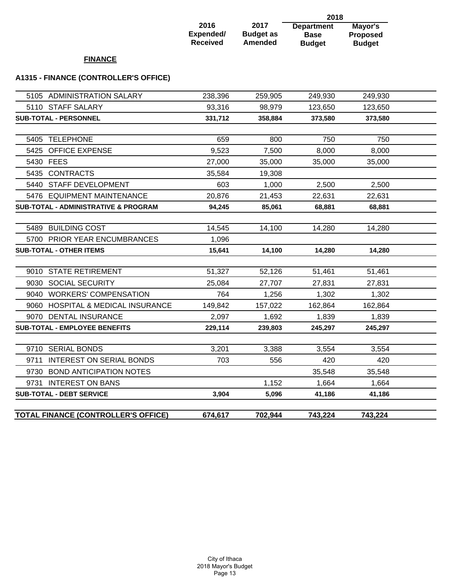#### **2016 Expended/ Received 2017 Budget as Amended Department Base Budget 2018 Mayor's Proposed Budget**

### **FINANCE**

### **A1315 - FINANCE (CONTROLLER'S OFFICE)**

| <b>TOTAL FINANCE (CONTROLLER'S OFFICE)</b>      | 674,617 | 702,944 | 743,224 | 743,224 |  |
|-------------------------------------------------|---------|---------|---------|---------|--|
| <b>SUB-TOTAL - DEBT SERVICE</b>                 | 3,904   | 5,096   | 41,186  | 41,186  |  |
| 9731 INTEREST ON BANS                           |         | 1,152   | 1,664   | 1,664   |  |
| 9730 BOND ANTICIPATION NOTES                    |         |         | 35,548  | 35,548  |  |
| 9711 INTEREST ON SERIAL BONDS                   | 703     | 556     | 420     | 420     |  |
| 9710 SERIAL BONDS                               | 3,201   | 3,388   | 3,554   | 3,554   |  |
|                                                 |         |         |         |         |  |
| <b>SUB-TOTAL - EMPLOYEE BENEFITS</b>            | 229,114 | 239,803 | 245,297 | 245,297 |  |
| 9070 DENTAL INSURANCE                           | 2,097   | 1,692   | 1,839   | 1,839   |  |
| 9060 HOSPITAL & MEDICAL INSURANCE               | 149,842 | 157,022 | 162,864 | 162,864 |  |
| 9040 WORKERS' COMPENSATION                      | 764     | 1,256   | 1,302   | 1,302   |  |
| 9030 SOCIAL SECURITY                            | 25,084  | 27,707  | 27,831  | 27,831  |  |
| 9010 STATE RETIREMENT                           | 51,327  | 52,126  | 51,461  | 51,461  |  |
| <b>SUB-TOTAL - OTHER ITEMS</b>                  | 15,641  | 14,100  | 14,280  | 14,280  |  |
| 5700 PRIOR YEAR ENCUMBRANCES                    | 1,096   |         |         |         |  |
| 5489 BUILDING COST                              | 14,545  | 14,100  | 14,280  | 14,280  |  |
|                                                 |         |         |         |         |  |
| <b>SUB-TOTAL - ADMINISTRATIVE &amp; PROGRAM</b> | 94,245  | 85,061  | 68,881  | 68,881  |  |
| 5476 EQUIPMENT MAINTENANCE                      | 20,876  | 21,453  | 22,631  | 22,631  |  |
| 5440 STAFF DEVELOPMENT                          | 603     | 1,000   | 2,500   | 2,500   |  |
| 5435 CONTRACTS                                  | 35,584  | 19,308  |         |         |  |
| 5430 FEES                                       | 27,000  | 35,000  | 35,000  | 35,000  |  |
| 5425 OFFICE EXPENSE                             | 9,523   | 7,500   | 8,000   | 8,000   |  |
| 5405 TELEPHONE                                  | 659     | 800     | 750     | 750     |  |
|                                                 |         |         |         |         |  |
| <b>SUB-TOTAL - PERSONNEL</b>                    | 331,712 | 358,884 | 373,580 | 373,580 |  |
| 5110 STAFF SALARY                               | 93,316  | 98,979  | 123,650 | 123,650 |  |
| 5105 ADMINISTRATION SALARY                      | 238,396 | 259,905 | 249,930 | 249,930 |  |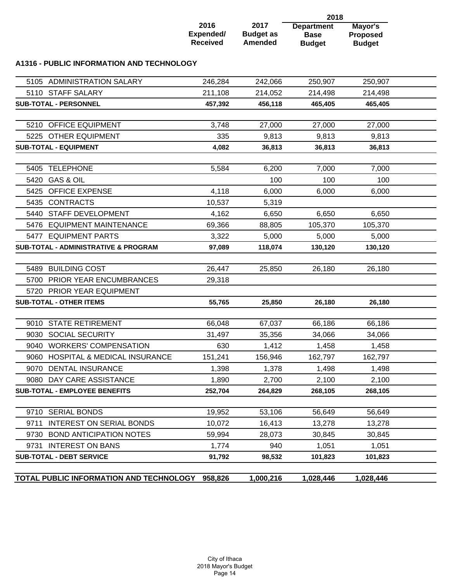|                                                        |                                      |                                     | 2018                                              |                                             |  |
|--------------------------------------------------------|--------------------------------------|-------------------------------------|---------------------------------------------------|---------------------------------------------|--|
|                                                        | 2016<br>Expended/<br><b>Received</b> | 2017<br><b>Budget as</b><br>Amended | <b>Department</b><br><b>Base</b><br><b>Budget</b> | Mayor's<br><b>Proposed</b><br><b>Budget</b> |  |
| A1316 - PUBLIC INFORMATION AND TECHNOLOGY              |                                      |                                     |                                                   |                                             |  |
| 5105 ADMINISTRATION SALARY                             | 246,284                              | 242,066                             | 250,907                                           | 250,907                                     |  |
| 5110 STAFF SALARY                                      | 211,108                              | 214,052                             | 214,498                                           | 214,498                                     |  |
| <b>SUB-TOTAL - PERSONNEL</b>                           | 457,392                              | 456,118                             | 465,405                                           | 465,405                                     |  |
| 5210 OFFICE EQUIPMENT                                  | 3,748                                | 27,000                              | 27,000                                            | 27,000                                      |  |
| 5225 OTHER EQUIPMENT                                   | 335                                  | 9,813                               | 9,813                                             | 9,813                                       |  |
| <b>SUB-TOTAL - EQUIPMENT</b>                           | 4,082                                | 36,813                              | 36,813                                            | 36,813                                      |  |
|                                                        |                                      |                                     |                                                   |                                             |  |
| <b>TELEPHONE</b><br>5405                               | 5,584                                | 6,200                               | 7,000                                             | 7,000                                       |  |
| 5420 GAS & OIL                                         |                                      | 100                                 | 100                                               | 100                                         |  |
| 5425 OFFICE EXPENSE                                    | 4,118                                | 6,000                               | 6,000                                             | 6,000                                       |  |
| 5435 CONTRACTS                                         | 10,537                               | 5,319                               |                                                   |                                             |  |
| 5440 STAFF DEVELOPMENT                                 | 4,162                                | 6,650                               | 6,650                                             | 6,650                                       |  |
| 5476 EQUIPMENT MAINTENANCE                             | 69,366                               | 88,805                              | 105,370                                           | 105,370                                     |  |
| 5477 EQUIPMENT PARTS                                   | 3,322                                | 5,000                               | 5,000                                             | 5,000                                       |  |
| <b>SUB-TOTAL - ADMINISTRATIVE &amp; PROGRAM</b>        | 97,089                               | 118,074                             | 130,120                                           | 130,120                                     |  |
| 5489 BUILDING COST                                     | 26,447                               | 25,850                              | 26,180                                            | 26,180                                      |  |
| <b>PRIOR YEAR ENCUMBRANCES</b><br>5700                 | 29,318                               |                                     |                                                   |                                             |  |
| 5720 PRIOR YEAR EQUIPMENT                              |                                      |                                     |                                                   |                                             |  |
| <b>SUB-TOTAL - OTHER ITEMS</b>                         | 55,765                               | 25,850                              | 26,180                                            | 26,180                                      |  |
| <b>STATE RETIREMENT</b><br>9010                        | 66,048                               | 67,037                              | 66,186                                            | 66,186                                      |  |
| 9030 SOCIAL SECURITY                                   | 31,497                               | 35,356                              | 34,066                                            | 34,066                                      |  |
| 9040 WORKERS' COMPENSATION                             | 630                                  | 1,412                               | 1,458                                             | 1,458                                       |  |
| <b>HOSPITAL &amp; MEDICAL INSURANCE</b><br>9060        | 151,241                              | 156,946                             | 162,797                                           | 162,797                                     |  |
| 9070 DENTAL INSURANCE                                  | 1,398                                | 1,378                               | 1,498                                             | 1,498                                       |  |
| 9080 DAY CARE ASSISTANCE                               | 1,890                                | 2,700                               | 2,100                                             | 2,100                                       |  |
| <b>SUB-TOTAL - EMPLOYEE BENEFITS</b>                   | 252,704                              | 264,829                             | 268,105                                           | 268,105                                     |  |
|                                                        |                                      |                                     |                                                   |                                             |  |
| 9710 SERIAL BONDS                                      | 19,952                               | 53,106                              | 56,649                                            | 56,649                                      |  |
| <b>INTEREST ON SERIAL BONDS</b><br>9711                | 10,072                               | 16,413                              | 13,278                                            | 13,278                                      |  |
| 9730 BOND ANTICIPATION NOTES                           | 59,994                               | 28,073                              | 30,845                                            | 30,845                                      |  |
| <b>INTEREST ON BANS</b><br>9731                        | 1,774                                | 940                                 | 1,051                                             | 1,051                                       |  |
| <b>SUB-TOTAL - DEBT SERVICE</b>                        | 91,792                               | 98,532                              | 101,823                                           | 101,823                                     |  |
| <b>TOTAL PUBLIC INFORMATION AND TECHNOLOGY 958,826</b> |                                      | 1,000,216                           | 1,028,446                                         | 1,028,446                                   |  |
|                                                        |                                      |                                     |                                                   |                                             |  |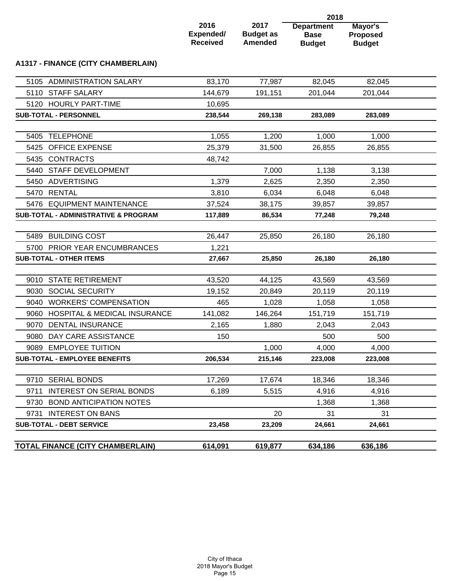|      |                                                 |                                      |                                            | 2018                                              |                                             |  |
|------|-------------------------------------------------|--------------------------------------|--------------------------------------------|---------------------------------------------------|---------------------------------------------|--|
|      |                                                 | 2016<br>Expended/<br><b>Received</b> | 2017<br><b>Budget as</b><br><b>Amended</b> | <b>Department</b><br><b>Base</b><br><b>Budget</b> | Mayor's<br><b>Proposed</b><br><b>Budget</b> |  |
|      | <b>A1317 - FINANCE (CITY CHAMBERLAIN)</b>       |                                      |                                            |                                                   |                                             |  |
|      | 5105 ADMINISTRATION SALARY                      | 83,170                               | 77,987                                     | 82,045                                            | 82,045                                      |  |
|      | 5110 STAFF SALARY                               | 144,679                              | 191,151                                    | 201,044                                           | 201,044                                     |  |
|      | 5120 HOURLY PART-TIME                           | 10,695                               |                                            |                                                   |                                             |  |
|      | <b>SUB-TOTAL - PERSONNEL</b>                    | 238,544                              | 269,138                                    | 283,089                                           | 283,089                                     |  |
| 5405 | <b>TELEPHONE</b>                                | 1,055                                | 1,200                                      | 1,000                                             | 1,000                                       |  |
|      | 5425 OFFICE EXPENSE                             | 25,379                               | 31,500                                     | 26,855                                            | 26,855                                      |  |
|      | 5435 CONTRACTS                                  | 48,742                               |                                            |                                                   |                                             |  |
| 5440 | STAFF DEVELOPMENT                               |                                      | 7,000                                      | 1,138                                             | 3,138                                       |  |
| 5450 | ADVERTISING                                     | 1,379                                | 2,625                                      | 2,350                                             | 2,350                                       |  |
|      | 5470 RENTAL                                     | 3,810                                | 6,034                                      | 6,048                                             | 6,048                                       |  |
|      | 5476 EQUIPMENT MAINTENANCE                      | 37,524                               | 38,175                                     | 39,857                                            | 39,857                                      |  |
|      | <b>SUB-TOTAL - ADMINISTRATIVE &amp; PROGRAM</b> | 117,889                              | 86,534                                     | 77,248                                            | 79,248                                      |  |
|      | 5489 BUILDING COST                              | 26,447                               | 25,850                                     | 26,180                                            | 26,180                                      |  |
| 5700 | PRIOR YEAR ENCUMBRANCES                         | 1,221                                |                                            |                                                   |                                             |  |
|      | <b>SUB-TOTAL - OTHER ITEMS</b>                  | 27,667                               | 25,850                                     | 26,180                                            | 26,180                                      |  |
|      |                                                 |                                      |                                            |                                                   |                                             |  |
|      | 9010 STATE RETIREMENT                           | 43,520                               | 44,125                                     | 43,569                                            | 43,569                                      |  |
| 9030 | <b>SOCIAL SECURITY</b>                          | 19,152                               | 20,849                                     | 20,119                                            | 20,119                                      |  |
| 9040 | <b>WORKERS' COMPENSATION</b>                    | 465                                  | 1,028                                      | 1,058                                             | 1,058                                       |  |
| 9060 | <b>HOSPITAL &amp; MEDICAL INSURANCE</b>         | 141,082                              | 146,264                                    | 151,719                                           | 151,719                                     |  |
| 9070 | <b>DENTAL INSURANCE</b>                         | 2,165                                | 1,880                                      | 2,043                                             | 2,043                                       |  |
|      | 9080 DAY CARE ASSISTANCE                        | 150                                  |                                            | 500                                               | 500                                         |  |
|      | 9089 EMPLOYEE TUITION                           |                                      | 1,000                                      | 4,000                                             | 4,000                                       |  |
|      | <b>SUB-TOTAL - EMPLOYEE BENEFITS</b>            | 206,534                              | 215,146                                    | 223,008                                           | 223,008                                     |  |
|      | 9710 SERIAL BONDS                               | 17,269                               | 17,674                                     | 18,346                                            | 18,346                                      |  |
| 9711 | INTEREST ON SERIAL BONDS                        | 6,189                                | 5,515                                      | 4,916                                             | 4,916                                       |  |
|      | 9730 BOND ANTICIPATION NOTES                    |                                      |                                            | 1,368                                             | 1,368                                       |  |
|      | 9731 INTEREST ON BANS                           |                                      | 20                                         | 31                                                | 31                                          |  |
|      | <b>SUB-TOTAL - DEBT SERVICE</b>                 | 23,458                               | 23,209                                     | 24,661                                            | 24,661                                      |  |
|      |                                                 |                                      |                                            |                                                   |                                             |  |
|      | TOTAL FINANCE (CITY CHAMBERLAIN)                | 614,091                              | 619,877                                    | 634,186                                           | 636,186                                     |  |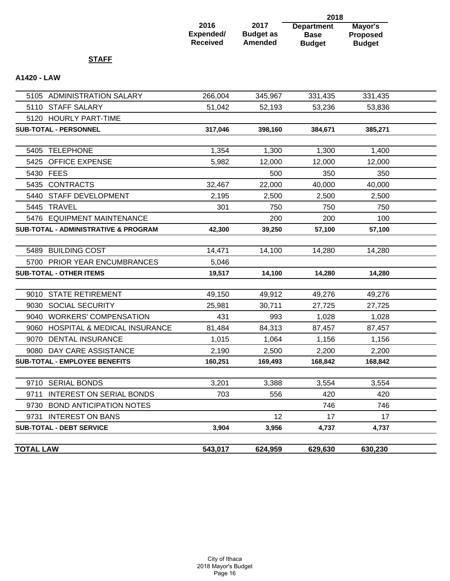| 2016            |  |
|-----------------|--|
| Expended/       |  |
| <b>Received</b> |  |

**2017 Budget as Amended** 

**Department Base Budget 2018 Mayor's Proposed Budget**

## **STAFF**

## **A1420 - LAW**

| <b>TOTAL LAW</b>                                | 543,017 | 624,959 | 629,630 | 630,230 |  |
|-------------------------------------------------|---------|---------|---------|---------|--|
| <b>SUB-TOTAL - DEBT SERVICE</b>                 | 3,904   | 3,956   | 4,737   | 4,737   |  |
| 9731 INTEREST ON BANS                           |         | 12      | 17      | 17      |  |
| 9730 BOND ANTICIPATION NOTES                    |         |         | 746     | 746     |  |
| 9711 INTEREST ON SERIAL BONDS                   | 703     | 556     | 420     | 420     |  |
| 9710 SERIAL BONDS                               | 3,201   | 3,388   | 3,554   | 3,554   |  |
|                                                 |         |         |         |         |  |
| <b>SUB-TOTAL - EMPLOYEE BENEFITS</b>            | 160,251 | 169,493 | 168,842 | 168,842 |  |
| 9080 DAY CARE ASSISTANCE                        | 2,190   | 2,500   | 2,200   | 2,200   |  |
| 9070 DENTAL INSURANCE                           | 1,015   | 1,064   | 1,156   | 1,156   |  |
| 9060 HOSPITAL & MEDICAL INSURANCE               | 81,484  | 84,313  | 87,457  | 87,457  |  |
| 9040 WORKERS' COMPENSATION                      | 431     | 993     | 1,028   | 1,028   |  |
| 9030 SOCIAL SECURITY                            | 25,981  | 30,711  | 27,725  | 27,725  |  |
| 9010 STATE RETIREMENT                           | 49,150  | 49,912  | 49,276  | 49,276  |  |
|                                                 |         |         |         |         |  |
| <b>SUB-TOTAL - OTHER ITEMS</b>                  | 19,517  | 14,100  | 14,280  | 14,280  |  |
| 5700 PRIOR YEAR ENCUMBRANCES                    | 5,046   |         |         |         |  |
| 5489 BUILDING COST                              | 14,471  | 14,100  | 14,280  | 14,280  |  |
| <b>SUB-TOTAL - ADMINISTRATIVE &amp; PROGRAM</b> | 42,300  | 39,250  | 57,100  | 57,100  |  |
| 5476 EQUIPMENT MAINTENANCE                      |         | 200     | 200     | 100     |  |
| 5445 TRAVEL                                     | 301     | 750     | 750     | 750     |  |
| 5440 STAFF DEVELOPMENT                          | 2,195   | 2,500   | 2,500   | 2,500   |  |
| 5435 CONTRACTS                                  | 32,467  | 22,000  | 40,000  | 40,000  |  |
| 5430 FEES                                       |         | 500     | 350     | 350     |  |
| 5425 OFFICE EXPENSE                             | 5,982   | 12,000  | 12,000  | 12,000  |  |
| 5405 TELEPHONE                                  | 1,354   | 1,300   | 1,300   | 1,400   |  |
|                                                 |         |         |         |         |  |
| SUB-TOTAL - PERSONNEL                           | 317,046 | 398,160 | 384,671 | 385,271 |  |
| 5120 HOURLY PART-TIME                           |         |         |         |         |  |
| 5110 STAFF SALARY                               | 51,042  | 52,193  | 53,236  | 53,836  |  |
| 5105 ADMINISTRATION SALARY                      | 266,004 | 345,967 | 331,435 | 331,435 |  |
|                                                 |         |         |         |         |  |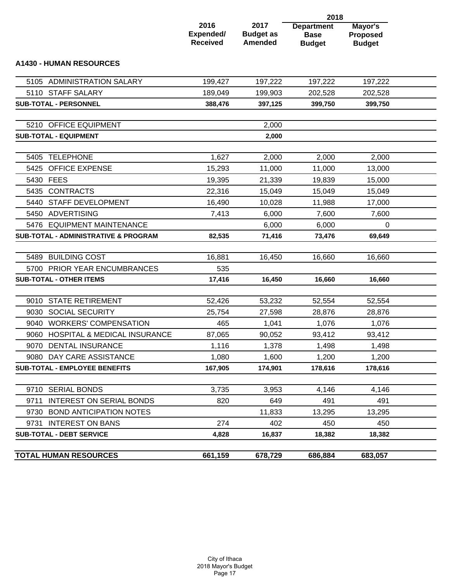|                                                      |                                      | 2018                                       |                                                   |                                             |  |  |
|------------------------------------------------------|--------------------------------------|--------------------------------------------|---------------------------------------------------|---------------------------------------------|--|--|
|                                                      | 2016<br>Expended/<br><b>Received</b> | 2017<br><b>Budget as</b><br><b>Amended</b> | <b>Department</b><br><b>Base</b><br><b>Budget</b> | Mayor's<br><b>Proposed</b><br><b>Budget</b> |  |  |
| <b>A1430 - HUMAN RESOURCES</b>                       |                                      |                                            |                                                   |                                             |  |  |
| 5105 ADMINISTRATION SALARY                           | 199,427                              | 197,222                                    | 197,222                                           | 197,222                                     |  |  |
| 5110 STAFF SALARY                                    | 189,049                              | 199,903                                    | 202,528                                           | 202,528                                     |  |  |
| SUB-TOTAL - PERSONNEL                                | 388,476                              | 397,125                                    | 399,750                                           | 399,750                                     |  |  |
| 5210 OFFICE EQUIPMENT                                |                                      | 2,000                                      |                                                   |                                             |  |  |
| <b>SUB-TOTAL - EQUIPMENT</b>                         |                                      | 2,000                                      |                                                   |                                             |  |  |
| <b>TELEPHONE</b><br>5405                             | 1,627                                | 2,000                                      | 2,000                                             | 2,000                                       |  |  |
| <b>OFFICE EXPENSE</b><br>5425                        | 15,293                               | 11,000                                     | 11,000                                            | 13,000                                      |  |  |
| 5430 FEES                                            | 19,395                               | 21,339                                     | 19,839                                            | 15,000                                      |  |  |
| 5435 CONTRACTS                                       | 22,316                               | 15,049                                     | 15,049                                            | 15,049                                      |  |  |
| 5440 STAFF DEVELOPMENT                               | 16,490                               | 10,028                                     | 11,988                                            | 17,000                                      |  |  |
| ADVERTISING<br>5450                                  | 7,413                                | 6,000                                      | 7,600                                             | 7,600                                       |  |  |
| 5476 EQUIPMENT MAINTENANCE                           |                                      | 6,000                                      | 6,000                                             | 0                                           |  |  |
| <b>SUB-TOTAL - ADMINISTRATIVE &amp; PROGRAM</b>      | 82,535                               | 71,416                                     | 73,476                                            | 69,649                                      |  |  |
| <b>BUILDING COST</b><br>5489                         | 16,881                               | 16,450                                     | 16,660                                            | 16,660                                      |  |  |
| PRIOR YEAR ENCUMBRANCES<br>5700                      | 535                                  |                                            |                                                   |                                             |  |  |
| <b>SUB-TOTAL - OTHER ITEMS</b>                       | 17,416                               | 16,450                                     | 16,660                                            | 16,660                                      |  |  |
|                                                      |                                      |                                            |                                                   |                                             |  |  |
| 9010 STATE RETIREMENT                                | 52,426                               | 53,232                                     | 52,554                                            | 52,554                                      |  |  |
| 9030 SOCIAL SECURITY                                 | 25,754                               | 27,598                                     | 28,876                                            | 28,876                                      |  |  |
| 9040 WORKERS' COMPENSATION                           | 465                                  | 1,041                                      | 1,076                                             | 1,076                                       |  |  |
| 9060 HOSPITAL & MEDICAL INSURANCE                    | 87,065                               | 90,052                                     | 93,412                                            | 93,412                                      |  |  |
| 9070 DENTAL INSURANCE                                | 1,116                                | 1,378                                      | 1,498                                             | 1,498                                       |  |  |
| 9080 DAY CARE ASSISTANCE                             | 1,080                                | 1,600                                      | 1,200                                             | 1,200                                       |  |  |
| <b>SUB-TOTAL - EMPLOYEE BENEFITS</b>                 | 167,905                              | 174,901                                    | 178,616                                           | 178,616                                     |  |  |
|                                                      |                                      |                                            |                                                   |                                             |  |  |
| 9710 SERIAL BONDS<br><b>INTEREST ON SERIAL BONDS</b> | 3,735                                | 3,953                                      | 4,146                                             | 4,146                                       |  |  |
| 9711<br><b>BOND ANTICIPATION NOTES</b>               | 820                                  | 649                                        | 491                                               | 491                                         |  |  |
| 9730<br><b>INTEREST ON BANS</b><br>9731              | 274                                  | 11,833<br>402                              | 13,295<br>450                                     | 13,295<br>450                               |  |  |
| <b>SUB-TOTAL - DEBT SERVICE</b>                      | 4,828                                | 16,837                                     | 18,382                                            | 18,382                                      |  |  |
|                                                      |                                      |                                            |                                                   |                                             |  |  |
| <b>TOTAL HUMAN RESOURCES</b>                         | 661,159                              | 678,729                                    | 686,884                                           | 683,057                                     |  |  |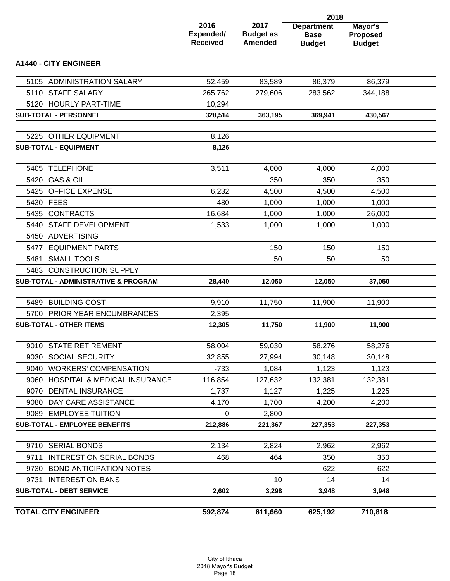|                                                 |                                      |                                            | 2018                                              |                                             |  |
|-------------------------------------------------|--------------------------------------|--------------------------------------------|---------------------------------------------------|---------------------------------------------|--|
|                                                 | 2016<br>Expended/<br><b>Received</b> | 2017<br><b>Budget as</b><br><b>Amended</b> | <b>Department</b><br><b>Base</b><br><b>Budget</b> | Mayor's<br><b>Proposed</b><br><b>Budget</b> |  |
| <b>A1440 - CITY ENGINEER</b>                    |                                      |                                            |                                                   |                                             |  |
| 5105 ADMINISTRATION SALARY                      | 52,459                               | 83,589                                     | 86,379                                            | 86,379                                      |  |
| 5110 STAFF SALARY                               | 265,762                              | 279,606                                    | 283,562                                           | 344,188                                     |  |
| 5120 HOURLY PART-TIME                           | 10,294                               |                                            |                                                   |                                             |  |
| <b>SUB-TOTAL - PERSONNEL</b>                    | 328,514                              | 363,195                                    | 369,941                                           | 430,567                                     |  |
| 5225 OTHER EQUIPMENT                            | 8,126                                |                                            |                                                   |                                             |  |
| <b>SUB-TOTAL - EQUIPMENT</b>                    | 8,126                                |                                            |                                                   |                                             |  |
| <b>TELEPHONE</b><br>5405                        | 3,511                                | 4,000                                      | 4,000                                             | 4,000                                       |  |
| 5420 GAS & OIL                                  |                                      | 350                                        | 350                                               | 350                                         |  |
| 5425 OFFICE EXPENSE                             | 6,232                                | 4,500                                      | 4,500                                             | 4,500                                       |  |
| 5430 FEES                                       | 480                                  | 1,000                                      | 1,000                                             | 1,000                                       |  |
| 5435 CONTRACTS                                  | 16,684                               | 1,000                                      | 1,000                                             | 26,000                                      |  |
| 5440<br><b>STAFF DEVELOPMENT</b>                | 1,533                                | 1,000                                      | 1,000                                             | 1,000                                       |  |
| ADVERTISING<br>5450                             |                                      |                                            |                                                   |                                             |  |
| <b>EQUIPMENT PARTS</b><br>5477                  |                                      | 150                                        | 150                                               | 150                                         |  |
| <b>SMALL TOOLS</b><br>5481                      |                                      | 50                                         | 50                                                | 50                                          |  |
| 5483 CONSTRUCTION SUPPLY                        |                                      |                                            |                                                   |                                             |  |
| SUB-TOTAL - ADMINISTRATIVE & PROGRAM            | 28,440                               | 12,050                                     | 12,050                                            | 37,050                                      |  |
| <b>BUILDING COST</b><br>5489                    | 9,910                                | 11,750                                     | 11,900                                            | 11,900                                      |  |
| 5700 PRIOR YEAR ENCUMBRANCES                    | 2,395                                |                                            |                                                   |                                             |  |
| <b>SUB-TOTAL - OTHER ITEMS</b>                  | 12,305                               | 11,750                                     | 11,900                                            | 11,900                                      |  |
| 9010 STATE RETIREMENT                           | 58,004                               | 59,030                                     | 58,276                                            | 58,276                                      |  |
| 9030 SOCIAL SECURITY                            | 32,855                               | 27,994                                     | 30,148                                            | 30,148                                      |  |
| 9040 WORKERS' COMPENSATION                      | $-733$                               | 1,084                                      | 1,123                                             | 1,123                                       |  |
| <b>HOSPITAL &amp; MEDICAL INSURANCE</b><br>9060 | 116,854                              | 127,632                                    | 132,381                                           | 132,381                                     |  |
| 9070 DENTAL INSURANCE                           | 1,737                                | 1,127                                      | 1,225                                             | 1,225                                       |  |
| 9080 DAY CARE ASSISTANCE                        | 4,170                                | 1,700                                      | 4,200                                             | 4,200                                       |  |
| 9089 EMPLOYEE TUITION                           | 0                                    | 2,800                                      |                                                   |                                             |  |
| <b>SUB-TOTAL - EMPLOYEE BENEFITS</b>            | 212,886                              | 221,367                                    | 227,353                                           | 227,353                                     |  |
| 9710 SERIAL BONDS                               | 2,134                                | 2,824                                      | 2,962                                             | 2,962                                       |  |
| <b>INTEREST ON SERIAL BONDS</b><br>9711         | 468                                  | 464                                        | 350                                               | 350                                         |  |
| <b>BOND ANTICIPATION NOTES</b><br>9730          |                                      |                                            | 622                                               | 622                                         |  |
| 9731 INTEREST ON BANS                           |                                      | 10                                         | 14                                                | 14                                          |  |
| <b>SUB-TOTAL - DEBT SERVICE</b>                 | 2,602                                | 3,298                                      | 3,948                                             | 3,948                                       |  |
| <b>TOTAL CITY ENGINEER</b>                      | 592,874                              | 611,660                                    | 625,192                                           | 710,818                                     |  |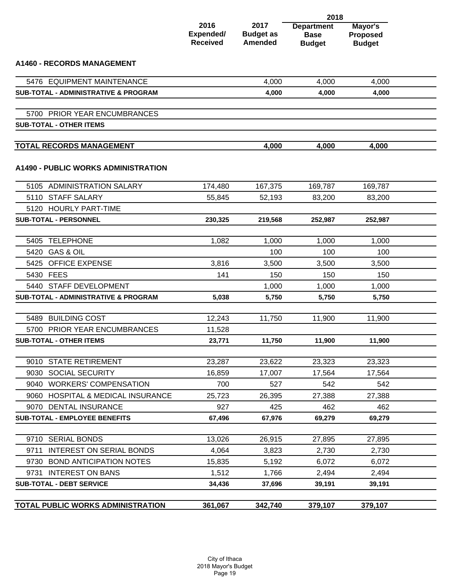|                                                                           |                                      |                                            | 2018                                              |                                             |  |
|---------------------------------------------------------------------------|--------------------------------------|--------------------------------------------|---------------------------------------------------|---------------------------------------------|--|
|                                                                           | 2016<br>Expended/<br><b>Received</b> | 2017<br><b>Budget as</b><br><b>Amended</b> | <b>Department</b><br><b>Base</b><br><b>Budget</b> | Mayor's<br><b>Proposed</b><br><b>Budget</b> |  |
| <b>A1460 - RECORDS MANAGEMENT</b>                                         |                                      |                                            |                                                   |                                             |  |
| 5476 EQUIPMENT MAINTENANCE                                                |                                      | 4,000                                      | 4,000                                             | 4,000                                       |  |
| <b>SUB-TOTAL - ADMINISTRATIVE &amp; PROGRAM</b>                           |                                      | 4,000                                      | 4,000                                             | 4,000                                       |  |
| 5700 PRIOR YEAR ENCUMBRANCES                                              |                                      |                                            |                                                   |                                             |  |
| <b>SUB-TOTAL - OTHER ITEMS</b>                                            |                                      |                                            |                                                   |                                             |  |
|                                                                           |                                      |                                            |                                                   |                                             |  |
| <b>TOTAL RECORDS MANAGEMENT</b>                                           |                                      | 4,000                                      | 4,000                                             | 4,000                                       |  |
| <b>A1490 - PUBLIC WORKS ADMINISTRATION</b>                                |                                      |                                            |                                                   |                                             |  |
| 5105 ADMINISTRATION SALARY                                                | 174,480                              | 167,375                                    | 169,787                                           | 169,787                                     |  |
| 5110 STAFF SALARY                                                         | 55,845                               | 52,193                                     | 83,200                                            | 83,200                                      |  |
| 5120 HOURLY PART-TIME                                                     |                                      |                                            |                                                   |                                             |  |
| <b>SUB-TOTAL - PERSONNEL</b>                                              | 230,325                              | 219,568                                    | 252,987                                           | 252,987                                     |  |
|                                                                           |                                      |                                            |                                                   |                                             |  |
| 5405 TELEPHONE                                                            | 1,082                                | 1,000                                      | 1,000                                             | 1,000                                       |  |
| 5420 GAS & OIL                                                            |                                      | 100                                        | 100                                               | 100                                         |  |
| 5425 OFFICE EXPENSE                                                       | 3,816                                | 3,500                                      | 3,500                                             | 3,500                                       |  |
| 5430 FEES                                                                 | 141                                  | 150                                        | 150                                               | 150                                         |  |
| 5440 STAFF DEVELOPMENT<br><b>SUB-TOTAL - ADMINISTRATIVE &amp; PROGRAM</b> | 5,038                                | 1,000<br>5,750                             | 1,000<br>5,750                                    | 1,000<br>5.750                              |  |
|                                                                           |                                      |                                            |                                                   |                                             |  |
| 5489 BUILDING COST                                                        | 12,243                               | 11,750                                     | 11,900                                            | 11,900                                      |  |
| 5700 PRIOR YEAR ENCUMBRANCES                                              | 11,528                               |                                            |                                                   |                                             |  |
| <b>SUB-TOTAL - OTHER ITEMS</b>                                            | 23,771                               | 11,750                                     | 11,900                                            | 11,900                                      |  |
|                                                                           |                                      |                                            |                                                   |                                             |  |
| 9010 STATE RETIREMENT                                                     | 23,287                               | 23,622                                     | 23,323                                            | 23,323                                      |  |
| 9030 SOCIAL SECURITY                                                      | 16,859                               | 17,007                                     | 17,564                                            | 17,564                                      |  |
| 9040 WORKERS' COMPENSATION                                                | 700                                  | 527                                        | 542                                               | 542                                         |  |
| 9060 HOSPITAL & MEDICAL INSURANCE                                         | 25,723                               | 26,395                                     | 27,388                                            | 27,388                                      |  |
| 9070 DENTAL INSURANCE                                                     | 927                                  | 425                                        | 462                                               | 462                                         |  |
| <b>SUB-TOTAL - EMPLOYEE BENEFITS</b>                                      | 67,496                               | 67,976                                     | 69,279                                            | 69,279                                      |  |
|                                                                           |                                      |                                            |                                                   |                                             |  |
| 9710 SERIAL BONDS                                                         | 13,026                               | 26,915                                     | 27,895                                            | 27,895                                      |  |
| <b>INTEREST ON SERIAL BONDS</b><br>9711                                   | 4,064                                | 3,823                                      | 2,730                                             | 2,730                                       |  |
| 9730 BOND ANTICIPATION NOTES                                              | 15,835                               | 5,192                                      | 6,072                                             | 6,072                                       |  |
| 9731 INTEREST ON BANS                                                     | 1,512                                | 1,766                                      | 2,494                                             | 2,494                                       |  |
| <b>SUB-TOTAL - DEBT SERVICE</b>                                           | 34,436                               | 37,696                                     | 39,191                                            | 39,191                                      |  |
| TOTAL PUBLIC WORKS ADMINISTRATION                                         | 361,067                              | 342,740                                    | 379,107                                           | 379,107                                     |  |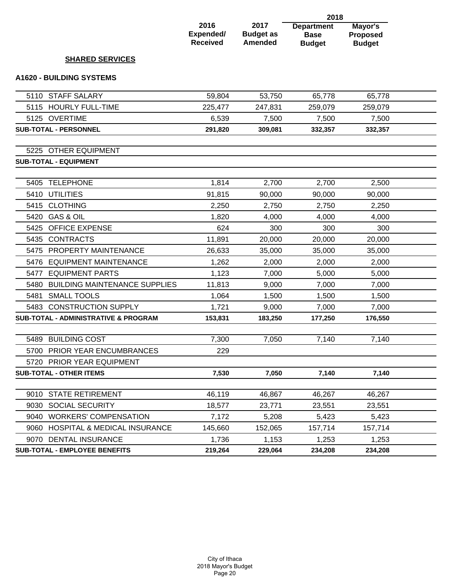|                                                 |                                      |                                            | 2018                                              |                                      |  |
|-------------------------------------------------|--------------------------------------|--------------------------------------------|---------------------------------------------------|--------------------------------------|--|
|                                                 | 2016<br>Expended/<br><b>Received</b> | 2017<br><b>Budget as</b><br><b>Amended</b> | <b>Department</b><br><b>Base</b><br><b>Budget</b> | Mayor's<br>Proposed<br><b>Budget</b> |  |
| <b>SHARED SERVICES</b>                          |                                      |                                            |                                                   |                                      |  |
| <b>A1620 - BUILDING SYSTEMS</b>                 |                                      |                                            |                                                   |                                      |  |
| 5110 STAFF SALARY                               | 59,804                               | 53,750                                     | 65,778                                            | 65,778                               |  |
| 5115 HOURLY FULL-TIME                           | 225,477                              | 247,831                                    | 259,079                                           | 259,079                              |  |
| 5125 OVERTIME                                   | 6,539                                | 7,500                                      | 7,500                                             | 7,500                                |  |
| SUB-TOTAL - PERSONNEL                           | 291,820                              | 309,081                                    | 332,357                                           | 332,357                              |  |
| 5225 OTHER EQUIPMENT                            |                                      |                                            |                                                   |                                      |  |
| <b>SUB-TOTAL - EQUIPMENT</b>                    |                                      |                                            |                                                   |                                      |  |
| <b>TELEPHONE</b><br>5405                        | 1,814                                | 2,700                                      | 2,700                                             | 2,500                                |  |
| 5410 UTILITIES                                  | 91,815                               | 90,000                                     | 90,000                                            | 90,000                               |  |
| <b>CLOTHING</b><br>5415                         | 2,250                                | 2,750                                      | 2,750                                             | 2,250                                |  |
| <b>GAS &amp; OIL</b><br>5420                    | 1,820                                | 4,000                                      | 4,000                                             | 4,000                                |  |
| <b>OFFICE EXPENSE</b><br>5425                   | 624                                  | 300                                        | 300                                               | 300                                  |  |
| <b>CONTRACTS</b><br>5435                        | 11,891                               | 20,000                                     | 20,000                                            | 20,000                               |  |
| PROPERTY MAINTENANCE<br>5475                    | 26,633                               | 35,000                                     | 35,000                                            | 35,000                               |  |
| <b>EQUIPMENT MAINTENANCE</b><br>5476            | 1,262                                | 2,000                                      | 2,000                                             | 2,000                                |  |
| <b>EQUIPMENT PARTS</b><br>5477                  | 1,123                                | 7,000                                      | 5,000                                             | 5,000                                |  |
| 5480<br><b>BUILDING MAINTENANCE SUPPLIES</b>    | 11,813                               | 9,000                                      | 7,000                                             | 7,000                                |  |
| <b>SMALL TOOLS</b><br>5481                      | 1,064                                | 1,500                                      | 1,500                                             | 1,500                                |  |
| 5483 CONSTRUCTION SUPPLY                        | 1,721                                | 9,000                                      | 7,000                                             | 7,000                                |  |
| <b>SUB-TOTAL - ADMINISTRATIVE &amp; PROGRAM</b> | 153,831                              | 183,250                                    | 177,250                                           | 176,550                              |  |
| 5489 BUILDING COST                              | 7,300                                | 7,050                                      | 7,140                                             | 7,140                                |  |
| 5700 PRIOR YEAR ENCUMBRANCES                    | 229                                  |                                            |                                                   |                                      |  |
| 5720 PRIOR YEAR EQUIPMENT                       |                                      |                                            |                                                   |                                      |  |
| <b>SUB-TOTAL - OTHER ITEMS</b>                  | 7,530                                | 7,050                                      | 7,140                                             | 7,140                                |  |
| 9010 STATE RETIREMENT                           | 46,119                               | 46,867                                     | 46,267                                            | 46,267                               |  |
| 9030 SOCIAL SECURITY                            | 18,577                               | 23,771                                     | 23,551                                            | 23,551                               |  |
| 9040 WORKERS' COMPENSATION                      | 7,172                                | 5,208                                      | 5,423                                             | 5,423                                |  |
| 9060 HOSPITAL & MEDICAL INSURANCE               | 145,660                              | 152,065                                    | 157,714                                           | 157,714                              |  |
| 9070 DENTAL INSURANCE                           | 1,736                                | 1,153                                      | 1,253                                             | 1,253                                |  |
| <b>SUB-TOTAL - EMPLOYEE BENEFITS</b>            | 219,264                              | 229,064                                    | 234,208                                           | 234,208                              |  |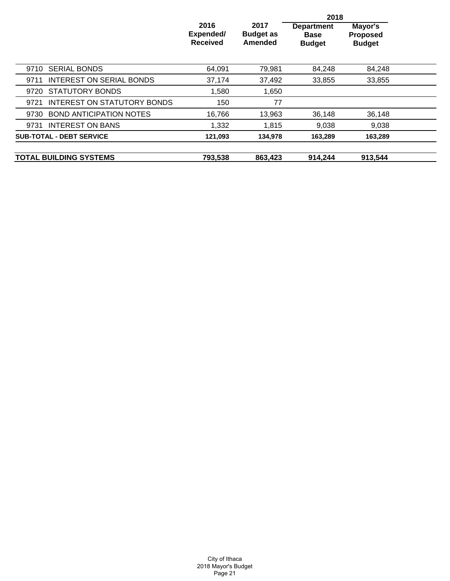|                                         |                                      |                                     | 2018                                              |                                             |  |
|-----------------------------------------|--------------------------------------|-------------------------------------|---------------------------------------------------|---------------------------------------------|--|
|                                         | 2016<br>Expended/<br><b>Received</b> | 2017<br><b>Budget as</b><br>Amended | <b>Department</b><br><b>Base</b><br><b>Budget</b> | Mayor's<br><b>Proposed</b><br><b>Budget</b> |  |
| <b>SERIAL BONDS</b><br>9710             | 64.091                               | 79,981                              | 84.248                                            | 84.248                                      |  |
| <b>INTEREST ON SERIAL BONDS</b><br>9711 | 37,174                               | 37,492                              | 33,855                                            | 33,855                                      |  |
| 9720 STATUTORY BONDS                    | 1,580                                | 1,650                               |                                                   |                                             |  |
| INTEREST ON STATUTORY BONDS<br>9721     | 150                                  | 77                                  |                                                   |                                             |  |
| <b>BOND ANTICIPATION NOTES</b><br>9730  | 16,766                               | 13,963                              | 36,148                                            | 36,148                                      |  |
| 9731 INTEREST ON BANS                   | 1,332                                | 1,815                               | 9,038                                             | 9.038                                       |  |
| <b>SUB-TOTAL - DEBT SERVICE</b>         | 121,093                              | 134,978                             | 163,289                                           | 163,289                                     |  |
| <b>TOTAL BUILDING SYSTEMS</b>           | 793,538                              | 863,423                             | 914,244                                           | 913,544                                     |  |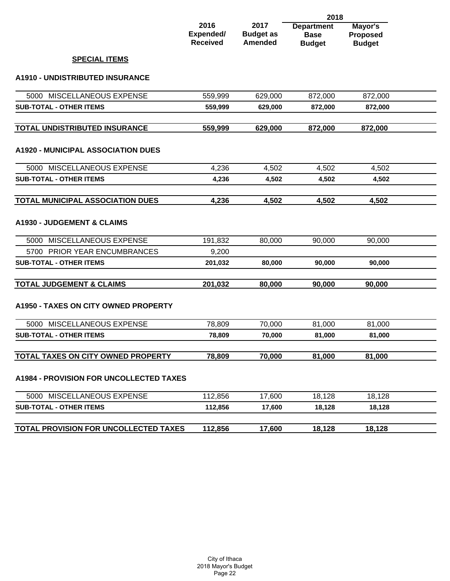|                                                |                                      |                                            | 2018                                              |                                             |  |
|------------------------------------------------|--------------------------------------|--------------------------------------------|---------------------------------------------------|---------------------------------------------|--|
|                                                | 2016<br>Expended/<br><b>Received</b> | 2017<br><b>Budget as</b><br><b>Amended</b> | <b>Department</b><br><b>Base</b><br><b>Budget</b> | Mayor's<br><b>Proposed</b><br><b>Budget</b> |  |
| <b>SPECIAL ITEMS</b>                           |                                      |                                            |                                                   |                                             |  |
| A1910 - UNDISTRIBUTED INSURANCE                |                                      |                                            |                                                   |                                             |  |
| 5000 MISCELLANEOUS EXPENSE                     | 559,999                              | 629,000                                    | 872,000                                           | 872,000                                     |  |
| <b>SUB-TOTAL - OTHER ITEMS</b>                 | 559,999                              | 629,000                                    | 872,000                                           | 872,000                                     |  |
| TOTAL UNDISTRIBUTED INSURANCE                  | 559,999                              | 629,000                                    | 872,000                                           | 872,000                                     |  |
| <b>A1920 - MUNICIPAL ASSOCIATION DUES</b>      |                                      |                                            |                                                   |                                             |  |
| 5000 MISCELLANEOUS EXPENSE                     | 4,236                                | 4,502                                      | 4,502                                             | 4,502                                       |  |
| <b>SUB-TOTAL - OTHER ITEMS</b>                 | 4,236                                | 4,502                                      | 4,502                                             | 4,502                                       |  |
| <b>TOTAL MUNICIPAL ASSOCIATION DUES</b>        | 4,236                                | 4,502                                      | 4,502                                             | 4,502                                       |  |
| <b>A1930 - JUDGEMENT &amp; CLAIMS</b>          |                                      |                                            |                                                   |                                             |  |
| 5000 MISCELLANEOUS EXPENSE                     | 191,832                              | 80,000                                     | 90,000                                            | 90,000                                      |  |
| PRIOR YEAR ENCUMBRANCES<br>5700                | 9,200                                |                                            |                                                   |                                             |  |
| <b>SUB-TOTAL - OTHER ITEMS</b>                 | 201,032                              | 80,000                                     | 90,000                                            | 90,000                                      |  |
| <b>TOTAL JUDGEMENT &amp; CLAIMS</b>            | 201,032                              | 80,000                                     | 90,000                                            | 90,000                                      |  |
| A1950 - TAXES ON CITY OWNED PROPERTY           |                                      |                                            |                                                   |                                             |  |
| 5000 MISCELLANEOUS EXPENSE                     | 78,809                               | 70,000                                     | 81,000                                            | 81,000                                      |  |
| <b>SUB-TOTAL - OTHER ITEMS</b>                 | 78,809                               | 70,000                                     | 81,000                                            | 81,000                                      |  |
| TOTAL TAXES ON CITY OWNED PROPERTY             | 78,809                               | 70,000                                     | 81,000                                            | 81,000                                      |  |
| <b>A1984 - PROVISION FOR UNCOLLECTED TAXES</b> |                                      |                                            |                                                   |                                             |  |
| 5000 MISCELLANEOUS EXPENSE                     | 112,856                              | 17,600                                     | 18,128                                            | 18,128                                      |  |
| <b>SUB-TOTAL - OTHER ITEMS</b>                 | 112,856                              | 17,600                                     | 18,128                                            | 18,128                                      |  |
|                                                |                                      |                                            |                                                   |                                             |  |

**TOTAL PROVISION FOR UNCOLLECTED TAXES** 112,856 17,600 18,128 18,128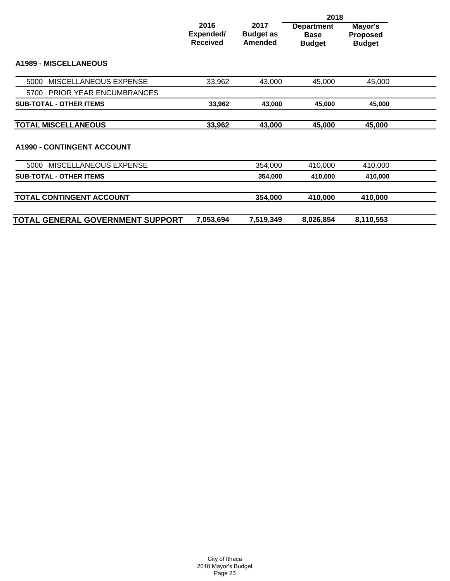|                                        |                                      |                                            | 2018                                              |                                             |  |
|----------------------------------------|--------------------------------------|--------------------------------------------|---------------------------------------------------|---------------------------------------------|--|
|                                        | 2016<br>Expended/<br><b>Received</b> | 2017<br><b>Budget as</b><br><b>Amended</b> | <b>Department</b><br><b>Base</b><br><b>Budget</b> | Mayor's<br><b>Proposed</b><br><b>Budget</b> |  |
| <b>A1989 - MISCELLANEOUS</b>           |                                      |                                            |                                                   |                                             |  |
| MISCELLANEOUS EXPENSE<br>5000          | 33,962                               | 43,000                                     | 45,000                                            | 45,000                                      |  |
| <b>PRIOR YEAR ENCUMBRANCES</b><br>5700 |                                      |                                            |                                                   |                                             |  |
| <b>SUB-TOTAL - OTHER ITEMS</b>         | 33,962                               | 43,000                                     | 45,000                                            | 45,000                                      |  |
| <b>TOTAL MISCELLANEOUS</b>             | 33,962                               | 43,000                                     | 45,000                                            | 45,000                                      |  |
| <b>A1990 - CONTINGENT ACCOUNT</b>      |                                      |                                            |                                                   |                                             |  |
| 5000 MISCELLANEOUS EXPENSE             |                                      | 354,000                                    | 410,000                                           | 410,000                                     |  |
| <b>SUB-TOTAL - OTHER ITEMS</b>         |                                      | 354,000                                    | 410,000                                           | 410,000                                     |  |
| TOTAL CONTINGENT ACCOUNT               |                                      | 354,000                                    | 410,000                                           | 410,000                                     |  |
| TOTAL GENERAL GOVERNMENT SUPPORT       | 7,053,694                            | 7,519,349                                  | 8,026,854                                         | 8,110,553                                   |  |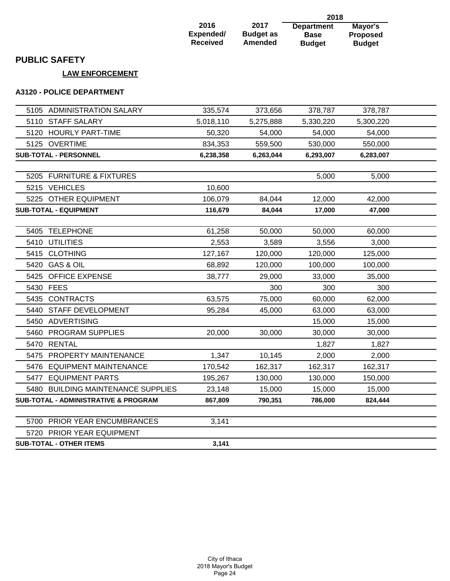| 2016            | 2017             |
|-----------------|------------------|
| Expended/       | <b>Budget as</b> |
| <b>Received</b> | <b>Amended</b>   |

**Department Base Budget 2018 Mayor's Proposed Budget**

## **PUBLIC SAFETY**

### **LAW ENFORCEMENT**

#### **A3120 - POLICE DEPARTMENT**

| 5105 ADMINISTRATION SALARY           | 335,574   | 373,656   | 378,787   | 378,787   |  |
|--------------------------------------|-----------|-----------|-----------|-----------|--|
| 5110 STAFF SALARY                    | 5,018,110 | 5,275,888 | 5,330,220 | 5,300,220 |  |
| 5120 HOURLY PART-TIME                | 50,320    | 54,000    | 54,000    | 54,000    |  |
| 5125 OVERTIME                        | 834,353   | 559,500   | 530,000   | 550,000   |  |
| SUB-TOTAL - PERSONNEL                | 6,238,358 | 6,263,044 | 6,293,007 | 6,283,007 |  |
|                                      |           |           |           |           |  |
| 5205 FURNITURE & FIXTURES            |           |           | 5,000     | 5,000     |  |
| 5215 VEHICLES                        | 10,600    |           |           |           |  |
| 5225 OTHER EQUIPMENT                 | 106,079   | 84,044    | 12,000    | 42,000    |  |
| <b>SUB-TOTAL - EQUIPMENT</b>         | 116,679   | 84,044    | 17,000    | 47,000    |  |
|                                      |           |           |           |           |  |
| 5405 TELEPHONE                       | 61,258    | 50,000    | 50,000    | 60,000    |  |
| 5410 UTILITIES                       | 2,553     | 3,589     | 3,556     | 3,000     |  |
| 5415 CLOTHING                        | 127,167   | 120,000   | 120,000   | 125,000   |  |
| 5420 GAS & OIL                       | 68,892    | 120,000   | 100,000   | 100,000   |  |
| 5425 OFFICE EXPENSE                  | 38,777    | 29,000    | 33,000    | 35,000    |  |
| 5430 FEES                            |           | 300       | 300       | 300       |  |
| 5435 CONTRACTS                       | 63,575    | 75,000    | 60,000    | 62,000    |  |
| 5440 STAFF DEVELOPMENT               | 95,284    | 45,000    | 63,000    | 63,000    |  |
| 5450 ADVERTISING                     |           |           | 15,000    | 15,000    |  |
| PROGRAM SUPPLIES<br>5460             | 20,000    | 30,000    | 30,000    | 30,000    |  |
| 5470 RENTAL                          |           |           | 1,827     | 1,827     |  |
| 5475 PROPERTY MAINTENANCE            | 1,347     | 10,145    | 2,000     | 2,000     |  |
| 5476 EQUIPMENT MAINTENANCE           | 170,542   | 162,317   | 162,317   | 162,317   |  |
| 5477 EQUIPMENT PARTS                 | 195,267   | 130,000   | 130,000   | 150,000   |  |
| 5480 BUILDING MAINTENANCE SUPPLIES   | 23,148    | 15,000    | 15,000    | 15,000    |  |
| SUB-TOTAL - ADMINISTRATIVE & PROGRAM | 867,809   | 790,351   | 786,000   | 824,444   |  |
| 5700 PRIOR YEAR ENCUMBRANCES         | 3,141     |           |           |           |  |
| 5720 PRIOR YEAR EQUIPMENT            |           |           |           |           |  |
| <b>SUB-TOTAL - OTHER ITEMS</b>       | 3,141     |           |           |           |  |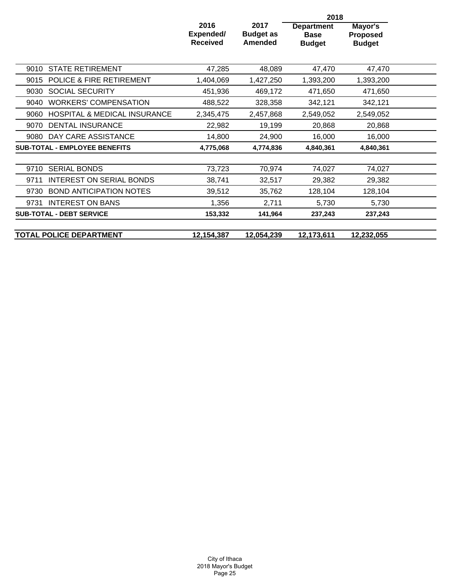|                                                 |                                             |                                            | 2018                                              |                                             |  |
|-------------------------------------------------|---------------------------------------------|--------------------------------------------|---------------------------------------------------|---------------------------------------------|--|
|                                                 | 2016<br><b>Expended/</b><br><b>Received</b> | 2017<br><b>Budget as</b><br><b>Amended</b> | <b>Department</b><br><b>Base</b><br><b>Budget</b> | Mayor's<br><b>Proposed</b><br><b>Budget</b> |  |
| <b>STATE RETIREMENT</b><br>9010                 | 47,285                                      | 48,089                                     | 47,470                                            | 47,470                                      |  |
| <b>POLICE &amp; FIRE RETIREMENT</b><br>9015     | 1,404,069                                   | 1,427,250                                  | 1,393,200                                         | 1,393,200                                   |  |
| <b>SOCIAL SECURITY</b><br>9030                  | 451,936                                     | 469,172                                    | 471,650                                           | 471,650                                     |  |
| <b>WORKERS' COMPENSATION</b><br>9040            | 488,522                                     | 328,358                                    | 342,121                                           | 342,121                                     |  |
| <b>HOSPITAL &amp; MEDICAL INSURANCE</b><br>9060 | 2,345,475                                   | 2,457,868                                  | 2,549,052                                         | 2,549,052                                   |  |
| DENTAL INSURANCE<br>9070                        | 22,982                                      | 19,199                                     | 20,868                                            | 20,868                                      |  |
| DAY CARE ASSISTANCE<br>9080                     | 14,800                                      | 24,900                                     | 16,000                                            | 16,000                                      |  |
| <b>SUB-TOTAL - EMPLOYEE BENEFITS</b>            | 4,775,068                                   | 4,774,836                                  | 4,840,361                                         | 4,840,361                                   |  |
| <b>SERIAL BONDS</b><br>9710                     | 73,723                                      | 70,974                                     | 74,027                                            | 74,027                                      |  |
| INTEREST ON SERIAL BONDS<br>9711                | 38,741                                      | 32,517                                     | 29,382                                            | 29,382                                      |  |
| <b>BOND ANTICIPATION NOTES</b><br>9730          | 39,512                                      | 35,762                                     | 128,104                                           | 128,104                                     |  |
| <b>INTEREST ON BANS</b><br>9731                 | 1,356                                       | 2,711                                      | 5,730                                             | 5,730                                       |  |
| <b>SUB-TOTAL - DEBT SERVICE</b>                 | 153,332                                     | 141,964                                    | 237,243                                           | 237,243                                     |  |
| <b>TOTAL POLICE DEPARTMENT</b>                  | 12,154,387                                  | 12,054,239                                 | 12,173,611                                        | 12,232,055                                  |  |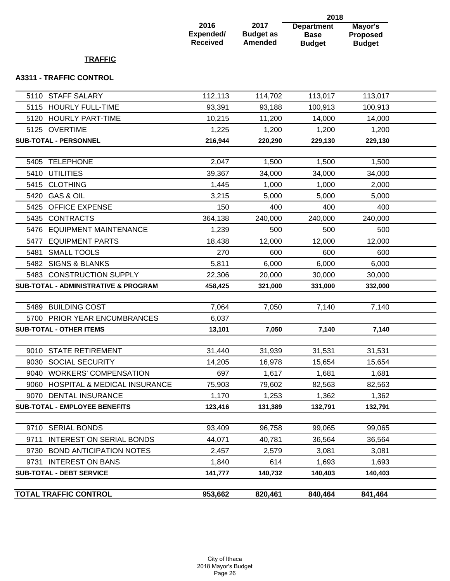|                                                 |                                      |                                            | 2018                                              |                                             |  |
|-------------------------------------------------|--------------------------------------|--------------------------------------------|---------------------------------------------------|---------------------------------------------|--|
|                                                 | 2016<br>Expended/<br><b>Received</b> | 2017<br><b>Budget as</b><br><b>Amended</b> | <b>Department</b><br><b>Base</b><br><b>Budget</b> | Mayor's<br><b>Proposed</b><br><b>Budget</b> |  |
| <b>TRAFFIC</b>                                  |                                      |                                            |                                                   |                                             |  |
| <b>A3311 - TRAFFIC CONTROL</b>                  |                                      |                                            |                                                   |                                             |  |
| <b>STAFF SALARY</b><br>5110                     | 112,113                              | 114,702                                    | 113,017                                           | 113,017                                     |  |
| <b>HOURLY FULL-TIME</b><br>5115                 | 93,391                               | 93,188                                     | 100,913                                           | 100,913                                     |  |
| <b>HOURLY PART-TIME</b><br>5120                 | 10,215                               | 11,200                                     | 14,000                                            | 14,000                                      |  |
| 5125 OVERTIME                                   | 1,225                                | 1,200                                      | 1,200                                             | 1,200                                       |  |
| <b>SUB-TOTAL - PERSONNEL</b>                    | 216,944                              | 220,290                                    | 229,130                                           | 229,130                                     |  |
| <b>TELEPHONE</b><br>5405                        | 2,047                                | 1,500                                      | 1,500                                             | 1,500                                       |  |
| 5410<br><b>UTILITIES</b>                        | 39,367                               | 34,000                                     | 34,000                                            | 34,000                                      |  |
| <b>CLOTHING</b><br>5415                         | 1,445                                | 1,000                                      | 1,000                                             | 2,000                                       |  |
| <b>GAS &amp; OIL</b><br>5420                    | 3,215                                | 5,000                                      | 5,000                                             | 5,000                                       |  |
| 5425<br><b>OFFICE EXPENSE</b>                   | 150                                  | 400                                        | 400                                               | 400                                         |  |
| <b>CONTRACTS</b><br>5435                        | 364,138                              | 240,000                                    | 240,000                                           | 240,000                                     |  |
| 5476<br><b>EQUIPMENT MAINTENANCE</b>            | 1,239                                | 500                                        | 500                                               | 500                                         |  |
| <b>EQUIPMENT PARTS</b><br>5477                  | 18,438                               | 12,000                                     | 12,000                                            | 12,000                                      |  |
| <b>SMALL TOOLS</b><br>5481                      | 270                                  | 600                                        | 600                                               | 600                                         |  |
| 5482 SIGNS & BLANKS                             | 5,811                                | 6,000                                      | 6,000                                             | 6,000                                       |  |
| 5483 CONSTRUCTION SUPPLY                        | 22,306                               | 20,000                                     | 30,000                                            | 30,000                                      |  |
| <b>SUB-TOTAL - ADMINISTRATIVE &amp; PROGRAM</b> | 458,425                              | 321,000                                    | 331,000                                           | 332,000                                     |  |
|                                                 |                                      |                                            |                                                   |                                             |  |
| <b>BUILDING COST</b><br>5489                    | 7,064                                | 7,050                                      | 7,140                                             | 7,140                                       |  |
| 5700 PRIOR YEAR ENCUMBRANCES                    | 6,037                                |                                            |                                                   |                                             |  |
| <b>SUB-TOTAL - OTHER ITEMS</b>                  | 13,101                               | 7,050                                      | 7,140                                             | 7,140                                       |  |
| 9010 STATE RETIREMENT                           | 31,440                               | 31,939                                     | 31,531                                            | 31,531                                      |  |
| <b>SOCIAL SECURITY</b><br>9030                  | 14,205                               | 16,978                                     | 15,654                                            | 15,654                                      |  |
| <b>WORKERS' COMPENSATION</b><br>9040            | 697                                  | 1,617                                      | 1,681                                             | 1,681                                       |  |
| <b>HOSPITAL &amp; MEDICAL INSURANCE</b><br>9060 | 75,903                               | 79,602                                     | 82,563                                            | 82,563                                      |  |
| 9070 DENTAL INSURANCE                           | 1,170                                | 1,253                                      | 1,362                                             | 1,362                                       |  |
| <b>SUB-TOTAL - EMPLOYEE BENEFITS</b>            | 123,416                              | 131,389                                    | 132,791                                           | 132,791                                     |  |
|                                                 |                                      |                                            |                                                   |                                             |  |
| <b>SERIAL BONDS</b><br>9710                     | 93,409                               | 96,758                                     | 99,065                                            | 99,065                                      |  |
| <b>INTEREST ON SERIAL BONDS</b><br>9711         | 44,071                               | 40,781                                     | 36,564                                            | 36,564                                      |  |
| <b>BOND ANTICIPATION NOTES</b><br>9730          | 2,457                                | 2,579                                      | 3,081                                             | 3,081                                       |  |
| 9731 INTEREST ON BANS                           | 1,840                                | 614                                        | 1,693                                             | 1,693                                       |  |
| <b>SUB-TOTAL - DEBT SERVICE</b>                 | 141,777                              | 140,732                                    | 140,403                                           | 140,403                                     |  |
| <b>TOTAL TRAFFIC CONTROL</b>                    | 953,662                              | 820,461                                    | 840,464                                           | 841,464                                     |  |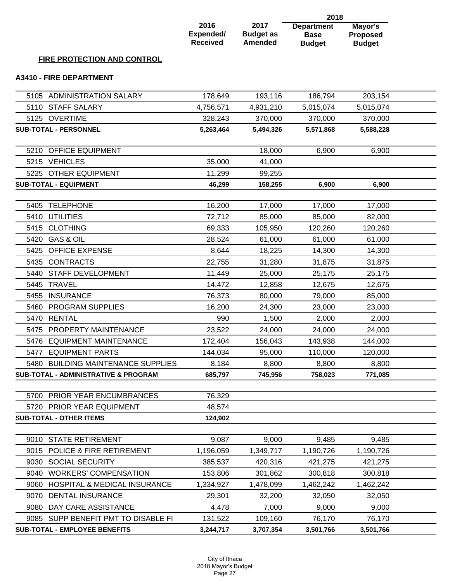|                                                 |                                      |                                            | 2018                                              |                                             |  |
|-------------------------------------------------|--------------------------------------|--------------------------------------------|---------------------------------------------------|---------------------------------------------|--|
|                                                 | 2016<br>Expended/<br><b>Received</b> | 2017<br><b>Budget as</b><br><b>Amended</b> | <b>Department</b><br><b>Base</b><br><b>Budget</b> | Mayor's<br><b>Proposed</b><br><b>Budget</b> |  |
| FIRE PROTECTION AND CONTROL                     |                                      |                                            |                                                   |                                             |  |
| <b>A3410 - FIRE DEPARTMENT</b>                  |                                      |                                            |                                                   |                                             |  |
|                                                 |                                      |                                            |                                                   |                                             |  |
| 5105 ADMINISTRATION SALARY                      | 178,649                              | 193,116                                    | 186,794                                           | 203,154                                     |  |
| 5110<br><b>STAFF SALARY</b>                     | 4,756,571                            | 4,931,210                                  | 5,015,074                                         | 5,015,074                                   |  |
| 5125 OVERTIME                                   | 328,243                              | 370,000                                    | 370,000                                           | 370,000                                     |  |
| <b>SUB-TOTAL - PERSONNEL</b>                    | 5,263,464                            | 5,494,326                                  | 5,571,868                                         | 5,588,228                                   |  |
| 5210 OFFICE EQUIPMENT                           |                                      | 18,000                                     | 6,900                                             | 6,900                                       |  |
| 5215 VEHICLES                                   | 35,000                               | 41,000                                     |                                                   |                                             |  |
| <b>OTHER EQUIPMENT</b><br>5225                  | 11,299                               | 99,255                                     |                                                   |                                             |  |
| <b>SUB-TOTAL - EQUIPMENT</b>                    | 46,299                               | 158,255                                    | 6,900                                             | 6,900                                       |  |
|                                                 |                                      |                                            |                                                   |                                             |  |
| <b>TELEPHONE</b><br>5405                        | 16,200                               | 17,000                                     | 17,000                                            | 17,000                                      |  |
| 5410<br><b>UTILITIES</b>                        | 72,712                               | 85,000                                     | 85,000                                            | 82,000                                      |  |
| <b>CLOTHING</b><br>5415                         | 69,333                               | 105,950                                    | 120,260                                           | 120,260                                     |  |
| <b>GAS &amp; OIL</b><br>5420                    | 28,524                               | 61,000                                     | 61,000                                            | 61,000                                      |  |
| <b>OFFICE EXPENSE</b><br>5425                   | 8,644                                | 18,225                                     | 14,300                                            | 14,300                                      |  |
| <b>CONTRACTS</b><br>5435                        | 22,755                               | 31,280                                     | 31,875                                            | 31,875                                      |  |
| STAFF DEVELOPMENT<br>5440                       | 11,449                               | 25,000                                     | 25,175                                            | 25,175                                      |  |
| 5445 TRAVEL                                     | 14,472                               | 12,858                                     | 12,675                                            | 12,675                                      |  |
| <b>INSURANCE</b><br>5455                        | 76,373                               | 80,000                                     | 79,000                                            | 85,000                                      |  |
| PROGRAM SUPPLIES<br>5460                        | 16,200                               | 24,300                                     | 23,000                                            | 23,000                                      |  |
| <b>RENTAL</b><br>5470                           | 990                                  | 1,500                                      | 2,000                                             | 2,000                                       |  |
| PROPERTY MAINTENANCE<br>5475                    | 23,522                               | 24,000                                     | 24,000                                            | 24,000                                      |  |
| 5476 EQUIPMENT MAINTENANCE                      | 172,404                              | 156,043                                    | 143,938                                           | 144,000                                     |  |
| 5477 EQUIPMENT PARTS                            | 144,034                              | 95,000                                     | 110,000                                           | 120,000                                     |  |
| 5480 BUILDING MAINTENANCE SUPPLIES              | 8,184                                | 8,800                                      | 8,800                                             | 8,800                                       |  |
| <b>SUB-TOTAL - ADMINISTRATIVE &amp; PROGRAM</b> | 685,797                              | 745,956                                    | 758,023                                           | 771,085                                     |  |
| 5700 PRIOR YEAR ENCUMBRANCES                    | 76,329                               |                                            |                                                   |                                             |  |
| 5720 PRIOR YEAR EQUIPMENT                       | 48,574                               |                                            |                                                   |                                             |  |
| <b>SUB-TOTAL - OTHER ITEMS</b>                  | 124,902                              |                                            |                                                   |                                             |  |
|                                                 |                                      |                                            |                                                   |                                             |  |
| 9010 STATE RETIREMENT                           | 9,087                                | 9,000                                      | 9,485                                             | 9,485                                       |  |
| POLICE & FIRE RETIREMENT<br>9015                | 1,196,059                            | 1,349,717                                  | 1,190,726                                         | 1,190,726                                   |  |
| <b>SOCIAL SECURITY</b><br>9030                  | 385,537                              | 420,316                                    | 421,275                                           | 421,275                                     |  |
| <b>WORKERS' COMPENSATION</b><br>9040            | 153,806                              | 301,862                                    | 300,818                                           | 300,818                                     |  |
| 9060<br><b>HOSPITAL &amp; MEDICAL INSURANCE</b> | 1,334,927                            | 1,478,099                                  | 1,462,242                                         | 1,462,242                                   |  |
| 9070<br><b>DENTAL INSURANCE</b>                 | 29,301                               | 32,200                                     | 32,050                                            | 32,050                                      |  |
| DAY CARE ASSISTANCE<br>9080                     | 4,478                                | 7,000                                      | 9,000                                             | 9,000                                       |  |
| 9085 SUPP BENEFIT PMT TO DISABLE FI             | 131,522                              | 109,160                                    | 76,170                                            | 76,170                                      |  |
| SUB-TOTAL - EMPLOYEE BENEFITS                   | 3,244,717                            | 3,707,354                                  | 3,501,766                                         | 3,501,766                                   |  |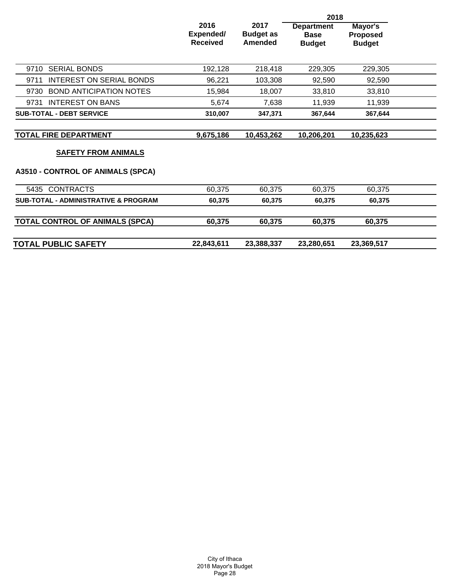|                                         |                                      |                                     | 2018                                              |                                      |  |
|-----------------------------------------|--------------------------------------|-------------------------------------|---------------------------------------------------|--------------------------------------|--|
|                                         | 2016<br>Expended/<br><b>Received</b> | 2017<br><b>Budget as</b><br>Amended | <b>Department</b><br><b>Base</b><br><b>Budget</b> | Mayor's<br>Proposed<br><b>Budget</b> |  |
| <b>SERIAL BONDS</b><br>9710             | 192,128                              | 218,418                             | 229,305                                           | 229,305                              |  |
| <b>INTEREST ON SERIAL BONDS</b><br>9711 | 96,221                               | 103,308                             | 92,590                                            | 92,590                               |  |
| <b>BOND ANTICIPATION NOTES</b><br>9730  | 15,984                               | 18,007                              | 33,810                                            | 33,810                               |  |
| <b>INTEREST ON BANS</b><br>9731         | 5,674                                | 7,638                               | 11,939                                            | 11,939                               |  |
| <b>SUB-TOTAL - DEBT SERVICE</b>         | 310,007                              | 347,371                             | 367,644                                           | 367,644                              |  |
|                                         |                                      |                                     |                                                   |                                      |  |
| <b>TOTAL FIRE DEPARTMENT</b>            | 9,675,186                            | 10,453,262                          | 10,206,201                                        | 10,235,623                           |  |
| <b>SAFETY FROM ANIMALS</b>              |                                      |                                     |                                                   |                                      |  |
| A3510 - CONTROL OF ANIMALS (SPCA)       |                                      |                                     |                                                   |                                      |  |
| 5435 CONTRACTS                          | 60,375                               | 60,375                              | 60,375                                            | 60,375                               |  |
| SUB-TOTAL - ADMINISTRATIVE & PROGRAM    | 60,375                               | 60,375                              | 60,375                                            | 60,375                               |  |
| <b>TOTAL CONTROL OF ANIMALS (SPCA)</b>  | 60,375                               | 60,375                              | 60,375                                            | 60,375                               |  |
| <b>TOTAL PUBLIC SAFETY</b>              | 22,843,611                           | 23,388,337                          | 23,280,651                                        | 23,369,517                           |  |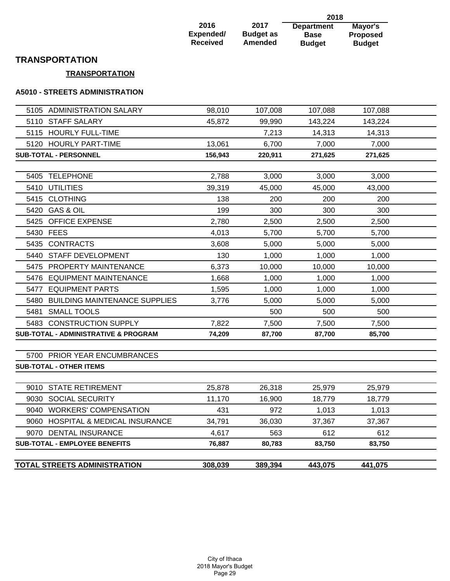| 2016            |  |
|-----------------|--|
| Expended/       |  |
| <b>Received</b> |  |

**2017 Budget as Amended** 

**Department Base Budget 2018 Mayor's Proposed Budget**

### **TRANSPORTATION**

### **TRANSPORTATION**

#### **A5010 - STREETS ADMINISTRATION**

|           | <b>TOTAL STREETS ADMINISTRATION</b>                        | 308,039         | 389,394         | 443,075       | 441,075       |  |
|-----------|------------------------------------------------------------|-----------------|-----------------|---------------|---------------|--|
|           |                                                            |                 |                 |               |               |  |
|           | <b>SUB-TOTAL - EMPLOYEE BENEFITS</b>                       | 4,617<br>76,887 | 563<br>80,783   | 612<br>83,750 | 612<br>83,750 |  |
|           | 9060 HOSPITAL & MEDICAL INSURANCE<br>9070 DENTAL INSURANCE | 34,791          | 36,030          | 37,367        | 37,367        |  |
|           |                                                            | 431             |                 | 1,013         | 1,013         |  |
|           | 9030 SOCIAL SECURITY<br>9040 WORKERS' COMPENSATION         | 11,170          | 16,900<br>972   | 18,779        | 18,779        |  |
|           |                                                            |                 |                 |               |               |  |
|           | 9010 STATE RETIREMENT                                      | 25,878          | 26,318          | 25,979        | 25,979        |  |
|           | <b>SUB-TOTAL - OTHER ITEMS</b>                             |                 |                 |               |               |  |
|           | 5700 PRIOR YEAR ENCUMBRANCES                               |                 |                 |               |               |  |
|           |                                                            |                 |                 | 87,700        | 85,700        |  |
|           | <b>SUB-TOTAL - ADMINISTRATIVE &amp; PROGRAM</b>            | 7,822<br>74,209 | 7,500<br>87,700 | 7,500         | 7,500         |  |
|           | 5483 CONSTRUCTION SUPPLY                                   |                 | 500             | 500           | 500           |  |
|           | 5480 BUILDING MAINTENANCE SUPPLIES<br>5481 SMALL TOOLS     | 3,776           | 5,000           | 5,000         | 5,000         |  |
|           | 5477 EQUIPMENT PARTS                                       | 1,595           | 1,000           | 1,000         | 1,000         |  |
|           | 5476 EQUIPMENT MAINTENANCE                                 | 1,668           | 1,000           | 1,000         | 1,000         |  |
|           | 5475 PROPERTY MAINTENANCE                                  | 6,373           | 10,000          | 10,000        | 10,000        |  |
|           | 5440 STAFF DEVELOPMENT                                     | 130             | 1,000           | 1,000         | 1,000         |  |
|           | 5435 CONTRACTS                                             | 3,608           | 5,000           | 5,000         | 5,000         |  |
| 5430 FEES |                                                            | 4,013           | 5,700           | 5,700         | 5,700         |  |
|           | 5425 OFFICE EXPENSE                                        | 2,780           | 2,500           | 2,500         | 2,500         |  |
|           | 5420 GAS & OIL                                             | 199             | 300             | 300           | 300           |  |
|           | 5415 CLOTHING                                              | 138             | 200             | 200           | 200           |  |
|           | 5410 UTILITIES                                             | 39,319          | 45,000          | 45,000        | 43,000        |  |
|           | 5405 TELEPHONE                                             | 2,788           | 3,000           | 3,000         | 3,000         |  |
|           |                                                            |                 |                 |               |               |  |
|           | SUB-TOTAL - PERSONNEL                                      | 156,943         | 220,911         | 271,625       | 271,625       |  |
|           | 5120 HOURLY PART-TIME                                      | 13,061          | 6,700           | 7,000         | 7,000         |  |
|           | 5115 HOURLY FULL-TIME                                      |                 | 7,213           | 14,313        | 14,313        |  |
|           | 5110 STAFF SALARY                                          | 45,872          | 99,990          | 143,224       | 143,224       |  |
|           | 5105 ADMINISTRATION SALARY                                 | 98,010          | 107,008         | 107,088       | 107,088       |  |
|           |                                                            |                 |                 |               |               |  |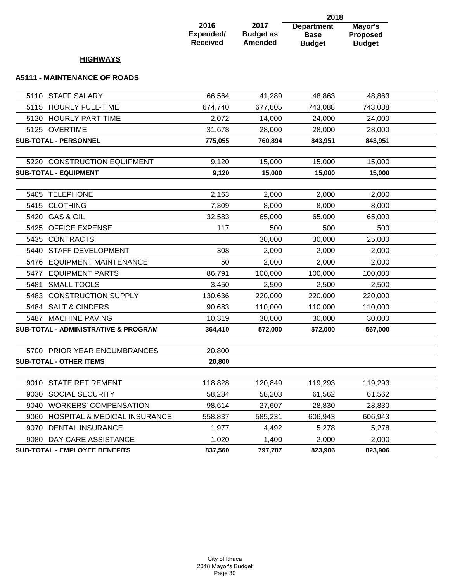|                                      |                                      |                                     | 2018                                              |                                                    |  |
|--------------------------------------|--------------------------------------|-------------------------------------|---------------------------------------------------|----------------------------------------------------|--|
|                                      | 2016<br>Expended/<br><b>Received</b> | 2017<br><b>Budget as</b><br>Amended | <b>Department</b><br><b>Base</b><br><b>Budget</b> | <b>Mayor's</b><br><b>Proposed</b><br><b>Budget</b> |  |
| <b>HIGHWAYS</b>                      |                                      |                                     |                                                   |                                                    |  |
| <b>A5111 - MAINTENANCE OF ROADS</b>  |                                      |                                     |                                                   |                                                    |  |
| 5110 STAFF SALARY                    | 66,564                               | 41,289                              | 48,863                                            | 48,863                                             |  |
| 5115<br><b>HOURLY FULL-TIME</b>      | 674,740                              | 677,605                             | 743,088                                           | 743,088                                            |  |
| <b>HOURLY PART-TIME</b><br>5120      | 2.072                                | 14,000                              | 24,000                                            | 24,000                                             |  |
| 5125 OVERTIME                        | 31,678                               | 28,000                              | 28,000                                            | 28,000                                             |  |
| <b>SUB-TOTAL - PERSONNEL</b>         | 775,055                              | 760,894                             | 843,951                                           | 843,951                                            |  |
|                                      |                                      |                                     |                                                   |                                                    |  |
| 5220 CONSTRUCTION EQUIPMENT          | 9,120                                | 15,000                              | 15,000                                            | 15,000                                             |  |
| <b>SUB-TOTAL - EQUIPMENT</b>         | 9,120                                | 15,000                              | 15,000                                            | 15,000                                             |  |
| <b>TELEPHONE</b><br>5405             | 2,163                                | 2,000                               | 2,000                                             | 2,000                                              |  |
| <b>CLOTHING</b><br>5415              | 7,309                                | 8,000                               | 8,000                                             | 8,000                                              |  |
| 5420<br><b>GAS &amp; OIL</b>         | 32,583                               | 65,000                              | 65,000                                            | 65,000                                             |  |
| <b>OFFICE EXPENSE</b><br>5425        | 117                                  | 500                                 | 500                                               | 500                                                |  |
| <b>CONTRACTS</b><br>5435             |                                      | 30,000                              | 30,000                                            | 25,000                                             |  |
| <b>STAFF DEVELOPMENT</b><br>5440     | 308                                  | 2,000                               | 2,000                                             | 2,000                                              |  |
| <b>EQUIPMENT MAINTENANCE</b><br>5476 | 50                                   | 2,000                               | 2,000                                             | 2,000                                              |  |
| <b>EQUIPMENT PARTS</b><br>5477       | 86,791                               | 100,000                             | 100,000                                           | 100,000                                            |  |
| <b>SMALL TOOLS</b><br>5481           | 3,450                                | 2,500                               | 2,500                                             | 2,500                                              |  |
| <b>CONSTRUCTION SUPPLY</b><br>5483   | 130,636                              | 220,000                             | 220,000                                           | 220,000                                            |  |
| <b>SALT &amp; CINDERS</b><br>5484    | 90,683                               | 110,000                             | 110,000                                           | 110,000                                            |  |
| <b>MACHINE PAVING</b><br>5487        | 10,319                               | 30,000                              | 30,000                                            | 30,000                                             |  |
| SUB-TOTAL - ADMINISTRATIVE & PROGRAM | 364,410                              | 572,000                             | 572,000                                           | 567,000                                            |  |
| 5700 PRIOR YEAR ENCUMBRANCES         | 20,800                               |                                     |                                                   |                                                    |  |
| <b>SUB-TOTAL - OTHER ITEMS</b>       | 20,800                               |                                     |                                                   |                                                    |  |
|                                      |                                      |                                     |                                                   |                                                    |  |
| 9010 STATE RETIREMENT                | 118,828                              | 120,849                             | 119,293                                           | 119,293                                            |  |

9030 SOCIAL SECURITY 68,284 58,208 61,562 61,562 9040 WORKERS' COMPENSATION 98,614 27,607 28,830 28,830 9060 HOSPITAL & MEDICAL INSURANCE 558,837 585,231 606,943 606,943 9070 DENTAL INSURANCE 1,977 4,492 5,278 5,278 9080 DAY CARE ASSISTANCE 1,020 1,400 2,000 2,000 **SUB-TOTAL - EMPLOYEE BENEFITS 837,560 797,787 823,906 823,906**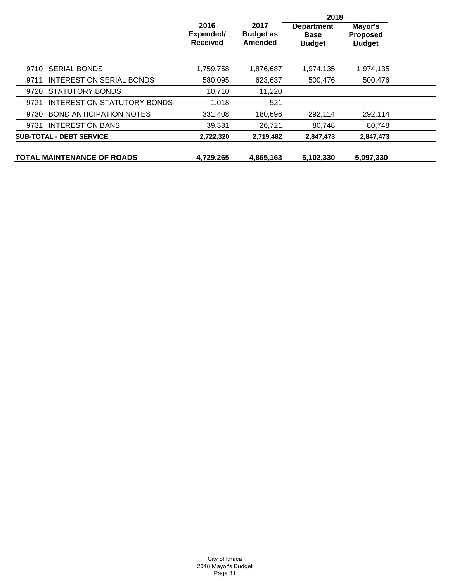|                                         |                                      |                                     | 2018                                              |                                             |  |
|-----------------------------------------|--------------------------------------|-------------------------------------|---------------------------------------------------|---------------------------------------------|--|
|                                         | 2016<br>Expended/<br><b>Received</b> | 2017<br><b>Budget as</b><br>Amended | <b>Department</b><br><b>Base</b><br><b>Budget</b> | Mayor's<br><b>Proposed</b><br><b>Budget</b> |  |
| <b>SERIAL BONDS</b><br>9710             | 1,759,758                            | 1,876,687                           | 1,974,135                                         | 1,974,135                                   |  |
| <b>INTEREST ON SERIAL BONDS</b><br>9711 | 580,095                              | 623,637                             | 500,476                                           | 500,476                                     |  |
| 9720 STATUTORY BONDS                    | 10,710                               | 11,220                              |                                                   |                                             |  |
| INTEREST ON STATUTORY BONDS<br>9721     | 1,018                                | 521                                 |                                                   |                                             |  |
| <b>BOND ANTICIPATION NOTES</b><br>9730  | 331,408                              | 180,696                             | 292,114                                           | 292,114                                     |  |
| <b>INTEREST ON BANS</b><br>9731         | 39,331                               | 26,721                              | 80,748                                            | 80,748                                      |  |
| <b>SUB-TOTAL - DEBT SERVICE</b>         | 2,722,320                            | 2,719,482                           | 2,847,473                                         | 2,847,473                                   |  |
| <b>TOTAL MAINTENANCE OF ROADS</b>       | 4,729,265                            | 4,865,163                           | 5,102,330                                         | 5,097,330                                   |  |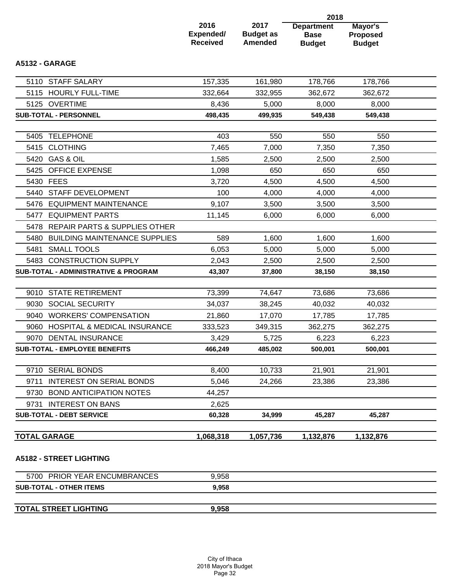|                                              |                                      |                                            | 2018                                              |                                             |  |
|----------------------------------------------|--------------------------------------|--------------------------------------------|---------------------------------------------------|---------------------------------------------|--|
|                                              | 2016<br>Expended/<br><b>Received</b> | 2017<br><b>Budget as</b><br><b>Amended</b> | <b>Department</b><br><b>Base</b><br><b>Budget</b> | Mayor's<br><b>Proposed</b><br><b>Budget</b> |  |
| A5132 - GARAGE                               |                                      |                                            |                                                   |                                             |  |
| 5110 STAFF SALARY                            | 157,335                              | 161,980                                    | 178,766                                           | 178,766                                     |  |
| <b>HOURLY FULL-TIME</b><br>5115              | 332,664                              | 332,955                                    | 362,672                                           | 362,672                                     |  |
| 5125 OVERTIME                                | 8,436                                | 5,000                                      | 8,000                                             | 8,000                                       |  |
| <b>SUB-TOTAL - PERSONNEL</b>                 | 498,435                              | 499,935                                    | 549,438                                           | 549,438                                     |  |
|                                              |                                      |                                            |                                                   |                                             |  |
| <b>TELEPHONE</b><br>5405                     | 403                                  | 550                                        | 550                                               | 550                                         |  |
| <b>CLOTHING</b><br>5415                      | 7,465                                | 7,000                                      | 7,350                                             | 7,350                                       |  |
| <b>GAS &amp; OIL</b><br>5420                 | 1,585                                | 2,500                                      | 2,500                                             | 2,500                                       |  |
| 5425 OFFICE EXPENSE                          | 1,098                                | 650                                        | 650                                               | 650                                         |  |
| 5430 FEES                                    | 3,720                                | 4,500                                      | 4,500                                             | 4,500                                       |  |
| <b>STAFF DEVELOPMENT</b><br>5440             | 100                                  | 4,000                                      | 4,000                                             | 4,000                                       |  |
| 5476<br><b>EQUIPMENT MAINTENANCE</b>         | 9,107                                | 3,500                                      | 3,500                                             | 3,500                                       |  |
| <b>EQUIPMENT PARTS</b><br>5477               | 11,145                               | 6,000                                      | 6,000                                             | 6,000                                       |  |
| REPAIR PARTS & SUPPLIES OTHER<br>5478        |                                      |                                            |                                                   |                                             |  |
| 5480<br><b>BUILDING MAINTENANCE SUPPLIES</b> | 589                                  | 1,600                                      | 1,600                                             | 1,600                                       |  |
| 5481<br><b>SMALL TOOLS</b>                   | 6,053                                | 5,000                                      | 5,000                                             | 5,000                                       |  |
| 5483 CONSTRUCTION SUPPLY                     | 2,043                                | 2,500                                      | 2,500                                             | 2,500                                       |  |
| SUB-TOTAL - ADMINISTRATIVE & PROGRAM         | 43,307                               | 37,800                                     | 38,150                                            | 38,150                                      |  |
| 9010 STATE RETIREMENT                        | 73,399                               | 74,647                                     | 73,686                                            | 73,686                                      |  |
| <b>SOCIAL SECURITY</b><br>9030               | 34,037                               | 38,245                                     | 40,032                                            | 40,032                                      |  |
| <b>WORKERS' COMPENSATION</b><br>9040         | 21,860                               | 17,070                                     | 17,785                                            | 17,785                                      |  |
| HOSPITAL & MEDICAL INSURANCE<br>9060         | 333,523                              | 349,315                                    | 362,275                                           | 362,275                                     |  |
| 9070 DENTAL INSURANCE                        | 3,429                                | 5,725                                      | 6,223                                             | 6,223                                       |  |
| <b>SUB-TOTAL - EMPLOYEE BENEFITS</b>         | 466,249                              | 485,002                                    | 500,001                                           | 500,001                                     |  |
|                                              |                                      |                                            |                                                   |                                             |  |
| <b>SERIAL BONDS</b><br>9710                  | 8,400                                | 10,733                                     | 21,901                                            | 21,901                                      |  |
| <b>INTEREST ON SERIAL BONDS</b><br>9711      | 5,046                                | 24,266                                     | 23,386                                            | 23,386                                      |  |
| <b>BOND ANTICIPATION NOTES</b><br>9730       | 44,257                               |                                            |                                                   |                                             |  |
| <b>INTEREST ON BANS</b><br>9731              | 2,625                                |                                            |                                                   |                                             |  |
| <b>SUB-TOTAL - DEBT SERVICE</b>              | 60,328                               | 34,999                                     | 45,287                                            | 45,287                                      |  |
|                                              |                                      |                                            |                                                   |                                             |  |
| <b>TOTAL GARAGE</b>                          | 1,068,318                            | 1,057,736                                  | 1,132,876                                         | 1,132,876                                   |  |
| <b>A5182 - STREET LIGHTING</b>               |                                      |                                            |                                                   |                                             |  |
| 5700 PRIOR YEAR ENCUMBRANCES                 | 9,958                                |                                            |                                                   |                                             |  |
| <b>SUB-TOTAL - OTHER ITEMS</b>               | 9,958                                |                                            |                                                   |                                             |  |

**TOTAL STREET LIGHTING 9,958**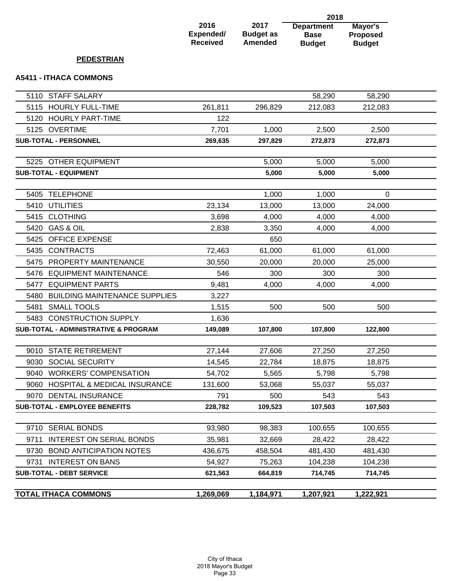#### **2016 Expended/ Received 2017 Budget as Amended Department Base Budget 2018 Mayor's Proposed Budget PEDESTRIAN A5411 - ITHACA COMMONS**

|      | <b>TOTAL ITHACA COMMONS</b>                     | 1,269,069 | 1,184,971 | 1,207,921 | 1,222,921 |  |
|------|-------------------------------------------------|-----------|-----------|-----------|-----------|--|
|      | <b>SUB-TOTAL - DEBT SERVICE</b>                 | 621,563   | 664,819   | 714,745   | 714,745   |  |
| 9731 | <b>INTEREST ON BANS</b>                         | 54,927    | 75,263    | 104,238   | 104,238   |  |
| 9730 | <b>BOND ANTICIPATION NOTES</b>                  | 436,675   | 458,504   | 481,430   | 481,430   |  |
| 9711 | <b>INTEREST ON SERIAL BONDS</b>                 | 35,981    | 32,669    | 28,422    | 28,422    |  |
|      | 9710 SERIAL BONDS                               | 93,980    | 98,383    | 100,655   | 100,655   |  |
|      |                                                 |           |           |           |           |  |
|      | <b>SUB-TOTAL - EMPLOYEE BENEFITS</b>            | 228,782   | 109,523   | 107,503   | 107,503   |  |
|      | 9070 DENTAL INSURANCE                           | 791       | 500       | 543       | 543       |  |
|      | 9060 HOSPITAL & MEDICAL INSURANCE               | 131,600   | 53,068    | 55,037    | 55,037    |  |
|      | 9040 WORKERS' COMPENSATION                      | 54,702    | 5,565     | 5,798     | 5,798     |  |
|      | 9030 SOCIAL SECURITY                            | 14,545    | 22,784    | 18,875    | 18,875    |  |
|      | 9010 STATE RETIREMENT                           | 27,144    | 27,606    | 27,250    | 27,250    |  |
|      |                                                 |           |           |           |           |  |
|      | <b>SUB-TOTAL - ADMINISTRATIVE &amp; PROGRAM</b> | 149,089   | 107,800   | 107,800   | 122,800   |  |
|      | 5483 CONSTRUCTION SUPPLY                        | 1,636     |           |           |           |  |
| 5481 | <b>SMALL TOOLS</b>                              | 1,515     | 500       | 500       | 500       |  |
| 5480 | <b>BUILDING MAINTENANCE SUPPLIES</b>            | 3,227     |           |           |           |  |
| 5477 | <b>EQUIPMENT PARTS</b>                          | 9,481     | 4,000     | 4,000     | 4,000     |  |
|      | 5476 EQUIPMENT MAINTENANCE                      | 546       | 300       | 300       | 300       |  |
|      | 5475 PROPERTY MAINTENANCE                       | 30,550    | 20,000    | 20,000    | 25,000    |  |
|      | 5435 CONTRACTS                                  | 72,463    | 61,000    | 61,000    | 61,000    |  |
|      | 5425 OFFICE EXPENSE                             |           | 650       |           |           |  |
|      | 5420 GAS & OIL                                  | 2,838     | 3,350     | 4,000     | 4,000     |  |
|      | 5415 CLOTHING                                   | 3,698     | 4,000     | 4,000     | 4,000     |  |
|      | 5410 UTILITIES                                  | 23,134    | 13,000    | 13,000    | 24,000    |  |
| 5405 | <b>TELEPHONE</b>                                |           | 1,000     | 1,000     | 0         |  |
|      | <b>SUB-TOTAL - EQUIPMENT</b>                    |           | 5,000     | 5,000     | 5,000     |  |
|      | 5225 OTHER EQUIPMENT                            |           | 5,000     | 5,000     | 5,000     |  |
|      |                                                 |           |           |           |           |  |
|      | SUB-TOTAL - PERSONNEL                           | 269,635   | 297,829   | 272,873   | 272,873   |  |
|      | 5125 OVERTIME                                   | 7,701     | 1,000     | 2,500     | 2,500     |  |
|      | 5120 HOURLY PART-TIME                           | 122       |           |           |           |  |
|      | 5115 HOURLY FULL-TIME                           | 261,811   | 296,829   | 212,083   | 212,083   |  |
|      | 5110 STAFF SALARY                               |           |           | 58,290    | 58,290    |  |
|      |                                                 |           |           |           |           |  |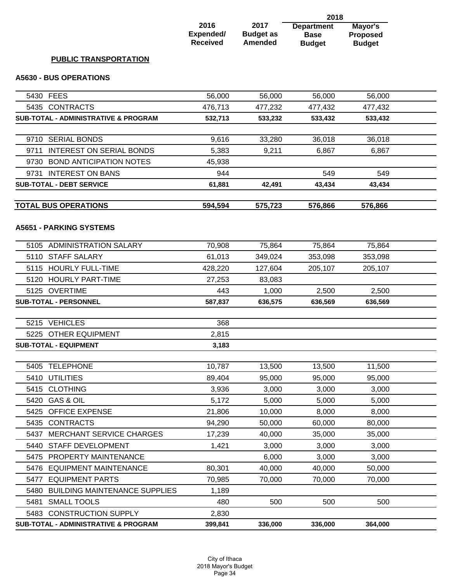|                                                 |                                             |                                     | 2018                                              |                                             |  |
|-------------------------------------------------|---------------------------------------------|-------------------------------------|---------------------------------------------------|---------------------------------------------|--|
|                                                 | 2016<br><b>Expended/</b><br><b>Received</b> | 2017<br><b>Budget as</b><br>Amended | <b>Department</b><br><b>Base</b><br><b>Budget</b> | Mayor's<br><b>Proposed</b><br><b>Budget</b> |  |
| <b>PUBLIC TRANSPORTATION</b>                    |                                             |                                     |                                                   |                                             |  |
| <b>A5630 - BUS OPERATIONS</b>                   |                                             |                                     |                                                   |                                             |  |
| 5430 FEES                                       | 56,000                                      | 56,000                              | 56,000                                            | 56,000                                      |  |
| 5435 CONTRACTS                                  | 476,713                                     | 477,232                             | 477,432                                           | 477,432                                     |  |
| <b>SUB-TOTAL - ADMINISTRATIVE &amp; PROGRAM</b> | 532,713                                     | 533,232                             | 533,432                                           | 533,432                                     |  |
|                                                 |                                             |                                     |                                                   |                                             |  |
| 9710 SERIAL BONDS                               | 9,616                                       | 33,280                              | 36,018                                            | 36,018                                      |  |
| <b>INTEREST ON SERIAL BONDS</b><br>9711         | 5,383                                       | 9,211                               | 6,867                                             | 6,867                                       |  |
| 9730 BOND ANTICIPATION NOTES                    | 45,938                                      |                                     |                                                   |                                             |  |
| <b>INTEREST ON BANS</b><br>9731                 | 944                                         |                                     | 549                                               | 549                                         |  |
| <b>SUB-TOTAL - DEBT SERVICE</b>                 | 61,881                                      | 42,491                              | 43,434                                            | 43,434                                      |  |
| <b>TOTAL BUS OPERATIONS</b>                     | 594,594                                     | 575,723                             | 576,866                                           | 576,866                                     |  |
| <b>A5651 - PARKING SYSTEMS</b>                  |                                             |                                     |                                                   |                                             |  |
| 5105 ADMINISTRATION SALARY                      | 70,908                                      | 75,864                              | 75,864                                            | 75,864                                      |  |
| 5110 STAFF SALARY                               | 61,013                                      | 349,024                             | 353,098                                           | 353,098                                     |  |
| 5115 HOURLY FULL-TIME                           | 428,220                                     | 127,604                             | 205,107                                           | 205,107                                     |  |
| 5120 HOURLY PART-TIME                           | 27,253                                      | 83,083                              |                                                   |                                             |  |
| 5125 OVERTIME                                   | 443                                         | 1,000                               | 2,500                                             | 2,500                                       |  |
| <b>SUB-TOTAL - PERSONNEL</b>                    | 587,837                                     | 636,575                             | 636,569                                           | 636,569                                     |  |
|                                                 |                                             |                                     |                                                   |                                             |  |
| 5215 VEHICLES                                   | 368                                         |                                     |                                                   |                                             |  |
| 5225 OTHER EQUIPMENT                            | 2,815                                       |                                     |                                                   |                                             |  |
| <b>SUB-TOTAL - EQUIPMENT</b>                    | 3,183                                       |                                     |                                                   |                                             |  |
| 5405 TELEPHONE                                  | 10,787                                      | 13,500                              | 13,500                                            | 11,500                                      |  |
| 5410 UTILITIES                                  | 89,404                                      | 95,000                              | 95,000                                            | 95,000                                      |  |
| 5415 CLOTHING                                   | 3,936                                       | 3,000                               | 3,000                                             | 3,000                                       |  |
| 5420 GAS & OIL                                  | 5,172                                       | 5,000                               | 5,000                                             | 5,000                                       |  |
| <b>OFFICE EXPENSE</b><br>5425                   | 21,806                                      | 10,000                              | 8,000                                             | 8,000                                       |  |
| 5435 CONTRACTS                                  | 94,290                                      | 50,000                              | 60,000                                            | 80,000                                      |  |
| <b>MERCHANT SERVICE CHARGES</b><br>5437         | 17,239                                      | 40,000                              | 35,000                                            | 35,000                                      |  |
| 5440 STAFF DEVELOPMENT                          | 1,421                                       | 3,000                               | 3,000                                             | 3,000                                       |  |
| 5475 PROPERTY MAINTENANCE                       |                                             | 6,000                               | 3,000                                             | 3,000                                       |  |
| <b>EQUIPMENT MAINTENANCE</b><br>5476            | 80,301                                      | 40,000                              | 40,000                                            | 50,000                                      |  |
| <b>EQUIPMENT PARTS</b><br>5477                  | 70,985                                      | 70,000                              | 70,000                                            | 70,000                                      |  |
| <b>BUILDING MAINTENANCE SUPPLIES</b><br>5480    | 1,189                                       |                                     |                                                   |                                             |  |
| <b>SMALL TOOLS</b><br>5481                      | 480                                         | 500                                 | 500                                               | 500                                         |  |
| 5483 CONSTRUCTION SUPPLY                        | 2,830                                       |                                     |                                                   |                                             |  |
| SUB-TOTAL - ADMINISTRATIVE & PROGRAM            | 399,841                                     | 336,000                             | 336,000                                           | 364,000                                     |  |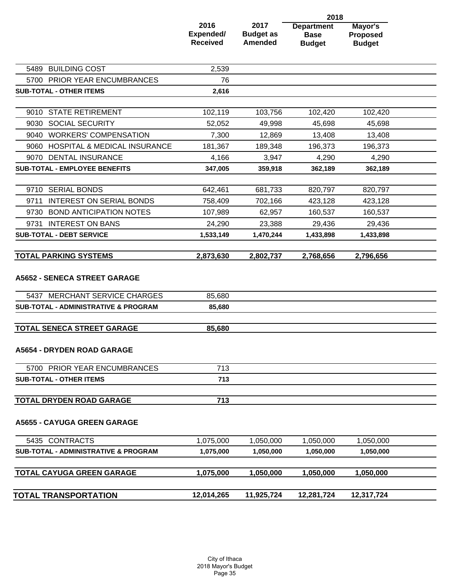|                                                                      |                                      | 2017<br><b>Budget as</b><br><b>Amended</b> | 2018                                              |                                             |  |
|----------------------------------------------------------------------|--------------------------------------|--------------------------------------------|---------------------------------------------------|---------------------------------------------|--|
|                                                                      | 2016<br>Expended/<br><b>Received</b> |                                            | <b>Department</b><br><b>Base</b><br><b>Budget</b> | Mayor's<br><b>Proposed</b><br><b>Budget</b> |  |
| 5489 BUILDING COST                                                   | 2,539                                |                                            |                                                   |                                             |  |
| 5700 PRIOR YEAR ENCUMBRANCES                                         | 76                                   |                                            |                                                   |                                             |  |
| <b>SUB-TOTAL - OTHER ITEMS</b>                                       | 2,616                                |                                            |                                                   |                                             |  |
| 9010 STATE RETIREMENT                                                | 102,119                              | 103,756                                    | 102,420                                           | 102,420                                     |  |
| 9030 SOCIAL SECURITY                                                 | 52,052                               | 49,998                                     | 45,698                                            | 45,698                                      |  |
| 9040 WORKERS' COMPENSATION                                           | 7,300                                | 12,869                                     | 13,408                                            | 13,408                                      |  |
| <b>HOSPITAL &amp; MEDICAL INSURANCE</b><br>9060                      | 181,367                              | 189,348                                    | 196,373                                           | 196,373                                     |  |
| 9070 DENTAL INSURANCE                                                | 4,166                                | 3,947                                      | 4,290                                             | 4,290                                       |  |
| <b>SUB-TOTAL - EMPLOYEE BENEFITS</b>                                 | 347,005                              | 359,918                                    | 362,189                                           | 362,189                                     |  |
| 9710 SERIAL BONDS                                                    | 642,461                              | 681,733                                    | 820,797                                           | 820,797                                     |  |
| <b>INTEREST ON SERIAL BONDS</b><br>9711                              | 758,409                              | 702,166                                    | 423,128                                           | 423,128                                     |  |
| 9730<br><b>BOND ANTICIPATION NOTES</b>                               | 107,989                              | 62,957                                     | 160,537                                           | 160,537                                     |  |
| <b>INTEREST ON BANS</b><br>9731                                      | 24,290                               | 23,388                                     | 29,436                                            | 29,436                                      |  |
| <b>SUB-TOTAL - DEBT SERVICE</b>                                      | 1,533,149                            | 1,470,244                                  | 1,433,898                                         | 1,433,898                                   |  |
| <b>TOTAL PARKING SYSTEMS</b>                                         | 2,873,630                            | 2,802,737                                  | 2,768,656                                         | 2,796,656                                   |  |
| <b>A5652 - SENECA STREET GARAGE</b><br>5437 MERCHANT SERVICE CHARGES | 85,680                               |                                            |                                                   |                                             |  |
| <b>SUB-TOTAL - ADMINISTRATIVE &amp; PROGRAM</b>                      | 85,680                               |                                            |                                                   |                                             |  |
|                                                                      |                                      |                                            |                                                   |                                             |  |
| <b>TOTAL SENECA STREET GARAGE</b>                                    | 85,680                               |                                            |                                                   |                                             |  |
| <b>A5654 - DRYDEN ROAD GARAGE</b>                                    |                                      |                                            |                                                   |                                             |  |
| 5700 PRIOR YEAR ENCUMBRANCES                                         | 713                                  |                                            |                                                   |                                             |  |
| <b>SUB-TOTAL - OTHER ITEMS</b>                                       | 713                                  |                                            |                                                   |                                             |  |
| <b>TOTAL DRYDEN ROAD GARAGE</b>                                      | 713                                  |                                            |                                                   |                                             |  |
| <b>A5655 - CAYUGA GREEN GARAGE</b>                                   |                                      |                                            |                                                   |                                             |  |
| 5435 CONTRACTS                                                       | 1,075,000                            | 1,050,000                                  | 1,050,000                                         | 1,050,000                                   |  |
| <b>SUB-TOTAL - ADMINISTRATIVE &amp; PROGRAM</b>                      | 1,075,000                            | 1,050,000                                  | 1,050,000                                         | 1,050,000                                   |  |
| <b>TOTAL CAYUGA GREEN GARAGE</b>                                     | 1,075,000                            | 1,050,000                                  | 1,050,000                                         | 1,050,000                                   |  |
| <b>TOTAL TRANSPORTATION</b>                                          | 12,014,265                           | 11,925,724                                 | 12,281,724                                        | 12,317,724                                  |  |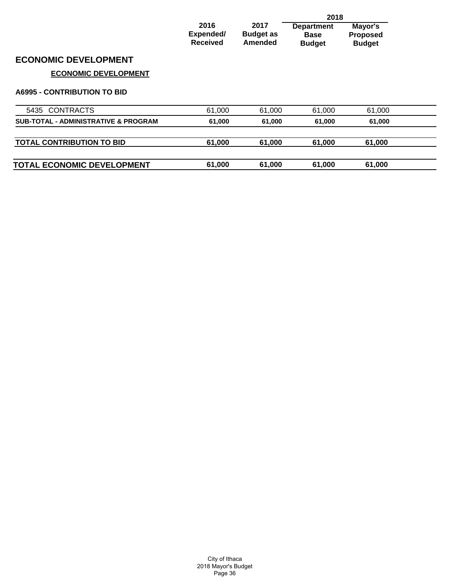|                                                 |                                      |                                     | 2018                                              |                                             |  |
|-------------------------------------------------|--------------------------------------|-------------------------------------|---------------------------------------------------|---------------------------------------------|--|
|                                                 | 2016<br>Expended/<br><b>Received</b> | 2017<br><b>Budget as</b><br>Amended | <b>Department</b><br><b>Base</b><br><b>Budget</b> | Mayor's<br><b>Proposed</b><br><b>Budget</b> |  |
| <b>ECONOMIC DEVELOPMENT</b>                     |                                      |                                     |                                                   |                                             |  |
| <b>ECONOMIC DEVELOPMENT</b>                     |                                      |                                     |                                                   |                                             |  |
| <b>A6995 - CONTRIBUTION TO BID</b>              |                                      |                                     |                                                   |                                             |  |
| 5435 CONTRACTS                                  | 61,000                               | 61,000                              | 61,000                                            | 61,000                                      |  |
| <b>SUB-TOTAL - ADMINISTRATIVE &amp; PROGRAM</b> | 61,000                               | 61,000                              | 61,000                                            | 61,000                                      |  |
| <b>TOTAL CONTRIBUTION TO BID</b>                | 61,000                               | 61,000                              | 61,000                                            | 61,000                                      |  |
| <b>TOTAL ECONOMIC DEVELOPMENT</b>               | 61,000                               | 61,000                              | 61,000                                            | 61,000                                      |  |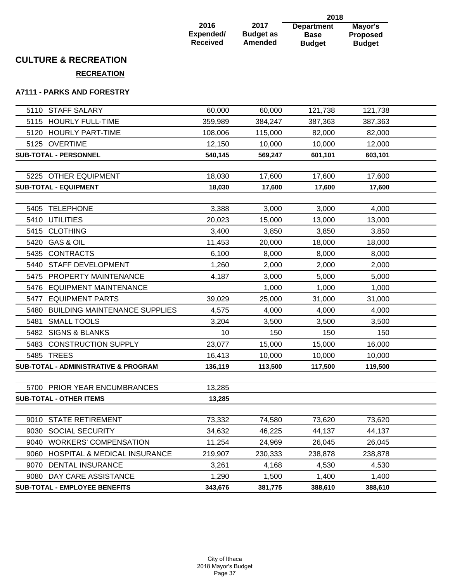| 2016            |  |
|-----------------|--|
| Expended/       |  |
| <b>Received</b> |  |

**2017 Budget as Amended Department Base Budget**

**2018 Mayor's Proposed Budget**

# **CULTURE & RECREATION**

**RECREATION**

#### **A7111 - PARKS AND FORESTRY**

|      | 5110 STAFF SALARY                               | 60,000  | 60,000  | 121,738 | 121,738 |  |
|------|-------------------------------------------------|---------|---------|---------|---------|--|
|      | 5115 HOURLY FULL-TIME                           | 359,989 | 384,247 | 387,363 | 387,363 |  |
|      | 5120 HOURLY PART-TIME                           | 108,006 | 115,000 | 82,000  | 82,000  |  |
|      | 5125 OVERTIME                                   | 12,150  | 10,000  | 10,000  | 12,000  |  |
|      | <b>SUB-TOTAL - PERSONNEL</b>                    | 540,145 | 569,247 | 601,101 | 603,101 |  |
|      |                                                 |         |         |         |         |  |
|      | 5225 OTHER EQUIPMENT                            | 18,030  | 17,600  | 17,600  | 17,600  |  |
|      | <b>SUB-TOTAL - EQUIPMENT</b>                    | 18,030  | 17,600  | 17,600  | 17,600  |  |
|      |                                                 |         |         |         |         |  |
|      | 5405 TELEPHONE                                  | 3,388   | 3,000   | 3,000   | 4,000   |  |
|      | 5410 UTILITIES                                  | 20,023  | 15,000  | 13,000  | 13,000  |  |
|      | 5415 CLOTHING                                   | 3,400   | 3,850   | 3,850   | 3,850   |  |
|      | 5420 GAS & OIL                                  | 11,453  | 20,000  | 18,000  | 18,000  |  |
|      | 5435 CONTRACTS                                  | 6,100   | 8,000   | 8,000   | 8,000   |  |
|      | 5440 STAFF DEVELOPMENT                          | 1,260   | 2,000   | 2,000   | 2,000   |  |
|      | 5475 PROPERTY MAINTENANCE                       | 4,187   | 3,000   | 5,000   | 5,000   |  |
|      | 5476 EQUIPMENT MAINTENANCE                      |         | 1,000   | 1,000   | 1,000   |  |
|      | 5477 EQUIPMENT PARTS                            | 39,029  | 25,000  | 31,000  | 31,000  |  |
|      | 5480 BUILDING MAINTENANCE SUPPLIES              | 4,575   | 4,000   | 4,000   | 4,000   |  |
| 5481 | <b>SMALL TOOLS</b>                              | 3,204   | 3,500   | 3,500   | 3,500   |  |
|      | 5482 SIGNS & BLANKS                             | 10      | 150     | 150     | 150     |  |
|      | 5483 CONSTRUCTION SUPPLY                        | 23,077  | 15,000  | 15,000  | 16,000  |  |
|      | 5485 TREES                                      | 16,413  | 10,000  | 10,000  | 10,000  |  |
|      | <b>SUB-TOTAL - ADMINISTRATIVE &amp; PROGRAM</b> | 136,119 | 113,500 | 117,500 | 119,500 |  |
|      |                                                 |         |         |         |         |  |
|      | 5700 PRIOR YEAR ENCUMBRANCES                    | 13,285  |         |         |         |  |
|      | <b>SUB-TOTAL - OTHER ITEMS</b>                  | 13,285  |         |         |         |  |
|      |                                                 |         |         |         |         |  |
|      | 9010 STATE RETIREMENT                           | 73,332  | 74,580  | 73,620  | 73,620  |  |
|      | 9030 SOCIAL SECURITY                            | 34,632  | 46,225  | 44,137  | 44,137  |  |
|      | 9040 WORKERS' COMPENSATION                      | 11,254  | 24,969  | 26,045  | 26,045  |  |
|      | 9060 HOSPITAL & MEDICAL INSURANCE               | 219,907 | 230,333 | 238,878 | 238,878 |  |
|      | 9070 DENTAL INSURANCE                           | 3,261   | 4,168   | 4,530   | 4,530   |  |
|      | 9080 DAY CARE ASSISTANCE                        | 1,290   | 1,500   | 1,400   | 1,400   |  |
|      | SUB-TOTAL - EMPLOYEE BENEFITS                   | 343,676 | 381,775 | 388,610 | 388,610 |  |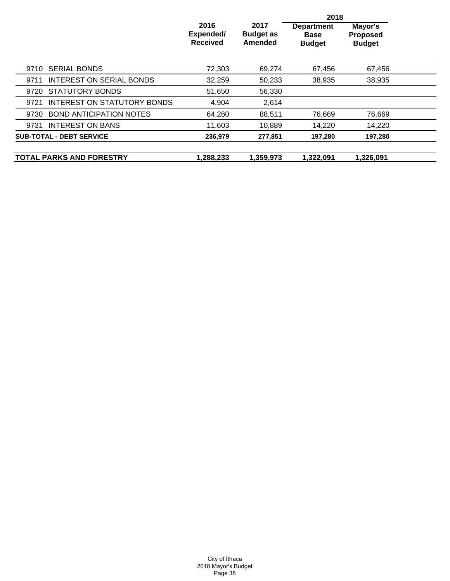|                                         |                                      | 2018                                |                                                   |                                             |  |
|-----------------------------------------|--------------------------------------|-------------------------------------|---------------------------------------------------|---------------------------------------------|--|
|                                         | 2016<br>Expended/<br><b>Received</b> | 2017<br><b>Budget as</b><br>Amended | <b>Department</b><br><b>Base</b><br><b>Budget</b> | Mayor's<br><b>Proposed</b><br><b>Budget</b> |  |
| <b>SERIAL BONDS</b><br>9710             | 72,303                               | 69,274                              | 67,456                                            | 67.456                                      |  |
| <b>INTEREST ON SERIAL BONDS</b><br>9711 | 32,259                               | 50,233                              | 38,935                                            | 38,935                                      |  |
| 9720 STATUTORY BONDS                    | 51,650                               | 56,330                              |                                                   |                                             |  |
| INTEREST ON STATUTORY BONDS<br>9721     | 4,904                                | 2,614                               |                                                   |                                             |  |
| <b>BOND ANTICIPATION NOTES</b><br>9730  | 64,260                               | 88,511                              | 76,669                                            | 76,669                                      |  |
| 9731 INTEREST ON BANS                   | 11,603                               | 10.889                              | 14.220                                            | 14,220                                      |  |
| <b>SUB-TOTAL - DEBT SERVICE</b>         | 236,979                              | 277.851                             | 197,280                                           | 197,280                                     |  |
| <b>TOTAL PARKS AND FORESTRY</b>         | 1,288,233                            | 1,359,973                           | 1,322,091                                         | 1.326.091                                   |  |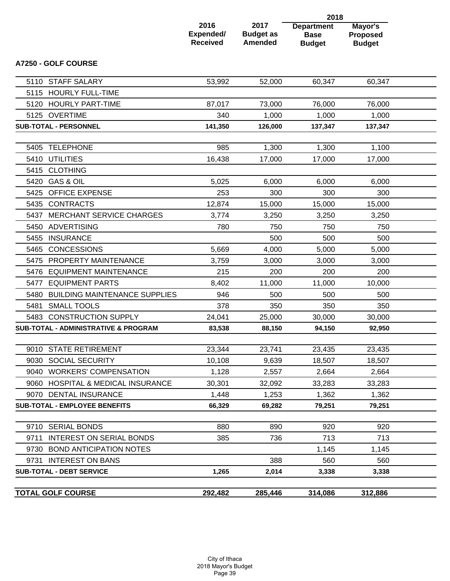|      |                                                 | 2018                                 |                                            |                                                   |                                             |  |
|------|-------------------------------------------------|--------------------------------------|--------------------------------------------|---------------------------------------------------|---------------------------------------------|--|
|      |                                                 | 2016<br>Expended/<br><b>Received</b> | 2017<br><b>Budget as</b><br><b>Amended</b> | <b>Department</b><br><b>Base</b><br><b>Budget</b> | Mayor's<br><b>Proposed</b><br><b>Budget</b> |  |
|      | <b>A7250 - GOLF COURSE</b>                      |                                      |                                            |                                                   |                                             |  |
|      | 5110 STAFF SALARY                               | 53,992                               | 52,000                                     | 60,347                                            | 60,347                                      |  |
| 5115 | <b>HOURLY FULL-TIME</b>                         |                                      |                                            |                                                   |                                             |  |
|      | 5120 HOURLY PART-TIME                           | 87,017                               | 73,000                                     | 76,000                                            | 76,000                                      |  |
|      | 5125 OVERTIME                                   | 340                                  | 1,000                                      | 1,000                                             | 1,000                                       |  |
|      | <b>SUB-TOTAL - PERSONNEL</b>                    | 141,350                              | 126,000                                    | 137,347                                           | 137,347                                     |  |
| 5405 | <b>TELEPHONE</b>                                | 985                                  | 1,300                                      | 1,300                                             | 1,100                                       |  |
| 5410 | <b>UTILITIES</b>                                | 16,438                               | 17,000                                     | 17,000                                            | 17,000                                      |  |
| 5415 | <b>CLOTHING</b>                                 |                                      |                                            |                                                   |                                             |  |
|      | 5420 GAS & OIL                                  | 5,025                                | 6,000                                      | 6,000                                             | 6,000                                       |  |
| 5425 | OFFICE EXPENSE                                  | 253                                  | 300                                        | 300                                               | 300                                         |  |
| 5435 | <b>CONTRACTS</b>                                | 12,874                               | 15,000                                     | 15,000                                            | 15,000                                      |  |
| 5437 | <b>MERCHANT SERVICE CHARGES</b>                 | 3,774                                | 3,250                                      | 3,250                                             | 3,250                                       |  |
| 5450 | ADVERTISING                                     | 780                                  | 750                                        | 750                                               | 750                                         |  |
| 5455 | <b>INSURANCE</b>                                |                                      | 500                                        | 500                                               | 500                                         |  |
| 5465 | <b>CONCESSIONS</b>                              | 5,669                                | 4,000                                      | 5,000                                             | 5,000                                       |  |
| 5475 | PROPERTY MAINTENANCE                            | 3,759                                | 3,000                                      | 3,000                                             | 3,000                                       |  |
| 5476 | <b>EQUIPMENT MAINTENANCE</b>                    | 215                                  | 200                                        | 200                                               | 200                                         |  |
| 5477 | <b>EQUIPMENT PARTS</b>                          | 8,402                                | 11,000                                     | 11,000                                            | 10,000                                      |  |
| 5480 | <b>BUILDING MAINTENANCE SUPPLIES</b>            | 946                                  | 500                                        | 500                                               | 500                                         |  |
| 5481 | <b>SMALL TOOLS</b>                              | 378                                  | 350                                        | 350                                               | 350                                         |  |
|      | 5483 CONSTRUCTION SUPPLY                        | 24,041                               | 25,000                                     | 30,000                                            | 30,000                                      |  |
|      | <b>SUB-TOTAL - ADMINISTRATIVE &amp; PROGRAM</b> | 83,538                               | 88,150                                     | 94,150                                            | 92,950                                      |  |
|      | 9010 STATE RETIREMENT                           | 23,344                               | 23,741                                     | 23,435                                            | 23,435                                      |  |
|      | 9030 SOCIAL SECURITY                            | 10,108                               | 9,639                                      | 18,507                                            | 18,507                                      |  |
|      | 9040 WORKERS' COMPENSATION                      | 1,128                                | 2,557                                      | 2,664                                             | 2,664                                       |  |
|      | 9060 HOSPITAL & MEDICAL INSURANCE               | 30,301                               | 32,092                                     | 33,283                                            | 33,283                                      |  |
|      | 9070 DENTAL INSURANCE                           | 1,448                                | 1,253                                      | 1,362                                             | 1,362                                       |  |
|      | <b>SUB-TOTAL - EMPLOYEE BENEFITS</b>            | 66,329                               | 69,282                                     | 79,251                                            | 79,251                                      |  |
|      |                                                 |                                      |                                            |                                                   |                                             |  |
|      | 9710 SERIAL BONDS                               | 880                                  | 890                                        | 920                                               | 920                                         |  |
| 9711 | <b>INTEREST ON SERIAL BONDS</b>                 | 385                                  | 736                                        | 713                                               | 713                                         |  |
| 9730 | <b>BOND ANTICIPATION NOTES</b>                  |                                      |                                            | 1,145                                             | 1,145                                       |  |
|      | 9731 INTEREST ON BANS                           |                                      | 388                                        | 560                                               | 560                                         |  |
|      | <b>SUB-TOTAL - DEBT SERVICE</b>                 | 1,265                                | 2,014                                      | 3,338                                             | 3,338                                       |  |
|      | <b>TOTAL GOLF COURSE</b>                        | 292,482                              | 285,446                                    | 314,086                                           | 312,886                                     |  |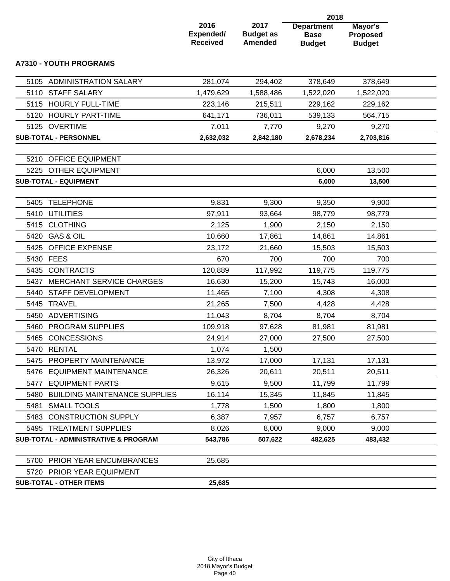|      |                                                 |                                      | 2018                                       |                                                   |                                             |  |
|------|-------------------------------------------------|--------------------------------------|--------------------------------------------|---------------------------------------------------|---------------------------------------------|--|
|      |                                                 | 2016<br>Expended/<br><b>Received</b> | 2017<br><b>Budget as</b><br><b>Amended</b> | <b>Department</b><br><b>Base</b><br><b>Budget</b> | Mayor's<br><b>Proposed</b><br><b>Budget</b> |  |
|      | <b>A7310 - YOUTH PROGRAMS</b>                   |                                      |                                            |                                                   |                                             |  |
|      | 5105 ADMINISTRATION SALARY                      | 281,074                              | 294,402                                    | 378,649                                           | 378,649                                     |  |
| 5110 | <b>STAFF SALARY</b>                             | 1,479,629                            | 1,588,486                                  | 1,522,020                                         | 1,522,020                                   |  |
|      | 5115 HOURLY FULL-TIME                           | 223,146                              | 215,511                                    | 229,162                                           | 229,162                                     |  |
|      | 5120 HOURLY PART-TIME                           | 641,171                              | 736,011                                    | 539,133                                           | 564,715                                     |  |
|      | 5125 OVERTIME                                   | 7,011                                | 7,770                                      | 9,270                                             | 9,270                                       |  |
|      | <b>SUB-TOTAL - PERSONNEL</b>                    | 2,632,032                            | 2,842,180                                  | 2,678,234                                         | 2,703,816                                   |  |
|      |                                                 |                                      |                                            |                                                   |                                             |  |
|      | 5210 OFFICE EQUIPMENT                           |                                      |                                            |                                                   |                                             |  |
|      | 5225 OTHER EQUIPMENT                            |                                      |                                            | 6,000                                             | 13,500                                      |  |
|      | <b>SUB-TOTAL - EQUIPMENT</b>                    |                                      |                                            | 6,000                                             | 13,500                                      |  |
| 5405 | <b>TELEPHONE</b>                                | 9,831                                | 9,300                                      | 9,350                                             | 9,900                                       |  |
| 5410 | <b>UTILITIES</b>                                | 97,911                               | 93,664                                     | 98,779                                            | 98,779                                      |  |
|      | 5415 CLOTHING                                   | 2,125                                | 1,900                                      | 2,150                                             | 2,150                                       |  |
|      | 5420 GAS & OIL                                  | 10,660                               | 17,861                                     | 14,861                                            | 14,861                                      |  |
|      | 5425 OFFICE EXPENSE                             | 23,172                               | 21,660                                     | 15,503                                            | 15,503                                      |  |
|      | 5430 FEES                                       | 670                                  | 700                                        | 700                                               | 700                                         |  |
|      | 5435 CONTRACTS                                  | 120,889                              | 117,992                                    | 119,775                                           | 119,775                                     |  |
| 5437 | <b>MERCHANT SERVICE CHARGES</b>                 | 16,630                               | 15,200                                     | 15,743                                            | 16,000                                      |  |
| 5440 | STAFF DEVELOPMENT                               | 11,465                               | 7,100                                      | 4,308                                             | 4,308                                       |  |
| 5445 | <b>TRAVEL</b>                                   | 21,265                               | 7,500                                      | 4,428                                             | 4,428                                       |  |
|      | 5450 ADVERTISING                                | 11,043                               | 8,704                                      | 8,704                                             | 8,704                                       |  |
|      | 5460 PROGRAM SUPPLIES                           | 109,918                              | 97,628                                     | 81,981                                            | 81,981                                      |  |
|      | 5465 CONCESSIONS                                | 24,914                               | 27,000                                     | 27,500                                            | 27,500                                      |  |
|      | 5470 RENTAL                                     | 1,074                                | 1,500                                      |                                                   |                                             |  |
| 5475 | PROPERTY MAINTENANCE                            | 13,972                               | 17,000                                     | 17,131                                            | 17,131                                      |  |
|      | 5476 EQUIPMENT MAINTENANCE                      | 26,326                               | 20,611                                     | 20,511                                            | 20,511                                      |  |
| 5477 | <b>EQUIPMENT PARTS</b>                          | 9,615                                | 9,500                                      | 11,799                                            | 11,799                                      |  |
| 5480 | <b>BUILDING MAINTENANCE SUPPLIES</b>            | 16,114                               | 15,345                                     | 11,845                                            | 11,845                                      |  |
| 5481 | <b>SMALL TOOLS</b>                              | 1,778                                | 1,500                                      | 1,800                                             | 1,800                                       |  |
| 5483 | <b>CONSTRUCTION SUPPLY</b>                      | 6,387                                | 7,957                                      | 6,757                                             | 6,757                                       |  |
|      | 5495 TREATMENT SUPPLIES                         | 8,026                                | 8,000                                      | 9,000                                             | 9,000                                       |  |
|      | <b>SUB-TOTAL - ADMINISTRATIVE &amp; PROGRAM</b> | 543,786                              | 507,622                                    | 482,625                                           | 483,432                                     |  |
|      |                                                 |                                      |                                            |                                                   |                                             |  |
| 5700 | PRIOR YEAR ENCUMBRANCES                         | 25,685                               |                                            |                                                   |                                             |  |
|      | 5720 PRIOR YEAR EQUIPMENT                       |                                      |                                            |                                                   |                                             |  |
|      | <b>SUB-TOTAL - OTHER ITEMS</b>                  | 25,685                               |                                            |                                                   |                                             |  |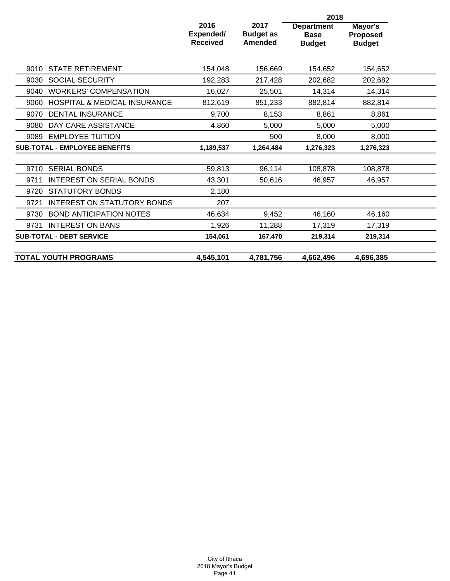|                                                 |                                      | 2018                                       |                                                   |                                             |  |  |
|-------------------------------------------------|--------------------------------------|--------------------------------------------|---------------------------------------------------|---------------------------------------------|--|--|
|                                                 | 2016<br>Expended/<br><b>Received</b> | 2017<br><b>Budget as</b><br><b>Amended</b> | <b>Department</b><br><b>Base</b><br><b>Budget</b> | Mayor's<br><b>Proposed</b><br><b>Budget</b> |  |  |
| <b>STATE RETIREMENT</b><br>9010                 | 154,048                              | 156,669                                    | 154,652                                           | 154,652                                     |  |  |
| <b>SOCIAL SECURITY</b><br>9030                  | 192,283                              | 217,428                                    | 202,682                                           | 202,682                                     |  |  |
| 9040<br><b>WORKERS' COMPENSATION</b>            | 16,027                               | 25,501                                     | 14,314                                            | 14,314                                      |  |  |
| <b>HOSPITAL &amp; MEDICAL INSURANCE</b><br>9060 | 812,619                              | 851,233                                    | 882,814                                           | 882,814                                     |  |  |
| <b>DENTAL INSURANCE</b><br>9070                 | 9,700                                | 8,153                                      | 8,861                                             | 8,861                                       |  |  |
| DAY CARE ASSISTANCE<br>9080                     | 4,860                                | 5,000                                      | 5,000                                             | 5,000                                       |  |  |
| <b>EMPLOYEE TUITION</b><br>9089                 |                                      | 500                                        | 8,000                                             | 8,000                                       |  |  |
| <b>SUB-TOTAL - EMPLOYEE BENEFITS</b>            | 1,189,537                            | 1,264,484                                  | 1,276,323                                         | 1,276,323                                   |  |  |
|                                                 |                                      |                                            |                                                   |                                             |  |  |
| <b>SERIAL BONDS</b><br>9710                     | 59,813                               | 96,114                                     | 108,878                                           | 108,878                                     |  |  |
| <b>INTEREST ON SERIAL BONDS</b><br>9711         | 43,301                               | 50,616                                     | 46.957                                            | 46,957                                      |  |  |
| <b>STATUTORY BONDS</b><br>9720                  | 2,180                                |                                            |                                                   |                                             |  |  |
| INTEREST ON STATUTORY BONDS<br>9721             | 207                                  |                                            |                                                   |                                             |  |  |
| <b>BOND ANTICIPATION NOTES</b><br>9730          | 46,634                               | 9,452                                      | 46,160                                            | 46,160                                      |  |  |
| <b>INTEREST ON BANS</b><br>9731                 | 1,926                                | 11,288                                     | 17,319                                            | 17,319                                      |  |  |
| <b>SUB-TOTAL - DEBT SERVICE</b>                 | 154,061                              | 167,470                                    | 219,314                                           | 219,314                                     |  |  |
|                                                 |                                      |                                            |                                                   |                                             |  |  |
| <b>TOTAL YOUTH PROGRAMS</b>                     | 4,545,101                            | 4,781,756                                  | 4,662,496                                         | 4,696,385                                   |  |  |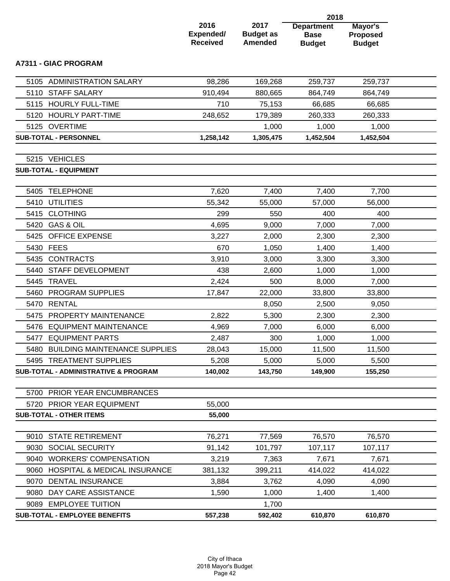|      |                                                 |                                      |                                            | 2018                                              |                                             |  |
|------|-------------------------------------------------|--------------------------------------|--------------------------------------------|---------------------------------------------------|---------------------------------------------|--|
|      |                                                 | 2016<br>Expended/<br><b>Received</b> | 2017<br><b>Budget as</b><br><b>Amended</b> | <b>Department</b><br><b>Base</b><br><b>Budget</b> | Mayor's<br><b>Proposed</b><br><b>Budget</b> |  |
|      | <b>A7311 - GIAC PROGRAM</b>                     |                                      |                                            |                                                   |                                             |  |
|      | 5105 ADMINISTRATION SALARY                      | 98,286                               | 169,268                                    | 259,737                                           | 259,737                                     |  |
|      | 5110 STAFF SALARY                               | 910,494                              | 880,665                                    | 864,749                                           | 864,749                                     |  |
|      | 5115 HOURLY FULL-TIME                           | 710                                  | 75,153                                     | 66,685                                            | 66,685                                      |  |
|      | 5120 HOURLY PART-TIME                           | 248,652                              | 179,389                                    | 260,333                                           | 260,333                                     |  |
|      | 5125 OVERTIME                                   |                                      | 1,000                                      | 1,000                                             | 1,000                                       |  |
|      | <b>SUB-TOTAL - PERSONNEL</b>                    | 1,258,142                            | 1,305,475                                  | 1,452,504                                         | 1,452,504                                   |  |
|      |                                                 |                                      |                                            |                                                   |                                             |  |
|      | 5215 VEHICLES                                   |                                      |                                            |                                                   |                                             |  |
|      | <b>SUB-TOTAL - EQUIPMENT</b>                    |                                      |                                            |                                                   |                                             |  |
| 5405 | <b>TELEPHONE</b>                                | 7,620                                | 7,400                                      | 7,400                                             | 7,700                                       |  |
|      | 5410 UTILITIES                                  | 55,342                               | 55,000                                     | 57,000                                            | 56,000                                      |  |
|      | 5415 CLOTHING                                   | 299                                  | 550                                        | 400                                               | 400                                         |  |
| 5420 | <b>GAS &amp; OIL</b>                            | 4,695                                | 9,000                                      | 7,000                                             | 7,000                                       |  |
| 5425 | <b>OFFICE EXPENSE</b>                           | 3,227                                | 2,000                                      | 2,300                                             | 2,300                                       |  |
|      | 5430 FEES                                       | 670                                  | 1,050                                      | 1,400                                             | 1,400                                       |  |
| 5435 | <b>CONTRACTS</b>                                | 3,910                                | 3,000                                      | 3,300                                             | 3,300                                       |  |
| 5440 | STAFF DEVELOPMENT                               | 438                                  | 2,600                                      | 1,000                                             | 1,000                                       |  |
| 5445 | <b>TRAVEL</b>                                   | 2,424                                | 500                                        | 8,000                                             | 7,000                                       |  |
| 5460 | PROGRAM SUPPLIES                                | 17,847                               | 22,000                                     | 33,800                                            | 33,800                                      |  |
|      | 5470 RENTAL                                     |                                      | 8,050                                      | 2,500                                             | 9,050                                       |  |
| 5475 | PROPERTY MAINTENANCE                            | 2,822                                | 5,300                                      | 2,300                                             | 2,300                                       |  |
|      | 5476 EQUIPMENT MAINTENANCE                      | 4,969                                | 7,000                                      | 6,000                                             | 6,000                                       |  |
|      | 5477 EQUIPMENT PARTS                            | 2,487                                | 300                                        | 1,000                                             | 1,000                                       |  |
|      | 5480 BUILDING MAINTENANCE SUPPLIES              | 28,043                               | 15,000                                     | 11,500                                            | 11,500                                      |  |
|      | 5495 TREATMENT SUPPLIES                         | 5,208                                | 5,000                                      | 5,000                                             | 5,500                                       |  |
|      | <b>SUB-TOTAL - ADMINISTRATIVE &amp; PROGRAM</b> | 140,002                              | 143,750                                    | 149,900                                           | 155,250                                     |  |
|      |                                                 |                                      |                                            |                                                   |                                             |  |
|      | 5700 PRIOR YEAR ENCUMBRANCES                    |                                      |                                            |                                                   |                                             |  |
|      | 5720 PRIOR YEAR EQUIPMENT                       | 55,000                               |                                            |                                                   |                                             |  |
|      | <b>SUB-TOTAL - OTHER ITEMS</b>                  | 55,000                               |                                            |                                                   |                                             |  |
|      | 9010 STATE RETIREMENT                           | 76,271                               | 77,569                                     | 76,570                                            | 76,570                                      |  |
|      | 9030 SOCIAL SECURITY                            | 91,142                               | 101,797                                    | 107,117                                           | 107,117                                     |  |
| 9040 | <b>WORKERS' COMPENSATION</b>                    | 3,219                                | 7,363                                      | 7,671                                             | 7,671                                       |  |
|      | 9060 HOSPITAL & MEDICAL INSURANCE               | 381,132                              | 399,211                                    | 414,022                                           | 414,022                                     |  |
|      | 9070 DENTAL INSURANCE                           | 3,884                                | 3,762                                      | 4,090                                             | 4,090                                       |  |
| 9080 | DAY CARE ASSISTANCE                             | 1,590                                | 1,000                                      | 1,400                                             | 1,400                                       |  |
|      | 9089 EMPLOYEE TUITION                           |                                      | 1,700                                      |                                                   |                                             |  |
|      | <b>SUB-TOTAL - EMPLOYEE BENEFITS</b>            | 557,238                              | 592,402                                    | 610,870                                           | 610,870                                     |  |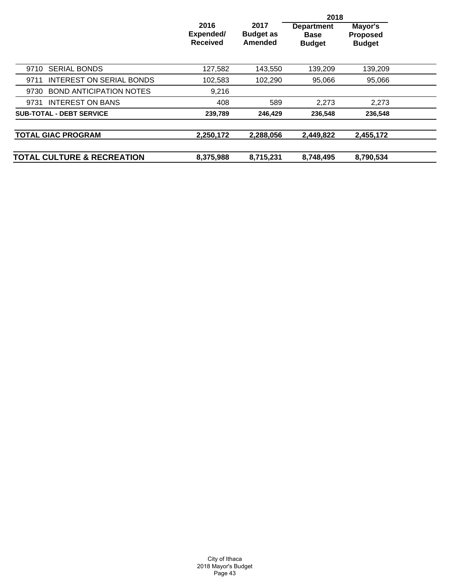|                                        |                                      |                                     | 2018                                              |                                             |  |
|----------------------------------------|--------------------------------------|-------------------------------------|---------------------------------------------------|---------------------------------------------|--|
|                                        | 2016<br>Expended/<br><b>Received</b> | 2017<br><b>Budget as</b><br>Amended | <b>Department</b><br><b>Base</b><br><b>Budget</b> | Mayor's<br><b>Proposed</b><br><b>Budget</b> |  |
| <b>SERIAL BONDS</b><br>9710            | 127,582                              | 143,550                             | 139,209                                           | 139,209                                     |  |
| INTEREST ON SERIAL BONDS<br>9711       | 102,583                              | 102,290                             | 95,066                                            | 95,066                                      |  |
| <b>BOND ANTICIPATION NOTES</b><br>9730 | 9,216                                |                                     |                                                   |                                             |  |
| <b>INTEREST ON BANS</b><br>9731        | 408                                  | 589                                 | 2,273                                             | 2,273                                       |  |
| <b>SUB-TOTAL - DEBT SERVICE</b>        | 239,789                              | 246,429                             | 236,548                                           | 236,548                                     |  |
| <b>TOTAL GIAC PROGRAM</b>              | 2,250,172                            | 2,288,056                           | 2,449,822                                         | 2,455,172                                   |  |
| <b>TOTAL CULTURE &amp; RECREATION</b>  | 8,375,988                            | 8,715,231                           | 8,748,495                                         | 8,790,534                                   |  |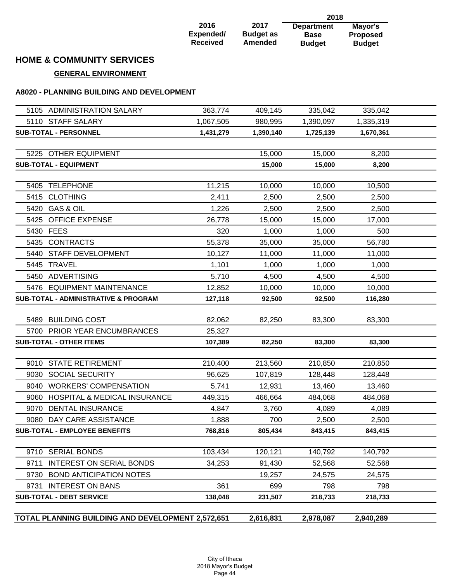|                 |                  | 2018              |                 |
|-----------------|------------------|-------------------|-----------------|
| 2016            | 2017             | <b>Department</b> | Mayor's         |
| Expended/       | <b>Budget as</b> | <b>Base</b>       | <b>Proposed</b> |
| <b>Received</b> | <b>Amended</b>   | <b>Budget</b>     | <b>Budget</b>   |

## **HOME & COMMUNITY SERVICES**

### **GENERAL ENVIRONMENT**

### **A8020 - PLANNING BUILDING AND DEVELOPMENT**

|      | 5105 ADMINISTRATION SALARY                        | 363,774   | 409,145   | 335,042   | 335,042   |  |
|------|---------------------------------------------------|-----------|-----------|-----------|-----------|--|
|      | 5110 STAFF SALARY                                 | 1,067,505 | 980,995   | 1,390,097 | 1,335,319 |  |
|      | SUB-TOTAL - PERSONNEL                             | 1,431,279 | 1,390,140 | 1,725,139 | 1,670,361 |  |
|      |                                                   |           |           |           |           |  |
|      | 5225 OTHER EQUIPMENT                              |           | 15,000    | 15,000    | 8,200     |  |
|      | <b>SUB-TOTAL - EQUIPMENT</b>                      |           | 15,000    | 15,000    | 8,200     |  |
|      |                                                   |           |           |           |           |  |
|      | 5405 TELEPHONE                                    | 11,215    | 10,000    | 10,000    | 10,500    |  |
|      | 5415 CLOTHING                                     | 2,411     | 2,500     | 2,500     | 2,500     |  |
|      | 5420 GAS & OIL                                    | 1,226     | 2,500     | 2,500     | 2,500     |  |
|      | 5425 OFFICE EXPENSE                               | 26,778    | 15,000    | 15,000    | 17,000    |  |
|      | 5430 FEES                                         | 320       | 1,000     | 1,000     | 500       |  |
|      | 5435 CONTRACTS                                    | 55,378    | 35,000    | 35,000    | 56,780    |  |
|      | 5440 STAFF DEVELOPMENT                            | 10,127    | 11,000    | 11,000    | 11,000    |  |
|      | 5445 TRAVEL                                       | 1,101     | 1,000     | 1,000     | 1,000     |  |
|      | 5450 ADVERTISING                                  | 5,710     | 4,500     | 4,500     | 4,500     |  |
|      | 5476 EQUIPMENT MAINTENANCE                        | 12,852    | 10,000    | 10,000    | 10,000    |  |
|      | <b>SUB-TOTAL - ADMINISTRATIVE &amp; PROGRAM</b>   | 127,118   | 92,500    | 92,500    | 116,280   |  |
|      |                                                   |           |           |           |           |  |
|      | 5489 BUILDING COST                                | 82,062    | 82,250    | 83,300    | 83,300    |  |
|      | 5700 PRIOR YEAR ENCUMBRANCES                      | 25,327    |           |           |           |  |
|      | <b>SUB-TOTAL - OTHER ITEMS</b>                    | 107,389   | 82,250    | 83,300    | 83,300    |  |
|      |                                                   |           |           |           |           |  |
|      | 9010 STATE RETIREMENT                             | 210,400   | 213,560   | 210,850   | 210,850   |  |
| 9030 | <b>SOCIAL SECURITY</b>                            | 96,625    | 107,819   | 128,448   | 128,448   |  |
|      | 9040 WORKERS' COMPENSATION                        | 5,741     | 12,931    | 13,460    | 13,460    |  |
|      | 9060 HOSPITAL & MEDICAL INSURANCE                 | 449,315   | 466,664   | 484,068   | 484,068   |  |
|      | 9070 DENTAL INSURANCE                             | 4,847     | 3,760     | 4,089     | 4,089     |  |
|      | 9080 DAY CARE ASSISTANCE                          | 1,888     | 700       | 2,500     | 2,500     |  |
|      | <b>SUB-TOTAL - EMPLOYEE BENEFITS</b>              | 768,816   | 805,434   | 843,415   | 843,415   |  |
|      | 9710 SERIAL BONDS                                 | 103,434   |           |           |           |  |
|      |                                                   |           | 120,121   | 140,792   | 140,792   |  |
|      | 9711 INTEREST ON SERIAL BONDS                     | 34,253    | 91,430    | 52,568    | 52,568    |  |
|      | 9730 BOND ANTICIPATION NOTES                      |           | 19,257    | 24,575    | 24,575    |  |
|      | 9731 INTEREST ON BANS                             | 361       | 699       | 798       | 798       |  |
|      | <b>SUB-TOTAL - DEBT SERVICE</b>                   | 138,048   | 231,507   | 218,733   | 218,733   |  |
|      | TOTAL PLANNING BUILDING AND DEVELOPMENT 2,572,651 |           | 2,616,831 | 2,978,087 | 2,940,289 |  |
|      |                                                   |           |           |           |           |  |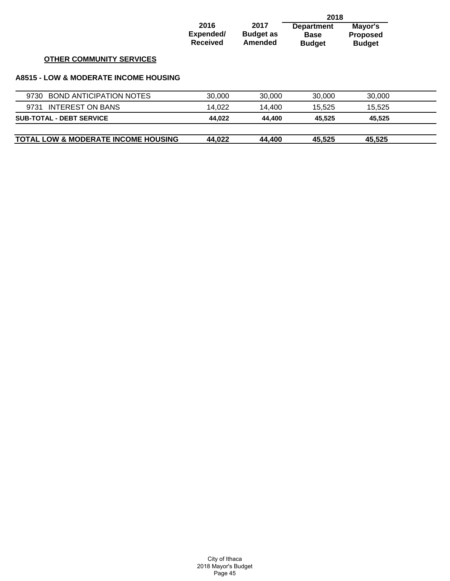|                                                  |                                      |                                     | 2018                                              |                                             |  |
|--------------------------------------------------|--------------------------------------|-------------------------------------|---------------------------------------------------|---------------------------------------------|--|
|                                                  | 2016<br>Expended/<br><b>Received</b> | 2017<br><b>Budget as</b><br>Amended | <b>Department</b><br><b>Base</b><br><b>Budget</b> | Mayor's<br><b>Proposed</b><br><b>Budget</b> |  |
| <b>OTHER COMMUNITY SERVICES</b>                  |                                      |                                     |                                                   |                                             |  |
| <b>A8515 - LOW &amp; MODERATE INCOME HOUSING</b> |                                      |                                     |                                                   |                                             |  |
| <b>BOND ANTICIPATION NOTES</b><br>9730           | 30,000                               | 30,000                              | 30,000                                            | 30,000                                      |  |
| <b>INTEREST ON BANS</b><br>9731                  | 14,022                               | 14,400                              | 15,525                                            | 15,525                                      |  |
| <b>SUB-TOTAL - DEBT SERVICE</b>                  | 44,022                               | 44,400                              | 45,525                                            | 45,525                                      |  |
| <b>TOTAL LOW &amp; MODERATE INCOME HOUSING</b>   | 44,022                               | 44.400                              | 45,525                                            | 45,525                                      |  |

| City of Ithaca      |
|---------------------|
| 2018 Mayor's Budget |
| Page 45             |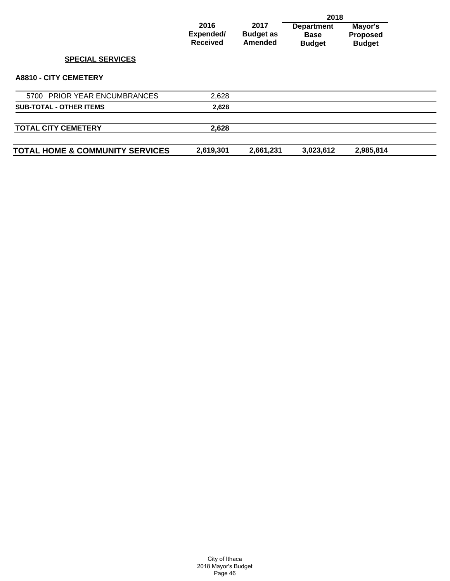|                                            |                                      |                                     | 2018                                              |                                             |  |
|--------------------------------------------|--------------------------------------|-------------------------------------|---------------------------------------------------|---------------------------------------------|--|
|                                            | 2016<br>Expended/<br><b>Received</b> | 2017<br><b>Budget as</b><br>Amended | <b>Department</b><br><b>Base</b><br><b>Budget</b> | Mayor's<br><b>Proposed</b><br><b>Budget</b> |  |
| <b>SPECIAL SERVICES</b>                    |                                      |                                     |                                                   |                                             |  |
| <b>A8810 - CITY CEMETERY</b>               |                                      |                                     |                                                   |                                             |  |
| 5700 PRIOR YEAR ENCUMBRANCES               | 2,628                                |                                     |                                                   |                                             |  |
| <b>SUB-TOTAL - OTHER ITEMS</b>             | 2,628                                |                                     |                                                   |                                             |  |
|                                            |                                      |                                     |                                                   |                                             |  |
| <b>TOTAL CITY CEMETERY</b>                 | 2,628                                |                                     |                                                   |                                             |  |
| <b>TOTAL HOME &amp; COMMUNITY SERVICES</b> | 2,619,301                            | 2,661,231                           | 3,023,612                                         | 2,985,814                                   |  |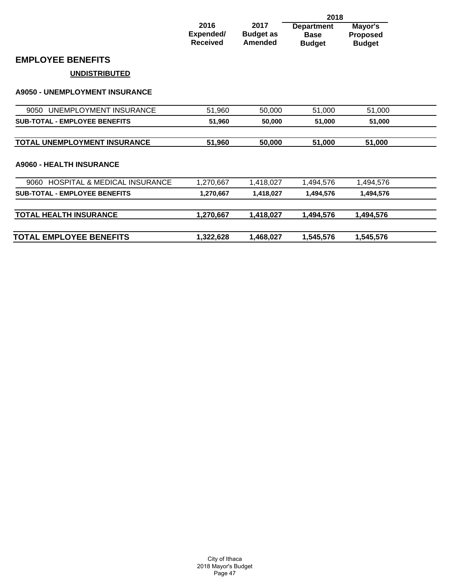|                                                 |                                      | 2018                                       |                                                   |                                      |  |
|-------------------------------------------------|--------------------------------------|--------------------------------------------|---------------------------------------------------|--------------------------------------|--|
|                                                 | 2016<br>Expended/<br><b>Received</b> | 2017<br><b>Budget as</b><br><b>Amended</b> | <b>Department</b><br><b>Base</b><br><b>Budget</b> | Mayor's<br>Proposed<br><b>Budget</b> |  |
| <b>EMPLOYEE BENEFITS</b>                        |                                      |                                            |                                                   |                                      |  |
| <b>UNDISTRIBUTED</b>                            |                                      |                                            |                                                   |                                      |  |
| <b>A9050 - UNEMPLOYMENT INSURANCE</b>           |                                      |                                            |                                                   |                                      |  |
| UNEMPLOYMENT INSURANCE<br>9050                  | 51,960                               | 50,000                                     | 51,000                                            | 51,000                               |  |
| <b>SUB-TOTAL - EMPLOYEE BENEFITS</b>            | 51,960                               | 50,000                                     | 51,000                                            | 51,000                               |  |
| TOTAL UNEMPLOYMENT INSURANCE                    | 51,960                               | 50,000                                     | 51,000                                            | 51,000                               |  |
| <b>A9060 - HEALTH INSURANCE</b>                 |                                      |                                            |                                                   |                                      |  |
| <b>HOSPITAL &amp; MEDICAL INSURANCE</b><br>9060 | 1,270,667                            | 1,418,027                                  | 1,494,576                                         | 1,494,576                            |  |
| <b>SUB-TOTAL - EMPLOYEE BENEFITS</b>            | 1,270,667                            | 1,418,027                                  | 1,494,576                                         | 1,494,576                            |  |
| <b>TOTAL HEALTH INSURANCE</b>                   | 1,270,667                            | 1,418,027                                  | 1,494,576                                         | 1,494,576                            |  |
| <b>TOTAL EMPLOYEE BENEFITS</b>                  | 1,322,628                            | 1,468,027                                  | 1,545,576                                         | 1,545,576                            |  |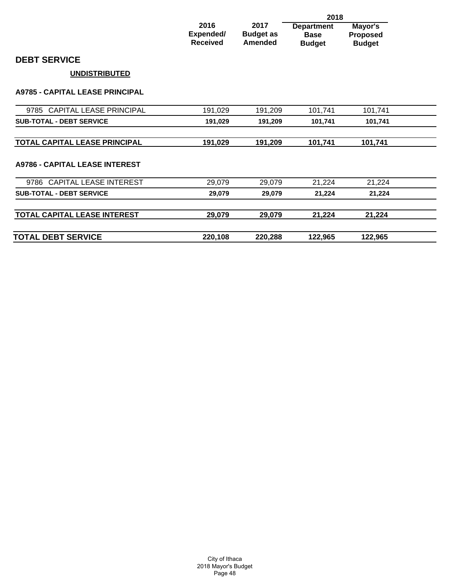|                                        |                                      |                                            | 2018                                              |                                             |
|----------------------------------------|--------------------------------------|--------------------------------------------|---------------------------------------------------|---------------------------------------------|
|                                        | 2016<br>Expended/<br><b>Received</b> | 2017<br><b>Budget as</b><br><b>Amended</b> | <b>Department</b><br><b>Base</b><br><b>Budget</b> | Mayor's<br><b>Proposed</b><br><b>Budget</b> |
| <b>DEBT SERVICE</b>                    |                                      |                                            |                                                   |                                             |
| <b>UNDISTRIBUTED</b>                   |                                      |                                            |                                                   |                                             |
| <b>A9785 - CAPITAL LEASE PRINCIPAL</b> |                                      |                                            |                                                   |                                             |
| 9785 CAPITAL LEASE PRINCIPAL           | 191,029                              | 191,209                                    | 101,741                                           | 101,741                                     |
| <b>SUB-TOTAL - DEBT SERVICE</b>        | 191,029                              | 191,209                                    | 101,741                                           | 101,741                                     |
| TOTAL CAPITAL LEASE PRINCIPAL          | 191,029                              | 191,209                                    | 101,741                                           | 101,741                                     |
| <b>A9786 - CAPITAL LEASE INTEREST</b>  |                                      |                                            |                                                   |                                             |
| 9786 CAPITAL LEASE INTEREST            | 29,079                               | 29,079                                     | 21,224                                            | 21,224                                      |
| <b>SUB-TOTAL - DEBT SERVICE</b>        | 29,079                               | 29,079                                     | 21,224                                            | 21,224                                      |
| TOTAL CAPITAL LEASE INTEREST           | 29,079                               | 29,079                                     | 21,224                                            | 21,224                                      |
| <b>TOTAL DEBT SERVICE</b>              | 220,108                              | 220,288                                    | 122,965                                           | 122,965                                     |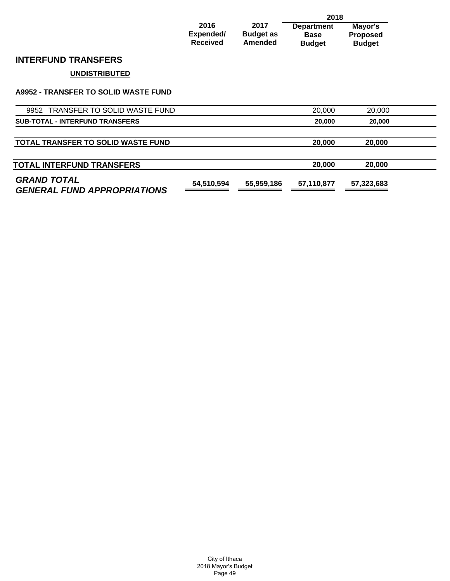|                                             |                                      |                                     | 2018                                              |                                             |  |
|---------------------------------------------|--------------------------------------|-------------------------------------|---------------------------------------------------|---------------------------------------------|--|
|                                             | 2016<br>Expended/<br><b>Received</b> | 2017<br><b>Budget as</b><br>Amended | <b>Department</b><br><b>Base</b><br><b>Budget</b> | Mayor's<br><b>Proposed</b><br><b>Budget</b> |  |
| <b>INTERFUND TRANSFERS</b>                  |                                      |                                     |                                                   |                                             |  |
| <b>UNDISTRIBUTED</b>                        |                                      |                                     |                                                   |                                             |  |
| <b>A9952 - TRANSFER TO SOLID WASTE FUND</b> |                                      |                                     |                                                   |                                             |  |
| 9952 TRANSFER TO SOLID WASTE FUND           |                                      |                                     | 20,000                                            | 20,000                                      |  |
| <b>SUB-TOTAL - INTERFUND TRANSFERS</b>      |                                      |                                     | 20,000                                            | 20,000                                      |  |
|                                             |                                      |                                     |                                                   |                                             |  |
| <b>TOTAL TRANSFER TO SOLID WASTE FUND</b>   |                                      |                                     | 20,000                                            | 20,000                                      |  |

| <b>TOTAL INTERFUND TRANSFERS</b>                         |            |            | 20,000     | 20,000     |  |
|----------------------------------------------------------|------------|------------|------------|------------|--|
| <b>GRAND TOTAL</b><br><b>GENERAL FUND APPROPRIATIONS</b> | 54.510.594 | 55.959.186 | 57.110.877 | 57.323.683 |  |

City of Ithaca 2018 Mayor's Budget Page 49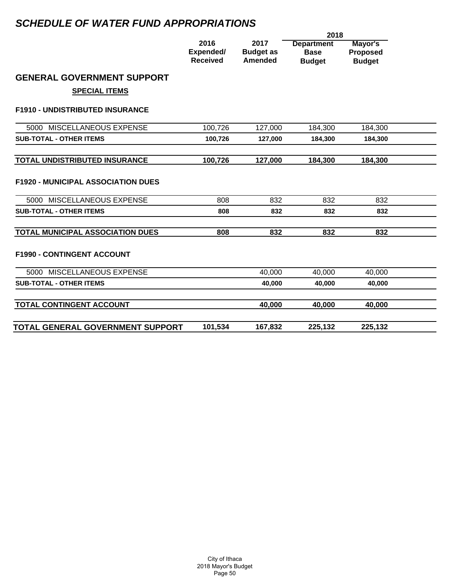# *SCHEDULE OF WATER FUND APPROPRIATIONS*

|                                           | 2018                                 |                                            |                                                   |                                             |  |
|-------------------------------------------|--------------------------------------|--------------------------------------------|---------------------------------------------------|---------------------------------------------|--|
|                                           | 2016<br>Expended/<br><b>Received</b> | 2017<br><b>Budget as</b><br><b>Amended</b> | <b>Department</b><br><b>Base</b><br><b>Budget</b> | Mayor's<br><b>Proposed</b><br><b>Budget</b> |  |
| <b>GENERAL GOVERNMENT SUPPORT</b>         |                                      |                                            |                                                   |                                             |  |
| <b>SPECIAL ITEMS</b>                      |                                      |                                            |                                                   |                                             |  |
| <b>F1910 - UNDISTRIBUTED INSURANCE</b>    |                                      |                                            |                                                   |                                             |  |
| 5000 MISCELLANEOUS EXPENSE                | 100,726                              | 127,000                                    | 184,300                                           | 184,300                                     |  |
| <b>SUB-TOTAL - OTHER ITEMS</b>            | 100,726                              | 127,000                                    | 184,300                                           | 184,300                                     |  |
|                                           |                                      |                                            |                                                   |                                             |  |
| TOTAL UNDISTRIBUTED INSURANCE             | 100,726                              | 127,000                                    | 184,300                                           | 184,300                                     |  |
| <b>F1920 - MUNICIPAL ASSOCIATION DUES</b> |                                      |                                            |                                                   |                                             |  |
| 5000 MISCELLANEOUS EXPENSE                | 808                                  | 832                                        | 832                                               | 832                                         |  |
| <b>SUB-TOTAL - OTHER ITEMS</b>            | 808                                  | 832                                        | 832                                               | 832                                         |  |
| <b>TOTAL MUNICIPAL ASSOCIATION DUES</b>   | 808                                  | 832                                        | 832                                               | 832                                         |  |
| <b>F1990 - CONTINGENT ACCOUNT</b>         |                                      |                                            |                                                   |                                             |  |
| 5000 MISCELLANEOUS EXPENSE                |                                      | 40,000                                     | 40,000                                            | 40,000                                      |  |
| <b>SUB-TOTAL - OTHER ITEMS</b>            |                                      | 40,000                                     | 40,000                                            | 40,000                                      |  |
| TOTAL CONTINGENT ACCOUNT                  |                                      | 40,000                                     | 40,000                                            | 40,000                                      |  |
| TOTAL GENERAL GOVERNMENT SUPPORT          | 101,534                              | 167,832                                    | 225,132                                           | 225,132                                     |  |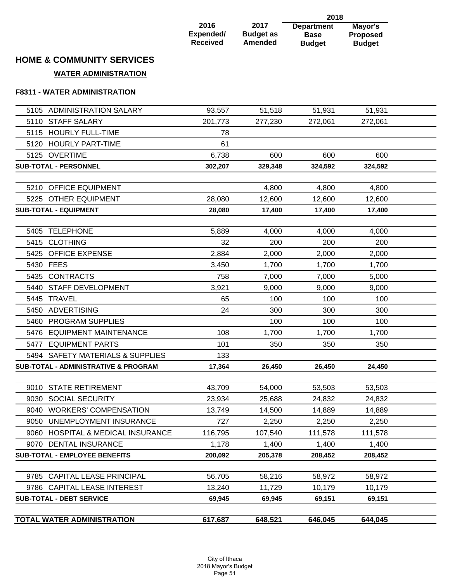|                 |                  | 2018              |                 |
|-----------------|------------------|-------------------|-----------------|
| 2016            | 2017             | <b>Department</b> | Mayor's         |
| Expended/       | <b>Budget as</b> | <b>Base</b>       | <b>Proposed</b> |
| <b>Received</b> | Amended          | <b>Budget</b>     | <b>Budget</b>   |

# **HOME & COMMUNITY SERVICES**

## **WATER ADMINISTRATION**

### **F8311 - WATER ADMINISTRATION**

| 5105 ADMINISTRATION SALARY                      | 93,557  | 51,518  | 51,931  | 51,931           |  |
|-------------------------------------------------|---------|---------|---------|------------------|--|
| 5110 STAFF SALARY                               | 201,773 | 277,230 | 272,061 | 272,061          |  |
| 5115 HOURLY FULL-TIME                           | 78      |         |         |                  |  |
| 5120 HOURLY PART-TIME                           | 61      |         |         |                  |  |
| 5125 OVERTIME                                   | 6,738   | 600     | 600     | 600              |  |
| <b>SUB-TOTAL - PERSONNEL</b>                    | 302,207 | 329,348 | 324,592 | 324,592          |  |
| 5210 OFFICE EQUIPMENT                           |         | 4,800   |         |                  |  |
| 5225 OTHER EQUIPMENT                            | 28,080  |         | 4,800   | 4,800            |  |
| <b>SUB-TOTAL - EQUIPMENT</b>                    | 28,080  | 12,600  | 12,600  | 12,600<br>17,400 |  |
|                                                 |         | 17,400  | 17,400  |                  |  |
| 5405 TELEPHONE                                  | 5,889   | 4,000   | 4,000   | 4,000            |  |
| 5415 CLOTHING                                   | 32      | 200     | 200     | 200              |  |
| 5425 OFFICE EXPENSE                             | 2,884   | 2,000   | 2,000   | 2,000            |  |
| 5430 FEES                                       | 3,450   | 1,700   | 1,700   | 1,700            |  |
| 5435 CONTRACTS                                  | 758     | 7,000   | 7,000   | 5,000            |  |
| 5440 STAFF DEVELOPMENT                          | 3,921   | 9,000   | 9,000   | 9,000            |  |
| 5445 TRAVEL                                     | 65      | 100     | 100     | 100              |  |
| 5450 ADVERTISING                                | 24      | 300     | 300     | 300              |  |
| 5460 PROGRAM SUPPLIES                           |         | 100     | 100     | 100              |  |
| 5476 EQUIPMENT MAINTENANCE                      | 108     | 1,700   | 1,700   | 1,700            |  |
| 5477 EQUIPMENT PARTS                            | 101     | 350     | 350     | 350              |  |
| 5494 SAFETY MATERIALS & SUPPLIES                | 133     |         |         |                  |  |
| <b>SUB-TOTAL - ADMINISTRATIVE &amp; PROGRAM</b> | 17,364  | 26,450  | 26,450  | 24,450           |  |
|                                                 |         |         |         |                  |  |
| 9010 STATE RETIREMENT                           | 43,709  | 54,000  | 53,503  | 53,503           |  |
| 9030 SOCIAL SECURITY                            | 23,934  | 25,688  | 24,832  | 24,832           |  |
| 9040 WORKERS' COMPENSATION                      | 13,749  | 14,500  | 14,889  | 14,889           |  |
| 9050 UNEMPLOYMENT INSURANCE                     | 727     | 2,250   | 2,250   | 2,250            |  |
| 9060 HOSPITAL & MEDICAL INSURANCE               | 116,795 | 107,540 | 111,578 | 111,578          |  |
| 9070 DENTAL INSURANCE                           | 1,178   | 1,400   | 1,400   | 1,400            |  |
| <b>SUB-TOTAL - EMPLOYEE BENEFITS</b>            | 200,092 | 205,378 | 208,452 | 208,452          |  |
|                                                 |         |         |         |                  |  |
| 9785 CAPITAL LEASE PRINCIPAL                    | 56,705  | 58,216  | 58,972  | 58,972           |  |
| 9786 CAPITAL LEASE INTEREST                     | 13,240  | 11,729  | 10,179  | 10,179           |  |
| <b>SUB-TOTAL - DEBT SERVICE</b>                 | 69,945  | 69,945  | 69,151  | 69,151           |  |
| TOTAL WATER ADMINISTRATION                      |         |         |         |                  |  |
|                                                 | 617,687 | 648,521 | 646,045 | 644,045          |  |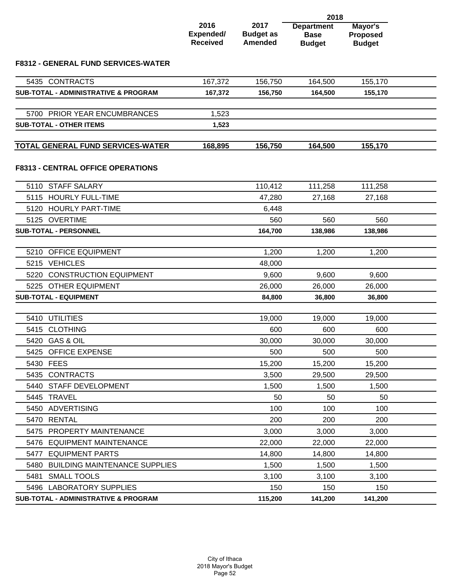|                                                      |                                      | 2018                                       |                                                   |                                             |  |
|------------------------------------------------------|--------------------------------------|--------------------------------------------|---------------------------------------------------|---------------------------------------------|--|
|                                                      | 2016<br>Expended/<br><b>Received</b> | 2017<br><b>Budget as</b><br><b>Amended</b> | <b>Department</b><br><b>Base</b><br><b>Budget</b> | Mayor's<br><b>Proposed</b><br><b>Budget</b> |  |
| <b>F8312 - GENERAL FUND SERVICES-WATER</b>           |                                      |                                            |                                                   |                                             |  |
| 5435 CONTRACTS                                       | 167,372                              | 156,750                                    | 164,500                                           | 155,170                                     |  |
| <b>SUB-TOTAL - ADMINISTRATIVE &amp; PROGRAM</b>      | 167,372                              | 156,750                                    | 164,500                                           | 155,170                                     |  |
|                                                      |                                      |                                            |                                                   |                                             |  |
| 5700 PRIOR YEAR ENCUMBRANCES                         | 1,523                                |                                            |                                                   |                                             |  |
| <b>SUB-TOTAL - OTHER ITEMS</b>                       | 1,523                                |                                            |                                                   |                                             |  |
| <b>TOTAL GENERAL FUND SERVICES-WATER</b>             | 168,895                              | 156,750                                    | 164,500                                           | 155,170                                     |  |
| <b>F8313 - CENTRAL OFFICE OPERATIONS</b>             |                                      |                                            |                                                   |                                             |  |
| 5110 STAFF SALARY                                    |                                      | 110,412                                    | 111,258                                           | 111,258                                     |  |
| 5115 HOURLY FULL-TIME                                |                                      | 47,280                                     | 27,168                                            | 27,168                                      |  |
| 5120 HOURLY PART-TIME                                |                                      | 6,448                                      |                                                   |                                             |  |
| 5125 OVERTIME                                        |                                      | 560                                        | 560                                               | 560                                         |  |
| <b>SUB-TOTAL - PERSONNEL</b>                         |                                      | 164,700                                    | 138,986                                           | 138,986                                     |  |
|                                                      |                                      |                                            |                                                   |                                             |  |
| <b>OFFICE EQUIPMENT</b><br>5210                      |                                      | 1,200                                      | 1,200                                             | 1,200                                       |  |
| 5215 VEHICLES                                        |                                      | 48,000                                     |                                                   |                                             |  |
| 5220<br><b>CONSTRUCTION EQUIPMENT</b>                |                                      | 9,600                                      | 9,600                                             | 9,600                                       |  |
| 5225 OTHER EQUIPMENT<br><b>SUB-TOTAL - EQUIPMENT</b> |                                      | 26,000<br>84,800                           | 26,000<br>36,800                                  | 26,000<br>36,800                            |  |
|                                                      |                                      |                                            |                                                   |                                             |  |
| 5410 UTILITIES                                       |                                      | 19,000                                     | 19,000                                            | 19,000                                      |  |
| 5415 CLOTHING                                        |                                      | 600                                        | 600                                               | 600                                         |  |
| 5420 GAS & OIL                                       |                                      | 30,000                                     | 30,000                                            | 30,000                                      |  |
| 5425 OFFICE EXPENSE                                  |                                      | 500                                        | 500                                               | 500                                         |  |
| 5430 FEES                                            |                                      | 15,200                                     | 15,200                                            | 15,200                                      |  |
| 5435 CONTRACTS                                       |                                      | 3,500                                      | 29,500                                            | 29,500                                      |  |
| 5440 STAFF DEVELOPMENT                               |                                      | 1,500                                      | 1,500                                             | 1,500                                       |  |
| 5445 TRAVEL                                          |                                      | 50                                         | 50                                                | 50                                          |  |
| 5450 ADVERTISING                                     |                                      | 100                                        | 100                                               | 100                                         |  |
| 5470 RENTAL                                          |                                      | 200                                        | 200                                               | 200                                         |  |
| 5475 PROPERTY MAINTENANCE                            |                                      | 3,000                                      | 3,000                                             | 3,000                                       |  |
| 5476 EQUIPMENT MAINTENANCE                           |                                      | 22,000                                     | 22,000                                            | 22,000                                      |  |
| 5477 EQUIPMENT PARTS                                 |                                      | 14,800                                     | 14,800                                            | 14,800                                      |  |
| 5480 BUILDING MAINTENANCE SUPPLIES                   |                                      | 1,500                                      | 1,500                                             | 1,500                                       |  |
| 5481 SMALL TOOLS                                     |                                      | 3,100                                      | 3,100                                             | 3,100                                       |  |
| 5496 LABORATORY SUPPLIES                             |                                      | 150                                        | 150                                               | 150                                         |  |
| SUB-TOTAL - ADMINISTRATIVE & PROGRAM                 |                                      | 115,200                                    | 141,200                                           | 141,200                                     |  |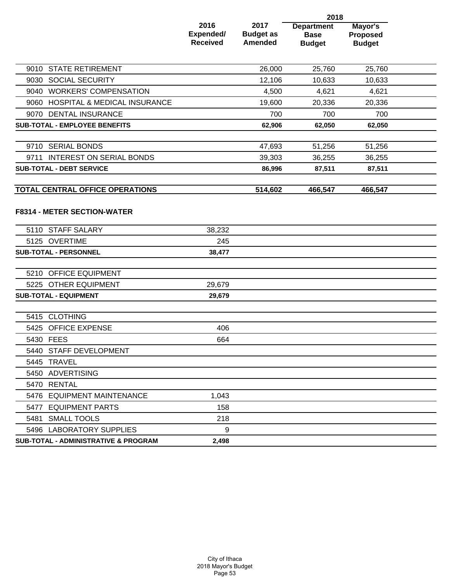|                                                         |                                      | 2018                                       |                                                   |                                             |  |
|---------------------------------------------------------|--------------------------------------|--------------------------------------------|---------------------------------------------------|---------------------------------------------|--|
|                                                         | 2016<br>Expended/<br><b>Received</b> | 2017<br><b>Budget as</b><br><b>Amended</b> | <b>Department</b><br><b>Base</b><br><b>Budget</b> | Mayor's<br><b>Proposed</b><br><b>Budget</b> |  |
| 9010 STATE RETIREMENT                                   |                                      | 26,000                                     | 25,760                                            | 25,760                                      |  |
| 9030 SOCIAL SECURITY                                    |                                      | 12,106                                     | 10,633                                            | 10,633                                      |  |
| 9040 WORKERS' COMPENSATION                              |                                      | 4,500                                      | 4,621                                             | 4,621                                       |  |
| <b>HOSPITAL &amp; MEDICAL INSURANCE</b><br>9060         |                                      | 19,600                                     | 20,336                                            | 20,336                                      |  |
| 9070 DENTAL INSURANCE                                   |                                      | 700                                        | 700                                               | 700                                         |  |
| <b>SUB-TOTAL - EMPLOYEE BENEFITS</b>                    |                                      | 62,906                                     | 62,050                                            | 62,050                                      |  |
|                                                         |                                      |                                            |                                                   |                                             |  |
| 9710 SERIAL BONDS                                       |                                      | 47,693                                     | 51,256                                            | 51,256                                      |  |
| 9711 INTEREST ON SERIAL BONDS                           |                                      | 39,303                                     | 36,255                                            | 36,255                                      |  |
| <b>SUB-TOTAL - DEBT SERVICE</b>                         |                                      | 86,996                                     | 87,511                                            | 87,511                                      |  |
| TOTAL CENTRAL OFFICE OPERATIONS                         |                                      | 514,602                                    | 466,547                                           | 466,547                                     |  |
| <b>F8314 - METER SECTION-WATER</b><br>5110 STAFF SALARY | 38,232                               |                                            |                                                   |                                             |  |
| 5125 OVERTIME                                           | 245                                  |                                            |                                                   |                                             |  |
| SUB-TOTAL - PERSONNEL                                   | 38,477                               |                                            |                                                   |                                             |  |
|                                                         |                                      |                                            |                                                   |                                             |  |
| 5210 OFFICE EQUIPMENT                                   |                                      |                                            |                                                   |                                             |  |
| 5225 OTHER EQUIPMENT                                    | 29,679                               |                                            |                                                   |                                             |  |
| <b>SUB-TOTAL - EQUIPMENT</b>                            | 29,679                               |                                            |                                                   |                                             |  |
| 5415 CLOTHING                                           |                                      |                                            |                                                   |                                             |  |
| 5425 OFFICE EXPENSE                                     | 406                                  |                                            |                                                   |                                             |  |
| 5430 FEES                                               | 664                                  |                                            |                                                   |                                             |  |
| 5440 STAFF DEVELOPMENT                                  |                                      |                                            |                                                   |                                             |  |
| 5445 TRAVEL                                             |                                      |                                            |                                                   |                                             |  |
| 5450 ADVERTISING                                        |                                      |                                            |                                                   |                                             |  |
| 5470 RENTAL                                             |                                      |                                            |                                                   |                                             |  |
| 5476 EQUIPMENT MAINTENANCE                              | 1,043                                |                                            |                                                   |                                             |  |
| 5477 EQUIPMENT PARTS                                    | 158                                  |                                            |                                                   |                                             |  |
| 5481 SMALL TOOLS                                        | 218                                  |                                            |                                                   |                                             |  |
| 5496 LABORATORY SUPPLIES                                | 9                                    |                                            |                                                   |                                             |  |
| <b>SUB-TOTAL - ADMINISTRATIVE &amp; PROGRAM</b>         | 2,498                                |                                            |                                                   |                                             |  |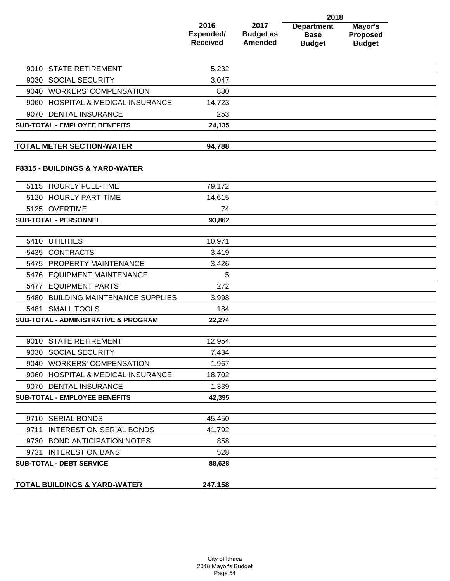|                                                 | 2018                                 |                                            |                                                   |                                             |  |  |
|-------------------------------------------------|--------------------------------------|--------------------------------------------|---------------------------------------------------|---------------------------------------------|--|--|
|                                                 | 2016<br>Expended/<br><b>Received</b> | 2017<br><b>Budget as</b><br><b>Amended</b> | <b>Department</b><br><b>Base</b><br><b>Budget</b> | Mayor's<br><b>Proposed</b><br><b>Budget</b> |  |  |
| <b>STATE RETIREMENT</b><br>9010                 | 5,232                                |                                            |                                                   |                                             |  |  |
| <b>SOCIAL SECURITY</b><br>9030                  | 3,047                                |                                            |                                                   |                                             |  |  |
| 9040 WORKERS' COMPENSATION                      | 880                                  |                                            |                                                   |                                             |  |  |
| 9060 HOSPITAL & MEDICAL INSURANCE               | 14,723                               |                                            |                                                   |                                             |  |  |
| 9070 DENTAL INSURANCE                           | 253                                  |                                            |                                                   |                                             |  |  |
| <b>SUB-TOTAL - EMPLOYEE BENEFITS</b>            | 24,135                               |                                            |                                                   |                                             |  |  |
| <b>TOTAL METER SECTION-WATER</b>                | 94,788                               |                                            |                                                   |                                             |  |  |
| F8315 - BUILDINGS & YARD-WATER                  |                                      |                                            |                                                   |                                             |  |  |
| <b>HOURLY FULL-TIME</b><br>5115                 | 79,172                               |                                            |                                                   |                                             |  |  |
| 5120 HOURLY PART-TIME                           | 14,615                               |                                            |                                                   |                                             |  |  |
| 5125 OVERTIME                                   | 74                                   |                                            |                                                   |                                             |  |  |
| <b>SUB-TOTAL - PERSONNEL</b>                    | 93,862                               |                                            |                                                   |                                             |  |  |
|                                                 |                                      |                                            |                                                   |                                             |  |  |
| <b>UTILITIES</b><br>5410                        | 10,971                               |                                            |                                                   |                                             |  |  |
| 5435 CONTRACTS                                  | 3,419                                |                                            |                                                   |                                             |  |  |
| 5475 PROPERTY MAINTENANCE                       | 3,426                                |                                            |                                                   |                                             |  |  |
| 5476 EQUIPMENT MAINTENANCE                      | 5                                    |                                            |                                                   |                                             |  |  |
| <b>EQUIPMENT PARTS</b><br>5477                  | 272                                  |                                            |                                                   |                                             |  |  |
| 5480<br><b>BUILDING MAINTENANCE SUPPLIES</b>    | 3,998                                |                                            |                                                   |                                             |  |  |
| 5481 SMALL TOOLS                                | 184                                  |                                            |                                                   |                                             |  |  |
| <b>SUB-TOTAL - ADMINISTRATIVE &amp; PROGRAM</b> | 22,274                               |                                            |                                                   |                                             |  |  |
| 9010 STATE RETIREMENT                           | 12,954                               |                                            |                                                   |                                             |  |  |
| 9030 SOCIAL SECURITY                            | 7,434                                |                                            |                                                   |                                             |  |  |
| 9040 WORKERS' COMPENSATION                      | 1,967                                |                                            |                                                   |                                             |  |  |
| 9060 HOSPITAL & MEDICAL INSURANCE               | 18,702                               |                                            |                                                   |                                             |  |  |
| 9070 DENTAL INSURANCE                           | 1,339                                |                                            |                                                   |                                             |  |  |
| <b>SUB-TOTAL - EMPLOYEE BENEFITS</b>            | 42,395                               |                                            |                                                   |                                             |  |  |
|                                                 |                                      |                                            |                                                   |                                             |  |  |
| 9710 SERIAL BONDS                               | 45,450                               |                                            |                                                   |                                             |  |  |
| <b>INTEREST ON SERIAL BONDS</b><br>9711         | 41,792                               |                                            |                                                   |                                             |  |  |
| 9730 BOND ANTICIPATION NOTES                    | 858                                  |                                            |                                                   |                                             |  |  |
| 9731 INTEREST ON BANS                           | 528                                  |                                            |                                                   |                                             |  |  |
| <b>SUB-TOTAL - DEBT SERVICE</b>                 | 88,628                               |                                            |                                                   |                                             |  |  |
|                                                 |                                      |                                            |                                                   |                                             |  |  |
| <b>TOTAL BUILDINGS &amp; YARD-WATER</b>         | 247,158                              |                                            |                                                   |                                             |  |  |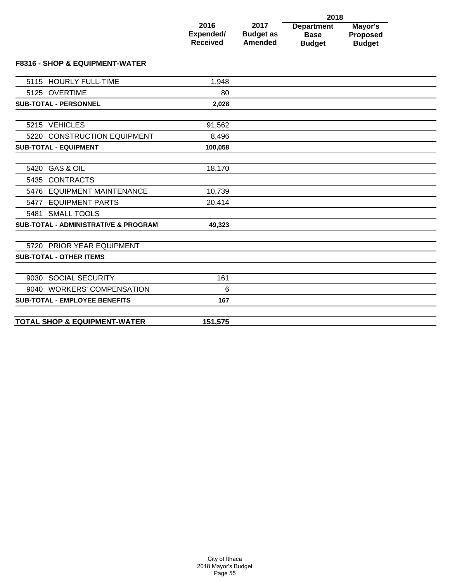|                              |                             | 2018                         |                                  |  |
|------------------------------|-----------------------------|------------------------------|----------------------------------|--|
| 2016                         | 2017                        | <b>Department</b>            | Mayor's                          |  |
| Expended/<br><b>Received</b> | <b>Budget as</b><br>Amended | <b>Base</b><br><b>Budget</b> | <b>Proposed</b><br><b>Budget</b> |  |

### **F8316 - SHOP & EQUIPMENT-WATER**

| 5115 HOURLY FULL-TIME                           | 1,948   |  |
|-------------------------------------------------|---------|--|
| 5125 OVERTIME                                   | 80      |  |
| <b>SUB-TOTAL - PERSONNEL</b>                    | 2,028   |  |
|                                                 |         |  |
| 5215 VEHICLES                                   | 91,562  |  |
| 5220 CONSTRUCTION EQUIPMENT                     | 8,496   |  |
| <b>SUB-TOTAL - EQUIPMENT</b>                    | 100,058 |  |
|                                                 |         |  |
| 5420 GAS & OIL                                  | 18,170  |  |
| 5435 CONTRACTS                                  |         |  |
| 5476 EQUIPMENT MAINTENANCE                      | 10,739  |  |
| <b>EQUIPMENT PARTS</b><br>5477                  | 20,414  |  |
| 5481 SMALL TOOLS                                |         |  |
| <b>SUB-TOTAL - ADMINISTRATIVE &amp; PROGRAM</b> | 49,323  |  |
|                                                 |         |  |
| 5720 PRIOR YEAR EQUIPMENT                       |         |  |
| <b>SUB-TOTAL - OTHER ITEMS</b>                  |         |  |
|                                                 |         |  |
| 9030 SOCIAL SECURITY                            | 161     |  |
| 9040 WORKERS' COMPENSATION                      | 6       |  |
| <b>SUB-TOTAL - EMPLOYEE BENEFITS</b>            | 167     |  |
|                                                 |         |  |
| <b>TOTAL SHOP &amp; EQUIPMENT-WATER</b>         | 151,575 |  |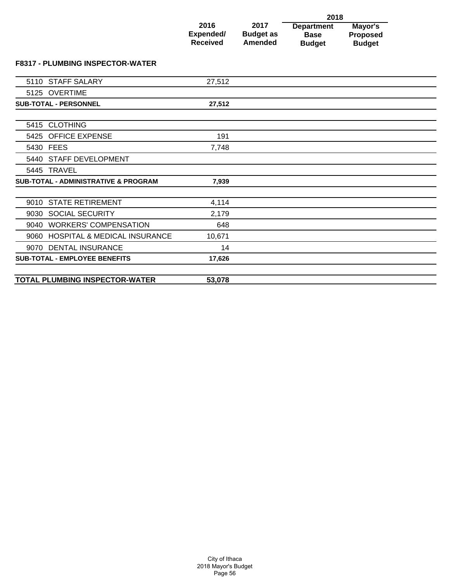|                                         |                                      |                                     | 2018                                              |                                      |  |
|-----------------------------------------|--------------------------------------|-------------------------------------|---------------------------------------------------|--------------------------------------|--|
|                                         | 2016<br>Expended/<br><b>Received</b> | 2017<br><b>Budget as</b><br>Amended | <b>Department</b><br><b>Base</b><br><b>Budget</b> | Mayor's<br>Proposed<br><b>Budget</b> |  |
| <b>F8317 - PLUMBING INSPECTOR-WATER</b> |                                      |                                     |                                                   |                                      |  |
| 5110 STAFF SALARY                       | 27,512                               |                                     |                                                   |                                      |  |
| 5125 OVERTIME                           |                                      |                                     |                                                   |                                      |  |
| <b>SUB-TOTAL - PERSONNEL</b>            | 27,512                               |                                     |                                                   |                                      |  |

| 5415 CLOTHING                                   |        |  |
|-------------------------------------------------|--------|--|
| 5425 OFFICE EXPENSE                             | 191    |  |
| 5430 FEES                                       | 7,748  |  |
| 5440 STAFF DEVELOPMENT                          |        |  |
| 5445 TRAVEL                                     |        |  |
| <b>SUB-TOTAL - ADMINISTRATIVE &amp; PROGRAM</b> | 7,939  |  |
|                                                 |        |  |
| 9010 STATE RETIREMENT                           | 4,114  |  |
| 9030 SOCIAL SECURITY                            | 2,179  |  |
| <b>WORKERS' COMPENSATION</b><br>9040            | 648    |  |
| 9060 HOSPITAL & MEDICAL INSURANCE               | 10,671 |  |
| 9070 DENTAL INSURANCE                           | 14     |  |
| <b>SUB-TOTAL - EMPLOYEE BENEFITS</b>            | 17,626 |  |
|                                                 |        |  |
| <b>TOTAL PLUMBING INSPECTOR-WATER</b>           | 53,078 |  |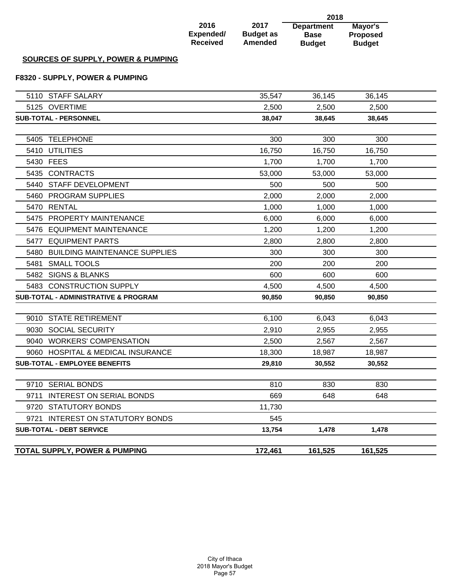|                                                 |                                      |                                     | 2018                                              |                                             |  |
|-------------------------------------------------|--------------------------------------|-------------------------------------|---------------------------------------------------|---------------------------------------------|--|
|                                                 | 2016<br>Expended/<br><b>Received</b> | 2017<br><b>Budget as</b><br>Amended | <b>Department</b><br><b>Base</b><br><b>Budget</b> | Mayor's<br><b>Proposed</b><br><b>Budget</b> |  |
| <b>SOURCES OF SUPPLY, POWER &amp; PUMPING</b>   |                                      |                                     |                                                   |                                             |  |
| F8320 - SUPPLY, POWER & PUMPING                 |                                      |                                     |                                                   |                                             |  |
| 5110 STAFF SALARY                               |                                      | 35,547                              | 36,145                                            | 36,145                                      |  |
| 5125 OVERTIME                                   |                                      | 2,500                               | 2,500                                             | 2,500                                       |  |
| <b>SUB-TOTAL - PERSONNEL</b>                    |                                      | 38,047                              | 38,645                                            | 38,645                                      |  |
| 5405 TELEPHONE                                  |                                      | 300                                 | 300                                               | 300                                         |  |
| 5410 UTILITIES                                  |                                      | 16,750                              | 16,750                                            | 16,750                                      |  |
| 5430 FEES                                       |                                      | 1,700                               | 1,700                                             | 1,700                                       |  |
| 5435 CONTRACTS                                  |                                      | 53,000                              | 53,000                                            | 53,000                                      |  |
| STAFF DEVELOPMENT<br>5440                       |                                      | 500                                 | 500                                               | 500                                         |  |
| <b>PROGRAM SUPPLIES</b><br>5460                 |                                      | 2,000                               | 2,000                                             | 2,000                                       |  |
| <b>RENTAL</b><br>5470                           |                                      | 1,000                               | 1,000                                             | 1,000                                       |  |
| <b>PROPERTY MAINTENANCE</b><br>5475             |                                      | 6,000                               | 6,000                                             | 6,000                                       |  |
| 5476<br><b>EQUIPMENT MAINTENANCE</b>            |                                      | 1,200                               | 1,200                                             | 1,200                                       |  |
| <b>EQUIPMENT PARTS</b><br>5477                  |                                      | 2,800                               | 2,800                                             | 2,800                                       |  |
| <b>BUILDING MAINTENANCE SUPPLIES</b><br>5480    |                                      | 300                                 | 300                                               | 300                                         |  |
| <b>SMALL TOOLS</b><br>5481                      |                                      | 200                                 | 200                                               | 200                                         |  |
| 5482 SIGNS & BLANKS                             |                                      | 600                                 | 600                                               | 600                                         |  |
| 5483 CONSTRUCTION SUPPLY                        |                                      | 4,500                               | 4,500                                             | 4,500                                       |  |
| <b>SUB-TOTAL - ADMINISTRATIVE &amp; PROGRAM</b> |                                      | 90,850                              | 90,850                                            | 90,850                                      |  |
| 9010 STATE RETIREMENT                           |                                      | 6,100                               | 6,043                                             | 6,043                                       |  |
| 9030 SOCIAL SECURITY                            |                                      | 2,910                               | 2,955                                             | 2,955                                       |  |
| 9040 WORKERS' COMPENSATION                      |                                      | 2,500                               | 2,567                                             | 2,567                                       |  |
| 9060 HOSPITAL & MEDICAL INSURANCE               |                                      | 18,300                              | 18,987                                            | 18,987                                      |  |
| <b>SUB-TOTAL - EMPLOYEE BENEFITS</b>            |                                      | 29,810                              | 30,552                                            | 30,552                                      |  |
|                                                 |                                      |                                     |                                                   |                                             |  |
| 9710 SERIAL BONDS                               |                                      | 810                                 | 830                                               | 830                                         |  |
| <b>INTEREST ON SERIAL BONDS</b><br>9711         |                                      | 669                                 | 648                                               | 648                                         |  |
| 9720 STATUTORY BONDS                            |                                      | 11,730                              |                                                   |                                             |  |
| <b>INTEREST ON STATUTORY BONDS</b><br>9721      |                                      | 545                                 |                                                   |                                             |  |
| <b>SUB-TOTAL - DEBT SERVICE</b>                 |                                      | 13,754                              | 1,478                                             | 1,478                                       |  |
|                                                 |                                      |                                     |                                                   |                                             |  |

# **TOTAL SUPPLY, POWER & PUMPING 161,525 172,461 161,525**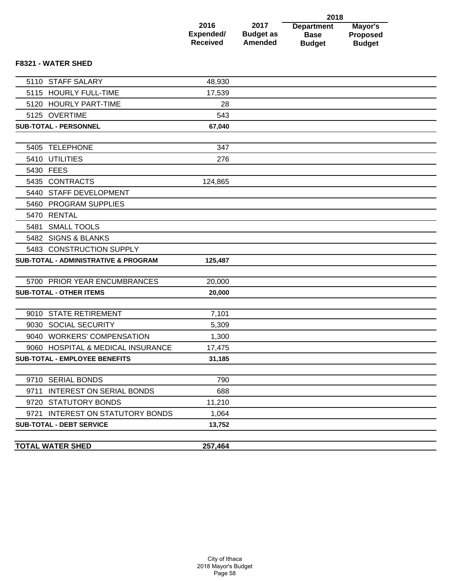|                              |                                    | 2018                         |                                  |
|------------------------------|------------------------------------|------------------------------|----------------------------------|
| 2016                         | 2017                               | <b>Department</b>            | Mayor's                          |
| Expended/<br><b>Received</b> | <b>Budget as</b><br><b>Amended</b> | <b>Base</b><br><b>Budget</b> | <b>Proposed</b><br><b>Budget</b> |

### **F8321 - WATER SHED**

| <b>TOTAL WATER SHED</b>                         | 257,464 |  |
|-------------------------------------------------|---------|--|
| <b>SUB-TOTAL - DEBT SERVICE</b>                 | 13,752  |  |
| 9721 INTEREST ON STATUTORY BONDS                | 1,064   |  |
| 9720 STATUTORY BONDS                            | 11,210  |  |
| 9711 INTEREST ON SERIAL BONDS                   | 688     |  |
| 9710 SERIAL BONDS                               | 790     |  |
|                                                 |         |  |
| <b>SUB-TOTAL - EMPLOYEE BENEFITS</b>            | 31,185  |  |
| 9060 HOSPITAL & MEDICAL INSURANCE               | 17,475  |  |
| 9040 WORKERS' COMPENSATION                      | 1,300   |  |
| 9030 SOCIAL SECURITY                            | 5,309   |  |
| 9010 STATE RETIREMENT                           | 7,101   |  |
| <b>SUB-TOTAL - OTHER ITEMS</b>                  | 20,000  |  |
| 5700 PRIOR YEAR ENCUMBRANCES                    | 20,000  |  |
|                                                 |         |  |
| <b>SUB-TOTAL - ADMINISTRATIVE &amp; PROGRAM</b> | 125,487 |  |
| 5483 CONSTRUCTION SUPPLY                        |         |  |
| 5482 SIGNS & BLANKS                             |         |  |
| 5481 SMALL TOOLS                                |         |  |
| 5470 RENTAL                                     |         |  |
| 5460 PROGRAM SUPPLIES                           |         |  |
| 5440 STAFF DEVELOPMENT                          |         |  |
| 5435 CONTRACTS                                  | 124,865 |  |
| 5430 FEES                                       |         |  |
| 5410 UTILITIES                                  | 276     |  |
| 5405 TELEPHONE                                  | 347     |  |
|                                                 |         |  |
| <b>SUB-TOTAL - PERSONNEL</b>                    | 67,040  |  |
| 5125 OVERTIME                                   | 543     |  |
| 5120 HOURLY PART-TIME                           | 28      |  |
| 5115 HOURLY FULL-TIME                           | 17,539  |  |
| 5110 STAFF SALARY                               | 48,930  |  |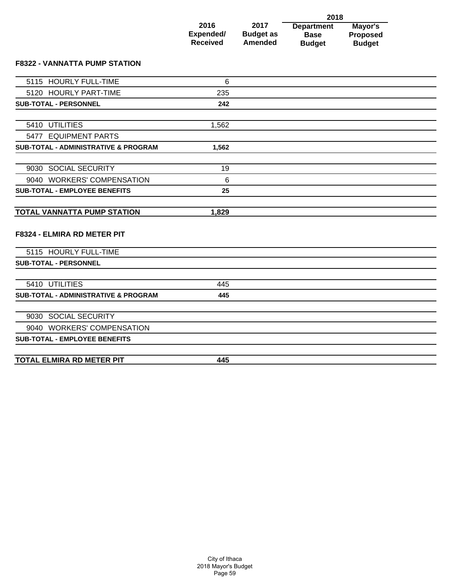|                   |                          | 2018                             |                            |
|-------------------|--------------------------|----------------------------------|----------------------------|
| 2016<br>Expended/ | 2017<br><b>Budget as</b> | <b>Department</b><br><b>Base</b> | Mayor's<br><b>Proposed</b> |
| <b>Received</b>   | <b>Amended</b>           | <b>Budget</b>                    | <b>Budget</b>              |

### **F8322 - VANNATTA PUMP STATION**

| 5115 HOURLY FULL-TIME                           | 6     |  |
|-------------------------------------------------|-------|--|
| 5120 HOURLY PART-TIME                           | 235   |  |
| <b>SUB-TOTAL - PERSONNEL</b>                    | 242   |  |
|                                                 |       |  |
| 5410 UTILITIES                                  | 1,562 |  |
| 5477 EQUIPMENT PARTS                            |       |  |
| <b>SUB-TOTAL - ADMINISTRATIVE &amp; PROGRAM</b> | 1,562 |  |
|                                                 |       |  |
| 9030 SOCIAL SECURITY                            | 19    |  |
| 9040 WORKERS' COMPENSATION                      | 6     |  |
| <b>SUB-TOTAL - EMPLOYEE BENEFITS</b>            | 25    |  |
|                                                 |       |  |
| <b>TOTAL VANNATTA PUMP STATION</b>              | 1,829 |  |
| F8324 - ELMIRA RD METER PIT                     |       |  |
| 5115 HOURLY FULL-TIME                           |       |  |
| <b>SUB-TOTAL - PERSONNEL</b>                    |       |  |
|                                                 |       |  |
| 5410 UTILITIES                                  | 445   |  |
| <b>SUB-TOTAL - ADMINISTRATIVE &amp; PROGRAM</b> | 445   |  |
| 9030 SOCIAL SECURITY                            |       |  |
|                                                 |       |  |
| 9040 WORKERS' COMPENSATION                      |       |  |
| <b>SUB-TOTAL - EMPLOYEE BENEFITS</b>            |       |  |
|                                                 |       |  |
| <b>TOTAL ELMIRA RD METER PIT</b>                | 445   |  |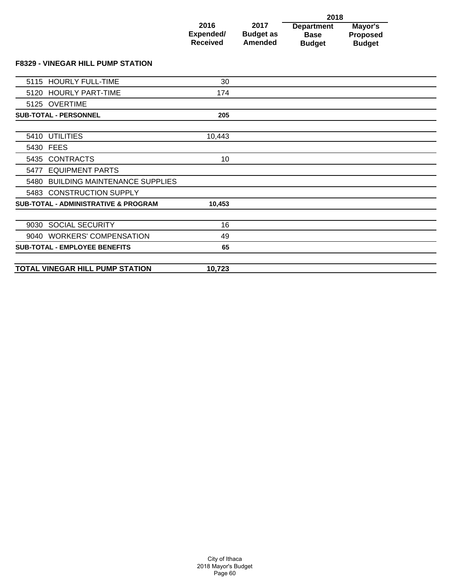|                 |                  | 2018              |                 |
|-----------------|------------------|-------------------|-----------------|
| 2016            | 2017             | <b>Department</b> | Mayor's         |
| Expended/       | <b>Budget as</b> | <b>Base</b>       | <b>Proposed</b> |
| <b>Received</b> | <b>Amended</b>   | <b>Budget</b>     | <b>Budget</b>   |

**F8329 - VINEGAR HILL PUMP STATION**

|      | 5115 HOURLY FULL-TIME                           | 30     |  |
|------|-------------------------------------------------|--------|--|
|      | 5120 HOURLY PART-TIME                           | 174    |  |
|      | 5125 OVERTIME                                   |        |  |
|      | <b>SUB-TOTAL - PERSONNEL</b>                    | 205    |  |
|      |                                                 |        |  |
|      | 5410 UTILITIES                                  | 10,443 |  |
|      | 5430 FEES                                       |        |  |
| 5435 | <b>CONTRACTS</b>                                | 10     |  |
| 5477 | <b>EQUIPMENT PARTS</b>                          |        |  |
|      | 5480 BUILDING MAINTENANCE SUPPLIES              |        |  |
|      | 5483 CONSTRUCTION SUPPLY                        |        |  |
|      | <b>SUB-TOTAL - ADMINISTRATIVE &amp; PROGRAM</b> | 10,453 |  |
|      |                                                 |        |  |
|      | 9030 SOCIAL SECURITY                            | 16     |  |
|      | 9040 WORKERS' COMPENSATION                      | 49     |  |
|      | <b>SUB-TOTAL - EMPLOYEE BENEFITS</b>            | 65     |  |
|      |                                                 |        |  |
|      | TOTAL VINEGAR HILL PUMP STATION                 | 10,723 |  |
|      |                                                 |        |  |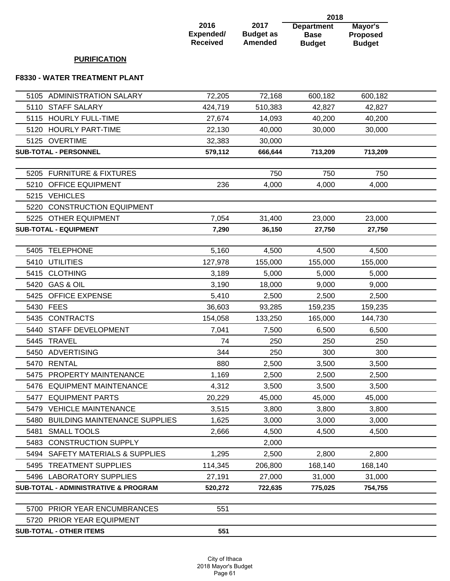|                                              |                                      |                                            | 2018                                              |                                             |  |
|----------------------------------------------|--------------------------------------|--------------------------------------------|---------------------------------------------------|---------------------------------------------|--|
|                                              | 2016<br>Expended/<br><b>Received</b> | 2017<br><b>Budget as</b><br><b>Amended</b> | <b>Department</b><br><b>Base</b><br><b>Budget</b> | Mayor's<br><b>Proposed</b><br><b>Budget</b> |  |
| <b>PURIFICATION</b>                          |                                      |                                            |                                                   |                                             |  |
| <b>F8330 - WATER TREATMENT PLANT</b>         |                                      |                                            |                                                   |                                             |  |
| <b>ADMINISTRATION SALARY</b><br>5105         | 72,205                               | 72,168                                     | 600,182                                           | 600,182                                     |  |
| <b>STAFF SALARY</b><br>5110                  | 424,719                              | 510,383                                    | 42,827                                            | 42,827                                      |  |
| 5115 HOURLY FULL-TIME                        | 27,674                               | 14,093                                     | 40,200                                            | 40,200                                      |  |
| 5120 HOURLY PART-TIME                        | 22,130                               | 40,000                                     | 30,000                                            | 30,000                                      |  |
| 5125 OVERTIME                                | 32,383                               | 30,000                                     |                                                   |                                             |  |
| <b>SUB-TOTAL - PERSONNEL</b>                 | 579,112                              | 666,644                                    | 713,209                                           | 713,209                                     |  |
| <b>FURNITURE &amp; FIXTURES</b><br>5205      |                                      | 750                                        | 750                                               | 750                                         |  |
| 5210 OFFICE EQUIPMENT                        | 236                                  | 4,000                                      | 4,000                                             | 4,000                                       |  |
| 5215 VEHICLES                                |                                      |                                            |                                                   |                                             |  |
| <b>CONSTRUCTION EQUIPMENT</b><br>5220        |                                      |                                            |                                                   |                                             |  |
| 5225 OTHER EQUIPMENT                         | 7,054                                | 31,400                                     | 23,000                                            | 23,000                                      |  |
| <b>SUB-TOTAL - EQUIPMENT</b>                 | 7,290                                | 36,150                                     | 27,750                                            | 27,750                                      |  |
|                                              |                                      |                                            |                                                   |                                             |  |
| <b>TELEPHONE</b><br>5405                     | 5,160                                | 4,500                                      | 4,500                                             | 4,500                                       |  |
| 5410 UTILITIES                               | 127,978                              | 155,000                                    | 155,000                                           | 155,000                                     |  |
| 5415 CLOTHING                                | 3,189                                | 5,000                                      | 5,000                                             | 5,000                                       |  |
| <b>GAS &amp; OIL</b><br>5420                 | 3,190                                | 18,000                                     | 9,000                                             | 9,000                                       |  |
| <b>OFFICE EXPENSE</b><br>5425                | 5,410                                | 2,500                                      | 2,500                                             | 2,500                                       |  |
| 5430 FEES                                    | 36,603                               | 93,285                                     | 159,235                                           | 159,235                                     |  |
| 5435 CONTRACTS                               | 154,058                              | 133,250                                    | 165,000                                           | 144,730                                     |  |
| 5440 STAFF DEVELOPMENT                       | 7,041                                | 7,500                                      | 6,500                                             | 6,500                                       |  |
| 5445 TRAVEL                                  | 74                                   | 250                                        | 250                                               | 250                                         |  |
| 5450 ADVERTISING                             | 344                                  | 250                                        | 300                                               | 300                                         |  |
| 5470 RENTAL                                  | 880                                  | 2,500                                      | 3,500                                             | 3,500                                       |  |
| 5475<br>PROPERTY MAINTENANCE                 | 1,169                                | 2,500                                      | 2,500                                             | 2,500                                       |  |
| 5476 EQUIPMENT MAINTENANCE                   | 4,312                                | 3,500                                      | 3,500                                             | 3,500                                       |  |
| <b>EQUIPMENT PARTS</b><br>5477               | 20,229                               | 45,000                                     | 45,000                                            | 45,000                                      |  |
| 5479 VEHICLE MAINTENANCE                     | 3,515                                | 3,800                                      | 3,800                                             | 3,800                                       |  |
| <b>BUILDING MAINTENANCE SUPPLIES</b><br>5480 | 1,625                                | 3,000                                      | 3,000                                             | 3,000                                       |  |
| 5481<br><b>SMALL TOOLS</b>                   | 2,666                                | 4,500                                      | 4,500                                             | 4,500                                       |  |
| 5483 CONSTRUCTION SUPPLY                     |                                      | 2,000                                      |                                                   |                                             |  |
| 5494 SAFETY MATERIALS & SUPPLIES             | 1,295                                | 2,500                                      | 2,800                                             | 2,800                                       |  |
| 5495 TREATMENT SUPPLIES                      | 114,345                              | 206,800                                    | 168,140                                           | 168,140                                     |  |
| 5496 LABORATORY SUPPLIES                     | 27,191                               | 27,000                                     | 31,000                                            | 31,000                                      |  |

5700 PRIOR YEAR ENCUMBRANCES 551 5720 PRIOR YEAR EQUIPMENT **SUB-TOTAL - OTHER ITEMS 551**

SUB-TOTAL - ADMINISTRATIVE & PROGRAM 520,272 722,635 775,025 754,755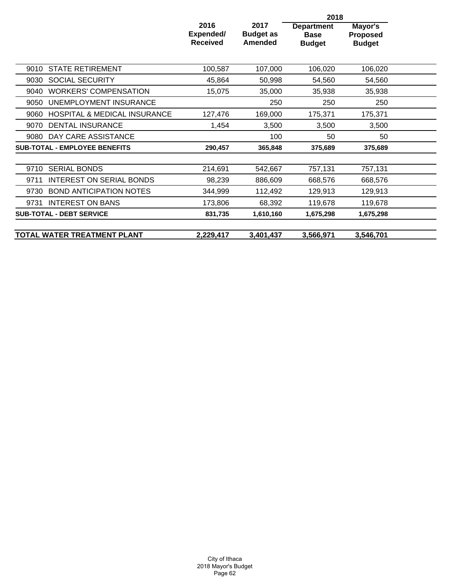|                                                 | 2018                                 |                                     |                                                   |                                      |  |
|-------------------------------------------------|--------------------------------------|-------------------------------------|---------------------------------------------------|--------------------------------------|--|
|                                                 | 2016<br>Expended/<br><b>Received</b> | 2017<br><b>Budget as</b><br>Amended | <b>Department</b><br><b>Base</b><br><b>Budget</b> | Mayor's<br>Proposed<br><b>Budget</b> |  |
| <b>STATE RETIREMENT</b><br>9010                 | 100,587                              | 107,000                             | 106,020                                           | 106,020                              |  |
| <b>SOCIAL SECURITY</b><br>9030                  | 45,864                               | 50,998                              | 54,560                                            | 54,560                               |  |
| <b>WORKERS' COMPENSATION</b><br>9040            | 15,075                               | 35,000                              | 35,938                                            | 35,938                               |  |
| UNEMPLOYMENT INSURANCE<br>9050                  |                                      | 250                                 | 250                                               | 250                                  |  |
| <b>HOSPITAL &amp; MEDICAL INSURANCE</b><br>9060 | 127,476                              | 169,000                             | 175,371                                           | 175,371                              |  |
| <b>DENTAL INSURANCE</b><br>9070                 | 1,454                                | 3,500                               | 3,500                                             | 3,500                                |  |
| DAY CARE ASSISTANCE<br>9080                     |                                      | 100                                 | 50                                                | 50                                   |  |
| <b>SUB-TOTAL - EMPLOYEE BENEFITS</b>            | 290,457                              | 365,848                             | 375,689                                           | 375,689                              |  |
| <b>SERIAL BONDS</b><br>9710                     | 214,691                              | 542,667                             | 757,131                                           | 757,131                              |  |
| <b>INTEREST ON SERIAL BONDS</b><br>9711         | 98,239                               | 886,609                             | 668,576                                           | 668,576                              |  |
| <b>BOND ANTICIPATION NOTES</b><br>9730          | 344,999                              | 112,492                             | 129,913                                           | 129,913                              |  |
| <b>INTEREST ON BANS</b><br>9731                 | 173,806                              | 68,392                              | 119,678                                           | 119,678                              |  |
| <b>SUB-TOTAL - DEBT SERVICE</b>                 | 831,735                              | 1,610,160                           | 1,675,298                                         | 1,675,298                            |  |
| TOTAL WATER TREATMENT PLANT                     | 2,229,417                            | 3,401,437                           | 3,566,971                                         | 3,546,701                            |  |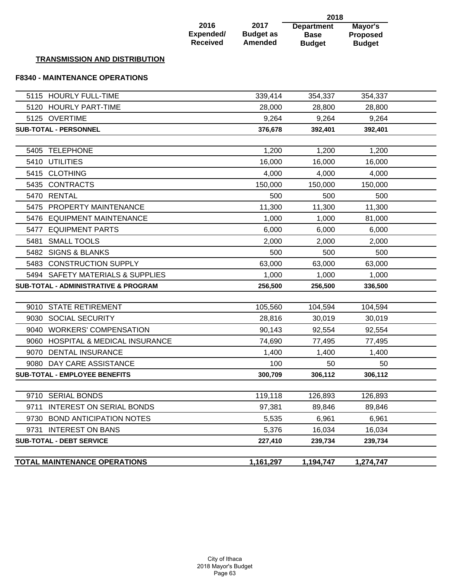|                                                 |                                      |                                     | 2018                                              |                                             |  |
|-------------------------------------------------|--------------------------------------|-------------------------------------|---------------------------------------------------|---------------------------------------------|--|
|                                                 | 2016<br>Expended/<br><b>Received</b> | 2017<br><b>Budget as</b><br>Amended | <b>Department</b><br><b>Base</b><br><b>Budget</b> | Mayor's<br><b>Proposed</b><br><b>Budget</b> |  |
| <b>TRANSMISSION AND DISTRIBUTION</b>            |                                      |                                     |                                                   |                                             |  |
| <b>F8340 - MAINTENANCE OPERATIONS</b>           |                                      |                                     |                                                   |                                             |  |
| 5115 HOURLY FULL-TIME                           |                                      | 339,414                             | 354,337                                           | 354,337                                     |  |
| 5120 HOURLY PART-TIME                           |                                      | 28,000                              | 28,800                                            | 28,800                                      |  |
| 5125 OVERTIME                                   |                                      | 9,264                               | 9,264                                             | 9,264                                       |  |
| <b>SUB-TOTAL - PERSONNEL</b>                    |                                      | 376,678                             | 392,401                                           | 392,401                                     |  |
|                                                 |                                      |                                     |                                                   |                                             |  |
| <b>TELEPHONE</b><br>5405                        |                                      | 1,200                               | 1,200                                             | 1,200                                       |  |
| 5410 UTILITIES                                  |                                      | 16,000                              | 16,000                                            | 16,000                                      |  |
| 5415 CLOTHING                                   |                                      | 4,000                               | 4,000                                             | 4,000                                       |  |
| 5435 CONTRACTS                                  |                                      | 150,000                             | 150,000                                           | 150,000                                     |  |
| 5470 RENTAL                                     |                                      | 500                                 | 500                                               | 500                                         |  |
| 5475 PROPERTY MAINTENANCE                       |                                      | 11,300                              | 11,300                                            | 11,300                                      |  |
| 5476 EQUIPMENT MAINTENANCE                      |                                      | 1,000                               | 1,000                                             | 81,000                                      |  |
| <b>EQUIPMENT PARTS</b><br>5477                  |                                      | 6,000                               | 6,000                                             | 6,000                                       |  |
| <b>SMALL TOOLS</b><br>5481                      |                                      | 2,000                               | 2,000                                             | 2,000                                       |  |
| 5482 SIGNS & BLANKS                             |                                      | 500                                 | 500                                               | 500                                         |  |
| <b>CONSTRUCTION SUPPLY</b><br>5483              |                                      | 63,000                              | 63,000                                            | 63,000                                      |  |
| 5494 SAFETY MATERIALS & SUPPLIES                |                                      | 1,000                               | 1,000                                             | 1,000                                       |  |
| <b>SUB-TOTAL - ADMINISTRATIVE &amp; PROGRAM</b> |                                      | 256,500                             | 256,500                                           | 336,500                                     |  |
| 9010 STATE RETIREMENT                           |                                      | 105,560                             | 104,594                                           | 104,594                                     |  |
| 9030 SOCIAL SECURITY                            |                                      | 28,816                              | 30,019                                            | 30,019                                      |  |
| 9040 WORKERS' COMPENSATION                      |                                      | 90,143                              | 92,554                                            | 92,554                                      |  |
| 9060 HOSPITAL & MEDICAL INSURANCE               |                                      | 74,690                              | 77,495                                            | 77,495                                      |  |
| <b>DENTAL INSURANCE</b><br>9070                 |                                      | 1,400                               | 1,400                                             | 1,400                                       |  |
| 9080 DAY CARE ASSISTANCE                        |                                      | 100                                 | 50                                                | 50                                          |  |
| <b>SUB-TOTAL - EMPLOYEE BENEFITS</b>            |                                      | 300,709                             | 306,112                                           | 306,112                                     |  |
|                                                 |                                      |                                     |                                                   |                                             |  |
| 9710 SERIAL BONDS                               |                                      | 119,118                             | 126,893                                           | 126,893                                     |  |
| <b>INTEREST ON SERIAL BONDS</b><br>9711         |                                      | 97,381                              | 89,846                                            | 89,846                                      |  |
| <b>BOND ANTICIPATION NOTES</b><br>9730          |                                      | 5,535                               | 6,961                                             | 6,961                                       |  |
| <b>INTEREST ON BANS</b><br>9731                 |                                      | 5,376                               | 16,034                                            | 16,034                                      |  |
| <b>SUB-TOTAL - DEBT SERVICE</b>                 |                                      | 227,410                             | 239,734                                           | 239,734                                     |  |
| <b>TOTAL MAINTENANCE OPERATIONS</b>             |                                      | 1,161,297                           | 1,194,747                                         | 1,274,747                                   |  |
|                                                 |                                      |                                     |                                                   |                                             |  |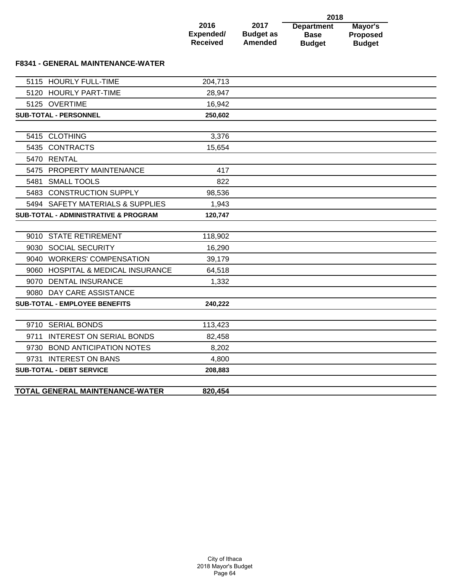|                 |                  | 2018              |                 |  |  |
|-----------------|------------------|-------------------|-----------------|--|--|
| 2016            | 2017             | <b>Department</b> | Mayor's         |  |  |
| Expended/       | <b>Budget as</b> | <b>Base</b>       | <b>Proposed</b> |  |  |
| <b>Received</b> | <b>Amended</b>   | <b>Budget</b>     | <b>Budget</b>   |  |  |

### **F8341 - GENERAL MAINTENANCE-WATER**

|      | 5115 HOURLY FULL-TIME                           | 204,713 |  |
|------|-------------------------------------------------|---------|--|
|      | 5120 HOURLY PART-TIME                           | 28,947  |  |
|      | 5125 OVERTIME                                   | 16,942  |  |
|      | <b>SUB-TOTAL - PERSONNEL</b>                    | 250,602 |  |
|      |                                                 |         |  |
|      | 5415 CLOTHING                                   | 3,376   |  |
|      | 5435 CONTRACTS                                  | 15,654  |  |
|      | 5470 RENTAL                                     |         |  |
|      | 5475 PROPERTY MAINTENANCE                       | 417     |  |
|      | 5481 SMALL TOOLS                                | 822     |  |
|      | 5483 CONSTRUCTION SUPPLY                        | 98,536  |  |
|      | 5494 SAFETY MATERIALS & SUPPLIES                | 1,943   |  |
|      | <b>SUB-TOTAL - ADMINISTRATIVE &amp; PROGRAM</b> | 120,747 |  |
|      |                                                 |         |  |
|      | 9010 STATE RETIREMENT                           | 118,902 |  |
|      | 9030 SOCIAL SECURITY                            | 16,290  |  |
|      | 9040 WORKERS' COMPENSATION                      | 39,179  |  |
|      | 9060 HOSPITAL & MEDICAL INSURANCE               | 64,518  |  |
|      | 9070 DENTAL INSURANCE                           | 1,332   |  |
|      | 9080 DAY CARE ASSISTANCE                        |         |  |
|      | <b>SUB-TOTAL - EMPLOYEE BENEFITS</b>            | 240,222 |  |
|      |                                                 |         |  |
|      | 9710 SERIAL BONDS                               | 113,423 |  |
| 9711 | <b>INTEREST ON SERIAL BONDS</b>                 | 82,458  |  |
|      | 9730 BOND ANTICIPATION NOTES                    | 8,202   |  |
|      | 9731 INTEREST ON BANS                           | 4,800   |  |
|      | <b>SUB-TOTAL - DEBT SERVICE</b>                 | 208,883 |  |
|      |                                                 |         |  |
|      | TOTAL GENERAL MAINTENANCE-WATER                 | 820,454 |  |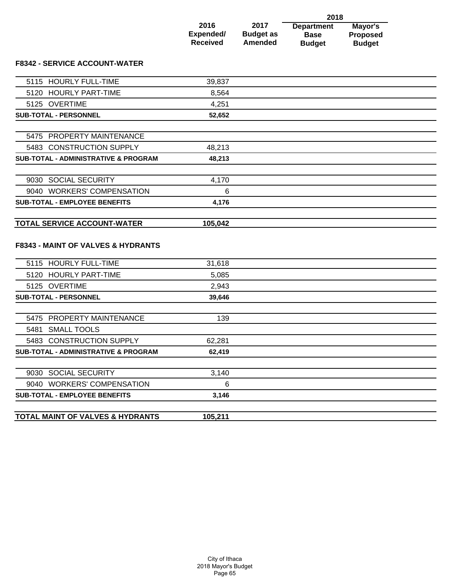|                 |                  | 2018              |                 |  |  |
|-----------------|------------------|-------------------|-----------------|--|--|
| 2016            | 2017             | <b>Department</b> | Mayor's         |  |  |
| Expended/       | <b>Budget as</b> | <b>Base</b>       | <b>Proposed</b> |  |  |
| <b>Received</b> | <b>Amended</b>   | <b>Budget</b>     | <b>Budget</b>   |  |  |

### **F8342 - SERVICE ACCOUNT-WATER**

| <b>SUB-TOTAL - EMPLOYEE BENEFITS</b>                                                | 3,146   |  |
|-------------------------------------------------------------------------------------|---------|--|
| 9040 WORKERS' COMPENSATION                                                          | 6       |  |
| 9030 SOCIAL SECURITY                                                                | 3,140   |  |
|                                                                                     |         |  |
| <b>SUB-TOTAL - ADMINISTRATIVE &amp; PROGRAM</b>                                     | 62,419  |  |
| 5483 CONSTRUCTION SUPPLY                                                            | 62,281  |  |
| 5481 SMALL TOOLS                                                                    |         |  |
| 5475 PROPERTY MAINTENANCE                                                           | 139     |  |
| <b>SUB-TOTAL - PERSONNEL</b>                                                        | 39,646  |  |
| 5125 OVERTIME                                                                       | 2,943   |  |
| 5120 HOURLY PART-TIME                                                               | 5,085   |  |
| 5115 HOURLY FULL-TIME                                                               | 31,618  |  |
| <b>TOTAL SERVICE ACCOUNT-WATER</b><br><b>F8343 - MAINT OF VALVES &amp; HYDRANTS</b> | 105,042 |  |
|                                                                                     |         |  |
| <b>SUB-TOTAL - EMPLOYEE BENEFITS</b>                                                | 4,176   |  |
| 9040 WORKERS' COMPENSATION                                                          | 6       |  |
| 9030 SOCIAL SECURITY                                                                | 4,170   |  |
| SUB-TOTAL - ADMINISTRATIVE & PROGRAM                                                | 48,213  |  |
| 5483 CONSTRUCTION SUPPLY                                                            | 48,213  |  |
| 5475 PROPERTY MAINTENANCE                                                           |         |  |
|                                                                                     |         |  |
| <b>SUB-TOTAL - PERSONNEL</b>                                                        | 52,652  |  |
| 5125 OVERTIME                                                                       | 4,251   |  |
| 5120 HOURLY PART-TIME                                                               | 8,564   |  |
| 5115 HOURLY FULL-TIME                                                               | 39,837  |  |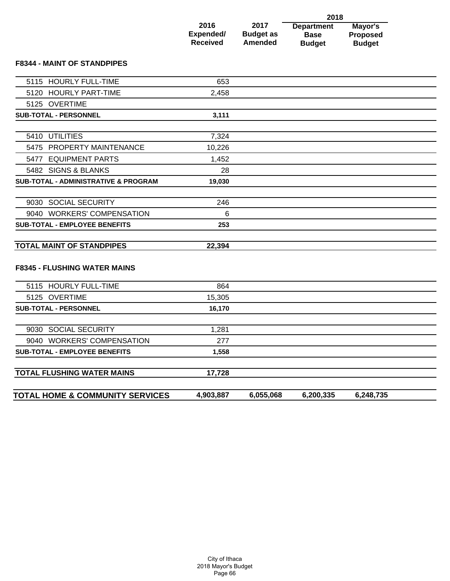|                 |                  | 2018              |                 |  |  |
|-----------------|------------------|-------------------|-----------------|--|--|
| 2016            | 2017             | <b>Department</b> | Mayor's         |  |  |
| Expended/       | <b>Budget as</b> | <b>Base</b>       | <b>Proposed</b> |  |  |
| <b>Received</b> | <b>Amended</b>   | <b>Budget</b>     | <b>Budget</b>   |  |  |

### **F8344 - MAINT OF STANDPIPES**

| 5115 HOURLY FULL-TIME                           | 653    |  |
|-------------------------------------------------|--------|--|
| 5120 HOURLY PART-TIME                           | 2,458  |  |
| 5125 OVERTIME                                   |        |  |
| <b>SUB-TOTAL - PERSONNEL</b>                    | 3,111  |  |
|                                                 |        |  |
| 5410 UTILITIES                                  | 7,324  |  |
| 5475 PROPERTY MAINTENANCE                       | 10,226 |  |
| 5477 EQUIPMENT PARTS                            | 1,452  |  |
| 5482 SIGNS & BLANKS                             | 28     |  |
| <b>SUB-TOTAL - ADMINISTRATIVE &amp; PROGRAM</b> | 19,030 |  |
|                                                 |        |  |
| 9030 SOCIAL SECURITY                            | 246    |  |
| 9040 WORKERS' COMPENSATION                      | 6      |  |
| <b>SUB-TOTAL - EMPLOYEE BENEFITS</b>            | 253    |  |
|                                                 |        |  |
| <b>TOTAL MAINT OF STANDPIPES</b>                | 22,394 |  |
|                                                 |        |  |
| <b>F8345 - FLUSHING WATER MAINS</b>             |        |  |
|                                                 |        |  |
| 5115 HOURLY FULL-TIME                           | 864    |  |
| 5125 OVERTIME                                   | 15,305 |  |
| <b>SUB-TOTAL - PERSONNEL</b>                    | 16,170 |  |
|                                                 |        |  |
| 9030 SOCIAL SECURITY                            | 1,281  |  |
| 9040 WORKERS' COMPENSATION                      | 277    |  |
| <b>SUB-TOTAL - EMPLOYEE BENEFITS</b>            | 1,558  |  |
|                                                 |        |  |
|                                                 |        |  |
| <b>TOTAL FLUSHING WATER MAINS</b>               | 17,728 |  |

| <b>TOTAL HOME &amp; COMMUNITY SERVICES</b><br>6,055,068<br>6,248,735<br>4,903,887<br>6,200,335 |
|------------------------------------------------------------------------------------------------|
|------------------------------------------------------------------------------------------------|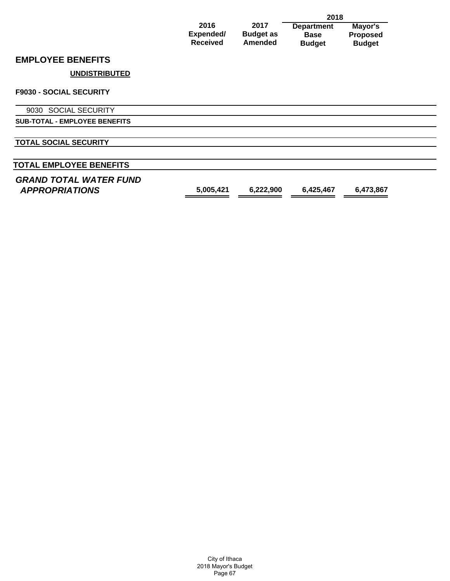|                                                        |                   | 2018                     |                                  |                     |
|--------------------------------------------------------|-------------------|--------------------------|----------------------------------|---------------------|
|                                                        | 2016<br>Expended/ | 2017<br><b>Budget as</b> | <b>Department</b><br><b>Base</b> | Mayor's<br>Proposed |
|                                                        | <b>Received</b>   | <b>Amended</b>           | <b>Budget</b>                    | <b>Budget</b>       |
| <b>EMPLOYEE BENEFITS</b>                               |                   |                          |                                  |                     |
| <b>UNDISTRIBUTED</b>                                   |                   |                          |                                  |                     |
| <b>F9030 - SOCIAL SECURITY</b>                         |                   |                          |                                  |                     |
| 9030 SOCIAL SECURITY                                   |                   |                          |                                  |                     |
| <b>SUB-TOTAL - EMPLOYEE BENEFITS</b>                   |                   |                          |                                  |                     |
| <b>TOTAL SOCIAL SECURITY</b>                           |                   |                          |                                  |                     |
| <b>TOTAL EMPLOYEE BENEFITS</b>                         |                   |                          |                                  |                     |
| <b>GRAND TOTAL WATER FUND</b><br><b>APPROPRIATIONS</b> | 5,005,421         | 6,222,900                | 6,425,467                        | 6,473,867           |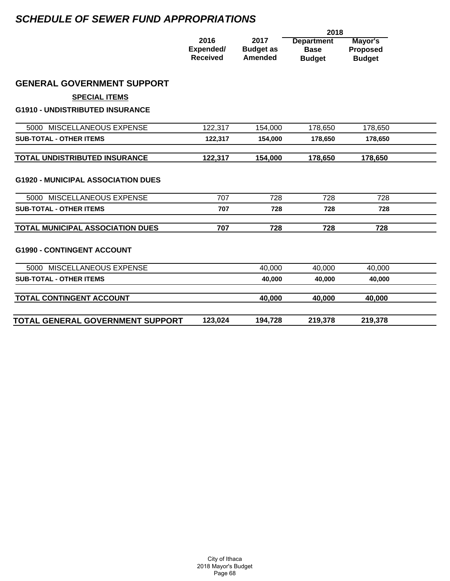# *SCHEDULE OF SEWER FUND APPROPRIATIONS*

|                                           |                                      |                                            | 2018                                              |                                             |  |
|-------------------------------------------|--------------------------------------|--------------------------------------------|---------------------------------------------------|---------------------------------------------|--|
|                                           | 2016<br>Expended/<br><b>Received</b> | 2017<br><b>Budget as</b><br><b>Amended</b> | <b>Department</b><br><b>Base</b><br><b>Budget</b> | Mayor's<br><b>Proposed</b><br><b>Budget</b> |  |
| <b>GENERAL GOVERNMENT SUPPORT</b>         |                                      |                                            |                                                   |                                             |  |
| <b>SPECIAL ITEMS</b>                      |                                      |                                            |                                                   |                                             |  |
| <b>G1910 - UNDISTRIBUTED INSURANCE</b>    |                                      |                                            |                                                   |                                             |  |
| 5000 MISCELLANEOUS EXPENSE                | 122,317                              | 154,000                                    | 178,650                                           | 178,650                                     |  |
| <b>SUB-TOTAL - OTHER ITEMS</b>            | 122,317                              | 154,000                                    | 178,650                                           | 178,650                                     |  |
| TOTAL UNDISTRIBUTED INSURANCE             | 122,317                              | 154,000                                    | 178,650                                           | 178,650                                     |  |
| <b>G1920 - MUNICIPAL ASSOCIATION DUES</b> |                                      |                                            |                                                   |                                             |  |
| 5000 MISCELLANEOUS EXPENSE                | 707                                  | 728                                        | 728                                               | 728                                         |  |
| <b>SUB-TOTAL - OTHER ITEMS</b>            | 707                                  | 728                                        | 728                                               | 728                                         |  |
| <b>TOTAL MUNICIPAL ASSOCIATION DUES</b>   | 707                                  | 728                                        | 728                                               | 728                                         |  |
| <b>G1990 - CONTINGENT ACCOUNT</b>         |                                      |                                            |                                                   |                                             |  |
| 5000 MISCELLANEOUS EXPENSE                |                                      | 40,000                                     | 40,000                                            | 40,000                                      |  |
| <b>SUB-TOTAL - OTHER ITEMS</b>            |                                      | 40,000                                     | 40,000                                            | 40,000                                      |  |
| TOTAL CONTINGENT ACCOUNT                  |                                      | 40,000                                     | 40,000                                            | 40,000                                      |  |
| TOTAL GENERAL GOVERNMENT SUPPORT          | 123,024                              | 194,728                                    | 219,378                                           | 219,378                                     |  |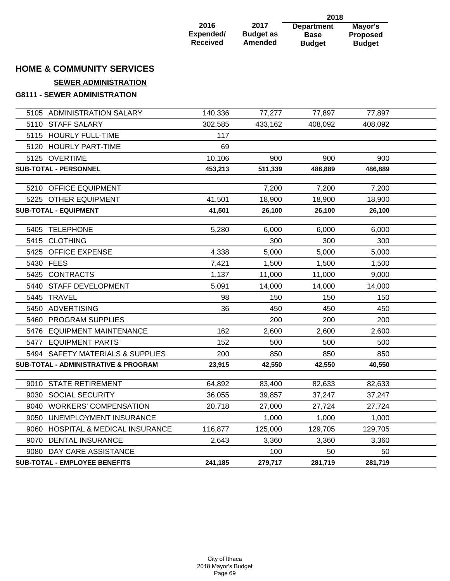| 2016            | 2017             |
|-----------------|------------------|
| Expended/       | <b>Budget as</b> |
| <b>Received</b> | <b>Amended</b>   |

**Department Base Budget 2018 Mayor's Proposed Budget**

# **HOME & COMMUNITY SERVICES**

## **SEWER ADMINISTRATION**

### **G8111 - SEWER ADMINISTRATION**

| 5105 ADMINISTRATION SALARY           | 140,336 | 77,277  | 77,897  | 77,897  |  |
|--------------------------------------|---------|---------|---------|---------|--|
| 5110 STAFF SALARY                    | 302,585 | 433,162 | 408,092 | 408,092 |  |
| 5115 HOURLY FULL-TIME                | 117     |         |         |         |  |
| 5120 HOURLY PART-TIME                | 69      |         |         |         |  |
| 5125 OVERTIME                        | 10,106  | 900     | 900     | 900     |  |
| <b>SUB-TOTAL - PERSONNEL</b>         | 453,213 | 511,339 | 486,889 | 486,889 |  |
|                                      |         |         |         |         |  |
| 5210 OFFICE EQUIPMENT                |         | 7,200   | 7,200   | 7,200   |  |
| 5225 OTHER EQUIPMENT                 | 41,501  | 18,900  | 18,900  | 18,900  |  |
| <b>SUB-TOTAL - EQUIPMENT</b>         | 41,501  | 26,100  | 26,100  | 26,100  |  |
| 5405 TELEPHONE                       | 5,280   | 6,000   | 6,000   | 6,000   |  |
| 5415 CLOTHING                        |         | 300     | 300     | 300     |  |
| 5425 OFFICE EXPENSE                  | 4,338   | 5,000   | 5,000   | 5,000   |  |
| 5430 FEES                            | 7,421   | 1,500   | 1,500   | 1,500   |  |
| 5435 CONTRACTS                       | 1,137   | 11,000  | 11,000  | 9,000   |  |
| 5440 STAFF DEVELOPMENT               | 5,091   | 14,000  | 14,000  | 14,000  |  |
| 5445 TRAVEL                          | 98      | 150     | 150     | 150     |  |
| 5450 ADVERTISING                     | 36      | 450     | 450     | 450     |  |
| 5460 PROGRAM SUPPLIES                |         | 200     | 200     | 200     |  |
| 5476 EQUIPMENT MAINTENANCE           | 162     | 2,600   | 2,600   | 2,600   |  |
| 5477 EQUIPMENT PARTS                 | 152     | 500     | 500     | 500     |  |
| 5494 SAFETY MATERIALS & SUPPLIES     | 200     | 850     | 850     | 850     |  |
| SUB-TOTAL - ADMINISTRATIVE & PROGRAM | 23,915  | 42,550  | 42,550  | 40,550  |  |
|                                      |         |         |         |         |  |
| 9010 STATE RETIREMENT                | 64,892  | 83,400  | 82,633  | 82,633  |  |
| 9030 SOCIAL SECURITY                 | 36,055  | 39,857  | 37,247  | 37,247  |  |
| 9040 WORKERS' COMPENSATION           | 20,718  | 27,000  | 27,724  | 27,724  |  |
| 9050 UNEMPLOYMENT INSURANCE          |         | 1,000   | 1,000   | 1,000   |  |
| 9060 HOSPITAL & MEDICAL INSURANCE    | 116,877 | 125,000 | 129,705 | 129,705 |  |
| 9070 DENTAL INSURANCE                | 2,643   | 3,360   | 3,360   | 3,360   |  |
| 9080 DAY CARE ASSISTANCE             |         | 100     | 50      | 50      |  |
| <b>SUB-TOTAL - EMPLOYEE BENEFITS</b> | 241,185 | 279,717 | 281,719 | 281,719 |  |
|                                      |         |         |         |         |  |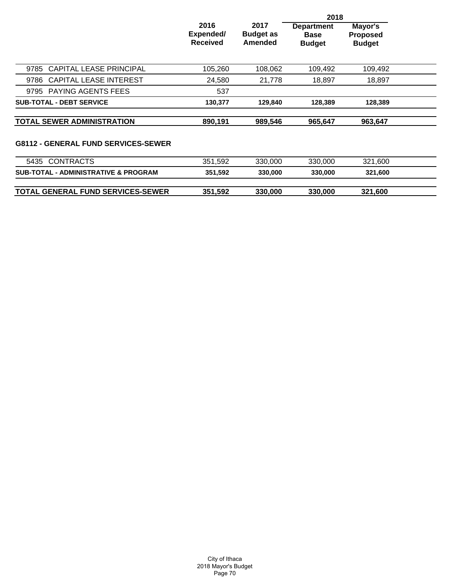|                                                 |                                      | 2018                                |                                                   |                                             |  |
|-------------------------------------------------|--------------------------------------|-------------------------------------|---------------------------------------------------|---------------------------------------------|--|
|                                                 | 2016<br>Expended/<br><b>Received</b> | 2017<br><b>Budget as</b><br>Amended | <b>Department</b><br><b>Base</b><br><b>Budget</b> | Mayor's<br><b>Proposed</b><br><b>Budget</b> |  |
| <b>CAPITAL LEASE PRINCIPAL</b><br>9785          | 105,260                              | 108,062                             | 109,492                                           | 109,492                                     |  |
| <b>CAPITAL LEASE INTEREST</b><br>9786           | 24,580                               | 21,778                              | 18,897                                            | 18,897                                      |  |
| 9795 PAYING AGENTS FEES                         | 537                                  |                                     |                                                   |                                             |  |
| <b>SUB-TOTAL - DEBT SERVICE</b>                 | 130,377                              | 129,840                             | 128,389                                           | 128,389                                     |  |
| <b>TOTAL SEWER ADMINISTRATION</b>               | 890,191                              | 989,546                             | 965,647                                           | 963.647                                     |  |
| <b>G8112 - GENERAL FUND SERVICES-SEWER</b>      |                                      |                                     |                                                   |                                             |  |
| 5435 CONTRACTS                                  | 351,592                              | 330,000                             | 330,000                                           | 321,600                                     |  |
| <b>SUB-TOTAL - ADMINISTRATIVE &amp; PROGRAM</b> | 351,592                              | 330,000                             | 330,000                                           | 321,600                                     |  |
| TOTAL GENERAL FUND SERVICES-SEWER               | 351,592                              | 330,000                             | 330,000                                           | 321,600                                     |  |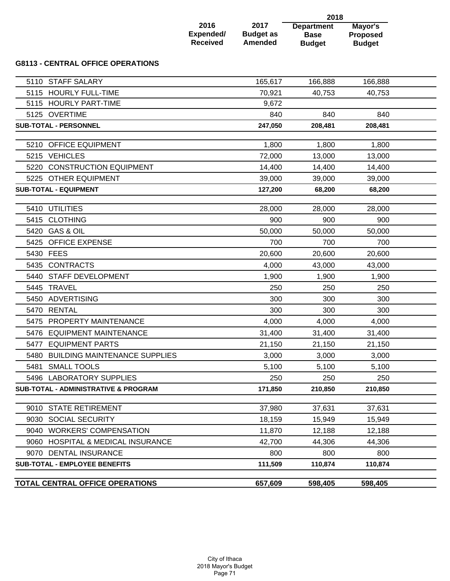|      |                                                 |                                      | 2018                                       |                                                   |                                             |  |
|------|-------------------------------------------------|--------------------------------------|--------------------------------------------|---------------------------------------------------|---------------------------------------------|--|
|      |                                                 | 2016<br>Expended/<br><b>Received</b> | 2017<br><b>Budget as</b><br><b>Amended</b> | <b>Department</b><br><b>Base</b><br><b>Budget</b> | Mayor's<br><b>Proposed</b><br><b>Budget</b> |  |
|      | <b>G8113 - CENTRAL OFFICE OPERATIONS</b>        |                                      |                                            |                                                   |                                             |  |
|      | 5110 STAFF SALARY                               |                                      | 165,617                                    | 166,888                                           | 166,888                                     |  |
| 5115 | <b>HOURLY FULL-TIME</b>                         |                                      | 70,921                                     | 40,753                                            | 40,753                                      |  |
| 5115 | <b>HOURLY PART-TIME</b>                         |                                      | 9,672                                      |                                                   |                                             |  |
|      | 5125 OVERTIME                                   |                                      | 840                                        | 840                                               | 840                                         |  |
|      | <b>SUB-TOTAL - PERSONNEL</b>                    |                                      | 247,050                                    | 208,481                                           | 208,481                                     |  |
|      | 5210 OFFICE EQUIPMENT                           |                                      | 1,800                                      | 1,800                                             | 1,800                                       |  |
|      | 5215 VEHICLES                                   |                                      | 72,000                                     | 13,000                                            | 13,000                                      |  |
|      | 5220 CONSTRUCTION EQUIPMENT                     |                                      | 14,400                                     | 14,400                                            | 14,400                                      |  |
|      | 5225 OTHER EQUIPMENT                            |                                      | 39,000                                     | 39,000                                            | 39,000                                      |  |
|      | <b>SUB-TOTAL - EQUIPMENT</b>                    |                                      | 127,200                                    | 68,200                                            | 68,200                                      |  |
| 5410 | <b>UTILITIES</b>                                |                                      | 28,000                                     | 28,000                                            | 28,000                                      |  |
|      | 5415 CLOTHING                                   |                                      | 900                                        | 900                                               | 900                                         |  |
|      | 5420 GAS & OIL                                  |                                      | 50,000                                     | 50,000                                            | 50,000                                      |  |
| 5425 | <b>OFFICE EXPENSE</b>                           |                                      | 700                                        | 700                                               | 700                                         |  |
|      | 5430 FEES                                       |                                      | 20,600                                     | 20,600                                            | 20,600                                      |  |
|      | 5435 CONTRACTS                                  |                                      | 4,000                                      | 43,000                                            | 43,000                                      |  |
| 5440 | STAFF DEVELOPMENT                               |                                      | 1,900                                      | 1,900                                             | 1,900                                       |  |
| 5445 | <b>TRAVEL</b>                                   |                                      | 250                                        | 250                                               | 250                                         |  |
|      | 5450 ADVERTISING                                |                                      | 300                                        | 300                                               | 300                                         |  |
|      | 5470 RENTAL                                     |                                      | 300                                        | 300                                               | 300                                         |  |
| 5475 | PROPERTY MAINTENANCE                            |                                      | 4,000                                      | 4,000                                             | 4,000                                       |  |
|      | 5476 EQUIPMENT MAINTENANCE                      |                                      | 31,400                                     | 31,400                                            | 31,400                                      |  |
| 5477 | <b>EQUIPMENT PARTS</b>                          |                                      | 21,150                                     | 21,150                                            | 21,150                                      |  |
| 5480 | <b>BUILDING MAINTENANCE SUPPLIES</b>            |                                      | 3,000                                      | 3,000                                             | 3,000                                       |  |
| 5481 | <b>SMALL TOOLS</b>                              |                                      | 5,100                                      | 5,100                                             | 5,100                                       |  |
|      | 5496 LABORATORY SUPPLIES                        |                                      | 250                                        | 250                                               | 250                                         |  |
|      | <b>SUB-TOTAL - ADMINISTRATIVE &amp; PROGRAM</b> |                                      | 171,850                                    | 210,850                                           | 210,850                                     |  |
|      | 9010 STATE RETIREMENT                           |                                      | 37,980                                     | 37,631                                            | 37,631                                      |  |
|      | 9030 SOCIAL SECURITY                            |                                      | 18,159                                     | 15,949                                            | 15,949                                      |  |
|      | 9040 WORKERS' COMPENSATION                      |                                      | 11,870                                     | 12,188                                            | 12,188                                      |  |
|      | 9060 HOSPITAL & MEDICAL INSURANCE               |                                      | 42,700                                     | 44,306                                            | 44,306                                      |  |
|      | 9070 DENTAL INSURANCE                           |                                      | 800                                        | 800                                               | 800                                         |  |
|      | <b>SUB-TOTAL - EMPLOYEE BENEFITS</b>            |                                      | 111,509                                    | 110,874                                           | 110,874                                     |  |
|      | TOTAL CENTRAL OFFICE OPERATIONS                 |                                      | 657,609                                    | 598,405                                           | 598,405                                     |  |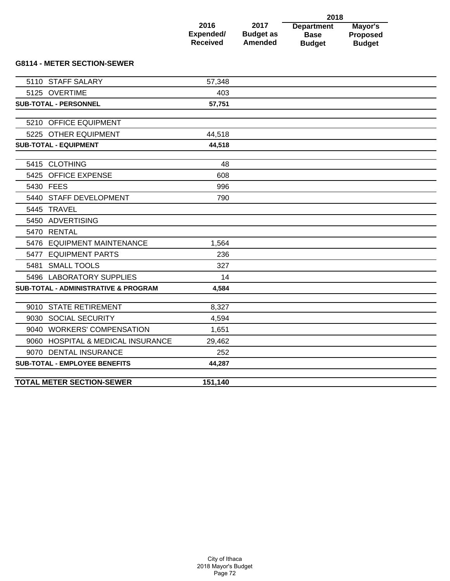|                                                 |                                      |                                            | 2018                                              |                                             |
|-------------------------------------------------|--------------------------------------|--------------------------------------------|---------------------------------------------------|---------------------------------------------|
|                                                 | 2016<br>Expended/<br><b>Received</b> | 2017<br><b>Budget as</b><br><b>Amended</b> | <b>Department</b><br><b>Base</b><br><b>Budget</b> | Mayor's<br><b>Proposed</b><br><b>Budget</b> |
| <b>G8114 - METER SECTION-SEWER</b>              |                                      |                                            |                                                   |                                             |
| <b>STAFF SALARY</b><br>5110                     | 57,348                               |                                            |                                                   |                                             |
| 5125 OVERTIME                                   | 403                                  |                                            |                                                   |                                             |
| <b>SUB-TOTAL - PERSONNEL</b>                    | 57,751                               |                                            |                                                   |                                             |
| 5210 OFFICE EQUIPMENT                           |                                      |                                            |                                                   |                                             |
| 5225 OTHER EQUIPMENT                            | 44,518                               |                                            |                                                   |                                             |
| <b>SUB-TOTAL - EQUIPMENT</b>                    | 44,518                               |                                            |                                                   |                                             |
|                                                 |                                      |                                            |                                                   |                                             |
| 5415 CLOTHING                                   | 48                                   |                                            |                                                   |                                             |
| OFFICE EXPENSE<br>5425                          | 608                                  |                                            |                                                   |                                             |
| 5430 FEES                                       | 996                                  |                                            |                                                   |                                             |
| <b>STAFF DEVELOPMENT</b><br>5440                | 790                                  |                                            |                                                   |                                             |
| <b>TRAVEL</b><br>5445                           |                                      |                                            |                                                   |                                             |
| ADVERTISING<br>5450                             |                                      |                                            |                                                   |                                             |
| 5470 RENTAL                                     |                                      |                                            |                                                   |                                             |
| <b>EQUIPMENT MAINTENANCE</b><br>5476            | 1,564                                |                                            |                                                   |                                             |
| 5477 EQUIPMENT PARTS                            | 236                                  |                                            |                                                   |                                             |
| <b>SMALL TOOLS</b><br>5481                      | 327                                  |                                            |                                                   |                                             |
| 5496 LABORATORY SUPPLIES                        | 14                                   |                                            |                                                   |                                             |
| <b>SUB-TOTAL - ADMINISTRATIVE &amp; PROGRAM</b> | 4,584                                |                                            |                                                   |                                             |
|                                                 |                                      |                                            |                                                   |                                             |
| 9010 STATE RETIREMENT                           | 8,327                                |                                            |                                                   |                                             |
| 9030 SOCIAL SECURITY                            | 4,594                                |                                            |                                                   |                                             |
| 9040 WORKERS' COMPENSATION                      | 1,651                                |                                            |                                                   |                                             |
| 9060 HOSPITAL & MEDICAL INSURANCE               | 29.462                               |                                            |                                                   |                                             |

| <b>TOTAL METER SECTION-SEWER</b> | 140 |  |
|----------------------------------|-----|--|
|                                  |     |  |

9070 DENTAL INSURANCE 252 **SUB-TOTAL - EMPLOYEE BENEFITS 44,287**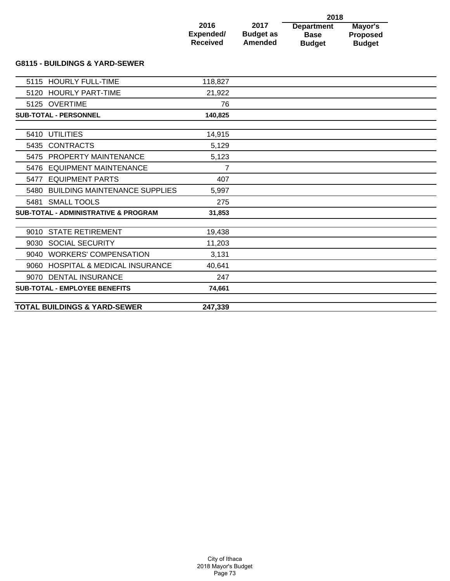|                              |                             | 2018                         |                                  |
|------------------------------|-----------------------------|------------------------------|----------------------------------|
| 2016                         | 2017                        | <b>Department</b>            | Mayor's                          |
| Expended/<br><b>Received</b> | <b>Budget as</b><br>Amended | <b>Base</b><br><b>Budget</b> | <b>Proposed</b><br><b>Budget</b> |
|                              |                             |                              |                                  |

### **G8115 - BUILDINGS & YARD-SEWER**

| 5115 HOURLY FULL-TIME                           | 118,827        |  |
|-------------------------------------------------|----------------|--|
| 5120 HOURLY PART-TIME                           | 21,922         |  |
| 5125 OVERTIME                                   | 76             |  |
| <b>SUB-TOTAL - PERSONNEL</b>                    | 140,825        |  |
|                                                 |                |  |
| 5410 UTILITIES                                  | 14,915         |  |
| 5435 CONTRACTS                                  | 5,129          |  |
| 5475 PROPERTY MAINTENANCE                       | 5,123          |  |
| 5476 EQUIPMENT MAINTENANCE                      | $\overline{7}$ |  |
| 5477 EQUIPMENT PARTS                            | 407            |  |
| 5480 BUILDING MAINTENANCE SUPPLIES              | 5,997          |  |
| 5481 SMALL TOOLS                                | 275            |  |
| <b>SUB-TOTAL - ADMINISTRATIVE &amp; PROGRAM</b> | 31,853         |  |
|                                                 |                |  |
| <b>STATE RETIREMENT</b><br>9010                 | 19,438         |  |
| 9030 SOCIAL SECURITY                            | 11,203         |  |
| 9040 WORKERS' COMPENSATION                      | 3,131          |  |
| 9060 HOSPITAL & MEDICAL INSURANCE               | 40.641         |  |
| 9070 DENTAL INSURANCE                           | 247            |  |
| <b>SUB-TOTAL - EMPLOYEE BENEFITS</b>            | 74,661         |  |
|                                                 |                |  |
| <b>TOTAL BUILDINGS &amp; YARD-SEWER</b>         | 247,339        |  |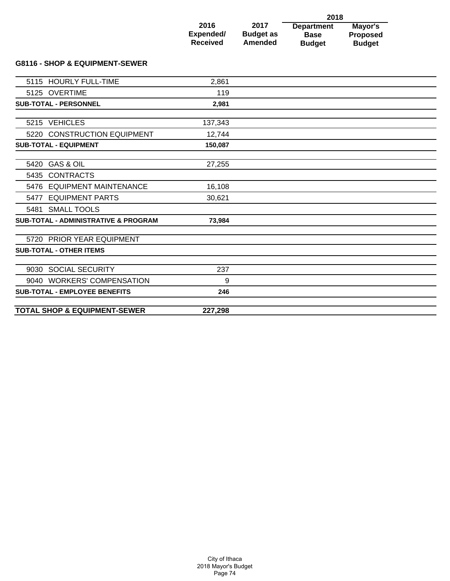|                 |                  | 2018              |                 |
|-----------------|------------------|-------------------|-----------------|
| 2016            | 2017             | <b>Department</b> | Mayor's         |
| Expended/       | <b>Budget as</b> | <b>Base</b>       | <b>Proposed</b> |
| <b>Received</b> | <b>Amended</b>   | <b>Budget</b>     | <b>Budget</b>   |

### **G8116 - SHOP & EQUIPMENT-SEWER**

| 5115 HOURLY FULL-TIME                           | 2,861   |  |
|-------------------------------------------------|---------|--|
| 5125 OVERTIME                                   | 119     |  |
| <b>SUB-TOTAL - PERSONNEL</b>                    | 2,981   |  |
|                                                 |         |  |
| 5215 VEHICLES                                   | 137,343 |  |
| 5220 CONSTRUCTION EQUIPMENT                     | 12,744  |  |
| <b>SUB-TOTAL - EQUIPMENT</b>                    | 150,087 |  |
| 5420 GAS & OIL                                  | 27,255  |  |
|                                                 |         |  |
| 5435 CONTRACTS                                  |         |  |
| 5476 EQUIPMENT MAINTENANCE                      | 16,108  |  |
| 5477 EQUIPMENT PARTS                            | 30,621  |  |
| 5481 SMALL TOOLS                                |         |  |
| <b>SUB-TOTAL - ADMINISTRATIVE &amp; PROGRAM</b> | 73,984  |  |
|                                                 |         |  |
| 5720 PRIOR YEAR EQUIPMENT                       |         |  |
| <b>SUB-TOTAL - OTHER ITEMS</b>                  |         |  |
| 9030 SOCIAL SECURITY                            | 237     |  |
| 9040 WORKERS' COMPENSATION                      | 9       |  |
| <b>SUB-TOTAL - EMPLOYEE BENEFITS</b>            | 246     |  |
|                                                 |         |  |
| <b>TOTAL SHOP &amp; EQUIPMENT-SEWER</b>         | 227,298 |  |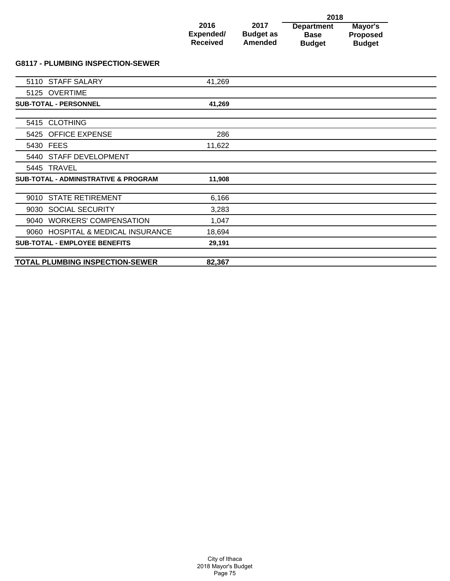|                 |                  | 2018              |                 |
|-----------------|------------------|-------------------|-----------------|
| 2016            | 2017             | <b>Department</b> | Mayor's         |
| Expended/       | <b>Budget as</b> | <b>Base</b>       | <b>Proposed</b> |
| <b>Received</b> | <b>Amended</b>   | <b>Budget</b>     | <b>Budget</b>   |

# **G8117 - PLUMBING INSPECTION-SEWER**

|           | 5110 STAFF SALARY                               | 41,269 |  |
|-----------|-------------------------------------------------|--------|--|
|           | 5125 OVERTIME                                   |        |  |
|           | <b>SUB-TOTAL - PERSONNEL</b>                    | 41,269 |  |
|           |                                                 |        |  |
|           | 5415 CLOTHING                                   |        |  |
|           | 5425 OFFICE EXPENSE                             | 286    |  |
| 5430 FEES |                                                 | 11,622 |  |
|           | 5440 STAFF DEVELOPMENT                          |        |  |
|           | 5445 TRAVEL                                     |        |  |
|           | <b>SUB-TOTAL - ADMINISTRATIVE &amp; PROGRAM</b> | 11,908 |  |
|           |                                                 |        |  |
|           | 9010 STATE RETIREMENT                           | 6,166  |  |
|           | 9030 SOCIAL SECURITY                            | 3,283  |  |
|           | 9040 WORKERS' COMPENSATION                      | 1,047  |  |
|           | 9060 HOSPITAL & MEDICAL INSURANCE               | 18,694 |  |
|           | <b>SUB-TOTAL - EMPLOYEE BENEFITS</b>            | 29,191 |  |
|           |                                                 |        |  |
|           | <b>TOTAL PLUMBING INSPECTION-SEWER</b>          | 82,367 |  |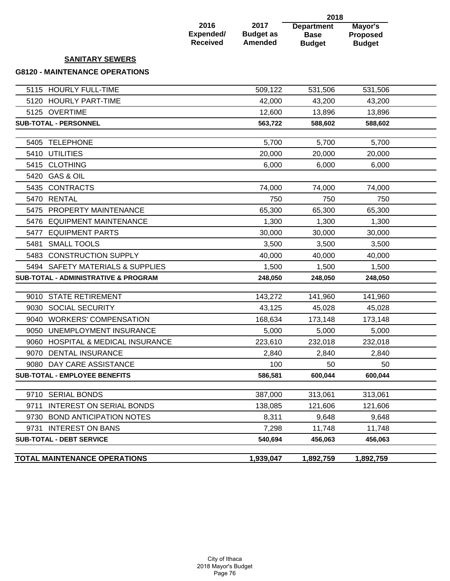|                                                 |                                             |                                            | 2018                                              |                                             |  |
|-------------------------------------------------|---------------------------------------------|--------------------------------------------|---------------------------------------------------|---------------------------------------------|--|
|                                                 | 2016<br><b>Expended/</b><br><b>Received</b> | 2017<br><b>Budget as</b><br><b>Amended</b> | <b>Department</b><br><b>Base</b><br><b>Budget</b> | Mayor's<br><b>Proposed</b><br><b>Budget</b> |  |
| <b>SANITARY SEWERS</b>                          |                                             |                                            |                                                   |                                             |  |
| <b>G8120 - MAINTENANCE OPERATIONS</b>           |                                             |                                            |                                                   |                                             |  |
| 5115 HOURLY FULL-TIME                           |                                             | 509,122                                    | 531,506                                           | 531,506                                     |  |
| 5120 HOURLY PART-TIME                           |                                             | 42,000                                     | 43,200                                            | 43,200                                      |  |
| 5125 OVERTIME                                   |                                             | 12,600                                     | 13,896                                            | 13,896                                      |  |
| <b>SUB-TOTAL - PERSONNEL</b>                    |                                             | 563,722                                    | 588,602                                           | 588,602                                     |  |
| <b>TELEPHONE</b><br>5405                        |                                             | 5,700                                      | 5,700                                             | 5,700                                       |  |
| <b>UTILITIES</b><br>5410                        |                                             | 20,000                                     | 20,000                                            | 20,000                                      |  |
| <b>CLOTHING</b><br>5415                         |                                             | 6,000                                      | 6,000                                             | 6,000                                       |  |
| <b>GAS &amp; OIL</b><br>5420                    |                                             |                                            |                                                   |                                             |  |
| <b>CONTRACTS</b><br>5435                        |                                             | 74,000                                     | 74,000                                            | 74,000                                      |  |
| <b>RENTAL</b><br>5470                           |                                             | 750                                        | 750                                               | 750                                         |  |
| PROPERTY MAINTENANCE<br>5475                    |                                             | 65,300                                     | 65,300                                            | 65,300                                      |  |
| <b>EQUIPMENT MAINTENANCE</b><br>5476            |                                             | 1,300                                      | 1,300                                             | 1,300                                       |  |
| <b>EQUIPMENT PARTS</b><br>5477                  |                                             | 30,000                                     | 30,000                                            | 30,000                                      |  |
| <b>SMALL TOOLS</b><br>5481                      |                                             | 3,500                                      | 3,500                                             | 3,500                                       |  |
| <b>CONSTRUCTION SUPPLY</b><br>5483              |                                             | 40,000                                     | 40,000                                            | 40,000                                      |  |
| 5494 SAFETY MATERIALS & SUPPLIES                |                                             | 1,500                                      | 1,500                                             | 1,500                                       |  |
| <b>SUB-TOTAL - ADMINISTRATIVE &amp; PROGRAM</b> |                                             | 248,050                                    | 248,050                                           | 248,050                                     |  |
| <b>STATE RETIREMENT</b><br>9010                 |                                             | 143,272                                    | 141,960                                           | 141,960                                     |  |
| <b>SOCIAL SECURITY</b><br>9030                  |                                             | 43,125                                     | 45,028                                            | 45,028                                      |  |
| 9040 WORKERS' COMPENSATION                      |                                             | 168,634                                    | 173,148                                           | 173,148                                     |  |
| UNEMPLOYMENT INSURANCE<br>9050                  |                                             | 5,000                                      | 5,000                                             | 5,000                                       |  |
| 9060 HOSPITAL & MEDICAL INSURANCE               |                                             | 223,610                                    | 232,018                                           | 232,018                                     |  |
| 9070 DENTAL INSURANCE                           |                                             | 2,840                                      | 2,840                                             | 2,840                                       |  |
| 9080 DAY CARE ASSISTANCE                        |                                             | 100                                        | 50                                                | 50                                          |  |
| SUB-TOTAL - EMPLOYEE BENEFITS                   |                                             | 586,581                                    | 600,044                                           | 600,044                                     |  |
| 9710 SERIAL BONDS                               |                                             | 387,000                                    | 313,061                                           | 313,061                                     |  |
| 9711 INTEREST ON SERIAL BONDS                   |                                             | 138,085                                    | 121,606                                           | 121,606                                     |  |
| 9730 BOND ANTICIPATION NOTES                    |                                             | 8,311                                      | 9,648                                             | 9,648                                       |  |
| 9731 INTEREST ON BANS                           |                                             | 7,298                                      | 11,748                                            | 11,748                                      |  |
| <b>SUB-TOTAL - DEBT SERVICE</b>                 |                                             | 540,694                                    | 456,063                                           | 456,063                                     |  |
| <b>TOTAL MAINTENANCE OPERATIONS</b>             |                                             | 1,939,047                                  | 1,892,759                                         | 1,892,759                                   |  |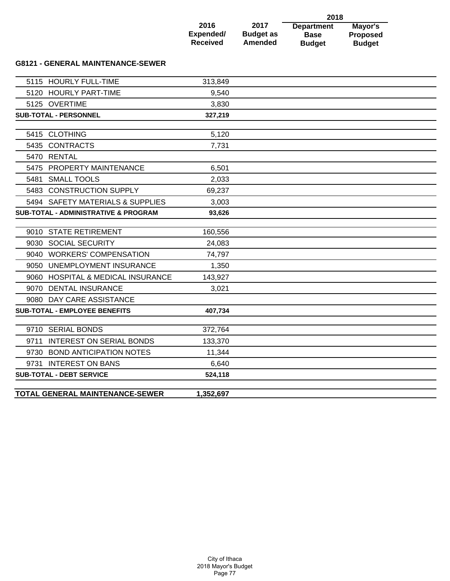|                 |                  | 2018              |                 |
|-----------------|------------------|-------------------|-----------------|
| 2016            | 2017             | <b>Department</b> | Mayor's         |
| Expended/       | <b>Budget as</b> | <b>Base</b>       | <b>Proposed</b> |
| <b>Received</b> | <b>Amended</b>   | <b>Budget</b>     | <b>Budget</b>   |

### **G8121 - GENERAL MAINTENANCE-SEWER**

|      | 5115 HOURLY FULL-TIME                           | 313,849   |  |
|------|-------------------------------------------------|-----------|--|
|      | 5120 HOURLY PART-TIME                           | 9,540     |  |
|      | 5125 OVERTIME                                   | 3,830     |  |
|      | <b>SUB-TOTAL - PERSONNEL</b>                    | 327,219   |  |
|      |                                                 |           |  |
|      | 5415 CLOTHING                                   | 5,120     |  |
|      | 5435 CONTRACTS                                  | 7,731     |  |
|      | 5470 RENTAL                                     |           |  |
|      | 5475 PROPERTY MAINTENANCE                       | 6,501     |  |
|      | 5481 SMALL TOOLS                                | 2,033     |  |
|      | 5483 CONSTRUCTION SUPPLY                        | 69,237    |  |
|      | 5494 SAFETY MATERIALS & SUPPLIES                | 3,003     |  |
|      | <b>SUB-TOTAL - ADMINISTRATIVE &amp; PROGRAM</b> | 93,626    |  |
|      |                                                 |           |  |
|      | 9010 STATE RETIREMENT                           | 160,556   |  |
|      | 9030 SOCIAL SECURITY                            | 24,083    |  |
|      | 9040 WORKERS' COMPENSATION                      | 74,797    |  |
|      | 9050 UNEMPLOYMENT INSURANCE                     | 1,350     |  |
|      | 9060 HOSPITAL & MEDICAL INSURANCE               | 143,927   |  |
|      | 9070 DENTAL INSURANCE                           | 3,021     |  |
|      | 9080 DAY CARE ASSISTANCE                        |           |  |
|      | <b>SUB-TOTAL - EMPLOYEE BENEFITS</b>            | 407,734   |  |
|      |                                                 |           |  |
|      | 9710 SERIAL BONDS                               | 372,764   |  |
| 9711 | <b>INTEREST ON SERIAL BONDS</b>                 | 133,370   |  |
|      | 9730 BOND ANTICIPATION NOTES                    | 11,344    |  |
|      | 9731 INTEREST ON BANS                           | 6,640     |  |
|      | <b>SUB-TOTAL - DEBT SERVICE</b>                 | 524,118   |  |
|      |                                                 |           |  |
|      | TOTAL GENERAL MAINTENANCE-SEWER                 | 1,352,697 |  |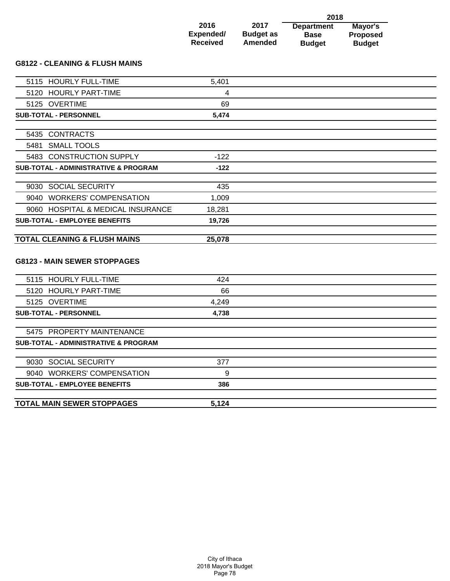|                 |                  | 2018              |                 |
|-----------------|------------------|-------------------|-----------------|
| 2016            | 2017             | <b>Department</b> | Mayor's         |
| Expended/       | <b>Budget as</b> | <b>Base</b>       | <b>Proposed</b> |
| <b>Received</b> | <b>Amended</b>   | <b>Budget</b>     | <b>Budget</b>   |

## **G8122 - CLEANING & FLUSH MAINS**

| 5115 HOURLY FULL-TIME                           | 5,401  |  |
|-------------------------------------------------|--------|--|
| 5120 HOURLY PART-TIME                           | 4      |  |
| 5125 OVERTIME                                   | 69     |  |
| <b>SUB-TOTAL - PERSONNEL</b>                    | 5,474  |  |
|                                                 |        |  |
| 5435 CONTRACTS                                  |        |  |
| 5481 SMALL TOOLS                                |        |  |
| 5483 CONSTRUCTION SUPPLY                        | $-122$ |  |
| <b>SUB-TOTAL - ADMINISTRATIVE &amp; PROGRAM</b> | $-122$ |  |
| 9030 SOCIAL SECURITY                            | 435    |  |
| 9040 WORKERS' COMPENSATION                      |        |  |
|                                                 | 1,009  |  |
| 9060 HOSPITAL & MEDICAL INSURANCE               | 18,281 |  |
| <b>SUB-TOTAL - EMPLOYEE BENEFITS</b>            | 19,726 |  |
| <b>TOTAL CLEANING &amp; FLUSH MAINS</b>         | 25,078 |  |
| <b>G8123 - MAIN SEWER STOPPAGES</b>             |        |  |
| 5115 HOURLY FULL-TIME                           | 424    |  |
| 5120 HOURLY PART-TIME                           | 66     |  |
| 5125 OVERTIME                                   | 4,249  |  |
| <b>SUB-TOTAL - PERSONNEL</b>                    | 4,738  |  |
| 5475 PROPERTY MAINTENANCE                       |        |  |
| <b>SUB-TOTAL - ADMINISTRATIVE &amp; PROGRAM</b> |        |  |
|                                                 |        |  |
| 9030 SOCIAL SECURITY                            | 377    |  |
| 9040 WORKERS' COMPENSATION                      | 9      |  |
| <b>SUB-TOTAL - EMPLOYEE BENEFITS</b>            | 386    |  |
| <b>TOTAL MAIN SEWER STOPPAGES</b>               | 5.124  |  |
|                                                 |        |  |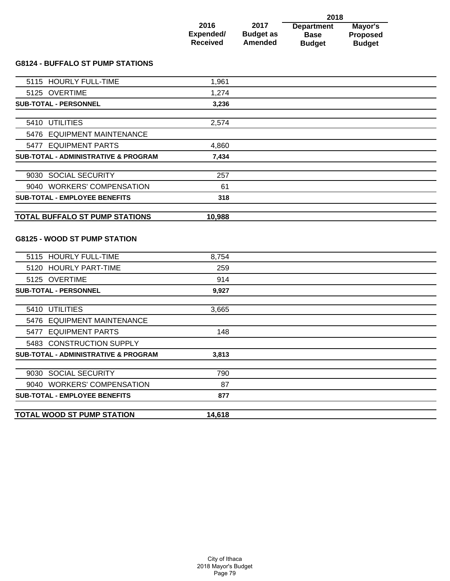|                 |                  | 2018              |                 |
|-----------------|------------------|-------------------|-----------------|
| 2016            | 2017             | <b>Department</b> | Mayor's         |
| Expended/       | <b>Budget as</b> | <b>Base</b>       | <b>Proposed</b> |
| <b>Received</b> | <b>Amended</b>   | <b>Budget</b>     | <b>Budget</b>   |

# **G8124 - BUFFALO ST PUMP STATIONS**

| 1,961<br>1,274<br>3,236 |              |
|-------------------------|--------------|
|                         |              |
|                         |              |
|                         |              |
|                         |              |
|                         |              |
|                         |              |
| 4,860                   |              |
| 7,434                   |              |
|                         |              |
|                         |              |
| 61                      |              |
| 318                     |              |
| 10,988                  |              |
|                         | 2,574<br>257 |

## **G8125 - WOOD ST PUMP STATION**

| 8,754  |  |
|--------|--|
| 259    |  |
| 914    |  |
| 9,927  |  |
|        |  |
| 3,665  |  |
|        |  |
| 148    |  |
|        |  |
| 3,813  |  |
|        |  |
| 790    |  |
| 87     |  |
| 877    |  |
|        |  |
| 14,618 |  |
|        |  |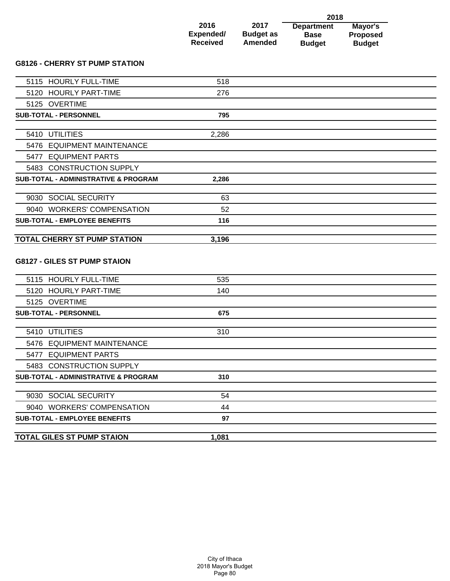|                 |                  | 2018              |                 |
|-----------------|------------------|-------------------|-----------------|
| 2016            | 2017             | <b>Department</b> | Mayor's         |
| Expended/       | <b>Budget as</b> | <b>Base</b>       | <b>Proposed</b> |
| <b>Received</b> | <b>Amended</b>   | <b>Budget</b>     | <b>Budget</b>   |

## **G8126 - CHERRY ST PUMP STATION**

| 5115 HOURLY FULL-TIME                           | 518   |  |
|-------------------------------------------------|-------|--|
| 5120 HOURLY PART-TIME                           | 276   |  |
| 5125 OVERTIME                                   |       |  |
| <b>SUB-TOTAL - PERSONNEL</b>                    | 795   |  |
|                                                 |       |  |
| 5410 UTILITIES                                  | 2,286 |  |
| 5476 EQUIPMENT MAINTENANCE                      |       |  |
| 5477 EQUIPMENT PARTS                            |       |  |
| 5483 CONSTRUCTION SUPPLY                        |       |  |
| <b>SUB-TOTAL - ADMINISTRATIVE &amp; PROGRAM</b> | 2,286 |  |
| 9030 SOCIAL SECURITY                            | 63    |  |
| 9040 WORKERS' COMPENSATION                      | 52    |  |
| <b>SUB-TOTAL - EMPLOYEE BENEFITS</b>            | 116   |  |
|                                                 |       |  |
| <b>TOTAL CHERRY ST PUMP STATION</b>             | 3,196 |  |
| <b>G8127 - GILES ST PUMP STAION</b>             |       |  |
| 5115 HOURLY FULL-TIME                           | 535   |  |
| 5120 HOURLY PART-TIME                           | 140   |  |
| 5125 OVERTIME                                   |       |  |
| <b>SUB-TOTAL - PERSONNEL</b>                    | 675   |  |
| 5410 UTILITIES                                  | 310   |  |
|                                                 |       |  |
| 5476 EQUIPMENT MAINTENANCE                      |       |  |
| 5477 EQUIPMENT PARTS                            |       |  |
| 5483 CONSTRUCTION SUPPLY                        |       |  |
| <b>SUB-TOTAL - ADMINISTRATIVE &amp; PROGRAM</b> | 310   |  |
| 9030 SOCIAL SECURITY                            | 54    |  |
| 9040 WORKERS' COMPENSATION                      | 44    |  |
| <b>SUB-TOTAL - EMPLOYEE BENEFITS</b>            | 97    |  |
|                                                 |       |  |
| <b>TOTAL GILES ST PUMP STAION</b>               | 1,081 |  |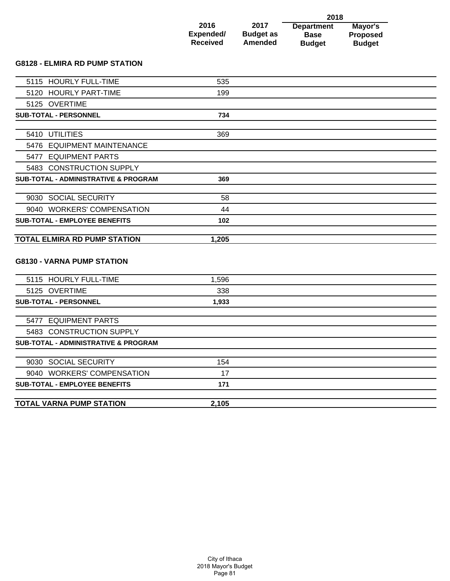|                 |                  | 2018              |                 |
|-----------------|------------------|-------------------|-----------------|
| 2016            | 2017             | <b>Department</b> | Mayor's         |
| Expended/       | <b>Budget as</b> | <b>Base</b>       | <b>Proposed</b> |
| <b>Received</b> | Amended          | <b>Budget</b>     | <b>Budget</b>   |

### **G8128 - ELMIRA RD PUMP STATION**

| 5115 HOURLY FULL-TIME                           | 535   |  |
|-------------------------------------------------|-------|--|
| 5120 HOURLY PART-TIME                           | 199   |  |
| 5125 OVERTIME                                   |       |  |
| <b>SUB-TOTAL - PERSONNEL</b>                    | 734   |  |
|                                                 |       |  |
| 5410 UTILITIES                                  | 369   |  |
| 5476 EQUIPMENT MAINTENANCE                      |       |  |
| 5477 EQUIPMENT PARTS                            |       |  |
| 5483 CONSTRUCTION SUPPLY                        |       |  |
| <b>SUB-TOTAL - ADMINISTRATIVE &amp; PROGRAM</b> | 369   |  |
|                                                 |       |  |
| 9030 SOCIAL SECURITY                            | 58    |  |
| 9040 WORKERS' COMPENSATION                      | 44    |  |
| <b>SUB-TOTAL - EMPLOYEE BENEFITS</b>            | 102   |  |
| <b>TOTAL ELMIRA RD PUMP STATION</b>             | 1,205 |  |
| <b>G8130 - VARNA PUMP STATION</b>               |       |  |
| 5115 HOURLY FULL-TIME                           | 1,596 |  |
| 5125 OVERTIME                                   | 338   |  |
| <b>SUB-TOTAL - PERSONNEL</b>                    | 1,933 |  |
| 5477 EQUIPMENT PARTS                            |       |  |
| 5483 CONSTRUCTION SUPPLY                        |       |  |
| <b>SUB-TOTAL - ADMINISTRATIVE &amp; PROGRAM</b> |       |  |
|                                                 |       |  |
| 9030 SOCIAL SECURITY                            | 154   |  |
| 9040 WORKERS' COMPENSATION                      | 17    |  |
| <b>SUB-TOTAL - EMPLOYEE BENEFITS</b>            | 171   |  |
|                                                 |       |  |
| <b>TOTAL VARNA PUMP STATION</b>                 | 2,105 |  |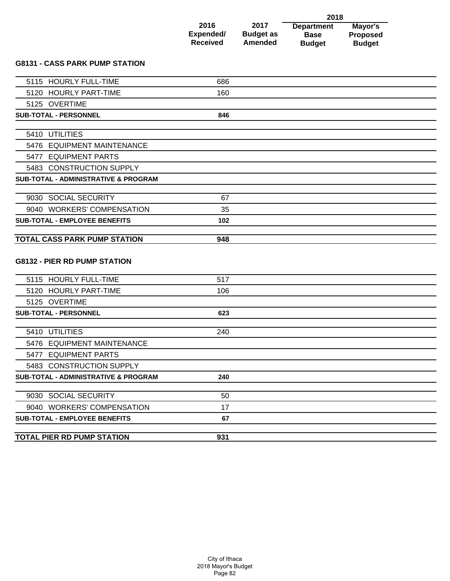|                 |                  | 2018              |                 |
|-----------------|------------------|-------------------|-----------------|
| 2016            | 2017             | <b>Department</b> | Mayor's         |
| Expended/       | <b>Budget as</b> | <b>Base</b>       | <b>Proposed</b> |
| <b>Received</b> | <b>Amended</b>   | <b>Budget</b>     | <b>Budget</b>   |

### **G8131 - CASS PARK PUMP STATION**

| 5115 HOURLY FULL-TIME                           | 686 |  |
|-------------------------------------------------|-----|--|
| 5120 HOURLY PART-TIME                           | 160 |  |
| 5125 OVERTIME                                   |     |  |
| <b>SUB-TOTAL - PERSONNEL</b>                    | 846 |  |
|                                                 |     |  |
| 5410 UTILITIES                                  |     |  |
| 5476 EQUIPMENT MAINTENANCE                      |     |  |
| 5477 EQUIPMENT PARTS                            |     |  |
| 5483 CONSTRUCTION SUPPLY                        |     |  |
| <b>SUB-TOTAL - ADMINISTRATIVE &amp; PROGRAM</b> |     |  |
|                                                 |     |  |
| 9030 SOCIAL SECURITY                            | 67  |  |
| 9040 WORKERS' COMPENSATION                      | 35  |  |
| <b>SUB-TOTAL - EMPLOYEE BENEFITS</b>            | 102 |  |
| <b>TOTAL CASS PARK PUMP STATION</b>             | 948 |  |
| <b>G8132 - PIER RD PUMP STATION</b>             |     |  |
| 5115 HOURLY FULL-TIME                           | 517 |  |
| 5120 HOURLY PART-TIME                           | 106 |  |
| 5125 OVERTIME                                   |     |  |
| SUB-TOTAL - PERSONNEL                           | 623 |  |
| 5410 UTILITIES                                  | 240 |  |
| 5476 EQUIPMENT MAINTENANCE                      |     |  |
| 5477 EQUIPMENT PARTS                            |     |  |
| 5483 CONSTRUCTION SUPPLY                        |     |  |
| <b>SUB-TOTAL - ADMINISTRATIVE &amp; PROGRAM</b> | 240 |  |
|                                                 |     |  |
| 9030 SOCIAL SECURITY                            | 50  |  |
| 9040 WORKERS' COMPENSATION                      | 17  |  |
| <b>SUB-TOTAL - EMPLOYEE BENEFITS</b>            | 67  |  |
|                                                 |     |  |
| TOTAL PIER RD PUMP STATION                      | 931 |  |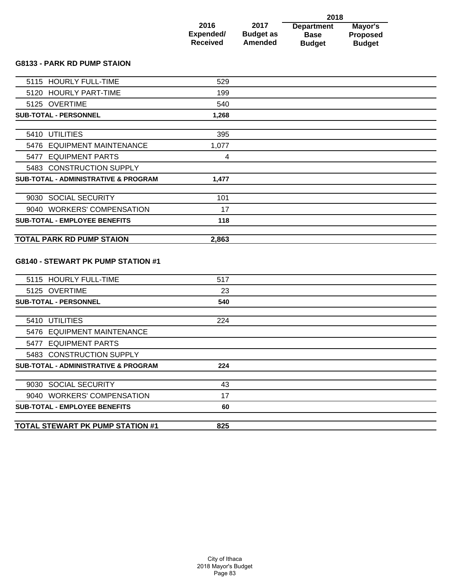|                   |                          | 2018                             |                            |
|-------------------|--------------------------|----------------------------------|----------------------------|
| 2016<br>Expended/ | 2017<br><b>Budget as</b> | <b>Department</b><br><b>Base</b> | Mayor's<br><b>Proposed</b> |
| <b>Received</b>   | Amended                  | <b>Budget</b>                    | <b>Budget</b>              |

## **G8133 - PARK RD PUMP STAION**

| 17                                                                                                                                                                                                                                                                                                                                                   |                                   |
|------------------------------------------------------------------------------------------------------------------------------------------------------------------------------------------------------------------------------------------------------------------------------------------------------------------------------------------------------|-----------------------------------|
| 101                                                                                                                                                                                                                                                                                                                                                  |                                   |
| 1,477                                                                                                                                                                                                                                                                                                                                                |                                   |
|                                                                                                                                                                                                                                                                                                                                                      |                                   |
| 4                                                                                                                                                                                                                                                                                                                                                    |                                   |
| 1,077                                                                                                                                                                                                                                                                                                                                                |                                   |
| 395                                                                                                                                                                                                                                                                                                                                                  |                                   |
|                                                                                                                                                                                                                                                                                                                                                      |                                   |
|                                                                                                                                                                                                                                                                                                                                                      |                                   |
|                                                                                                                                                                                                                                                                                                                                                      |                                   |
|                                                                                                                                                                                                                                                                                                                                                      |                                   |
|                                                                                                                                                                                                                                                                                                                                                      |                                   |
| 5115 HOURLY FULL-TIME<br>5120 HOURLY PART-TIME<br>5125 OVERTIME<br><b>SUB-TOTAL - PERSONNEL</b><br>5410 UTILITIES<br>5476 EQUIPMENT MAINTENANCE<br>5477 EQUIPMENT PARTS<br>5483 CONSTRUCTION SUPPLY<br><b>SUB-TOTAL - ADMINISTRATIVE &amp; PROGRAM</b><br>9030 SOCIAL SECURITY<br>9040 WORKERS' COMPENSATION<br><b>SUB-TOTAL - EMPLOYEE BENEFITS</b> | 529<br>199<br>540<br>1,268<br>118 |

## **G8140 - STEWART PK PUMP STATION #1**

| <b>TOTAL STEWART PK PUMP STATION #1</b>         | 825 |  |
|-------------------------------------------------|-----|--|
|                                                 |     |  |
| <b>SUB-TOTAL - EMPLOYEE BENEFITS</b>            | 60  |  |
| 9040 WORKERS' COMPENSATION                      | 17  |  |
| 9030 SOCIAL SECURITY                            | 43  |  |
|                                                 |     |  |
| <b>SUB-TOTAL - ADMINISTRATIVE &amp; PROGRAM</b> | 224 |  |
| 5483 CONSTRUCTION SUPPLY                        |     |  |
| 5477 EQUIPMENT PARTS                            |     |  |
| 5476 EQUIPMENT MAINTENANCE                      |     |  |
| 5410 UTILITIES                                  | 224 |  |
|                                                 |     |  |
| <b>SUB-TOTAL - PERSONNEL</b>                    | 540 |  |
| 5125 OVERTIME                                   | 23  |  |
| 5115 HOURLY FULL-TIME                           | 517 |  |
|                                                 |     |  |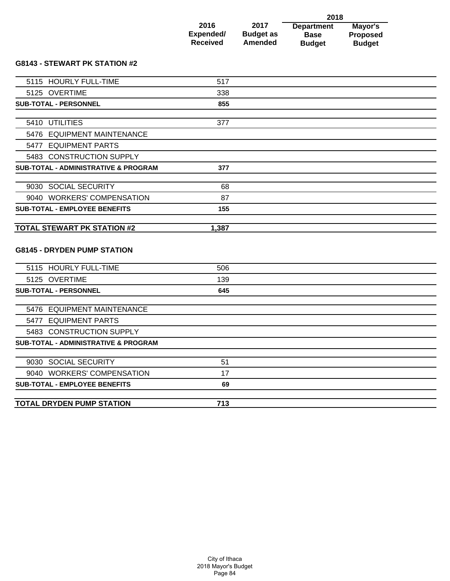|                 |                  | 2018              |                 |
|-----------------|------------------|-------------------|-----------------|
| 2016            | 2017             | <b>Department</b> | Mayor's         |
| Expended/       | <b>Budget as</b> | <b>Base</b>       | <b>Proposed</b> |
| <b>Received</b> | <b>Amended</b>   | <b>Budget</b>     | <b>Budget</b>   |

## **G8143 - STEWART PK STATION #2**

| 5115 HOURLY FULL-TIME                           | 517   |  |
|-------------------------------------------------|-------|--|
| 5125 OVERTIME                                   | 338   |  |
| <b>SUB-TOTAL - PERSONNEL</b>                    | 855   |  |
|                                                 |       |  |
| 5410 UTILITIES                                  | 377   |  |
| 5476 EQUIPMENT MAINTENANCE                      |       |  |
| 5477 EQUIPMENT PARTS                            |       |  |
| 5483 CONSTRUCTION SUPPLY                        |       |  |
| <b>SUB-TOTAL - ADMINISTRATIVE &amp; PROGRAM</b> | 377   |  |
|                                                 |       |  |
| 9030 SOCIAL SECURITY                            | 68    |  |
| 9040 WORKERS' COMPENSATION                      | 87    |  |
| <b>SUB-TOTAL - EMPLOYEE BENEFITS</b>            | 155   |  |
| <b>TOTAL STEWART PK STATION #2</b>              | 1,387 |  |
| <b>G8145 - DRYDEN PUMP STATION</b>              |       |  |
| 5115 HOURLY FULL-TIME                           | 506   |  |
| 5125 OVERTIME                                   | 139   |  |
| <b>SUB-TOTAL - PERSONNEL</b>                    | 645   |  |
| 5476 EQUIPMENT MAINTENANCE                      |       |  |
| 5477 EQUIPMENT PARTS                            |       |  |
|                                                 |       |  |
| 5483 CONSTRUCTION SUPPLY                        |       |  |
| <b>SUB-TOTAL - ADMINISTRATIVE &amp; PROGRAM</b> |       |  |
| 9030 SOCIAL SECURITY                            | 51    |  |
| 9040 WORKERS' COMPENSATION                      | 17    |  |
| <b>SUB-TOTAL - EMPLOYEE BENEFITS</b>            | 69    |  |
|                                                 |       |  |
| <b>TOTAL DRYDEN PUMP STATION</b>                | 713   |  |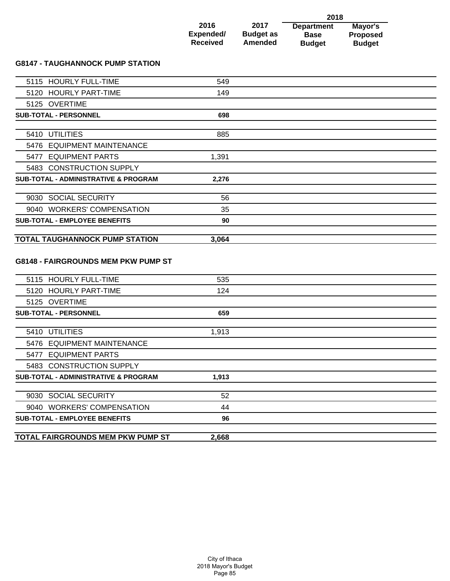|                 |                  | 2018              |                 |
|-----------------|------------------|-------------------|-----------------|
| 2016            | 2017             | <b>Department</b> | Mayor's         |
| Expended/       | <b>Budget as</b> | <b>Base</b>       | <b>Proposed</b> |
| <b>Received</b> | <b>Amended</b>   | <b>Budget</b>     | <b>Budget</b>   |

### **G8147 - TAUGHANNOCK PUMP STATION**

| 5115 HOURLY FULL-TIME                           | 549   |  |
|-------------------------------------------------|-------|--|
| 5120 HOURLY PART-TIME                           | 149   |  |
| 5125 OVERTIME                                   |       |  |
| <b>SUB-TOTAL - PERSONNEL</b>                    | 698   |  |
|                                                 |       |  |
| 5410 UTILITIES                                  | 885   |  |
| 5476 EQUIPMENT MAINTENANCE                      |       |  |
| 5477 EQUIPMENT PARTS                            | 1,391 |  |
| 5483 CONSTRUCTION SUPPLY                        |       |  |
| <b>SUB-TOTAL - ADMINISTRATIVE &amp; PROGRAM</b> | 2,276 |  |
|                                                 |       |  |
| 9030 SOCIAL SECURITY                            | 56    |  |
| 9040 WORKERS' COMPENSATION                      | 35    |  |
| <b>SUB-TOTAL - EMPLOYEE BENEFITS</b>            | 90    |  |
|                                                 |       |  |
| <b>TOTAL TAUGHANNOCK PUMP STATION</b>           | 3,064 |  |
|                                                 |       |  |
| <b>G8148 - FAIRGROUNDS MEM PKW PUMP ST</b>      |       |  |
| 5115 HOURLY FULL-TIME                           | 535   |  |
|                                                 |       |  |

| 3113 TIOUNET FULL-TIME                          | ວວວ   |  |
|-------------------------------------------------|-------|--|
| 5120 HOURLY PART-TIME                           | 124   |  |
| 5125 OVERTIME                                   |       |  |
| <b>SUB-TOTAL - PERSONNEL</b>                    | 659   |  |
|                                                 |       |  |
| 5410 UTILITIES                                  | 1,913 |  |
| 5476 EQUIPMENT MAINTENANCE                      |       |  |
| 5477 EQUIPMENT PARTS                            |       |  |
| 5483 CONSTRUCTION SUPPLY                        |       |  |
| <b>SUB-TOTAL - ADMINISTRATIVE &amp; PROGRAM</b> | 1,913 |  |
|                                                 |       |  |
| 9030 SOCIAL SECURITY                            | 52    |  |
| 9040 WORKERS' COMPENSATION                      | 44    |  |
| <b>SUB-TOTAL - EMPLOYEE BENEFITS</b>            | 96    |  |
|                                                 |       |  |
| <b>TOTAL FAIRGROUNDS MEM PKW PUMP ST</b>        | 2,668 |  |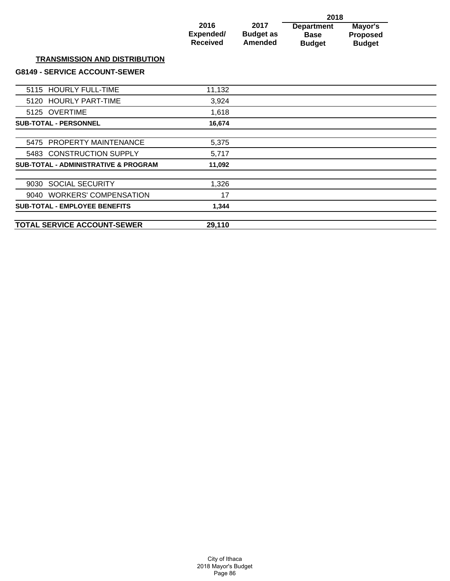|                                                 |                                      |                                     | 2018                                              |                                      |  |
|-------------------------------------------------|--------------------------------------|-------------------------------------|---------------------------------------------------|--------------------------------------|--|
|                                                 | 2016<br>Expended/<br><b>Received</b> | 2017<br><b>Budget as</b><br>Amended | <b>Department</b><br><b>Base</b><br><b>Budget</b> | Mayor's<br>Proposed<br><b>Budget</b> |  |
| <b>TRANSMISSION AND DISTRIBUTION</b>            |                                      |                                     |                                                   |                                      |  |
| <b>G8149 - SERVICE ACCOUNT-SEWER</b>            |                                      |                                     |                                                   |                                      |  |
| 5115 HOURLY FULL-TIME                           | 11,132                               |                                     |                                                   |                                      |  |
| <b>HOURLY PART-TIME</b><br>5120                 | 3,924                                |                                     |                                                   |                                      |  |
| 5125 OVERTIME                                   | 1,618                                |                                     |                                                   |                                      |  |
| <b>SUB-TOTAL - PERSONNEL</b>                    | 16,674                               |                                     |                                                   |                                      |  |
| PROPERTY MAINTENANCE<br>5475                    | 5,375                                |                                     |                                                   |                                      |  |
| 5483 CONSTRUCTION SUPPLY                        | 5,717                                |                                     |                                                   |                                      |  |
| <b>SUB-TOTAL - ADMINISTRATIVE &amp; PROGRAM</b> | 11,092                               |                                     |                                                   |                                      |  |
| <b>SOCIAL SECURITY</b><br>9030                  | 1,326                                |                                     |                                                   |                                      |  |
| 9040 WORKERS' COMPENSATION                      | 17                                   |                                     |                                                   |                                      |  |
| <b>SUB-TOTAL - EMPLOYEE BENEFITS</b>            | 1,344                                |                                     |                                                   |                                      |  |
|                                                 |                                      |                                     |                                                   |                                      |  |

**TOTAL SERVICE ACCOUNT-SEWER 29,110**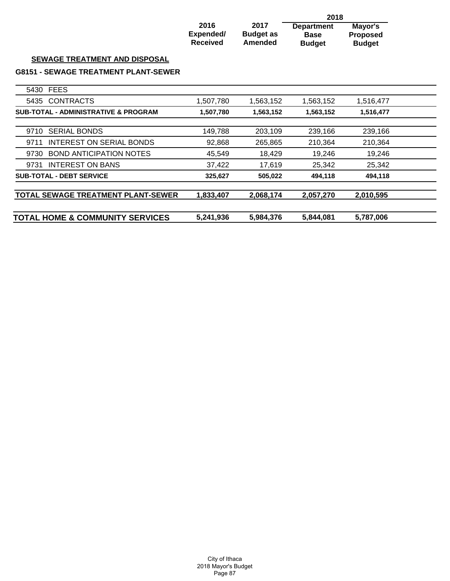|                                                 |                                      |                                     | 2018                                              |                                             |  |
|-------------------------------------------------|--------------------------------------|-------------------------------------|---------------------------------------------------|---------------------------------------------|--|
|                                                 | 2016<br>Expended/<br><b>Received</b> | 2017<br><b>Budget as</b><br>Amended | <b>Department</b><br><b>Base</b><br><b>Budget</b> | Mayor's<br><b>Proposed</b><br><b>Budget</b> |  |
| <b>SEWAGE TREATMENT AND DISPOSAL</b>            |                                      |                                     |                                                   |                                             |  |
| <b>G8151 - SEWAGE TREATMENT PLANT-SEWER</b>     |                                      |                                     |                                                   |                                             |  |
| <b>FEES</b><br>5430                             |                                      |                                     |                                                   |                                             |  |
| <b>CONTRACTS</b><br>5435                        | 1,507,780                            | 1,563,152                           | 1,563,152                                         | 1,516,477                                   |  |
| <b>SUB-TOTAL - ADMINISTRATIVE &amp; PROGRAM</b> | 1,507,780                            | 1,563,152                           | 1,563,152                                         | 1,516,477                                   |  |
| <b>SERIAL BONDS</b><br>9710                     | 149,788                              | 203,109                             | 239,166                                           | 239,166                                     |  |
| INTEREST ON SERIAL BONDS<br>9711                | 92,868                               | 265,865                             | 210,364                                           | 210,364                                     |  |
| <b>BOND ANTICIPATION NOTES</b><br>9730          | 45,549                               | 18,429                              | 19,246                                            | 19,246                                      |  |
| <b>INTEREST ON BANS</b><br>9731                 | 37,422                               | 17,619                              | 25,342                                            | 25,342                                      |  |
| <b>SUB-TOTAL - DEBT SERVICE</b>                 | 325,627                              | 505,022                             | 494,118                                           | 494,118                                     |  |
| TOTAL SEWAGE TREATMENT PLANT-SEWER              | 1,833,407                            | 2,068,174                           | 2,057,270                                         | 2,010,595                                   |  |
| <b>TOTAL HOME &amp; COMMUNITY SERVICES</b>      | 5,241,936                            | 5,984,376                           | 5,844,081                                         | 5,787,006                                   |  |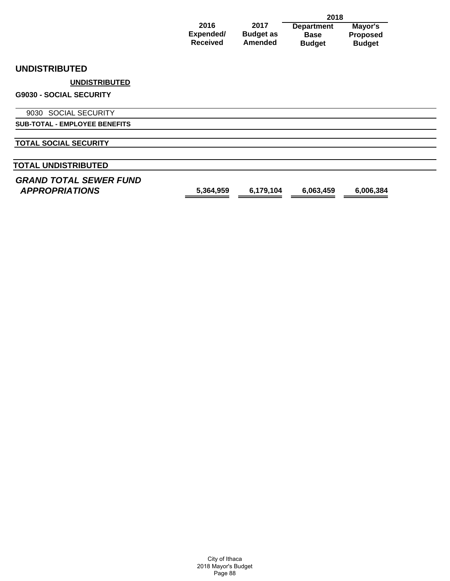|                                                        |                                      |                                     | 2018                                              |                                             |  |
|--------------------------------------------------------|--------------------------------------|-------------------------------------|---------------------------------------------------|---------------------------------------------|--|
|                                                        | 2016<br>Expended/<br><b>Received</b> | 2017<br><b>Budget as</b><br>Amended | <b>Department</b><br><b>Base</b><br><b>Budget</b> | Mayor's<br><b>Proposed</b><br><b>Budget</b> |  |
| <b>UNDISTRIBUTED</b>                                   |                                      |                                     |                                                   |                                             |  |
| <b>UNDISTRIBUTED</b>                                   |                                      |                                     |                                                   |                                             |  |
| <b>G9030 - SOCIAL SECURITY</b>                         |                                      |                                     |                                                   |                                             |  |
| 9030 SOCIAL SECURITY                                   |                                      |                                     |                                                   |                                             |  |
| <b>SUB-TOTAL - EMPLOYEE BENEFITS</b>                   |                                      |                                     |                                                   |                                             |  |
| <b>TOTAL SOCIAL SECURITY</b>                           |                                      |                                     |                                                   |                                             |  |
| <b>TOTAL UNDISTRIBUTED</b>                             |                                      |                                     |                                                   |                                             |  |
| <b>GRAND TOTAL SEWER FUND</b><br><b>APPROPRIATIONS</b> | 5,364,959                            | 6,179,104                           | 6,063,459                                         | 6,006,384                                   |  |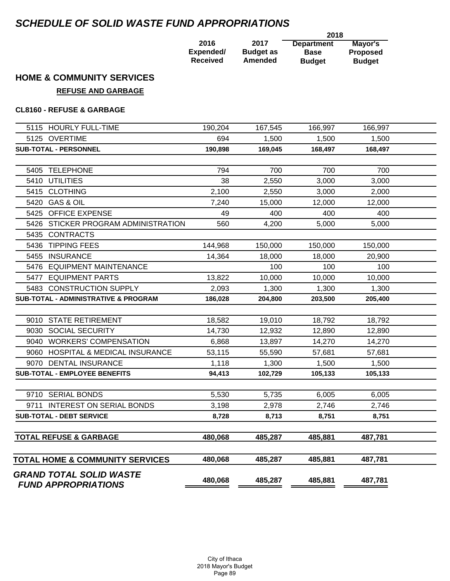# *SCHEDULE OF SOLID WASTE FUND APPROPRIATIONS*

|                 |                  | 2018              |                 |
|-----------------|------------------|-------------------|-----------------|
| 2016            | 2017             | <b>Department</b> | Mayor's         |
| Expended/       | <b>Budget as</b> | <b>Base</b>       | <b>Proposed</b> |
| <b>Received</b> | Amended          | <b>Budget</b>     | <b>Budget</b>   |

# **HOME & COMMUNITY SERVICES**

# **REFUSE AND GARBAGE**

## **CL8160 - REFUSE & GARBAGE**

| 5115 HOURLY FULL-TIME                           | 190,204 | 167,545 | 166,997 | 166,997 |  |
|-------------------------------------------------|---------|---------|---------|---------|--|
| 5125 OVERTIME                                   | 694     | 1,500   | 1,500   | 1,500   |  |
| SUB-TOTAL - PERSONNEL                           | 190,898 | 169,045 | 168,497 | 168,497 |  |
|                                                 |         |         |         |         |  |
| 5405 TELEPHONE                                  | 794     | 700     | 700     | 700     |  |
| 5410 UTILITIES                                  | 38      | 2,550   | 3,000   | 3,000   |  |
| 5415 CLOTHING                                   | 2,100   | 2,550   | 3,000   | 2,000   |  |
| 5420 GAS & OIL                                  | 7,240   | 15,000  | 12,000  | 12,000  |  |
| 5425 OFFICE EXPENSE                             | 49      | 400     | 400     | 400     |  |
| 5426 STICKER PROGRAM ADMINISTRATION             | 560     | 4,200   | 5,000   | 5,000   |  |
| 5435<br><b>CONTRACTS</b>                        |         |         |         |         |  |
| 5436 TIPPING FEES                               | 144,968 | 150,000 | 150,000 | 150,000 |  |
| 5455<br><b>INSURANCE</b>                        | 14,364  | 18,000  | 18,000  | 20,900  |  |
| 5476 EQUIPMENT MAINTENANCE                      |         | 100     | 100     | 100     |  |
| 5477 EQUIPMENT PARTS                            | 13,822  | 10,000  | 10,000  | 10,000  |  |
| 5483 CONSTRUCTION SUPPLY                        | 2,093   | 1,300   | 1,300   | 1,300   |  |
| <b>SUB-TOTAL - ADMINISTRATIVE &amp; PROGRAM</b> | 186,028 | 204,800 | 203,500 | 205,400 |  |
|                                                 |         |         |         |         |  |
| 9010 STATE RETIREMENT                           | 18,582  | 19,010  | 18,792  | 18,792  |  |
| 9030 SOCIAL SECURITY                            | 14,730  | 12,932  | 12,890  | 12,890  |  |
| 9040 WORKERS' COMPENSATION                      | 6,868   | 13,897  | 14,270  | 14,270  |  |
| 9060 HOSPITAL & MEDICAL INSURANCE               | 53,115  | 55,590  | 57,681  | 57,681  |  |
| 9070 DENTAL INSURANCE                           | 1,118   | 1,300   | 1,500   | 1,500   |  |
| SUB-TOTAL - EMPLOYEE BENEFITS                   | 94,413  | 102,729 | 105,133 | 105,133 |  |
|                                                 |         |         |         |         |  |
| 9710 SERIAL BONDS                               | 5,530   | 5,735   | 6,005   | 6,005   |  |
| 9711 INTEREST ON SERIAL BONDS                   | 3,198   | 2,978   | 2,746   | 2,746   |  |
| <b>SUB-TOTAL - DEBT SERVICE</b>                 | 8,728   | 8,713   | 8,751   | 8,751   |  |
|                                                 |         |         |         |         |  |
| <b>TOTAL REFUSE &amp; GARBAGE</b>               | 480,068 | 485,287 | 485,881 | 487,781 |  |
|                                                 |         |         |         |         |  |
| <b>TOTAL HOME &amp; COMMUNITY SERVICES</b>      | 480,068 | 485,287 | 485,881 | 487,781 |  |
| <b>GRAND TOTAL SOLID WASTE</b>                  | 480,068 | 485,287 | 485,881 | 487,781 |  |
| <b>FUND APPROPRIATIONS</b>                      |         |         |         |         |  |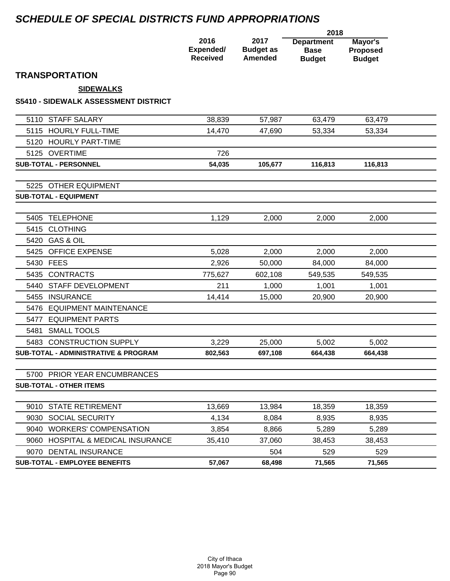# *SCHEDULE OF SPECIAL DISTRICTS FUND APPROPRIATIONS*

|                                             |                                      |                                            | 2018                                              |                                             |  |
|---------------------------------------------|--------------------------------------|--------------------------------------------|---------------------------------------------------|---------------------------------------------|--|
|                                             | 2016<br>Expended/<br><b>Received</b> | 2017<br><b>Budget as</b><br><b>Amended</b> | <b>Department</b><br><b>Base</b><br><b>Budget</b> | Mayor's<br><b>Proposed</b><br><b>Budget</b> |  |
| <b>TRANSPORTATION</b>                       |                                      |                                            |                                                   |                                             |  |
| <b>SIDEWALKS</b>                            |                                      |                                            |                                                   |                                             |  |
| <b>S5410 - SIDEWALK ASSESSMENT DISTRICT</b> |                                      |                                            |                                                   |                                             |  |
| <b>STAFF SALARY</b><br>5110                 | 38,839                               | 57,987                                     | 63,479                                            | 63,479                                      |  |
| <b>HOURLY FULL-TIME</b><br>5115             | 14,470                               | 47,690                                     | 53,334                                            | 53,334                                      |  |
| 5120 HOURLY PART-TIME                       |                                      |                                            |                                                   |                                             |  |
| 5125 OVERTIME                               | 726                                  |                                            |                                                   |                                             |  |
| <b>SUB-TOTAL - PERSONNEL</b>                | 54,035                               | 105,677                                    | 116,813                                           | 116,813                                     |  |
| <b>OTHER EQUIPMENT</b><br>5225              |                                      |                                            |                                                   |                                             |  |
| <b>SUB-TOTAL - EQUIPMENT</b>                |                                      |                                            |                                                   |                                             |  |
| 5405 TELEPHONE                              | 1,129                                | 2,000                                      | 2,000                                             | 2,000                                       |  |
| 5415 CLOTHING                               |                                      |                                            |                                                   |                                             |  |
| 5420 GAS & OIL                              |                                      |                                            |                                                   |                                             |  |
| <b>OFFICE EXPENSE</b><br>5425               | 5,028                                | 2,000                                      | 2,000                                             | 2,000                                       |  |
| 5430 FEES                                   | 2,926                                | 50,000                                     | 84,000                                            | 84,000                                      |  |
| 5435 CONTRACTS                              | 775,627                              | 602,108                                    | 549,535                                           | 549,535                                     |  |
| 5440 STAFF DEVELOPMENT                      | 211                                  | 1,000                                      | 1,001                                             | 1,001                                       |  |
| 5455 INSURANCE                              | 14,414                               | 15,000                                     | 20,900                                            | 20,900                                      |  |
| 5476 EQUIPMENT MAINTENANCE                  |                                      |                                            |                                                   |                                             |  |
| 5477 EQUIPMENT PARTS                        |                                      |                                            |                                                   |                                             |  |
| <b>SMALL TOOLS</b><br>5481                  |                                      |                                            |                                                   |                                             |  |
| 5483 CONSTRUCTION SUPPLY                    | 3,229                                | 25,000                                     | 5,002                                             | 5,002                                       |  |
| SUB-TOTAL - ADMINISTRATIVE & PROGRAM        | 802,563                              | 697,108                                    | 664,438                                           | 664,438                                     |  |
| 5700 PRIOR YEAR ENCUMBRANCES                |                                      |                                            |                                                   |                                             |  |
| <b>SUB-TOTAL - OTHER ITEMS</b>              |                                      |                                            |                                                   |                                             |  |
| 9010 STATE RETIREMENT                       | 13,669                               | 13,984                                     | 18,359                                            | 18,359                                      |  |
| 9030 SOCIAL SECURITY                        | 4,134                                | 8,084                                      | 8,935                                             | 8,935                                       |  |
| 9040 WORKERS' COMPENSATION                  | 3,854                                | 8,866                                      | 5,289                                             | 5,289                                       |  |
| 9060 HOSPITAL & MEDICAL INSURANCE           | 35,410                               | 37,060                                     | 38,453                                            | 38,453                                      |  |
| 9070 DENTAL INSURANCE                       |                                      | 504                                        | 529                                               | 529                                         |  |
| <b>SUB-TOTAL - EMPLOYEE BENEFITS</b>        | 57,067                               | 68,498                                     | 71,565                                            | 71,565                                      |  |

 $\overline{\phantom{0}}$ 

- $\overline{\phantom{0}}$ 

—<br>— L, ÷,

 $\overline{\phantom{a}}$ 

L,  $\overline{\phantom{0}}$ L,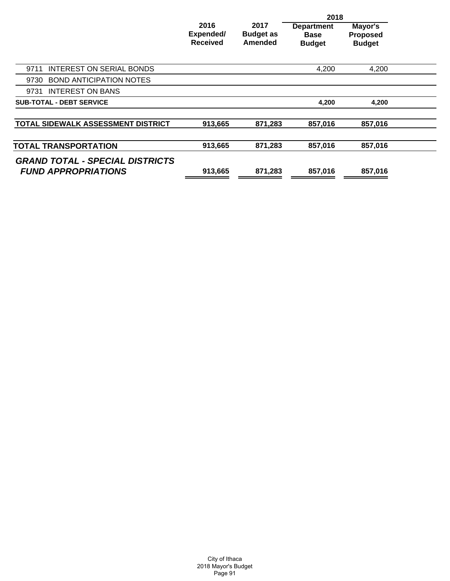|                                                                      |                                      |                                     | 2018                                              |                                             |  |
|----------------------------------------------------------------------|--------------------------------------|-------------------------------------|---------------------------------------------------|---------------------------------------------|--|
|                                                                      | 2016<br>Expended/<br><b>Received</b> | 2017<br><b>Budget as</b><br>Amended | <b>Department</b><br><b>Base</b><br><b>Budget</b> | Mayor's<br><b>Proposed</b><br><b>Budget</b> |  |
| INTEREST ON SERIAL BONDS<br>9711                                     |                                      |                                     | 4,200                                             | 4,200                                       |  |
| <b>BOND ANTICIPATION NOTES</b><br>9730                               |                                      |                                     |                                                   |                                             |  |
| <b>INTEREST ON BANS</b><br>9731                                      |                                      |                                     |                                                   |                                             |  |
| <b>SUB-TOTAL - DEBT SERVICE</b>                                      |                                      |                                     | 4,200                                             | 4,200                                       |  |
| <b>TOTAL SIDEWALK ASSESSMENT DISTRICT</b>                            | 913,665                              | 871.283                             | 857,016                                           | 857.016                                     |  |
| <b>TOTAL TRANSPORTATION</b>                                          | 913,665                              | 871,283                             | 857,016                                           | 857,016                                     |  |
| <b>GRAND TOTAL - SPECIAL DISTRICTS</b><br><b>FUND APPROPRIATIONS</b> | 913,665                              | 871,283                             | 857,016                                           | 857,016                                     |  |
|                                                                      |                                      |                                     |                                                   |                                             |  |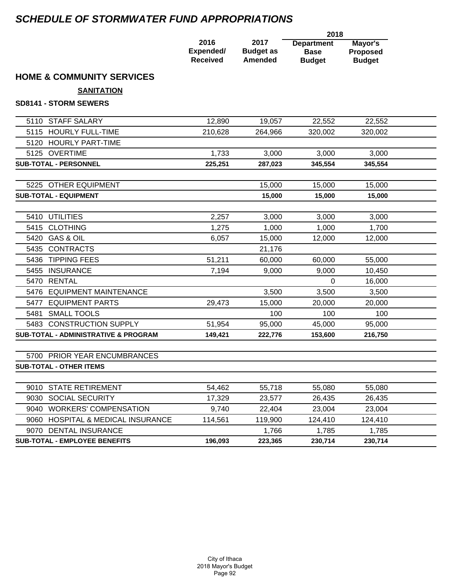# *SCHEDULE OF STORMWATER FUND APPROPRIATIONS*

|                                                 |                                      |                                     | 2018                                              |                                             |  |
|-------------------------------------------------|--------------------------------------|-------------------------------------|---------------------------------------------------|---------------------------------------------|--|
|                                                 | 2016<br>Expended/<br><b>Received</b> | 2017<br><b>Budget as</b><br>Amended | <b>Department</b><br><b>Base</b><br><b>Budget</b> | Mayor's<br><b>Proposed</b><br><b>Budget</b> |  |
| <b>HOME &amp; COMMUNITY SERVICES</b>            |                                      |                                     |                                                   |                                             |  |
| <b>SANITATION</b>                               |                                      |                                     |                                                   |                                             |  |
| <b>SD8141 - STORM SEWERS</b>                    |                                      |                                     |                                                   |                                             |  |
| 5110 STAFF SALARY                               | 12,890                               | 19,057                              | 22,552                                            | 22,552                                      |  |
| 5115 HOURLY FULL-TIME                           | 210,628                              | 264,966                             | 320,002                                           | 320,002                                     |  |
| <b>HOURLY PART-TIME</b><br>5120                 |                                      |                                     |                                                   |                                             |  |
| 5125 OVERTIME                                   | 1,733                                | 3,000                               | 3,000                                             | 3,000                                       |  |
| <b>SUB-TOTAL - PERSONNEL</b>                    | 225,251                              | 287,023                             | 345,554                                           | 345,554                                     |  |
|                                                 |                                      |                                     |                                                   |                                             |  |
| 5225 OTHER EQUIPMENT                            |                                      | 15,000                              | 15,000                                            | 15,000                                      |  |
| <b>SUB-TOTAL - EQUIPMENT</b>                    |                                      | 15,000                              | 15,000                                            | 15,000                                      |  |
| 5410 UTILITIES                                  | 2,257                                | 3,000                               | 3,000                                             | 3,000                                       |  |
| <b>CLOTHING</b><br>5415                         | 1,275                                | 1,000                               | 1,000                                             | 1,700                                       |  |
| <b>GAS &amp; OIL</b><br>5420                    | 6,057                                | 15,000                              | 12,000                                            | 12,000                                      |  |
| <b>CONTRACTS</b><br>5435                        |                                      | 21,176                              |                                                   |                                             |  |
| <b>TIPPING FEES</b><br>5436                     | 51,211                               | 60,000                              | 60,000                                            | 55,000                                      |  |
| <b>INSURANCE</b><br>5455                        | 7,194                                | 9,000                               | 9,000                                             | 10,450                                      |  |
| <b>RENTAL</b><br>5470                           |                                      |                                     | $\Omega$                                          | 16,000                                      |  |
| <b>EQUIPMENT MAINTENANCE</b><br>5476            |                                      | 3,500                               | 3,500                                             | 3,500                                       |  |
| <b>EQUIPMENT PARTS</b><br>5477                  | 29,473                               | 15,000                              | 20,000                                            | 20,000                                      |  |
| <b>SMALL TOOLS</b><br>5481                      |                                      | 100                                 | 100                                               | 100                                         |  |
| 5483 CONSTRUCTION SUPPLY                        | 51,954                               | 95,000                              | 45,000                                            | 95,000                                      |  |
| <b>SUB-TOTAL - ADMINISTRATIVE &amp; PROGRAM</b> | 149,421                              | 222,776                             | 153,600                                           | 216,750                                     |  |
| 5700 PRIOR YEAR ENCUMBRANCES                    |                                      |                                     |                                                   |                                             |  |
| <b>SUB-TOTAL - OTHER ITEMS</b>                  |                                      |                                     |                                                   |                                             |  |
| <b>STATE RETIREMENT</b><br>9010                 | 54,462                               | 55,718                              | 55,080                                            | 55,080                                      |  |
| <b>SOCIAL SECURITY</b><br>9030                  | 17,329                               | 23,577                              | 26,435                                            | 26,435                                      |  |
| <b>WORKERS' COMPENSATION</b><br>9040            | 9,740                                | 22,404                              | 23,004                                            | 23,004                                      |  |
| HOSPITAL & MEDICAL INSURANCE<br>9060            | 114,561                              | 119,900                             | 124,410                                           | 124,410                                     |  |
| 9070 DENTAL INSURANCE                           |                                      | 1,766                               | 1,785                                             | 1,785                                       |  |
| <b>SUB-TOTAL - EMPLOYEE BENEFITS</b>            | 196,093                              | 223,365                             | 230,714                                           | 230,714                                     |  |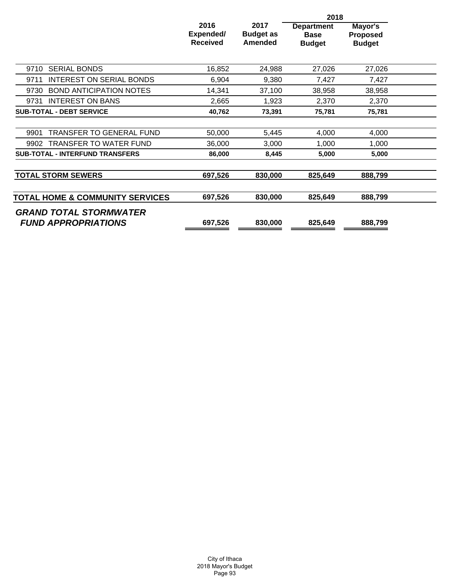|                                            |                                      |                                     | 2018                                              |                                             |  |
|--------------------------------------------|--------------------------------------|-------------------------------------|---------------------------------------------------|---------------------------------------------|--|
|                                            | 2016<br>Expended/<br><b>Received</b> | 2017<br><b>Budget as</b><br>Amended | <b>Department</b><br><b>Base</b><br><b>Budget</b> | Mayor's<br><b>Proposed</b><br><b>Budget</b> |  |
| <b>SERIAL BONDS</b><br>9710                | 16,852                               | 24,988                              | 27,026                                            | 27,026                                      |  |
| <b>INTEREST ON SERIAL BONDS</b><br>9711    | 6,904                                | 9,380                               | 7,427                                             | 7,427                                       |  |
| 9730<br><b>BOND ANTICIPATION NOTES</b>     | 14,341                               | 37,100                              | 38,958                                            | 38,958                                      |  |
| <b>INTEREST ON BANS</b><br>9731            | 2,665                                | 1,923                               | 2,370                                             | 2,370                                       |  |
| <b>SUB-TOTAL - DEBT SERVICE</b>            | 40,762                               | 73,391                              | 75,781                                            | 75,781                                      |  |
|                                            |                                      |                                     |                                                   |                                             |  |
| <b>TRANSFER TO GENERAL FUND</b><br>9901    | 50,000                               | 5,445                               | 4,000                                             | 4,000                                       |  |
| <b>TRANSFER TO WATER FUND</b><br>9902      | 36,000                               | 3,000                               | 1,000                                             | 1,000                                       |  |
| <b>SUB-TOTAL - INTERFUND TRANSFERS</b>     | 86,000                               | 8,445                               | 5,000                                             | 5,000                                       |  |
|                                            |                                      |                                     |                                                   |                                             |  |
| <b>TOTAL STORM SEWERS</b>                  | 697,526                              | 830,000                             | 825,649                                           | 888,799                                     |  |
|                                            |                                      |                                     |                                                   |                                             |  |
| <b>TOTAL HOME &amp; COMMUNITY SERVICES</b> | 697,526                              | 830,000                             | 825,649                                           | 888,799                                     |  |
| <b>GRAND TOTAL STORMWATER</b>              |                                      |                                     |                                                   |                                             |  |
| <b>FUND APPROPRIATIONS</b>                 | 697,526                              | 830,000                             | 825,649                                           | 888,799                                     |  |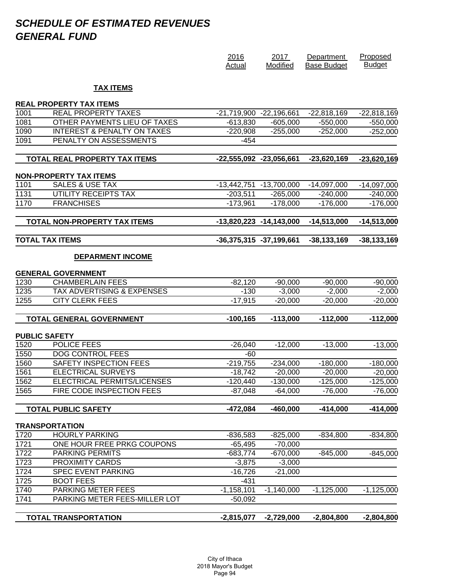# *SCHEDULE OF ESTIMATED REVENUES GENERAL FUND*

|      |                                                              | 2016<br>Actual              | 2017<br>Modified            | Department<br><b>Base Budget</b> | Proposed<br><b>Budget</b> |
|------|--------------------------------------------------------------|-----------------------------|-----------------------------|----------------------------------|---------------------------|
|      | <b>TAX ITEMS</b>                                             |                             |                             |                                  |                           |
|      |                                                              |                             |                             |                                  |                           |
| 1001 | <b>REAL PROPERTY TAX ITEMS</b><br><b>REAL PROPERTY TAXES</b> | -21,719,900 -22,196,661     |                             | $-22,818,169$                    | $-22,818,169$             |
| 1081 | OTHER PAYMENTS LIEU OF TAXES                                 | $-613,830$                  | $-605,000$                  | $-550,000$                       | $-550,000$                |
| 1090 | <b>INTEREST &amp; PENALTY ON TAXES</b>                       | $-220,908$                  | $-255,000$                  | $-252,000$                       | $-252,000$                |
| 1091 | PENALTY ON ASSESSMENTS                                       | $-454$                      |                             |                                  |                           |
|      |                                                              |                             |                             |                                  |                           |
|      | <b>TOTAL REAL PROPERTY TAX ITEMS</b>                         | -22,555,092 -23,056,661     |                             | $-23,620,169$                    | $-23,620,169$             |
|      | <b>NON-PROPERTY TAX ITEMS</b>                                |                             |                             |                                  |                           |
| 1101 | <b>SALES &amp; USE TAX</b>                                   |                             | -13,442,751 -13,700,000     | $-14,097,000$                    | $-14,097,000$             |
| 1131 | UTILITY RECEIPTS TAX                                         | $-203,511$                  | $-265,000$                  | $-240,000$                       | $-240,000$                |
| 1170 | <b>FRANCHISES</b>                                            | $-173,961$                  | $-178,000$                  | $-176,000$                       | $-176,000$                |
|      | <b>TOTAL NON-PROPERTY TAX ITEMS</b>                          |                             | $-13,820,223$ $-14,143,000$ | $-14,513,000$                    | $-14,513,000$             |
|      | <b>TOTAL TAX ITEMS</b>                                       | $-36,375,315$ $-37,199,661$ |                             | $-38,133,169$                    | $-38,133,169$             |
|      | <b>DEPARMENT INCOME</b>                                      |                             |                             |                                  |                           |
|      | <b>GENERAL GOVERNMENT</b>                                    |                             |                             |                                  |                           |
| 1230 | <b>CHAMBERLAIN FEES</b>                                      | $-82,120$                   | $-90,000$                   | $-90,000$                        | $-90,000$                 |
| 1235 | <b>TAX ADVERTISING &amp; EXPENSES</b>                        | $-130$                      | $-3,000$                    | $-2,000$                         | $-2,000$                  |
| 1255 | <b>CITY CLERK FEES</b>                                       | $-17,915$                   | $-20,000$                   | $-20,000$                        | $-20,000$                 |
|      | TOTAL GENERAL GOVERNMENT                                     | $-100, 165$                 | $-113,000$                  | $-112,000$                       | $-112,000$                |
|      | <b>PUBLIC SAFETY</b>                                         |                             |                             |                                  |                           |
| 1520 | POLICE FEES                                                  | $-26,040$                   | $-12,000$                   | $-13,000$                        | $-13,000$                 |
| 1550 | <b>DOG CONTROL FEES</b>                                      | -60                         |                             |                                  |                           |
| 1560 | SAFETY INSPECTION FEES                                       | $-219,755$                  | $-234,000$                  | $-180,000$                       | $-180,000$                |
| 1561 | <b>ELECTRICAL SURVEYS</b>                                    | $-18,742$                   | $-20,000$                   | $-20,000$                        | $-20,000$                 |
| 1562 | ELECTRICAL PERMITS/LICENSES                                  | $-120,440$                  | $-130,000$                  | $-125,000$                       | $-125,000$                |
| 1565 | FIRE CODE INSPECTION FEES                                    | $-87,048$                   | $-64,000$                   | $-76,000$                        | $-76,000$                 |
|      | <b>TOTAL PUBLIC SAFETY</b>                                   | $-472,084$                  | $-460,000$                  | $-414,000$                       | $-414,000$                |
|      | <b>TRANSPORTATION</b>                                        |                             |                             |                                  |                           |
| 1720 | <b>HOURLY PARKING</b>                                        | $-836,583$                  | $-825,000$                  | $-834,800$                       | $-834,800$                |
| 1721 | ONE HOUR FREE PRKG COUPONS                                   | $-65,495$                   | $-70,000$                   |                                  |                           |
| 1722 | <b>PARKING PERMITS</b>                                       | $-683,774$                  | $-670,000$                  | $-845,000$                       | $-845,000$                |
| 1723 | <b>PROXIMITY CARDS</b>                                       | $-3,875$                    | $-3,000$                    |                                  |                           |
| 1724 | <b>SPEC EVENT PARKING</b>                                    | $-16,726$                   | $-21,000$                   |                                  |                           |
| 1725 | <b>BOOT FEES</b>                                             | $-431$                      |                             |                                  |                           |
| 1740 | <b>PARKING METER FEES</b>                                    | $-1,158,101$                | $-1,140,000$                | $-1,125,000$                     | $-1,125,000$              |
| 1741 | PARKING METER FEES-MILLER LOT                                | $-50,092$                   |                             |                                  |                           |
|      | <b>TOTAL TRANSPORTATION</b>                                  | $-2,815,077$                | $-2,729,000$                | $-2,804,800$                     | $-2,804,800$              |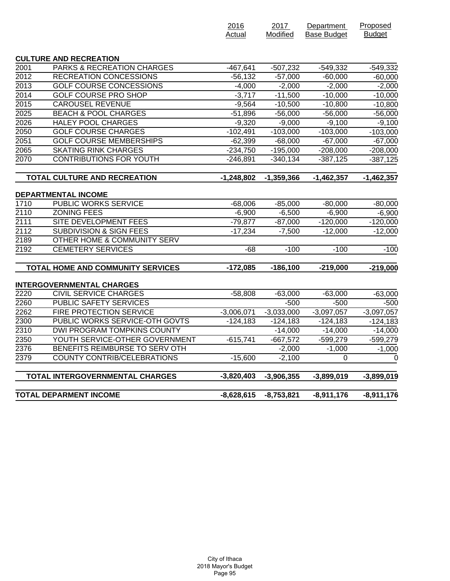|                   |                                       | 2016<br>Actual | 2017<br>Modified | Department<br><b>Base Budget</b> | Proposed<br><b>Budget</b> |
|-------------------|---------------------------------------|----------------|------------------|----------------------------------|---------------------------|
|                   |                                       |                |                  |                                  |                           |
| 2001              | <b>CULTURE AND RECREATION</b>         |                |                  |                                  |                           |
|                   | <b>PARKS &amp; RECREATION CHARGES</b> | $-467,641$     | $-507,232$       | $-549,332$                       | $-549,332$                |
| $\sqrt{2012}$     | <b>RECREATION CONCESSIONS</b>         | $-56, 132$     | $-57,000$        | $-60,000$                        | $-60,000$                 |
| 2013              | <b>GOLF COURSE CONCESSIONS</b>        | $-4,000$       | $-2,000$         | $-2,000$                         | $-2,000$                  |
| 2014              | <b>GOLF COURSE PRO SHOP</b>           | $-3,717$       | $-11,500$        | $-10,000$                        | $-10,000$                 |
| 2015              | <b>CAROUSEL REVENUE</b>               | $-9,564$       | $-10,500$        | $-10,800$                        | $-10,800$                 |
| 2025              | <b>BEACH &amp; POOL CHARGES</b>       | $-51,896$      | $-56,000$        | $-56,000$                        | $-56,000$                 |
| 2026              | <b>HALEY POOL CHARGES</b>             | $-9,320$       | $-9,000$         | $-9,100$                         | $-9,100$                  |
| 2050              | <b>GOLF COURSE CHARGES</b>            | $-102,491$     | $-103,000$       | $-103,000$                       | $-103,000$                |
| 2051              | <b>GOLF COURSE MEMBERSHIPS</b>        | $-62,399$      | $-68,000$        | $-67,000$                        | $-67,000$                 |
| 2065              | <b>SKATING RINK CHARGES</b>           | $-234,750$     | $-195,000$       | $-208,000$                       | $-208,000$                |
| 2070              | <b>CONTRIBUTIONS FOR YOUTH</b>        | $-246,891$     | $-340,134$       | $-387,125$                       | $-387,125$                |
|                   | <b>TOTAL CULTURE AND RECREATION</b>   | $-1,248,802$   | $-1,359,366$     | $-1,462,357$                     | $-1,462,357$              |
|                   |                                       |                |                  |                                  |                           |
|                   | <b>DEPARTMENTAL INCOME</b>            |                |                  |                                  |                           |
| 1710              | <b>PUBLIC WORKS SERVICE</b>           | $-68,006$      | $-85,000$        | $-80,000$                        | $-80,000$                 |
| 2110              | <b>ZONING FEES</b>                    | $-6,900$       | $-6,500$         | $-6,900$                         | $-6,900$                  |
| $\overline{2111}$ | SITE DEVELOPMENT FEES                 | $-79,877$      | $-87,000$        | $-120,000$                       | $-120,000$                |
| 2112              | <b>SUBDIVISION &amp; SIGN FEES</b>    | $-17,234$      | $-7,500$         | $-12,000$                        | $-12,000$                 |
| 2189              | OTHER HOME & COMMUNITY SERV           |                |                  |                                  |                           |
| 2192              | <b>CEMETERY SERVICES</b>              | $-68$          | $-100$           | $-100$                           | $-100$                    |
|                   | TOTAL HOME AND COMMUNITY SERVICES     | $-172,085$     | $-186,100$       | $-219,000$                       | $-219,000$                |
|                   | <b>INTERGOVERNMENTAL CHARGES</b>      |                |                  |                                  |                           |
| 2220              | <b>CIVIL SERVICE CHARGES</b>          | $-58,808$      | $-63,000$        | $-63,000$                        | $-63,000$                 |
| 2260              | <b>PUBLIC SAFETY SERVICES</b>         |                | $-500$           | $-500$                           | $-500$                    |
| 2262              | FIRE PROTECTION SERVICE               | $-3,006,071$   | $-3,033,000$     | $-3,097,057$                     | $-3,097,057$              |
| 2300              | PUBLIC WORKS SERVICE-OTH GOVTS        | $-124,183$     | $-124,183$       | $-124,183$                       | $-124,183$                |
| 2310              | DWI PROGRAM TOMPKINS COUNTY           |                | $-14,000$        | $-14,000$                        | $-14,000$                 |
| 2350              | YOUTH SERVICE-OTHER GOVERNMENT        | $-615,741$     | $-667,572$       | $-599,279$                       | -599,279                  |
| 2376              | BENEFITS REIMBURSE TO SERV OTH        |                | $-2,000$         | $-1,000$                         | $-1,000$                  |
| 2379              | <b>COUNTY CONTRIB/CELEBRATIONS</b>    | $-15,600$      | $-2,100$         | 0                                | $\Omega$                  |
|                   | TOTAL INTERGOVERNMENTAL CHARGES       | $-3,820,403$   | $-3,906,355$     | $-3,899,019$                     | $-3,899,019$              |
|                   | <b>TOTAL DEPARMENT INCOME</b>         | $-8,628,615$   | $-8,753,821$     | $-8,911,176$                     | $-8,911,176$              |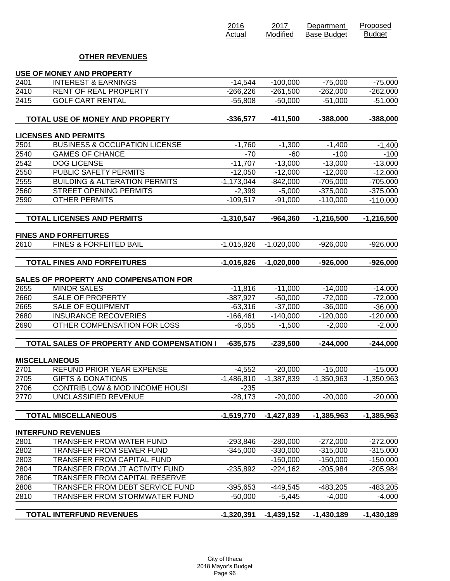|      |                                                                   | 2016<br>Actual | 2017<br>Modified | Department<br><b>Base Budget</b> | Proposed<br><b>Budget</b> |
|------|-------------------------------------------------------------------|----------------|------------------|----------------------------------|---------------------------|
|      | <b>OTHER REVENUES</b>                                             |                |                  |                                  |                           |
|      | <b>USE OF MONEY AND PROPERTY</b>                                  |                |                  |                                  |                           |
| 2401 | <b>INTEREST &amp; EARNINGS</b>                                    | $-14,544$      | $-100,000$       | $-75,000$                        | $-75,000$                 |
| 2410 | RENT OF REAL PROPERTY                                             | $-266,226$     | $-261,500$       | $-262,000$                       | $-262,000$                |
| 2415 | <b>GOLF CART RENTAL</b>                                           | $-55,808$      | $-50,000$        | $-51,000$                        | $-51,000$                 |
|      | <b>TOTAL USE OF MONEY AND PROPERTY</b>                            | $-336,577$     | $-411,500$       | $-388,000$                       | $-388,000$                |
|      | <b>LICENSES AND PERMITS</b>                                       |                |                  |                                  |                           |
| 2501 | <b>BUSINESS &amp; OCCUPATION LICENSE</b>                          | $-1,760$       | $-1,300$         | $-1,400$                         | $-1,400$                  |
| 2540 | <b>GAMES OF CHANCE</b>                                            | $-70$          | $-60$            | $-100$                           | $-100$                    |
| 2542 | <b>DOG LICENSE</b>                                                | $-11,707$      | $-13,000$        | $-13,000$                        | $-13,000$                 |
| 2550 | <b>PUBLIC SAFETY PERMITS</b>                                      | $-12,050$      | $-12,000$        | $-12,000$                        | $-12,000$                 |
| 2555 | <b>BUILDING &amp; ALTERATION PERMITS</b>                          | $-1,173,044$   | $-842,000$       | $-705,000$                       | $-705,000$                |
| 2560 | <b>STREET OPENING PERMITS</b>                                     | $-2,399$       | $-5,000$         | $-375,000$                       | $-375,000$                |
| 2590 | <b>OTHER PERMITS</b>                                              | $-109,517$     | $-91,000$        | $-110,000$                       | $-110,000$                |
|      | <b>TOTAL LICENSES AND PERMITS</b>                                 | $-1,310,547$   | $-964,360$       | $-1,216,500$                     | $-1,216,500$              |
|      |                                                                   |                |                  |                                  |                           |
| 2610 | <b>FINES AND FORFEITURES</b><br><b>FINES &amp; FORFEITED BAIL</b> | $-1,015,826$   | $-1,020,000$     | $-926,000$                       | $-926,000$                |
|      | <b>TOTAL FINES AND FORFEITURES</b>                                | $-1,015,826$   | $-1,020,000$     | $-926,000$                       | $-926,000$                |
|      |                                                                   |                |                  |                                  |                           |
|      | <b>SALES OF PROPERTY AND COMPENSATION FOR</b>                     |                |                  |                                  |                           |
| 2655 | <b>MINOR SALES</b>                                                | $-11,816$      | $-11,000$        | $-14,000$                        | $-14,000$                 |
| 2660 | <b>SALE OF PROPERTY</b>                                           | $-387,927$     | $-50,000$        | $-72,000$                        | $-72,000$                 |
| 2665 | <b>SALE OF EQUIPMENT</b>                                          | $-63,316$      | $-37,000$        | $-36,000$                        | $-36,000$                 |
| 2680 | <b>INSURANCE RECOVERIES</b>                                       | $-166,461$     | $-140,000$       | $-120,000$                       | $-120,000$                |
| 2690 | OTHER COMPENSATION FOR LOSS                                       | $-6,055$       | $-1,500$         | $-2,000$                         | $-2,000$                  |
|      | TOTAL SALES OF PROPERTY AND COMPENSATION I                        | $-635,575$     | $-239,500$       | $-244,000$                       | $-244,000$                |
|      | <b>MISCELLANEOUS</b>                                              |                |                  |                                  |                           |
| 2701 | REFUND PRIOR YEAR EXPENSE                                         | $-4,552$       | $-20,000$        | $-15,000$                        | $-15,000$                 |
| 2705 | <b>GIFTS &amp; DONATIONS</b>                                      | $-1,486,810$   | $-1,387,839$     | $-1,350,963$                     | $-1,350,963$              |
| 2706 | CONTRIB LOW & MOD INCOME HOUSI                                    | $-235$         |                  |                                  |                           |
| 2770 | <b>UNCLASSIFIED REVENUE</b>                                       | $-28,173$      | $-20,000$        | $-20,000$                        | $-20,000$                 |
|      |                                                                   |                |                  |                                  |                           |
|      | <b>TOTAL MISCELLANEOUS</b>                                        | $-1,519,770$   | $-1,427,839$     | $-1,385,963$                     | $-1,385,963$              |
|      | <b>INTERFUND REVENUES</b>                                         |                |                  |                                  |                           |
| 2801 | TRANSFER FROM WATER FUND                                          | $-293,846$     | $-280,000$       | $-272,000$                       | $-272,000$                |
| 2802 | TRANSFER FROM SEWER FUND                                          | $-345,000$     | $-330,000$       | $-315,000$                       | $-315,000$                |
| 2803 | TRANSFER FROM CAPITAL FUND                                        |                | $-150,000$       | $-150,000$                       | $-150,000$                |
| 2804 | TRANSFER FROM JT ACTIVITY FUND                                    | $-235,892$     | $-224,162$       | $-205,984$                       | $-205,984$                |
| 2806 | TRANSFER FROM CAPITAL RESERVE                                     |                |                  |                                  |                           |
| 2808 | TRANSFER FROM DEBT SERVICE FUND                                   | $-395,653$     | $-449,545$       | $-483,205$                       | $-483,205$                |
| 2810 | TRANSFER FROM STORMWATER FUND                                     | $-50,000$      | $-5,445$         | $-4,000$                         | $-4,000$                  |
|      | <b>TOTAL INTERFUND REVENUES</b>                                   | $-1,320,391$   | $-1,439,152$     | $-1,430,189$                     | $-1,430,189$              |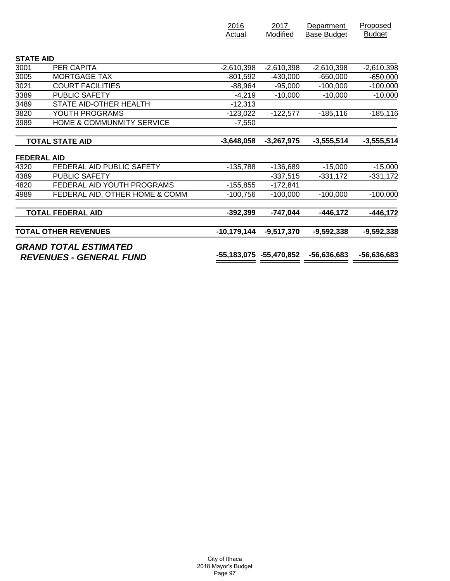|                                |                                | Actual                  | Modified     | <b>Base Budget</b> | <b>Budget</b> |
|--------------------------------|--------------------------------|-------------------------|--------------|--------------------|---------------|
|                                |                                |                         |              |                    |               |
| <b>STATE AID</b>               |                                |                         |              |                    |               |
| 3001                           | PER CAPITA                     | $-2,610,398$            | $-2,610,398$ | $-2,610,398$       | $-2,610,398$  |
| 3005                           | <b>MORTGAGE TAX</b>            | $-801,592$              | $-430,000$   | $-650,000$         | $-650,000$    |
| 3021                           | <b>COURT FACILITIES</b>        | $-88,964$               | $-95,000$    | $-100,000$         | $-100,000$    |
| 3389                           | <b>PUBLIC SAFETY</b>           | $-4,219$                | $-10,000$    | $-10,000$          | $-10,000$     |
| 3489                           | STATE AID-OTHER HEALTH         | $-12,313$               |              |                    |               |
| 3820                           | YOUTH PROGRAMS                 | $-123,022$              | $-122,577$   | $-185, 116$        | $-185, 116$   |
| 3989                           | HOME & COMMUNMITY SERVICE      | $-7,550$                |              |                    |               |
|                                | <b>TOTAL STATE AID</b>         | $-3,648,058$            | $-3,267,975$ | $-3,555,514$       | $-3,555,514$  |
| <b>FEDERAL AID</b>             |                                |                         |              |                    |               |
| 4320                           | FEDERAL AID PUBLIC SAFETY      | $-135,788$              | $-136,689$   | $-15,000$          | $-15,000$     |
| 4389                           | <b>PUBLIC SAFETY</b>           |                         | $-337,515$   | $-331,172$         | $-331,172$    |
| 4820                           | FEDERAL AID YOUTH PROGRAMS     | $-155,855$              | $-172,841$   |                    |               |
| 4989                           | FEDERAL AID, OTHER HOME & COMM | $-100,756$              | $-100,000$   | $-100,000$         | $-100,000$    |
|                                | <b>TOTAL FEDERAL AID</b>       | $-392,399$              | $-747,044$   | $-446, 172$        | $-446, 172$   |
|                                | <b>TOTAL OTHER REVENUES</b>    | $-10,179,144$           | $-9,517,370$ | $-9,592,338$       | $-9,592,338$  |
| <b>REVENUES - GENERAL FUND</b> | <b>GRAND TOTAL ESTIMATED</b>   | -55,183,075 -55,470,852 |              | $-56,636,683$      | -56,636,683   |

2016

2017

**Department** 

Proposed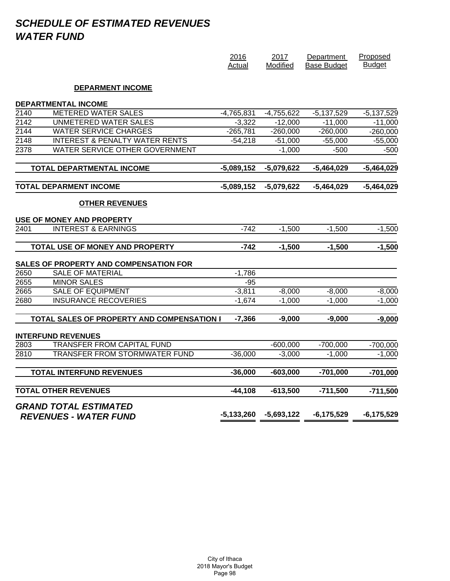# *SCHEDULE OF ESTIMATED REVENUES WATER FUND*

|               |                                                              | 2016<br>Actual | 2017<br>Modified | Department<br><b>Base Budget</b> | Proposed<br><b>Budget</b> |
|---------------|--------------------------------------------------------------|----------------|------------------|----------------------------------|---------------------------|
|               | <b>DEPARMENT INCOME</b>                                      |                |                  |                                  |                           |
|               | <b>DEPARTMENTAL INCOME</b>                                   |                |                  |                                  |                           |
| 2140          | <b>METERED WATER SALES</b>                                   | $-4,765,831$   | $-4,755,622$     | $-5,137,529$                     | $-5,137,529$              |
| $\sqrt{2142}$ | <b>UNMETERED WATER SALES</b>                                 | $-3,322$       | $-12,000$        | $-11,000$                        | $-11,000$                 |
| $\sqrt{2144}$ | <b>WATER SERVICE CHARGES</b>                                 | $-265,781$     | $-260,000$       | $-260,000$                       | $-260,000$                |
| 2148          | <b>INTEREST &amp; PENALTY WATER RENTS</b>                    | $-54,218$      | $-51,000$        | $-55,000$                        | $-55,000$                 |
| 2378          | WATER SERVICE OTHER GOVERNMENT                               |                | $-1,000$         | $-500$                           | -500                      |
|               | TOTAL DEPARTMENTAL INCOME                                    | $-5,089,152$   | $-5,079,622$     | $-5,464,029$                     | $-5,464,029$              |
|               | <b>TOTAL DEPARMENT INCOME</b>                                | $-5,089,152$   | $-5,079,622$     | $-5,464,029$                     | $-5,464,029$              |
|               | <b>OTHER REVENUES</b>                                        |                |                  |                                  |                           |
|               | USE OF MONEY AND PROPERTY                                    |                |                  |                                  |                           |
| 2401          | <b>INTEREST &amp; EARNINGS</b>                               | $-742$         | $-1,500$         | $-1,500$                         | $-1,500$                  |
|               | TOTAL USE OF MONEY AND PROPERTY                              | $-742$         | $-1,500$         | $-1,500$                         | $-1,500$                  |
|               | SALES OF PROPERTY AND COMPENSATION FOR                       |                |                  |                                  |                           |
| 2650          | <b>SALE OF MATERIAL</b>                                      | $-1,786$       |                  |                                  |                           |
| 2655          | <b>MINOR SALES</b>                                           | $-95$          |                  |                                  |                           |
| 2665          | <b>SALE OF EQUIPMENT</b>                                     | $-3,811$       | $-8,000$         | $-8,000$                         | $-8,000$                  |
| 2680          | <b>INSURANCE RECOVERIES</b>                                  | $-1,674$       | $-1,000$         | $-1,000$                         | $-1,000$                  |
|               | TOTAL SALES OF PROPERTY AND COMPENSATION I                   | $-7,366$       | $-9,000$         | $-9,000$                         | $-9,000$                  |
|               | <b>INTERFUND REVENUES</b>                                    |                |                  |                                  |                           |
| 2803          | <b>TRANSFER FROM CAPITAL FUND</b>                            |                | $-600,000$       | $-700,000$                       | $-700,000$                |
| 2810          | TRANSFER FROM STORMWATER FUND                                | $-36,000$      | $-3,000$         | $-1,000$                         | $-1,000$                  |
|               | <b>TOTAL INTERFUND REVENUES</b>                              | $-36,000$      | $-603,000$       | $-701,000$                       | $-701,000$                |
|               | <b>TOTAL OTHER REVENUES</b>                                  | $-44,108$      | $-613,500$       | $-711,500$                       | $-711,500$                |
|               | <b>GRAND TOTAL ESTIMATED</b><br><b>REVENUES - WATER FUND</b> | -5,133,260     | $-5,693,122$     | $-6, 175, 529$                   | $-6, 175, 529$            |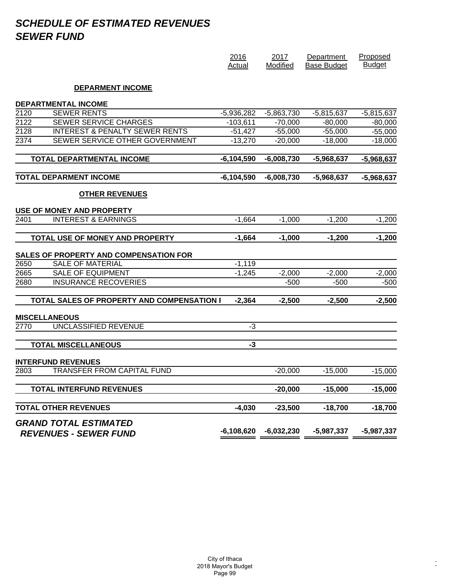# *SCHEDULE OF ESTIMATED REVENUES SEWER FUND*

|      |                                               | 2016<br>Actual | 2017<br>Modified | Department<br><b>Base Budget</b> | Proposed<br><b>Budget</b> |
|------|-----------------------------------------------|----------------|------------------|----------------------------------|---------------------------|
|      | <b>DEPARMENT INCOME</b>                       |                |                  |                                  |                           |
|      | <b>DEPARTMENTAL INCOME</b>                    |                |                  |                                  |                           |
| 2120 | <b>SEWER RENTS</b>                            | $-5,936,282$   | $-5,863,730$     | $-5,815,637$                     | $-5,815,637$              |
| 2122 | <b>SEWER SERVICE CHARGES</b>                  | $-103,611$     | $-70,000$        | $-80,000$                        | $-80,000$                 |
| 2128 | <b>INTEREST &amp; PENALTY SEWER RENTS</b>     | $-51,427$      | $-55,000$        | $-55,000$                        | $-55,000$                 |
| 2374 | SEWER SERVICE OTHER GOVERNMENT                | $-13,270$      | $-20,000$        | $-18,000$                        | $-18,000$                 |
|      | TOTAL DEPARTMENTAL INCOME                     | $-6,104,590$   | $-6,008,730$     | $-5,968,637$                     | $-5,968,637$              |
|      | TOTAL DEPARMENT INCOME                        | $-6,104,590$   | $-6,008,730$     | $-5,968,637$                     | $-5,968,637$              |
|      | <b>OTHER REVENUES</b>                         |                |                  |                                  |                           |
|      | <b>USE OF MONEY AND PROPERTY</b>              |                |                  |                                  |                           |
| 2401 | <b>INTEREST &amp; EARNINGS</b>                | $-1,664$       | $-1,000$         | $-1,200$                         | $-1,200$                  |
|      | TOTAL USE OF MONEY AND PROPERTY               | $-1,664$       | $-1,000$         | $-1,200$                         | $-1,200$                  |
|      | <b>SALES OF PROPERTY AND COMPENSATION FOR</b> |                |                  |                                  |                           |
| 2650 | <b>SALE OF MATERIAL</b>                       | $-1,119$       |                  |                                  |                           |
| 2665 | <b>SALE OF EQUIPMENT</b>                      | $-1,245$       | $-2,000$         | $-2,000$                         | $-2,000$                  |
| 2680 | <b>INSURANCE RECOVERIES</b>                   |                | $-500$           | $-500$                           | $-500$                    |
|      | TOTAL SALES OF PROPERTY AND COMPENSATION I    | $-2,364$       | $-2,500$         | $-2,500$                         | $-2,500$                  |
|      | <b>MISCELLANEOUS</b>                          |                |                  |                                  |                           |
| 2770 | UNCLASSIFIED REVENUE                          | -3             |                  |                                  |                           |
|      | <b>TOTAL MISCELLANEOUS</b>                    | $-3$           |                  |                                  |                           |
|      | <b>INTERFUND REVENUES</b>                     |                |                  |                                  |                           |
| 2803 | TRANSFER FROM CAPITAL FUND                    |                | $-20,000$        | $-15,000$                        | $-15,000$                 |
|      | <b>TOTAL INTERFUND REVENUES</b>               |                | $-20,000$        | $-15,000$                        | $-15,000$                 |
|      | <b>TOTAL OTHER REVENUES</b>                   | $-4,030$       | $-23,500$        | $-18,700$                        | $-18,700$                 |
|      | <b>GRAND TOTAL ESTIMATED</b>                  | $-6,108,620$   | $-6,032,230$     | $-5,987,337$                     | $-5,987,337$              |
|      | <b>REVENUES - SEWER FUND</b>                  |                |                  |                                  |                           |

 $\epsilon$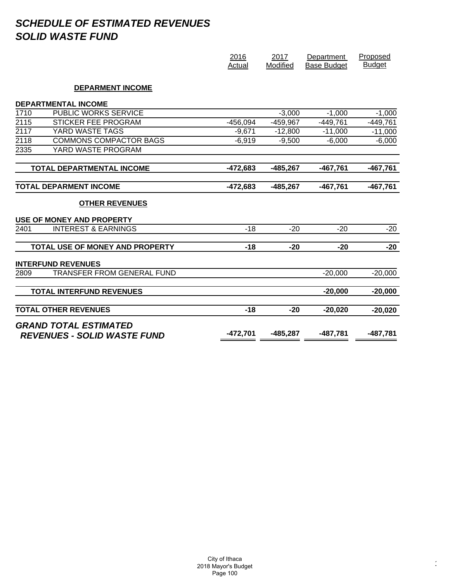# *SCHEDULE OF ESTIMATED REVENUES SOLID WASTE FUND*

|                  |                                    | 2016<br>Actual | 2017<br>Modified | Department<br><b>Base Budget</b> | Proposed<br><b>Budget</b> |
|------------------|------------------------------------|----------------|------------------|----------------------------------|---------------------------|
|                  | <b>DEPARMENT INCOME</b>            |                |                  |                                  |                           |
|                  | <b>DEPARTMENTAL INCOME</b>         |                |                  |                                  |                           |
| 1710             | <b>PUBLIC WORKS SERVICE</b>        |                | $-3,000$         | $-1,000$                         | $-1,000$                  |
| 2115             | STICKER FEE PROGRAM                | $-456,094$     | $-459,967$       | $-449,761$                       | $-449,761$                |
| 2117             | YARD WASTE TAGS                    | $-9,671$       | $-12,800$        | $-11,000$                        | $-11,000$                 |
| $\frac{2118}{ }$ | <b>COMMONS COMPACTOR BAGS</b>      | $-6,919$       | $-9,500$         | $-6,000$                         | $-6,000$                  |
| 2335             | YARD WASTE PROGRAM                 |                |                  |                                  |                           |
|                  | TOTAL DEPARTMENTAL INCOME          | $-472,683$     | $-485,267$       | $-467,761$                       | $-467,761$                |
|                  | <b>TOTAL DEPARMENT INCOME</b>      | $-472,683$     | $-485,267$       | $-467,761$                       | $-467,761$                |
|                  | <b>OTHER REVENUES</b>              |                |                  |                                  |                           |
|                  | <b>USE OF MONEY AND PROPERTY</b>   |                |                  |                                  |                           |
| 2401             | <b>INTEREST &amp; EARNINGS</b>     | $-18$          | $-20$            | $-20$                            | $-20$                     |
|                  | TOTAL USE OF MONEY AND PROPERTY    | $-18$          | $-20$            | $-20$                            | $-20$                     |
|                  | <b>INTERFUND REVENUES</b>          |                |                  |                                  |                           |
| 2809             | TRANSFER FROM GENERAL FUND         |                |                  | $-20,000$                        | $-20,000$                 |
|                  | <b>TOTAL INTERFUND REVENUES</b>    |                |                  | $-20,000$                        | $-20,000$                 |
|                  | <b>TOTAL OTHER REVENUES</b>        | $-18$          | $-20$            | $-20,020$                        | $-20,020$                 |
|                  | <b>GRAND TOTAL ESTIMATED</b>       |                |                  |                                  |                           |
|                  | <b>REVENUES - SOLID WASTE FUND</b> | $-472,701$     | $-485,287$       | $-487,781$                       | -487,781                  |

 $\epsilon$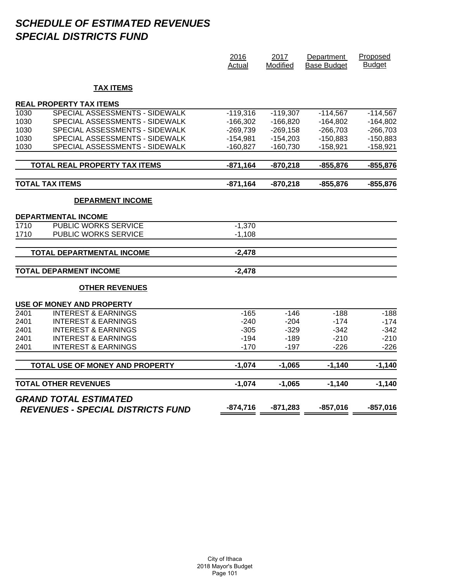# *SCHEDULE OF ESTIMATED REVENUES SPECIAL DISTRICTS FUND*

|                   |                                          | 2016<br>Actual | 2017<br>Modified | Department<br><b>Base Budget</b> | Proposed<br><b>Budget</b> |
|-------------------|------------------------------------------|----------------|------------------|----------------------------------|---------------------------|
|                   | <b>TAX ITEMS</b>                         |                |                  |                                  |                           |
|                   | <b>REAL PROPERTY TAX ITEMS</b>           |                |                  |                                  |                           |
| 1030              | SPECIAL ASSESSMENTS - SIDEWALK           | $-119,316$     | $-119,307$       | $-114,567$                       | $-114,567$                |
| 1030              | SPECIAL ASSESSMENTS - SIDEWALK           | $-166,302$     | $-166,820$       | $-164,802$                       | $-164,802$                |
| 1030              | SPECIAL ASSESSMENTS - SIDEWALK           | $-269,739$     | $-269,158$       | $-266,703$                       | $-266,703$                |
| 1030              | SPECIAL ASSESSMENTS - SIDEWALK           | $-154,981$     | $-154,203$       | $-150,883$                       | $-150,883$                |
| 1030              | SPECIAL ASSESSMENTS - SIDEWALK           | $-160,827$     | $-160,730$       | $-158,921$                       | $-158,921$                |
|                   | <b>TOTAL REAL PROPERTY TAX ITEMS</b>     | $-871,164$     | $-870,218$       | $-855,876$                       | $-855,876$                |
|                   | <b>TOTAL TAX ITEMS</b>                   | $-871,164$     | $-870,218$       | $-855,876$                       | $-855,876$                |
|                   | <b>DEPARMENT INCOME</b>                  |                |                  |                                  |                           |
|                   | <b>DEPARTMENTAL INCOME</b>               |                |                  |                                  |                           |
| 1710              | PUBLIC WORKS SERVICE                     | $-1,370$       |                  |                                  |                           |
| 1710              | PUBLIC WORKS SERVICE                     | $-1,108$       |                  |                                  |                           |
|                   | TOTAL DEPARTMENTAL INCOME                | $-2,478$       |                  |                                  |                           |
|                   | <b>TOTAL DEPARMENT INCOME</b>            | $-2,478$       |                  |                                  |                           |
|                   | <b>OTHER REVENUES</b>                    |                |                  |                                  |                           |
|                   | USE OF MONEY AND PROPERTY                |                |                  |                                  |                           |
| $\overline{2401}$ | <b>INTEREST &amp; EARNINGS</b>           | $-165$         | $-146$           | $-188$                           | $-188$                    |
| 2401              | <b>INTEREST &amp; EARNINGS</b>           | $-240$         | $-204$           | $-174$                           | $-174$                    |
| 2401              | <b>INTEREST &amp; EARNINGS</b>           | $-305$         | $-329$           | $-342$                           | $-342$                    |
| 2401              | <b>INTEREST &amp; EARNINGS</b>           | $-194$         | $-189$           | $-210$                           | $-210$                    |
| 2401              | <b>INTEREST &amp; EARNINGS</b>           | $-170$         | $-197$           | $-226$                           | $-226$                    |
|                   | TOTAL USE OF MONEY AND PROPERTY          | $-1,074$       | $-1,065$         | $-1,140$                         | $-1,140$                  |
|                   | <b>TOTAL OTHER REVENUES</b>              | $-1,074$       | $-1,065$         | $-1,140$                         | $-1,140$                  |
|                   | <b>GRAND TOTAL ESTIMATED</b>             |                |                  |                                  |                           |
|                   | <b>REVENUES - SPECIAL DISTRICTS FUND</b> | $-874,716$     | $-871,283$       | $-857,016$                       | $-857,016$                |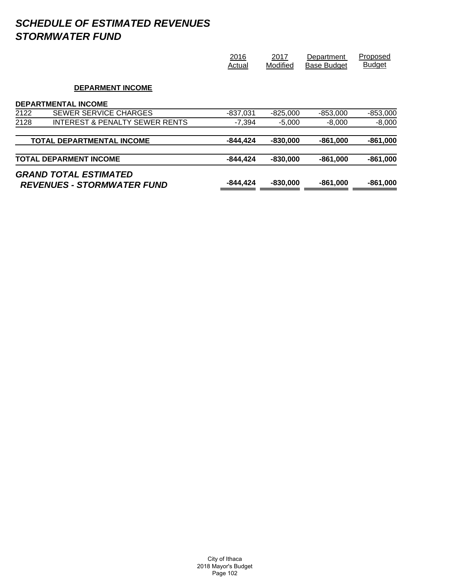# *SCHEDULE OF ESTIMATED REVENUES STORMWATER FUND*

|      | <b>GRAND TOTAL ESTIMATED</b><br><b>REVENUES - STORMWATER FUND</b> | $-844.424$     | $-830,000$       | $-861,000$                       | $-861,000$                |
|------|-------------------------------------------------------------------|----------------|------------------|----------------------------------|---------------------------|
|      | <b>TOTAL DEPARMENT INCOME</b>                                     | $-844, 424$    | $-830,000$       | $-861,000$                       | $-861,000$                |
|      | <b>TOTAL DEPARTMENTAL INCOME</b>                                  | $-844, 424$    | $-830,000$       | $-861,000$                       | $-861,000$                |
| 2128 | INTEREST & PENALTY SEWER RENTS                                    | $-7.394$       | $-5.000$         | $-8.000$                         | $-8,000$                  |
| 2122 | SEWER SERVICE CHARGES                                             | $-837,031$     | $-825,000$       | $-853.000$                       | $-853,000$                |
|      | <b>DEPARMENT INCOME</b><br><b>DEPARTMENTAL INCOME</b>             |                |                  |                                  |                           |
|      |                                                                   | 2016<br>Actual | 2017<br>Modified | Department<br><b>Base Budget</b> | Proposed<br><b>Budget</b> |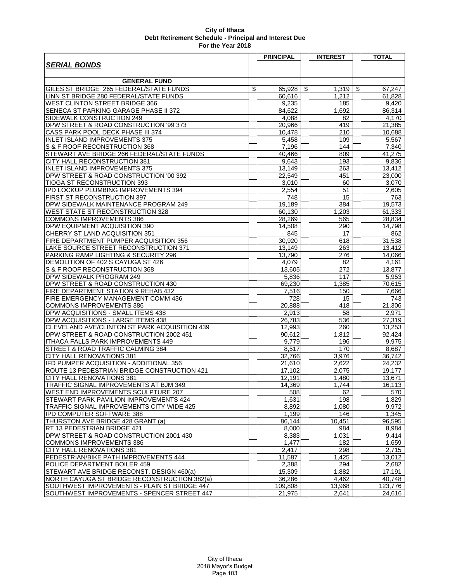|                                               | <b>PRINCIPAL</b> | <b>INTEREST</b> | <b>TOTAL</b>       |
|-----------------------------------------------|------------------|-----------------|--------------------|
| <b>SERIAL BONDS</b>                           |                  |                 |                    |
|                                               |                  |                 |                    |
| <b>GENERAL FUND</b>                           |                  |                 |                    |
| GILES ST BRIDGE 265 FEDERAL/STATE FUNDS       | \$<br>65,928     | \$<br>1,319     | \$<br>67,247       |
| LINN ST BRIDGE 280 FEDERAL/STATE FUNDS        | 60,616           | 1,212           | 61,828             |
| <b>WEST CLINTON STREET BRIDGE 366</b>         | 9,235            | 185             | 9,420              |
| SENECA ST PARKING GARAGE PHASE II 372         | 84,622           | 1,692           | 86,314             |
| SIDEWALK CONSTRUCTION 249                     | 4,088            | 82              | 4,170              |
| DPW STREET & ROAD CONSTRUCTION '99 373        | 20,966           | 419             | 21,385             |
| CASS PARK POOL DECK PHASE III 374             | 10,478           | 210             | 10,688             |
| <b>INLET ISLAND IMPROVEMENTS 375</b>          | 5,458            | 109             | 5,567              |
| S & F ROOF RECONSTRUCTION 368                 | 7,196            | 144             | 7,340              |
| STEWART AVE BRIDGE 266 FEDERAL/STATE FUNDS    | 40,466           | 809             | 41,275             |
| CITY HALL RECONSTRUCTION 381                  | 9,643            | 193             | 9,836              |
| <b>INLET ISLAND IMPROVEMENTS 375</b>          | 13,149           | 263             | 13,412             |
| DPW STREET & ROAD CONSTRUCTION '00 392        | 22,549           | 451             | 23,000             |
| TIOGA ST RECONSTRUCTION 393                   | 3,010            | 60              | 3,070              |
| IPD LOCKUP PLUMBING IMPROVEMENTS 394          | 2,554            | 51              | 2,605              |
| FIRST ST RECONSTRUCTION 397                   | 748              | 15              | 763                |
| DPW SIDEWALK MAINTENANCE PROGRAM 249          | 19,189           | 384             | 19,573             |
| <b>WEST STATE ST RECONSTRUCTION 328</b>       | 60,130           | 1,203           | 61,333             |
| <b>COMMONS IMPROVEMENTS 386</b>               | 28,269           | 565             | 28,834             |
| DPW EQUIPMENT ACQUISITION 390                 | 14,508           | 290             | 14,798             |
| CHERRY ST LAND ACQUISITION 351                | 845              | 17              | 862                |
| FIRE DEPARTMENT PUMPER ACQUISITION 356        | 30,920           | 618             | 31,538             |
| LAKE SOURCE STREET RECONSTRUCTION 371         | 13,149           | 263             | 13,412             |
| PARKING RAMP LIGHTING & SECURITY 296          | 13,790           | 276             | 14,066             |
| DEMOLITION OF 402 S CAYUGA ST 426             | 4,079            | 82              | 4,161              |
| S & F ROOF RECONSTRUCTION 368                 | 13,605           | 272             | 13,877             |
| DPW SIDEWALK PROGRAM 249                      | 5,836            | 117             | 5,953              |
| DPW STREET & ROAD CONSTRUCTION 430            | 69,230           | 1,385           | 70,615             |
| FIRE DEPARTMENT STATION 9 REHAB 432           | 7,516            | 150             | 7,666              |
| FIRE EMERGENCY MANAGEMENT COMM 436            | 728              | 15              | 743                |
| <b>COMMONS IMPROVEMENTS 386</b>               | 20,888           | 418             | 21,306             |
| DPW ACQUISITIONS - SMALL ITEMS 438            | 2,913            | 58              | 2,971              |
| DPW ACQUISITIONS - LARGE ITEMS 438            | 26,783           | 536             | 27,319             |
| CLEVELAND AVE/CLINTON ST PARK ACQUISITION 439 | 12,993           | 260             | 13,253             |
| DPW STREET & ROAD CONSTRUCTION 2002 451       | 90,612           | 1,812           | 92,424             |
| ITHACA FALLS PARK IMPROVEMENTS 449            | 9,779            | 196             | 9,975              |
| STREET & ROAD TRAFFIC CALMING 384             | 8.517            | 170             | 8,687              |
| CITY HALL RENOVATIONS 381                     | 32,766           | 3,976           | 36,742             |
| IFD PUMPER ACQUISITION - ADDITIONAL 356       | 21,610           | 2.622           | 24,232             |
| ROUTE 13 PEDESTRIAN BRIDGE CONSTRUCTION 421   | 17.102           | 2,075           | 19,177             |
| CITY HALL RENOVATIONS 381                     | 12.191           | 1,480           | 13,671             |
| TRAFFIC SIGNAL IMPROVEMENTS AT BJM 349        | 14,369           | 1,744           | 16,113             |
| WEST END IMPROVEMENTS SCULPTURE 207           | 508              | 62              | 570                |
| STEWART PARK PAVILION IMPROVEMENTS 424        | 1,631            | 198             | 1,829              |
| TRAFFIC SIGNAL IMPROVEMENTS CITY WIDE 425     | 8,892            | 1,080           | 9,972              |
| IPD COMPUTER SOFTWARE 388                     | 1,199            | 146             | 1,345              |
| THURSTON AVE BRIDGE 428 GRANT (a)             | 86.144           | 10,451          | 96,595             |
| RT 13 PEDESTRIAN BRIDGE 421                   | 8,000            | 984             | 8,984              |
| DPW STREET & ROAD CONSTRUCTION 2001 430       | 8,383            | 1,031           | 9,414              |
| <b>COMMONS IMPROVEMENTS 386</b>               | 1,477            | 182             | 1,659              |
| CITY HALL RENOVATIONS 381                     | 2,417            | 298             | $\overline{2,715}$ |
| PEDESTRIAN/BIKE PATH IMPROVEMENTS 444         | 11,587           | 1,425           | 13,012             |
| POLICE DEPARTMENT BOILER 459                  | 2,388            | 294             | 2,682              |
| STEWART AVE BRIDGE RECONST. DESIGN 460(a)     | 15,309           | 1,882           | 17,191             |
| NORTH CAYUGA ST BRIDGE RECONSTRUCTION 382(a)  | 36,286           | 4,462           | 40,748             |
| SOUTHWEST IMPROVEMENTS - PLAIN ST BRIDGE 447  | 109,808          | 13,968          | 123,776            |
| SOUTHWEST IMPROVEMENTS - SPENCER STREET 447   | 21,975           | 2,641           | 24,616             |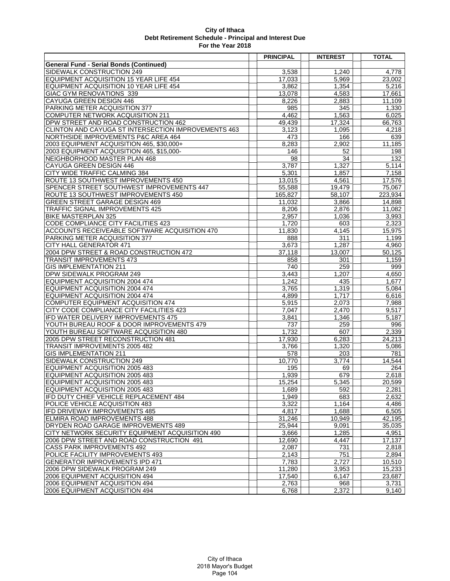|                                                     | <b>PRINCIPAL</b> | <b>INTEREST</b> | <b>TOTAL</b> |
|-----------------------------------------------------|------------------|-----------------|--------------|
| <b>General Fund - Serial Bonds (Continued)</b>      |                  |                 |              |
| SIDEWALK CONSTRUCTION 249                           | 3,538            | 1,240           | 4,778        |
| EQUIPMENT ACQUISITION 15 YEAR LIFE 454              | 17,033           | 5,969           | 23,002       |
| EQUIPMENT ACQUISITION 10 YEAR LIFE 454              | 3,862            | 1,354           | 5,216        |
| GIAC GYM RENOVATIONS 339                            | 13,078           | 4,583           | 17,661       |
| CAYUGA GREEN DESIGN 446                             | 8,226            | 2,883           | 11,109       |
| PARKING METER ACQUISITION 377                       | 985              | 345             | 1,330        |
| COMPUTER NETWORK ACQUISITION 211                    | 4,462            | 1,563           | 6,025        |
| DPW STREET AND ROAD CONSTRUCTION 462                | 49,439           | 17,324          | 66,763       |
| CLINTON AND CAYUGA ST INTERSECTION IMPROVEMENTS 463 | 3,123            | 1,095           | 4,218        |
| NORTHSIDE IMPROVEMENTS P&C AREA 464                 | 473              | 166             | 639          |
| 2003 EQUIPMENT ACQUISITION 465, \$30,000+           | 8,283            | 2,902           | 11,185       |
| 2003 EQUIPMENT ACQUISITION 465, \$15,000-           | 146              | 52              | 198          |
| NEIGHBORHOOD MASTER PLAN 468                        | 98               | 34              | 132          |
| CAYUGA GREEN DESIGN 446                             | 3,787            | 1,327           | 5,114        |
| CITY WIDE TRAFFIC CALMING 384                       | 5,301            | 1,857           | 7,158        |
| ROUTE 13 SOUTHWEST IMPROVEMENTS 450                 | 13,015           | 4,561           | 17,576       |
| SPENCER STREET SOUTHWEST IMPROVEMENTS 447           | 55,588           | 19,479          | 75,067       |
| ROUTE 13 SOUTHWEST IMPROVEMENTS 450                 | 165,827          | 58,107          | 223,934      |
| <b>GREEN STREET GARAGE DESIGN 469</b>               | 11,032           | 3,866           | 14,898       |
| TRAFFIC SIGNAL IMPROVEMENTS 425                     | 8,206            | 2,876           | 11,082       |
| <b>BIKE MASTERPLAN 325</b>                          | 2,957            | 1,036           | 3,993        |
| CODE COMPLIANCE CITY FACILITIES 423                 | 1,720            | 603             | 2,323        |
| ACCOUNTS RECEIVEABLE SOFTWARE ACQUISITION 470       | 11,830           | 4,145           | 15,975       |
| PARKING METER ACQUISITION 377                       | 888              | 311             | 1,199        |
| CITY HALL GENERATOR 471                             | 3,673            | 1,287           | 4,960        |
| 2004 DPW STREET & ROAD CONSTRUCTION 472             | 37,118           | 13.007          | 50,125       |
| <b>TRANSIT IMPROVEMENTS 473</b>                     | 858              | 301             | 1,159        |
| <b>GIS IMPLEMENTATION 211</b>                       | 740              | 259             | 999          |
| DPW SIDEWALK PROGRAM 249                            | 3,443            | 1,207           | 4,650        |
| EQUIPMENT ACQUISITION 2004 474                      | 1,242            | 435             | 1,677        |
| EQUIPMENT ACQUISITION 2004 474                      | 3,765            | 1,319           | 5,084        |
| EQUIPMENT ACQUISITION 2004 474                      | 4,899            | 1,717           | 6,616        |
| COMPUTER EQUIPMENT ACQUISITION 474                  | 5,915            | 2,073           | 7,988        |
| CITY CODE COMPLIANCE CITY FACILITIES 423            | 7.047            | 2,470           | 9,517        |
| IFD WATER DELIVERY IMPROVEMENTS 475                 | 3,841            | 1,346           | 5,187        |
| YOUTH BUREAU ROOF & DOOR IMPROVEMENTS 479           | 737              | 259             | 996          |
| YOUTH BUREAU SOFTWARE ACQUISITION 480               | 1,732            | 607             | 2,339        |
| 2005 DPW STREET RECONSTRUCTION 481                  | 17,930           | 6,283           | 24,213       |
| <b>TRANSIT IMPROVEMENTS 2005 482</b>                | 3,766            | 1,320           | 5,086        |
| <b>GIS IMPLEMENTATION 211</b>                       | 578              | 203             | 781          |
| SIDEWALK CONSTRUCTION 249                           | 10.770           | 3,774           | 14,544       |
| EQUIPMENT ACQUISITION 2005 483                      | 195              | 69              | 264          |
| EQUIPMENT ACQUISITION 2005 483                      | 1.939            | 679             | 2,618        |
| EQUIPMENT ACQUISITION 2005 483                      | 15,254           | 5,345           | 20,599       |
| EQUIPMENT ACQUISITION 2005 483                      | 1.689            | 592             | 2,281        |
| IFD DUTY CHIEF VEHICLE REPLACEMENT 484              | 1,949            | 683             | 2,632        |
| POLICE VEHICLE ACQUISITION 483                      | 3,322            | 1,164           | 4,486        |
| IFD DRIVEWAY IMPROVEMENTS 485                       | 4,817            | 1,688           | 6,505        |
| ELMIRA ROAD IMPROVEMENTS 488                        | 31,246           | 10,949          | 42,195       |
| DRYDEN ROAD GARAGE IMPROVEMENTS 489                 | 25,944           | 9,091           | 35,035       |
| CITY NETWORK SECURITY EQUIPMENT ACQUISITION 490     | 3,666            | 1,285           | 4,951        |
| 2006 DPW STREET AND ROAD CONSTRUCTION 491           | 12,690           | 4.447           | 17,137       |
| <b>CASS PARK IMPROVEMENTS 492</b>                   | 2,087            | 731             | 2,818        |
| POLICE FACILITY IMPROVEMENTS 493                    | 2,143            | 751             | 2,894        |
| <b>GENERATOR IMPROVEMENTS IPD 471</b>               | 7,783            | 2,727           | 10,510       |
| 2006 DPW SIDEWALK PROGRAM 249                       | 11,280           | 3.953           | 15,233       |
| 2006 EQUIPMENT ACQUISITION 494                      | 17,540           | 6,147           | 23,687       |
| 2006 EQUIPMENT ACQUISITION 494                      | 2,763            | 968             | 3,731        |
| 2006 EQUIPMENT ACQUISITION 494                      | 6,768            | 2,372           | 9,140        |
|                                                     |                  |                 |              |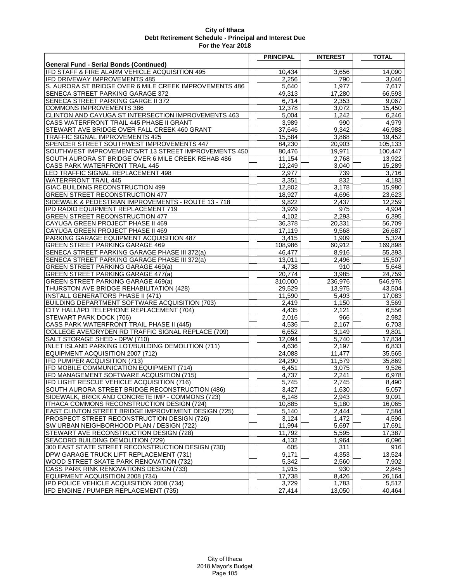|                                                        | <b>PRINCIPAL</b> | <b>INTEREST</b>     | <b>TOTAL</b> |
|--------------------------------------------------------|------------------|---------------------|--------------|
| <b>General Fund - Serial Bonds (Continued)</b>         |                  |                     |              |
| IFD STAFF & FIRE ALARM VEHICLE ACQUISITION 495         | 10,434           | 3,656               | 14,090       |
| IFD DRIVEWAY IMPROVEMENTS 485                          | 2,256            | 790                 | 3,046        |
| S. AURORA ST BRIDGE OVER 6 MILE CREEK IMPROVEMENTS 486 | 5,640            | 1.977               | 7,617        |
| SENECA STREET PARKING GARAGE 372                       | 49,313           | 17,280              | 66,593       |
| SENECA STREET PARKING GARGE II 372                     | 6,714            | 2,353               | 9,067        |
| <b>COMMONS IMPROVEMENTS 386</b>                        | 12,378           | 3,072               | 15,450       |
| CLINTON AND CAYUGA ST INTERSECTION IMPROVEMENTS 463    | 5,004            | 1,242               | 6,246        |
| CASS WATERFRONT TRAIL 445 PHASE II GRANT               | 3,989            | 990                 | 4,979        |
| STEWART AVE BRIDGE OVER FALL CREEK 460 GRANT           | 37,646           | $\overline{9,342}$  | 46,988       |
| TRAFFIC SIGNAL IMPROVEMENTS 425                        | 15,584           | 3,868               | 19,452       |
| SPENCER STREET SOUTHWEST IMPROVEMENTS 447              | 84,230           | 20,903              | 105,133      |
| SOUTHWEST IMPROVEMENTS/RT 13 STREET IMPROVEMENTS 450   | 80,476           | 19,971              | 100,447      |
| SOUTH AURORA ST BRIDGE OVER 6 MILE CREEK REHAB 486     | 11,154           | 2,768               | 13,922       |
| <b>CASS PARK WATERFRONT TRAIL 445</b>                  | 12,249           | 3,040               | 15,289       |
| LED TRAFFIC SIGNAL REPLACEMENT 498                     | 2,977            | 739                 | 3,716        |
| <b>WATERFRONT TRAIL 445</b>                            | 3,351            | 832                 | 4,183        |
| GIAC BUILDING RECONSTRUCTION 499                       | 12,802           | 3,178               | 15,980       |
| <b>GREEN STREET RECONSTRUCTION 477</b>                 | 18,927           | 4,696               | 23,623       |
| SIDEWALK & PEDESTRIAN IMPROVEMENTS - ROUTE 13 - 718    | 9,822            | 2,437               | 12,259       |
| IPD RADIO EQUIPMENT REPLACEMENT 719                    | 3,929            | 975                 | 4,904        |
| <b>GREEN STREET RECONSTRUCTION 477</b>                 | 4,102            | 2,293               | 6,395        |
| CAYUGA GREEN PROJECT PHASE II 469                      | 36,378           | 20,331              | 56.709       |
| CAYUGA GREEN PROJECT PHASE II 469                      | 17,119           | 9,568               | 26,687       |
| PARKING GARAGE EQUIPMENT ACQUISITION 487               | 3,415            | 1,909               | 5,324        |
| <b>GREEN STREET PARKING GARAGE 469</b>                 | 108,986          | 60,912              | 169,898      |
| SENECA STREET PARKING GARAGE PHASE III 372(a)          | 46,477           | 8,916               | 55,393       |
| SENECA STREET PARKING GARAGE PHASE III 372(a)          | 13,011           | 2,496               | 15,507       |
| <b>GREEN STREET PARKING GARAGE 469(a)</b>              | 4,738            | 910                 | 5,648        |
| <b>GREEN STREET PARKING GARAGE 477(a)</b>              | 20,774           | 3,985               | 24,759       |
| <b>GREEN STREET PARKING GARAGE 469(a)</b>              | 310,000          | 236,976             | 546,976      |
| THURSTON AVE BRIDGE REHABILITATION (428)               | 29,529           | 13,975              | 43,504       |
| <b>INSTALL GENERATORS PHASE II (471)</b>               | 11,590           | 5,493               | 17,083       |
| BUILDING DEPARTMENT SOFTWARE ACQUISITION (703)         | 2,419            | 1,150               | 3,569        |
| CITY HALL/IPD TELEPHONE REPLACEMENT (704)              | 4,435            | $\overline{2}, 121$ | 6,556        |
| STEWART PARK DOCK (706)                                | 2,016            | 966                 | 2,982        |
| CASS PARK WATERFRONT TRAIL PHASE II (445)              | 4,536            | 2,167               | 6,703        |
| COLLEGE AVE/DRYDEN RD TRAFFIC SIGNAL REPLACE (709)     | 6,652            | $\overline{3,}149$  | 9,801        |
| SALT STORAGE SHED - DPW (710)                          | 12,094           | 5,740               | 17,834       |
| INLET ISLAND PARKING LOT/BUILDING DEMOLITION (711)     | 4,636            | 2,197               | 6,833        |
| EQUIPMENT ACQUISITION 2007 (712)                       | 24,088           | 11.477              | 35,565       |
| IFD PUMPER ACQUISITION (713)                           | 24,290           | 11,579              | 35,869       |
| IFD MOBILE COMMUNICATION EQUIPMENT (714)               | 6,451            | 3,075               | 9,526        |
| IFD MANAGEMENT SOFTWARE ACQUSITION (715)               | 4,737            | 2,241               | 6,978        |
| IFD LIGHT RESCUE VEHICLE ACQUISITION (716)             | 5,745            | 2,745               | 8,490        |
| SOUTH AURORA STREET BRIDGE RECONSTRUCTION (486)        | 3,427            | 1,630               | 5,057        |
| SIDEWALK, BRICK AND CONCRETE IMP - COMMONS (723)       | 6,148            | 2,943               | 9,091        |
| ITHACA COMMONS RECONSTRUCTION DESIGN (724)             | 10,885           | 5,180               | 16,065       |
| EAST CLINTON STREET BRIDGE IMPROVEMENT DESIGN (725)    | 5,140            | 2,444               | 7,584        |
| PROSPECT STREET RECONSTRUCTION DESIGN (726)            | 3,124            | 1,472               | 4,596        |
| SW URBAN NEIGHBORHOOD PLAN / DESIGN (722)              | 11,994           | 5,697               | 17,691       |
| STEWART AVE RECONSTRUCTION DESIGN (728)                | 11,792           | 5,595               | 17,387       |
| <b>SEACORD BUILDING DEMOLITION (729)</b>               | 4,132            | 1,964               | 6,096        |
| 300 EAST STATE STREET RECONSTRUCTION DESIGN (730)      | 605              | 311                 | 916          |
| DPW GARAGE TRUCK LIFT REPLACEMENT (731)                | 9,171            | 4,353               | 13,524       |
| WOOD STREET SKATE PARK RENOVATION (732)                | 5,342            | 2,560               | 7,902        |
| CASS PARK RINK RENOVATIONS DESIGN (733)                | 1,915            | 930                 | 2,845        |
| EQUIPMENT ACQUISITION 2008 (734)                       | 17,738           | 8,426               | 26,164       |
| IPD POLICE VEHICLE ACQUISITION 2008 (734)              | 3,729            | 1,783               | 5,512        |
| IFD ENGINE / PUMPER REPLACEMENT (735)                  | 27,414           | 13,050              | 40,464       |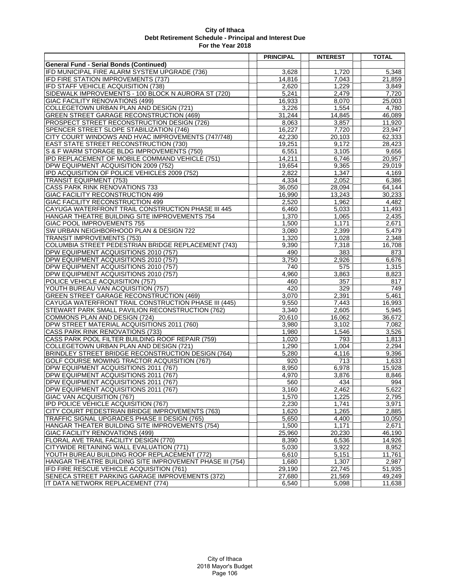|                                                                                          | <b>PRINCIPAL</b> | <b>INTEREST</b> | <b>TOTAL</b>    |
|------------------------------------------------------------------------------------------|------------------|-----------------|-----------------|
| <b>General Fund - Serial Bonds (Continued)</b>                                           |                  |                 |                 |
| IFD MUNICIPAL FIRE ALARM SYSTEM UPGRADE (736)                                            | 3,628            | 1,720           | 5,348           |
| IFD FIRE STATION IMPROVEMENTS (737)                                                      | 14,816           | 7.043           | 21,859          |
| IFD STAFF VEHICLE ACQUISITION (738)                                                      | 2,620            | 1,229           | 3,849           |
| SIDEWALK IMPROVEMENTS - 100 BLOCK N AURORA ST (720)                                      | 5,241            | 2,479           | 7.720           |
| <b>GIAC FACILITY RENOVATIONS (499)</b>                                                   | 16,933           | 8,070           | 25,003          |
| COLLEGETOWN URBAN PLAN AND DESIGN (721)                                                  | 3,226            | 1,554           | 4,780           |
| <b>GREEN STREET GARAGE RECONSTRUCTION (469)</b>                                          | 31,244           | 14,845          | 46,089          |
| PROSPECT STREET RECONSTRUCTION DESIGN (726)                                              | 8,063            | 3,857           | 11,920          |
| SPENCER STREET SLOPE STABILIZATION (746)                                                 | 16,227           | 7,720           | 23,947          |
| CITY COURT WINDOWS AND HVAC IMPROVEMENTS (747/748)                                       | 42,230           | 20,103          | 62,333          |
| <b>EAST STATE STREET RECONSTRUCTION (730)</b>                                            | 19,251           | 9,172           | 28,423          |
| S & F WARM STORAGE BLDG IMPROVEMENTS (750)                                               | 6,551            | 3,105           | 9,656           |
| IPD REPLACEMENT OF MOBILE COMMAND VEHICLE (751)                                          | 14,211           | 6,746           | 20,957          |
| DPW EQUIPMENT ACQUISITION 2009 (752)                                                     | 19,654           | 9,365           | 29,019          |
| <b>IPD ACQUISITION OF POLICE VEHICLES 2009 (752)</b>                                     | 2,822            | 1,347           | 4,169           |
| <b>TRANSIT EQUIPMENT (753)</b>                                                           | 4,334            | 2,052           | 6,386           |
| CASS PARK RINK RENOVATIONS 733                                                           | 36,050           | 28,094          | 64,144          |
| GIAC FACILITY RECONSTRUCTION 499                                                         | 16,990           | 13,243          | 30,233          |
| <b>GIAC FACILITY RECONSTRUCTION 499</b>                                                  | 2,520            | 1,962           | 4,482           |
| CAYUGA WATERFRONT TRAIL CONSTRUCTION PHASE III 445                                       | 6,460            | 5,033           | 11,493          |
| HANGAR THEATRE BUILDING SITE IMPROVEMENTS 754                                            | 1,370<br>1,500   | 1,065<br>1,171  | 2,435<br>2,671  |
| GIAC POOL IMPROVEMENTS 755<br>SW URBAN NEIGHBORHOOD PLAN & DESIGN 722                    | 3,080            | 2,399           | 5,479           |
| <b>TRANSIT IMPROVEMENTS (753)</b>                                                        | 1,320            | 1,028           | 2,348           |
| COLUMBIA STREET PEDESTRIAN BRIDGE REPLACEMENT (743)                                      | 9,390            | 7,318           | 16,708          |
| DPW EQUIPMENT ACQUISITIONS 2010 (757)                                                    | 490              | 383             | 873             |
| DPW EQUIPMENT ACQUISITIONS 2010 (757)                                                    | 3,750            | 2,926           | 6,676           |
| DPW EQUIPMENT ACQUISITIONS 2010 (757)                                                    | 740              | 575             | 1,315           |
| DPW EQUIPMENT ACQUISITIONS 2010 (757)                                                    | 4,960            | 3,863           | 8,823           |
| POLICE VEHICLE ACQUISITION (757)                                                         | 460              | 357             | 817             |
| YOUTH BUREAU VAN ACQUISITION (757)                                                       | 420              | 329             | 749             |
| <b>GREEN STREET GARAGE RECONSTRUCTION (469)</b>                                          | 3,070            | 2,391           | 5,461           |
| CAYUGA WATERFRONT TRAIL CONSTRUCTION PHASE III (445)                                     | 9,550            | 7,443           | 16,993          |
| STEWART PARK SMALL PAVILION RECONSTRUCTION (762)                                         | 3,340            | 2,605           | 5,945           |
| COMMONS PLAN AND DESIGN (724)                                                            | 20,610           | 16,062          | 36,672          |
| DPW STREET MATERIAL ACQUISITIONS 2011 (760)                                              | 3,980            | 3,102           | 7,082           |
| CASS PARK RINK RENOVATIONS (733)                                                         | 1,980            | 1,546           | 3,526           |
| CASS PARK POOL FILTER BUILDING ROOF REPAIR (759)                                         | 1,020            | 793             | 1,813           |
| COLLEGETOWN URBAN PLAN AND DESIGN (721)                                                  | 1,290            | 1,004           | 2,294           |
| BRINDLEY STREET BRIDGE RECONSTRUCTION DESIGN (764)                                       | 5,280            | 4,116           | 9,396           |
| GOLF COURSE MOWING TRACTOR ACQUISITION (767)                                             | 920              | 713             | 1,633           |
| DPW EQUIPMENT ACQUISITIONS 2011 (767)                                                    | 8,950            | 6,978           | 15,928          |
| DPW EQUIPMENT ACQUISITIONS 2011 (767)                                                    | 4,970            | 3,876           | 8,846           |
| DPW EQUIPMENT ACQUISITIONS 2011 (767)                                                    | 560              | 434             | 994             |
| DPW EQUIPMENT ACQUISITIONS 2011 (767)                                                    | 3,160            | 2.462           | 5,622           |
| <b>GIAC VAN ACQUISITION (767)</b>                                                        | 1,570            | 1,225           | 2,795           |
| IPD POLICE VEHICLE ACQUISITION (767)                                                     | 2,230            | 1,741           | 3,971           |
| CITY COURT PEDESTRIAN BRIDGE IMPROVEMENTS (763)                                          | 1,620            | 1,265           | 2,885           |
| TRAFFIC SIGNAL UPGRADES PHASE II DESIGN (765)                                            | 5,650            | 4,400           | 10,050          |
| HANGAR THEATER BUILDING SITE IMPROVEMENTS (754)                                          | 1,500            | 1,171           | 2.671           |
| <b>GIAC FACILITY RENOVATIONS (499)</b>                                                   | 25,960           | 20,230          | 46,190          |
| FLORAL AVE TRAIL FACILITY DESIGN (770)                                                   | 8,390            | 6,536           | 14,926          |
| CITYWIDE RETAINING WALL EVALUATION (771)<br>YOUTH BUREAU BUILDING ROOF REPLACEMENT (772) | 5,030<br>6,610   | 3,922<br>5,151  | 8,952<br>11,761 |
| HANGAR THEATRE BUILDING SITE IMPROVEMENT PHASE III (754)                                 | 1,680            | 1,307           | 2,987           |
| IFD FIRE RESCUE VEHICLE ACQUISITION (761)                                                | 29,190           | 22,745          | 51,935          |
| SENECA STREET PARKING GARAGE IMPROVEMENTS (372)                                          | 27,680           | 21,569          | 49,249          |
| IT DATA NETWORK REPLACEMENT (774)                                                        | 6,540            | 5,098           | 11,638          |
|                                                                                          |                  |                 |                 |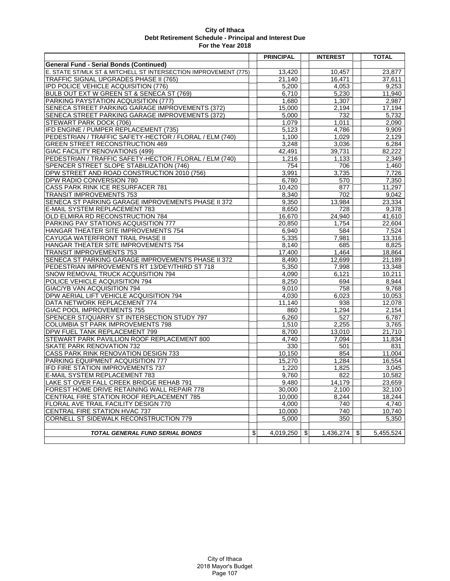|                                                                 | <b>PRINCIPAL</b> | <b>INTEREST</b>                        | <b>TOTAL</b>    |
|-----------------------------------------------------------------|------------------|----------------------------------------|-----------------|
| <b>General Fund - Serial Bonds (Continued)</b>                  |                  |                                        |                 |
| E. STATE ST/MLK ST & MITCHELL ST INTERSECTION IMPROVEMENT (775) | 13,420           | 10.457                                 | 23.877          |
| TRAFFIC SIGNAL UPGRADES PHASE II (765)                          | 21,140           | 16,471                                 | 37,611          |
| <b>IPD POLICE VEHICLE ACQUISITION (776)</b>                     | 5,200            | 4,053                                  | 9,253           |
| BULB OUT EXT W GREEN ST & SENECA ST (769)                       | 6,710            | 5,230                                  | 11,940          |
| PARKING PAYSTATION ACQUISITION (777)                            | 1,680            | 1,307                                  | 2,987           |
| SENECA STREET PARKING GARAGE IMPROVEMENTS (372)                 | 15,000           | 2,194                                  | 17,194          |
| SENECA STREET PARKING GARAGE IMPROVEMENTS (372)                 | 5,000            | 732                                    | 5,732           |
| STEWART PARK DOCK (706)                                         | 1,079            | 1,011                                  | 2,090           |
| IFD ENGINE / PUMPER REPLACEMENT (735)                           | 5.123            | 4,786                                  | 9,909           |
| PEDESTRIAN / TRAFFIC SAFETY-HECTOR / FLORAL / ELM (740)         | 1,100            | 1.029                                  | 2,129           |
| GREEN STREET RECONSTRUCTION 469                                 | 3,248            | 3,036                                  | 6,284           |
| <b>GIAC FACILITY RENOVATIONS (499)</b>                          | 42,491           | 39,731                                 | 82,222          |
| PEDESTRIAN / TRAFFIC SAFETY-HECTOR / FLORAL / ELM (740)         | 1,216            | 1,133                                  | 2,349           |
| SPENCER STREET SLOPE STABILIZATION (746)                        | 754              | 706                                    | 1,460           |
| DPW STREET AND ROAD CONSTRUCTION 2010 (756)                     | 3,991            | 3,735                                  | 7,726           |
| DPW RADIO CONVERSION 780                                        | 6,780            | 570                                    | 7,350           |
| CASS PARK RINK ICE RESURFACER 781                               | 10,420           | 877                                    | 11,297          |
| <b>TRANSIT IMPROVEMENTS 753</b>                                 | 8,340            | 702                                    | 9,042           |
| SENECA ST PARKING GARAGE IMPROVEMENTS PHASE II 372              | 9.350            | 13,984                                 | 23,334          |
| E-MAIL SYSTEM REPLACEMENT 783                                   | 8,650            | 728                                    | 9,378           |
| OLD ELMIRA RD RECONSTRUCTION 784                                | 16,670           | 24,940                                 | 41,610          |
| PARKING PAY STATIONS ACQUISITION 777                            | 20,850           | 1,754                                  | 22,604          |
| HANGAR THEATER SITE IMPROVEMENTS 754                            | 6,940            | 584                                    | 7,524           |
| CAYUGA WATERFRONT TRAIL PHASE II                                | 5,335            | 7,981                                  | 13,316          |
| HANGAR THEATER SITE IMPROVEMENTS 754                            | 8,140            | 685                                    | 8,825           |
| <b>TRANSIT IMPROVEMENTS 753</b>                                 | 17.400           | 1,464                                  | 18,864          |
| SENECA ST PARKING GARAGE IMPROVEMENTS PHASE II 372              | 8,490            | 12,699                                 | 21,189          |
| PEDESTRIAN IMPROVEMENTS RT 13/DEY/THIRD ST 718                  | 5,350            | 7,998                                  | 13,348          |
| SNOW REMOVAL TRUCK ACQUISITION 794                              | 4,090            | 6,121                                  | 10,211          |
| POLICE VEHICLE ACQUISITION 794                                  | 8,250            | 694                                    | 8,944           |
| GIAC/YB VAN ACQUISITION 794                                     | 9,010            | 758                                    | 9,768           |
| DPW AERIAL LIFT VEHICLE ACQUISITION 794                         | 4,030            | 6,023                                  | 10,053          |
| DATA NETWORK REPLACEMENT 774                                    | 11,140           | 938                                    | 12,078          |
| GIAC POOL IMPROVEMENTS 755                                      | 860              | 1,294                                  | 2,154           |
| SPENCER ST/QUARRY ST INTERSECTION STUDY 797                     | 6,260            | 527                                    | 6,787           |
| <b>COLUMBIA ST PARK IMPROVEMENTS 798</b>                        | 1,510            | 2,255                                  | 3,765           |
| DPW FUEL TANK REPLACEMENT 799                                   | 8,700            | 13,010                                 | 21,710          |
| STEWART PARK PAVILLION ROOF REPLACEMENT 800                     | 4,740            | 7,094                                  | 11.834          |
| SKATE PARK RENOVATION 732                                       | 330              | 501                                    | 831             |
| CASS PARK RINK RENOVATION DESIGN 733                            | 10,150           | 854                                    | 11,004          |
| PARKING EQUIPMENT ACQUISITION 777                               | 15,270           | 1,284                                  | 16,554          |
| IFD FIRE STATION IMPROVEMENTS 737                               | 1,220            | 1,825                                  | 3,045           |
| E-MAIL SYSTEM REPLACEMENT 783                                   | 9,760            | 822                                    | 10,582          |
| LAKE ST OVER FALL CREEK BRIDGE REHAB 791                        | 9,480            | 14,179                                 | 23,659          |
| FOREST HOME DRIVE RETAINING WALL REPAIR 778                     | 30,000           | 2,100                                  | 32,100          |
| CENTRAL FIRE STATION ROOF REPLACEMENT 785                       | 10,000           | 8,244                                  | 18,244          |
| FLORAL AVE TRAIL FACILITY DESIGN 770                            | 4,000            | 740                                    | 4,740           |
| CENTRAL FIRE STATION HVAC 737                                   | 10,000           | 740                                    | 10,740          |
| CORNELL ST SIDEWALK RECONSTRUCTION 779                          | 5,000            | 350                                    | 5,350           |
|                                                                 |                  |                                        |                 |
| <b>TOTAL GENERAL FUND SERIAL BONDS</b>                          | \$<br>4.019.250  | $\boldsymbol{\mathsf{S}}$<br>1,436,274 | \$<br>5,455,524 |
|                                                                 |                  |                                        |                 |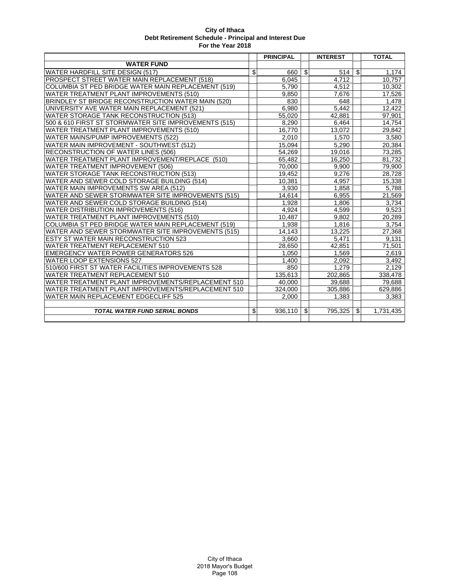|                                                            | <b>PRINCIPAL</b> |                | <b>INTEREST</b> |                         | <b>TOTAL</b> |
|------------------------------------------------------------|------------------|----------------|-----------------|-------------------------|--------------|
| <b>WATER FUND</b>                                          |                  |                |                 |                         |              |
| <b>WATER HARDFILL SITE DESIGN (517)</b>                    | \$<br>660        | $\mathfrak s$  | 514             | $\overline{\mathbf{e}}$ | 1,174        |
| PROSPECT STREET WATER MAIN REPLACEMENT (518)               | 6,045            |                | 4,712           |                         | 10,757       |
| COLUMBIA ST PED BRIDGE WATER MAIN REPLACEMENT (519)        | 5,790            |                | 4,512           |                         | 10,302       |
| <b>WATER TREATMENT PLANT IMPROVEMENTS (510)</b>            | 9,850            |                | 7,676           |                         | 17,526       |
| BRINDLEY ST BRIDGE RECONSTRUCTION WATER MAIN (520)         | 830              |                | 648             |                         | 1,478        |
| UNIVERSITY AVE WATER MAIN REPLACEMENT (521)                | 6,980            |                | 5,442           |                         | 12,422       |
| WATER STORAGE TANK RECONSTRUCTION (513)                    | 55,020           |                | 42,881          |                         | 97,901       |
| 500 & 610 FIRST ST STORMWATER SITE IMPROVEMENTS (515)      | 8,290            |                | 6,464           |                         | 14,754       |
| WATER TREATMENT PLANT IMPROVEMENTS (510)                   | 16,770           |                | 13,072          |                         | 29,842       |
| WATER MAINS/PUMP IMPROVEMENTS (522)                        | 2,010            |                | 1,570           |                         | 3,580        |
| WATER MAIN IMPROVEMENT - SOUTHWEST (512)                   | 15.094           |                | 5,290           |                         | 20,384       |
| RECONSTRUCTION OF WATER LINES (506)                        | 54,269           |                | 19,016          |                         | 73,285       |
| WATER TREATMENT PLANT IMPROVEMENT/REPLACE (510)            | 65,482           |                | 16,250          |                         | 81,732       |
| WATER TREATMENT IMPROVEMENT (506)                          | 70,000           |                | 9,900           |                         | 79,900       |
| <b>WATER STORAGE TANK RECONSTRUCTION (513)</b>             | 19,452           |                | 9,276           |                         | 28,728       |
| WATER AND SEWER COLD STORAGE BUILDING (514)                | 10,381           |                | 4,957           |                         | 15,338       |
| WATER MAIN IMPROVEMENTS SW AREA (512)                      | 3,930            |                | 1,858           |                         | 5,788        |
| WATER AND SEWER STORMWATER SITE IMPROVEMENTS (515)         | 14,614           |                | 6,955           |                         | 21,569       |
| WATER AND SEWER COLD STORAGE BUILDING (514)                | 1.928            |                | 1.806           |                         | 3.734        |
| <b>WATER DISTRIBUTION IMPROVEMENTS (516)</b>               | 4,924            |                | 4,599           |                         | 9,523        |
| WATER TREATMENT PLANT IMPROVEMENTS (510)                   | 10,487           |                | 9,802           |                         | 20,289       |
| <b>COLUMBIA ST PED BRIDGE WATER MAIN REPLACEMENT (519)</b> | 1,938            |                | 1,816           |                         | 3,754        |
| WATER AND SEWER STORMWATER SITE IMPROVEMENTS (515)         | 14,143           |                | 13.225          |                         | 27,368       |
| <b>ESTY ST WATER MAIN RECONSTRUCTION 523</b>               | 3,660            |                | 5.471           |                         | 9,131        |
| <b>WATER TREATMENT REPLACEMENT 510</b>                     | 28,650           |                | 42,851          |                         | 71,501       |
| <b>EMERGENCY WATER POWER GENERATORS 526</b>                | 1,050            |                | 1,569           |                         | 2,619        |
| <b>WATER LOOP EXTENSIONS 527</b>                           | 1,400            |                | 2,092           |                         | 3,492        |
| 510/600 FIRST ST WATER FACILITIES IMPROVEMENTS 528         | 850              |                | 1,279           |                         | 2.129        |
| WATER TREATMENT REPLACEMENT 510                            | 135,613          |                | 202,865         |                         | 338,478      |
| WATER TREATMENT PLANT IMPROVEMENTS/REPLACEMENT 510         | 40,000           |                | 39,688          |                         | 79,688       |
| WATER TREATMENT PLANT IMPROVEMENTS/REPLACEMENT 510         | 324,000          |                | 305,886         |                         | 629,886      |
| WATER MAIN REPLACEMENT EDGECLIFF 525                       | 2.000            |                | 1.383           |                         | 3.383        |
|                                                            |                  |                |                 |                         |              |
| <b>TOTAL WATER FUND SERIAL BONDS</b>                       | \$<br>936,110    | $\mathfrak{L}$ | 795.325         | \$                      | 1.731.435    |
|                                                            |                  |                |                 |                         |              |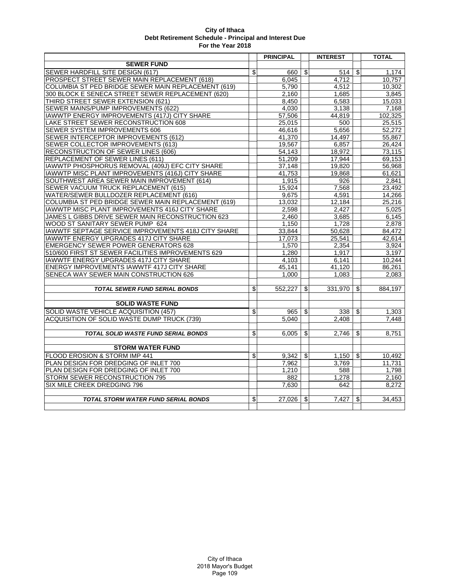|                                                     | <b>PRINCIPAL</b> |                         | <b>INTEREST</b>  |               | <b>TOTAL</b>       |
|-----------------------------------------------------|------------------|-------------------------|------------------|---------------|--------------------|
| <b>SEWER FUND</b>                                   |                  |                         |                  |               |                    |
| SEWER HARDFILL SITE DESIGN (617)                    | \$<br>660        | \$                      | 514              | \$            | 1,174              |
| PROSPECT STREET SEWER MAIN REPLACEMENT (618)        | 6,045            |                         | 4,712            |               | 10,757             |
| COLUMBIA ST PED BRIDGE SEWER MAIN REPLACEMENT (619) | 5,790            |                         | 4,512            |               | 10,302             |
| 300 BLOCK E SENECA STREET SEWER REPLACEMENT (620)   | 2,160            |                         | 1,685            |               | 3,845              |
| THIRD STREET SEWER EXTENSION (621)                  | 8,450            |                         | 6,583            |               | 15,033             |
| SEWER MAINS/PUMP IMPROVEMENTS (622)                 | 4,030            |                         | 3,138            |               | 7.168              |
| IAWWTP ENERGY IMPROVEMENTS (417J) CITY SHARE        | 57,506           |                         | 44,819           |               | 102,325            |
| LAKE STREET SEWER RECONSTRUCTION 608                | 25.015           |                         | 500              |               | 25,515             |
| <b>SEWER SYSTEM IMPROVEMENTS 606</b>                | 46,616           |                         | 5,656            |               | 52,272             |
| SEWER INTERCEPTOR IMPROVEMENTS (612)                | 41,370           |                         | 14,497           |               | 55,867             |
| SEWER COLLECTOR IMPROVEMENTS (613)                  | 19,567           |                         | 6,857            |               | 26,424             |
| RECONSTRUCTION OF SEWER LINES (606)                 | 54,143           |                         | 18,972           |               | 73,115             |
| REPLACEMENT OF SEWER LINES (611)                    | 51,209           |                         | 17,944           |               | 69,153             |
| IAWWTP PHOSPHORUS REMOVAL (409J) EFC CITY SHARE     | 37.148           |                         | 19.820           |               | 56,968             |
| IAWWTP MISC PLANT IMPROVEMENTS (416J) CITY SHARE    | 41,753           |                         | 19,868           |               | 61,621             |
| SOUTHWEST AREA SEWER MAIN IMPROVEMENT (614)         | 1,915            |                         | $\overline{926}$ |               | 2,841              |
| SEWER VACUUM TRUCK REPLACEMENT (615)                | 15,924           |                         | 7,568            |               | 23,492             |
| WATER/SEWER BULLDOZER REPLACEMENT (616)             | 9,675            |                         | 4,591            |               | 14,266             |
| COLUMBIA ST PED BRIDGE SEWER MAIN REPLACEMENT (619) | 13,032           |                         | 12,184           |               | 25,216             |
| IAWWTP MISC PLANT IMPROVEMENTS 416J CITY SHARE      | 2,598            |                         | 2,427            |               | $\overline{5,025}$ |
| JAMES L GIBBS DRIVE SEWER MAIN RECONSTRUCTION 623   | 2.460            |                         | 3.685            |               | 6,145              |
| WOOD ST SANITARY SEWER PUMP 624                     | 1.150            |                         | 1.728            |               | 2,878              |
| IAWWTF SEPTAGE SERVICE IMPROVEMENTS 418J CITY SHARE | 33.844           |                         | 50.628           |               | 84.472             |
| <b>IAWWTF ENERGY UPGRADES 417J CITY SHARE</b>       | 17,073           |                         | 25,541           |               | 42,614             |
| <b>EMERGENCY SEWER POWER GENERATORS 628</b>         | 1,570            |                         | 2.354            |               | 3,924              |
| 510/600 FIRST ST SEWER FACILITIES IMPROVEMENTS 629  | 1,280            |                         | 1,917            |               | 3,197              |
| <b>IAWWTF ENERGY UPGRADES 417J CITY SHARE</b>       | 4.103            |                         | 6,141            |               | 10,244             |
| <b>ENERGY IMPROVEMENTS IAWWTF 417J CITY SHARE</b>   | 45,141           |                         | 41.120           |               | 86,261             |
| SENECA WAY SEWER MAIN CONSTRUCTION 626              | 1.000            |                         | 1.083            |               | 2.083              |
|                                                     |                  |                         |                  |               |                    |
| <b>TOTAL SEWER FUND SERIAL BONDS</b>                | \$<br>552.227    | $\mathfrak{L}$          | 331.970          | $\mathfrak s$ | 884.197            |
| <b>SOLID WASTE FUND</b>                             |                  |                         |                  |               |                    |
| SOLID WASTE VEHICLE ACQUISITION (457)               |                  |                         |                  |               |                    |
|                                                     | \$<br>965        | \$                      | 338              | \$            | 1,303              |
| ACQUISITION OF SOLID WASTE DUMP TRUCK (739)         | 5,040            |                         | 2.408            |               | 7,448              |
|                                                     | \$<br>6,005      | $\overline{\mathbf{S}}$ | 2.746            | \$            | 8,751              |
| TOTAL SOLID WASTE FUND SERIAL BONDS                 |                  |                         |                  |               |                    |
| <b>STORM WATER FUND</b>                             |                  |                         |                  |               |                    |
| FLOOD EROSION & STORM IMP 441                       | \$<br>9.342      | $\mathfrak{L}$          | 1.150            | \$            | 10.492             |
| PLAN DESIGN FOR DREDGING OF INLET 700               | 7.962            |                         | 3.769            |               | 11,731             |
| PLAN DESIGN FOR DREDGING OF INLET 700               | 1.210            |                         | 588              |               | 1.798              |
| <b>STORM SEWER RECONSTRUCTION 795</b>               | 882              |                         | 1,278            |               | 2,160              |
| SIX MILE CREEK DREDGING 796                         | 7.630            |                         | 642              |               | 8.272              |
|                                                     |                  |                         |                  |               |                    |
| <b>TOTAL STORM WATER FUND SERIAL BONDS</b>          | \$<br>27.026     | $\mathfrak{L}$          | 7.427            | \$            | 34,453             |
|                                                     |                  |                         |                  |               |                    |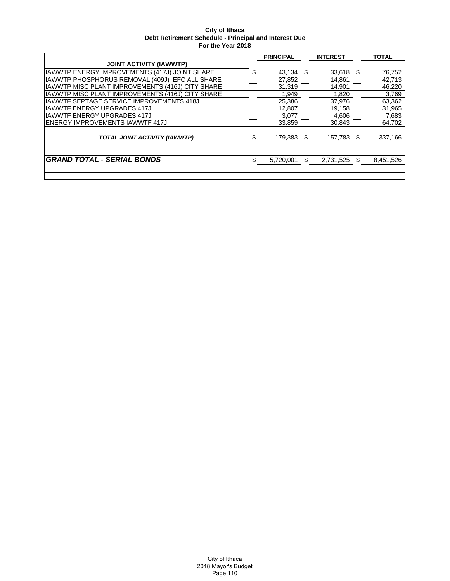|                                                  | <b>PRINCIPAL</b> | <b>INTEREST</b> |     | <b>TOTAL</b> |
|--------------------------------------------------|------------------|-----------------|-----|--------------|
| <b>JOINT ACTIVITY (IAWWTP)</b>                   |                  |                 |     |              |
| IAWWTP ENERGY IMPROVEMENTS (417J) JOINT SHARE    | \$<br>43,134     | \$<br>33,618    | \$  | 76,752       |
| IAWWTP PHOSPHORUS REMOVAL (409J) EFC ALL SHARE   | 27,852           | 14,861          |     | 42,713       |
| IAWWTP MISC PLANT IMPROVEMENTS (416J) CITY SHARE | 31,319           | 14.901          |     | 46,220       |
| IAWWTP MISC PLANT IMPROVEMENTS (416J) CITY SHARE | 1,949            | 1,820           |     | 3,769        |
| <b>IAWWTF SEPTAGE SERVICE IMPROVEMENTS 418J</b>  | 25,386           | 37,976          |     | 63,362       |
| <b>IAWWTF ENERGY UPGRADES 417J</b>               | 12,807           | 19,158          |     | 31,965       |
| <b>IAWWTF ENERGY UPGRADES 417J</b>               | 3,077            | 4,606           |     | 7,683        |
| <b>ENERGY IMPROVEMENTS IAWWTF 417J</b>           | 33,859           | 30.843          |     | 64,702       |
|                                                  |                  |                 |     |              |
| TOTAL JOINT ACTIVITY (IAWWTP)                    | \$<br>179.383    | \$<br>157.783   | \$. | 337,166      |
|                                                  |                  |                 |     |              |
|                                                  |                  |                 |     |              |
| <b>GRAND TOTAL - SERIAL BONDS</b>                | \$<br>5,720,001  | \$<br>2,731,525 | S   | 8,451,526    |
|                                                  |                  |                 |     |              |
|                                                  |                  |                 |     |              |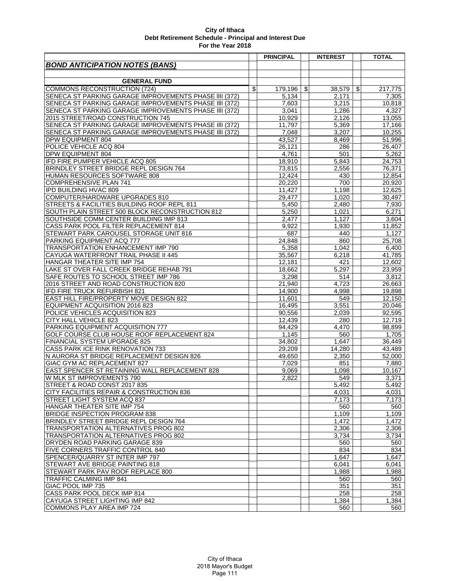|                                                                               | <b>PRINCIPAL</b> | <b>INTEREST</b>    | <b>TOTAL</b>     |
|-------------------------------------------------------------------------------|------------------|--------------------|------------------|
| <b>BOND ANTICIPATION NOTES (BANS)</b>                                         |                  |                    |                  |
|                                                                               |                  |                    |                  |
| <b>GENERAL FUND</b>                                                           |                  |                    |                  |
| COMMONS RECONSTRUCTION (724)                                                  | \$<br>179,196    | \$<br>38,579       | \$<br>217,775    |
| SENECA ST PARKING GARAGE IMPROVEMENTS PHASE IIII (372)                        | 5,134            | 2,171              | 7,305            |
| SENECA ST PARKING GARAGE IMPROVEMENTS PHASE IIII (372)                        | 7,603            | 3,215              | 10,818           |
| SENECA ST PARKING GARAGE IMPROVEMENTS PHASE IIII (372)                        | 3,041            | 1,286              | 4,327            |
| 2015 STREET/ROAD CONSTRUCTION 745                                             | 10,929           | 2,126              | 13,055           |
| SENECA ST PARKING GARAGE IMPROVEMENTS PHASE IIII (372)                        | 11,797           | 5,369              | 17,166           |
| SENECA ST PARKING GARAGE IMPROVEMENTS PHASE IIII (372)                        | 7,048            | 3,207              | 10,255           |
| <b>DPW EQUIPMENT 804</b>                                                      | 43,527           | 8,469              | 51,996           |
| POLICE VEHICLE ACQ 804                                                        | 26,121           | 286                | 26,407           |
| <b>DPW EQUIPMENT 804</b>                                                      | 4,761            | 501                | 5,262            |
| IFD FIRE PUMPER VEHICLE ACQ 805                                               | 18,910           | 5,843              | 24,753           |
| BRINDLEY STREET BRIDGE REPL DESIGN 764                                        | 73,815           | 2,556              | 76,371           |
| HUMAN RESOURCES SOFTWARE 808                                                  | 12,424           | 430                | 12,854           |
| <b>COMPREHENSIVE PLAN 741</b>                                                 | 20,220           | 700                | 20,920           |
| <b>IPD BUILDING HVAC 809</b>                                                  | 11,427           | 1,198              | 12,625           |
| COMPUTER/HARDWARE UPGRADES 810                                                | 29,477           | 1,020              | 30,497           |
| STREETS & FACILITIES BUILDING ROOF REPL 811                                   | 5,450            | 2.480              | 7,930            |
| SOUTH PLAIN STREET 500 BLOCK RECONSTRUCTION 812                               | 5,250            | 1,021              | 6,271            |
| SOUTHSIDE COMM CENTER BUILDING IMP 813                                        | 2,477            | 1,127              | 3,604            |
| CASS PARK POOL FILTER REPLACEMENT 814                                         | 9,922            | 1,930              | 11,852           |
| STEWART PARK CAROUSEL STORAGE UNIT 816                                        | 687              | 440                | 1,127            |
| PARKING EQUIPMENT ACQ 777                                                     | 24,848           | 860                | 25,708           |
| TRANSPORTATION ENHANCEMENT IMP 790                                            | 5,358            | 1,042              | 6,400            |
| CAYUGA WATERFRONT TRAIL PHASE II 445                                          | 35,567           | 6,218              | 41,785           |
| HANGAR THEATER SITE IMP 754                                                   | 12,181           | 421                |                  |
| LAKE ST OVER FALL CREEK BRIDGE REHAB 791                                      |                  | 5,297              | 12,602           |
|                                                                               | 18,662<br>3,298  | 514                | 23,959<br>3,812  |
| SAFE ROUTES TO SCHOOL STREET IMP 786<br>2016 STREET AND ROAD CONSTRUCTION 820 | 21,940           | 4,723              | 26,663           |
|                                                                               |                  |                    |                  |
| IFD FIRE TRUCK REFURBISH 821                                                  | 14,900           | 4,998              | 19,898           |
| EAST HILL FIRE/PROPERTY MOVE DESIGN 822<br>EQUIPMENT ACQUISITION 2016 823     | 11,601<br>16,495 | 549<br>3,551       | 12,150<br>20,046 |
| POLICE VEHICLES ACQUISITION 823                                               |                  |                    |                  |
|                                                                               | 90,556           | 2,039              | 92,595           |
| <b>CITY HALL VEHICLE 823</b><br>PARKING EQUIPMENT ACQUISITION 777             | 12,439           | 280                | 12,719           |
|                                                                               | 94,429           | $\overline{4,}470$ | 98,899           |
| GOLF COURSE CLUB HOUSE ROOF REPLACEMENT 824                                   | 1,145<br>34.802  | 560                | 1,705            |
| FINANCIAL SYSTEM UPGRADE 825                                                  |                  | 1,647              | 36,449           |
| CASS PARK ICE RINK RENOVATION 733                                             | 29,209           | 14.280             | 43.489           |
| N AURORA ST BRIDGE REPLACEMENT DESIGN 826<br>GIAC GYM AC REPLACEMENT 827      | 49,650           | 2,350              | 52,000           |
| EAST SPENCER ST RETAINING WALL REPLACEMENT 828                                | 7,029            | 851                | 7,880            |
|                                                                               | 9,069            | 1,098              | 10,167           |
| W MLK ST IMPROVEMENTS 790                                                     | 2,822            | 549                | 3,371            |
| STREET & ROAD CONST 2017 835                                                  |                  | 5,492              | 5,492            |
| CITY FACILITIES REPAIR & CONSTRUCTION 836                                     |                  | 4,031              | 4,031            |
| STREET LIGHT SYSTEM ACQ 837                                                   |                  | 7,173              | 7,173            |
| HANGAR THEATER SITE IMP 754                                                   |                  | 560                | 560              |
| BRIDGE INSPECTION PROGRAM 838                                                 |                  | 1,109              | 1,109            |
| BRINDLEY STREET BRIDGE REPL DESIGN 764                                        |                  | 1,472              | 1,472            |
| TRANSPORTATION ALTERNATIVES PROG 802                                          |                  | 2,306              | 2,306            |
| TRANSPORTATION ALTERNATIVES PROG 802                                          |                  | 3,734              | 3,734            |
| <b>DRYDEN ROAD PARKING GARAGE 839</b>                                         |                  | 560                | 560              |
| FIVE CORNERS TRAFFIC CONTROL 840                                              |                  | 834                | 834              |
| SPENCER/QUARRY ST INTER IMP 797                                               |                  | 1,647              | 1,647            |
| STEWART AVE BRIDGE PAINTING 818                                               |                  | 6,041              | 6.041            |
| STEWART PARK PAV ROOF REPLACE 800                                             |                  | 1,988              | 1,988            |
| <b>TRAFFIC CALMING IMP 841</b>                                                |                  | 560                | 560              |
| <b>GIAC POOL IMP 735</b>                                                      |                  | 351                | 351              |
| CASS PARK POOL DECK IMP 814                                                   |                  | 258                | 258              |
| CAYUGA STREET LIGHTING IMP 842                                                |                  | 1,384              | 1,384            |
| COMMONS PLAY AREA IMP 724                                                     |                  | 560                | 560              |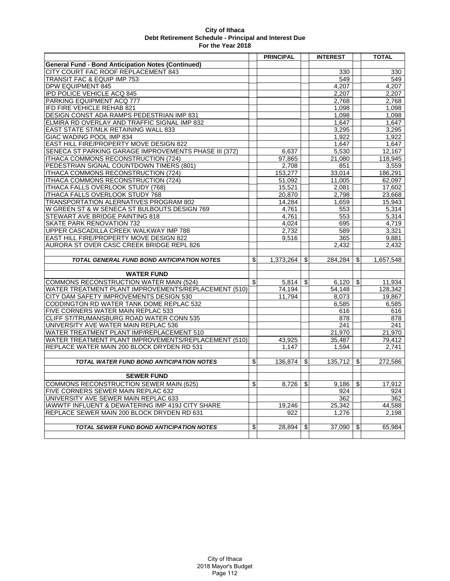|                                                           | <b>PRINCIPAL</b> |    | <b>INTEREST</b> | <b>TOTAL</b>    |
|-----------------------------------------------------------|------------------|----|-----------------|-----------------|
| <b>General Fund - Bond Anticipation Notes (Continued)</b> |                  |    |                 |                 |
| CITY COURT FAC ROOF REPLACEMENT 843                       |                  |    | 330             | 330             |
| <b>TRANSIT FAC &amp; EQUIP IMP 753</b>                    |                  |    | 549             | 549             |
| DPW EQUIPMENT 845                                         |                  |    | 4,207           | 4,207           |
| <b>IPD POLICE VEHICLE ACQ 845</b>                         |                  |    | 2,207           | 2,207           |
| PARKING EQUIPMENT ACQ 777                                 |                  |    | 2,768           | 2,768           |
| IFD FIRE VEHICLE REHAB 821                                |                  |    | 1,098           | 1,098           |
| DESIGN CONST ADA RAMPS PEDESTRIAN IMP 831                 |                  |    | 1,098           | 1,098           |
| ELMIRA RD OVERLAY AND TRAFFIC SIGNAL IMP 832              |                  |    | 1,647           | 1,647           |
| EAST STATE ST/MLK RETAINING WALL 833                      |                  |    | 3.295           | 3,295           |
| GIAC WADING POOL IMP 834                                  |                  |    | 1.922           | 1,922           |
| EAST HILL FIRE/PROPERTY MOVE DESIGN 822                   |                  |    | 1.647           | 1,647           |
| SENECA ST PARKING GARAGE IMPROVEMENTS PHASE III (372)     | 6,637            |    | 5,530           | 12,167          |
| ITHACA COMMONS RECONSTRUCTION (724)                       | 97,865           |    | 21,080          | 118,945         |
| PEDESTRIAN SIGNAL COUNTDOWN TIMERS (801)                  | 2,708            |    | 851             | 3,559           |
| ITHACA COMMONS RECONSTRUCTION (724)                       | 153,277          |    | 33,014          | 186,291         |
| ITHACA COMMONS RECONSTRUCTION (724)                       | 51,092           |    | 11,005          | 62,097          |
| ITHACA FALLS OVERLOOK STUDY (768)                         | 15,521           |    | 2,081           | 17,602          |
| ITHACA FALLS OVERLOOK STUDY 768                           | 20,870           |    | 2,798           | 23,668          |
| TRANSPORTATION ALERNATIVES PROGRAM 802                    | 14,284           |    | 1,659           | 15.943          |
| W GREEN ST & W SENECA ST BULBOUTS DESIGN 769              | 4,761            |    | 553             | 5,314           |
| STEWART AVE BRIDGE PAINTING 818                           | 4,761            |    | 553             | 5,314           |
| SKATE PARK RENOVATION 732                                 | 4,024            |    | 695             | 4.719           |
| UPPER CASCADILLA CREEK WALKWAY IMP 788                    | 2,732            |    | 589             | 3,321           |
| EAST HILL FIRE/PROPERTY MOVE DESIGN 822                   | 9,516            |    | 365             | 9,881           |
| AURORA ST OVER CASC CREEK BRIDGE REPL 826                 |                  |    | 2.432           | 2,432           |
|                                                           |                  |    |                 |                 |
| <b>TOTAL GENERAL FUND BOND ANTICIPATION NOTES</b>         | \$<br>1,373,264  | S  | 284.284         | \$<br>1.657.548 |
|                                                           |                  |    |                 |                 |
| <b>WATER FUND</b>                                         |                  |    |                 |                 |
| COMMONS RECONSTRUCTION WATER MAIN (524)                   | \$<br>5,814      | \$ | 6,120           | \$<br>11,934    |
| WATER TREATMENT PLANT IMPROVEMENTS/REPLACEMENT (510)      | 74,194           |    | 54,148          | 128,342         |
| CITY DAM SAFETY IMPROVEMENTS DESIGN 530                   | 11,794           |    | 8,073           | 19,867          |
| CODDINGTON RD WATER TANK DOME REPLAC 532                  |                  |    | 6,585           | 6,585           |
| FIVE CORNERS WATER MAIN REPLAC 533                        |                  |    | 616             | 616             |
| CLIFF ST/TRUMANSBURG ROAD WATER CONN 535                  |                  |    | 878             | 878             |
| UNIVERSITY AVE WATER MAIN REPLAC 536                      |                  |    | 241             | 241             |
| WATER TREATMENT PLANT IMP/REPLACEMENT 510                 |                  |    | 21,970          | 21,970          |
| WATER TREATMENT PLANT IMPROVEMENTS/REPLACEMENT (510)      | 43,925           |    | 35.487          | 79,412          |
| REPLACE WATER MAIN 200 BLOCK DRYDEN RD 531                | 1,147            |    | 1.594           | 2.741           |
|                                                           |                  |    |                 |                 |
| TOTAL WATER FUND BOND ANTICIPATION NOTES                  | \$<br>136,874    | \$ | 135,712         | \$<br>272,586   |
|                                                           |                  |    |                 |                 |
| <b>SEWER FUND</b>                                         |                  |    |                 |                 |
| COMMONS RECONSTRUCTION SEWER MAIN (625)                   | \$<br>8,726      | \$ | 9,186           | \$<br>17,912    |
| FIVE CORNERS SEWER MAIN REPLAC 632                        |                  |    | 924             | 924             |
| UNIVERSITY AVE SEWER MAIN REPLAC 633                      |                  |    | 362             | 362             |
| IAWWTF INFLUENT & DEWATERING IMP 419J CITY SHARE          | 19,246           |    | 25,342          | 44,588          |
| REPLACE SEWER MAIN 200 BLOCK DRYDEN RD 631                | 922              |    | 1,276           | 2,198           |
|                                                           |                  |    |                 |                 |
| <b>TOTAL SEWER FUND BOND ANTICIPATION NOTES</b>           | \$<br>28,894     | \$ | 37,090          | \$<br>65,984    |
|                                                           |                  |    |                 |                 |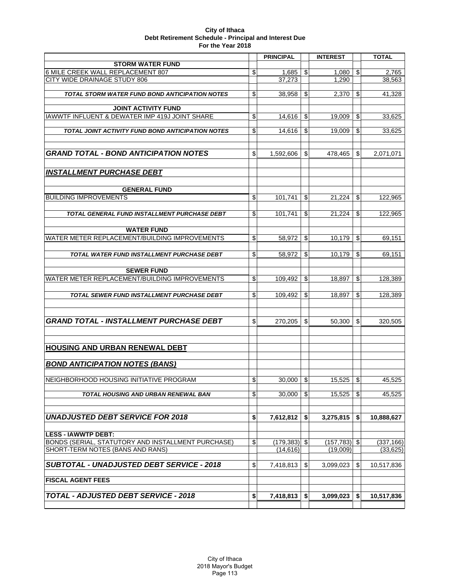|                                                    | <b>PRINCIPAL</b> |                           | <b>INTEREST</b> | <b>TOTAL</b>     |
|----------------------------------------------------|------------------|---------------------------|-----------------|------------------|
| <b>STORM WATER FUND</b>                            |                  |                           |                 |                  |
| 6 MILE CREEK WALL REPLACEMENT 807                  | \$<br>1,685      | \$                        | 1,080           | \$<br>2,765      |
| CITY WIDE DRAINAGE STUDY 806                       | 37.273           |                           | 1.290           | 38,563           |
| TOTAL STORM WATER FUND BOND ANTICIPATION NOTES     | \$<br>38,958     | \$                        | 2,370           | \$<br>41,328     |
|                                                    |                  |                           |                 |                  |
| <b>JOINT ACTIVITY FUND</b>                         |                  |                           |                 |                  |
| IAWWTF INFLUENT & DEWATER IMP 419J JOINT SHARE     | \$<br>14,616     | $\boldsymbol{\mathsf{S}}$ | 19,009          | \$<br>33,625     |
| TOTAL JOINT ACTIVITY FUND BOND ANTICIPATION NOTES  | \$<br>14,616     | \$                        | 19,009          | \$<br>33,625     |
|                                                    |                  |                           |                 |                  |
|                                                    |                  |                           |                 |                  |
| <b>GRAND TOTAL - BOND ANTICIPATION NOTES</b>       | \$<br>1,592,606  | \$                        | 478,465         | \$<br>2,071,071  |
|                                                    |                  |                           |                 |                  |
| <b>INSTALLMENT PURCHASE DEBT</b>                   |                  |                           |                 |                  |
|                                                    |                  |                           |                 |                  |
| <b>GENERAL FUND</b>                                |                  |                           |                 |                  |
| <b>BUILDING IMPROVEMENTS</b>                       | \$<br>101.741    | \$                        | 21,224          | \$<br>122.965    |
|                                                    |                  |                           |                 |                  |
| TOTAL GENERAL FUND INSTALLMENT PURCHASE DEBT       | \$<br>101.741    | \$                        | 21.224          | \$<br>122,965    |
|                                                    |                  |                           |                 |                  |
| <b>WATER FUND</b>                                  |                  |                           |                 |                  |
| WATER METER REPLACEMENT/BUILDING IMPROVEMENTS      | \$<br>58.972     | \$                        | 10,179          | \$<br>69,151     |
| TOTAL WATER FUND INSTALLMENT PURCHASE DEBT         | \$<br>58,972     | \$                        | 10.179          | \$<br>69,151     |
|                                                    |                  |                           |                 |                  |
| <b>SEWER FUND</b>                                  |                  |                           |                 |                  |
| WATER METER REPLACEMENT/BUILDING IMPROVEMENTS      | \$<br>109,492    | \$                        | 18,897          | \$<br>128,389    |
|                                                    |                  |                           |                 |                  |
| <b>TOTAL SEWER FUND INSTALLMENT PURCHASE DEBT</b>  | \$<br>109,492    | \$                        | 18,897          | \$<br>128,389    |
|                                                    |                  |                           |                 |                  |
|                                                    |                  |                           |                 |                  |
| <b>GRAND TOTAL - INSTALLMENT PURCHASE DEBT</b>     | \$<br>270,205    | \$                        | 50,300          | \$<br>320,505    |
|                                                    |                  |                           |                 |                  |
|                                                    |                  |                           |                 |                  |
| HOUSING AND URBAN RENEWAL DEBT                     |                  |                           |                 |                  |
| <b>BOND ANTICIPATION NOTES (BANS)</b>              |                  |                           |                 |                  |
|                                                    |                  |                           |                 |                  |
| INEIGHBORHOOD HOUSING INITIATIVE PROGRAM           | \$<br>30,000     | $\mathbf{\hat{s}}$        | 15,525          | \$<br>45,525     |
|                                                    |                  |                           |                 |                  |
| TOTAL HOUSING AND URBAN RENEWAL BAN                | \$<br>30.000     | $\mathfrak{S}$            | 15,525          | \$<br>45,525     |
|                                                    |                  |                           |                 |                  |
| <b>UNADJUSTED DEBT SERVICE FOR 2018</b>            | \$<br>7,612,812  | \$                        | 3,275,815       | \$<br>10,888,627 |
|                                                    |                  |                           |                 |                  |
| <b>LESS - IAWWTP DEBT:</b>                         |                  |                           |                 |                  |
| BONDS (SERIAL, STATUTORY AND INSTALLMENT PURCHASE) | \$<br>(179, 383) | \$                        | (157, 783)      | \$<br>(337, 166) |
| SHORT-TERM NOTES (BANS AND RANS)                   | (14, 616)        |                           | (19,009)        | (33, 625)        |
|                                                    |                  |                           |                 |                  |
| <b>SUBTOTAL - UNADJUSTED DEBT SERVICE - 2018</b>   | \$<br>7,418,813  | \$                        | 3,099,023       | \$<br>10,517,836 |
| <b>FISCAL AGENT FEES</b>                           |                  |                           |                 |                  |
|                                                    |                  |                           |                 |                  |
| <b>TOTAL - ADJUSTED DEBT SERVICE - 2018</b>        | \$<br>7,418,813  | \$                        | 3,099,023       | \$<br>10,517,836 |
|                                                    |                  |                           |                 |                  |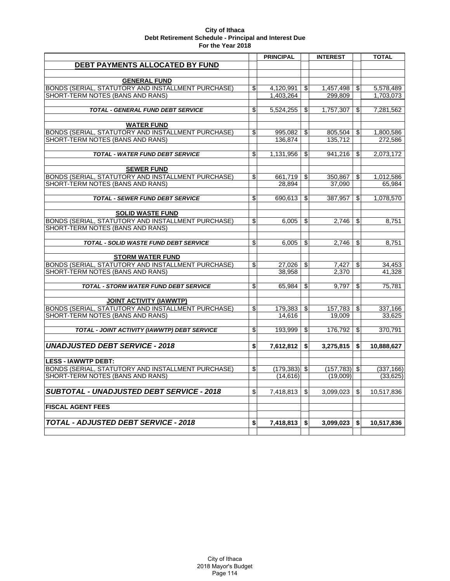|                                                                               | <b>PRINCIPAL</b>      |                              | <b>INTEREST</b> |                         | <b>TOTAL</b> |
|-------------------------------------------------------------------------------|-----------------------|------------------------------|-----------------|-------------------------|--------------|
| DEBT PAYMENTS ALLOCATED BY FUND                                               |                       |                              |                 |                         |              |
|                                                                               |                       |                              |                 |                         |              |
| <b>GENERAL FUND</b>                                                           |                       |                              |                 |                         |              |
| BONDS (SERIAL, STATUTORY AND INSTALLMENT PURCHASE)                            | \$<br>4,120,991       | $\left  \mathcal{L} \right $ | 1,457,498       | €                       | 5,578,489    |
| SHORT-TERM NOTES (BANS AND RANS)                                              | 1,403,264             |                              | 299,809         |                         | 1,703,073    |
|                                                                               |                       |                              |                 |                         |              |
| <b>TOTAL - GENERAL FUND DEBT SERVICE</b>                                      | \$<br>5,524,255       | ا\$                          | 1,757,307       | $\mathfrak{S}$          | 7,281,562    |
| <b>WATER FUND</b>                                                             |                       |                              |                 |                         |              |
| BONDS (SERIAL, STATUTORY AND INSTALLMENT PURCHASE)                            | \$<br>995.082         | -SI                          | 805.504         | \$                      | 1.800.586    |
| SHORT-TERM NOTES (BANS AND RANS)                                              | 136,874               |                              | 135,712         |                         | 272,586      |
|                                                                               |                       |                              |                 |                         |              |
| <b>TOTAL - WATER FUND DEBT SERVICE</b>                                        | \$<br>1,131,956       | \$                           | 941.216         | \$                      | 2,073,172    |
|                                                                               |                       |                              |                 |                         |              |
| <b>SEWER FUND</b>                                                             |                       |                              |                 |                         |              |
| BONDS (SERIAL, STATUTORY AND INSTALLMENT PURCHASE)                            | \$<br>661,719         | \$                           | 350,867         | \$                      | 1,012,586    |
| SHORT-TERM NOTES (BANS AND RANS)                                              | 28,894                |                              | 37,090          |                         | 65,984       |
|                                                                               |                       |                              |                 |                         |              |
| <b>TOTAL - SEWER FUND DEBT SERVICE</b>                                        | \$<br>690,613         | \$                           | 387,957         | \$                      | 1,078,570    |
|                                                                               |                       |                              |                 |                         |              |
| <b>SOLID WASTE FUND</b><br>BONDS (SERIAL, STATUTORY AND INSTALLMENT PURCHASE) | \$<br>6.005           | \$                           | 2.746           | \$                      | 8,751        |
| SHORT-TERM NOTES (BANS AND RANS)                                              |                       |                              |                 |                         |              |
|                                                                               |                       |                              |                 |                         |              |
| TOTAL - SOLID WASTE FUND DEBT SERVICE                                         | \$<br>6,005           | \$                           | 2,746           | \$                      | 8,751        |
|                                                                               |                       |                              |                 |                         |              |
| <b>STORM WATER FUND</b>                                                       |                       |                              |                 |                         |              |
| BONDS (SERIAL, STATUTORY AND INSTALLMENT PURCHASE)                            | \$<br>27,026          | \$                           | 7,427           | \$                      | 34,453       |
| SHORT-TERM NOTES (BANS AND RANS)                                              | 38,958                |                              | 2,370           |                         | 41,328       |
|                                                                               | \$                    | \$                           |                 | \$                      |              |
| TOTAL - STORM WATER FUND DEBT SERVICE                                         | 65,984                |                              | 9,797           |                         | 75,781       |
| <b>JOINT ACTIVITY (IAWWTP)</b>                                                |                       |                              |                 |                         |              |
| BONDS (SERIAL, STATUTORY AND INSTALLMENT PURCHASE)                            | \$<br>$179,383$   \$  |                              | 157,783         | $\overline{\mathbf{e}}$ | 337,166      |
| SHORT-TERM NOTES (BANS AND RANS)                                              | 14,616                |                              | 19,009          |                         | 33,625       |
|                                                                               |                       |                              |                 |                         |              |
| TOTAL - JOINT ACTIVITY (IAWWTP) DEBT SERVICE                                  | \$<br>193,999         | \$                           | 176,792         | \$                      | 370,791      |
|                                                                               |                       |                              |                 |                         |              |
| <b>UNADJUSTED DEBT SERVICE - 2018</b>                                         | \$<br>7,612,812       | \$                           | 3,275,815       | \$                      | 10,888,627   |
|                                                                               |                       |                              |                 |                         |              |
| <b>LESS - IAWWTP DEBT:</b>                                                    |                       |                              |                 |                         |              |
| BONDS (SERIAL, STATUTORY AND INSTALLMENT PURCHASE)                            | \$<br>$(179, 383)$ \$ |                              | (157, 783)      | $\frac{1}{2}$           | (337, 166)   |
| SHORT-TERM NOTES (BANS AND RANS)                                              | (14,616)              |                              | (19,009)        |                         | (33,625)     |
|                                                                               |                       |                              |                 |                         |              |
| <b>SUBTOTAL - UNADJUSTED DEBT SERVICE - 2018</b>                              | \$<br>7,418,813       | \$                           | 3,099,023       | \$                      | 10,517,836   |
| <b>FISCAL AGENT FEES</b>                                                      |                       |                              |                 |                         |              |
|                                                                               |                       |                              |                 |                         |              |
| <b>TOTAL - ADJUSTED DEBT SERVICE - 2018</b>                                   | \$<br>7,418,813       | \$                           | 3,099,023       | \$                      | 10,517,836   |
|                                                                               |                       |                              |                 |                         |              |
|                                                                               |                       |                              |                 |                         |              |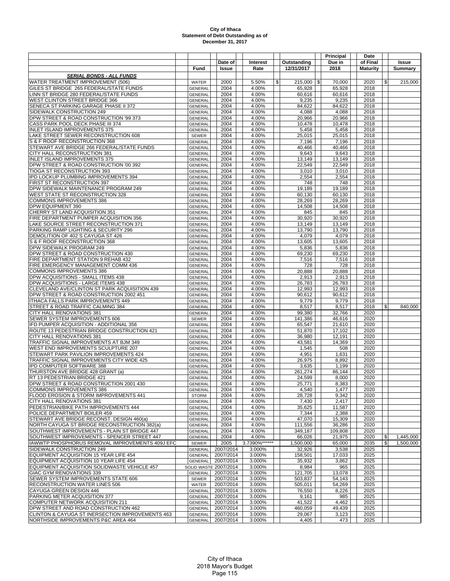|                                                                             |                           |                       |                |                    | Principal       | Date            |              |                |
|-----------------------------------------------------------------------------|---------------------------|-----------------------|----------------|--------------------|-----------------|-----------------|--------------|----------------|
|                                                                             |                           | Date of               | Interest       | Outstanding        | Due in          | of Final        |              | <b>Issue</b>   |
|                                                                             | Fund                      | Issue                 | Rate           | 12/31/2017         | 2018            | <b>Maturity</b> |              | <b>Summary</b> |
| <b>SERIAL BONDS - ALL FUNDS</b>                                             |                           |                       |                |                    |                 |                 |              |                |
| WATER TREATMENT IMPROVEMENT (506)                                           | <b>WATER</b>              | 2000                  | 5.50%          | $215,000$ \$<br>\$ | 70,000          | 2020            | \$           | 215,000        |
| GILES ST BRIDGE 265 FEDERAL/STATE FUNDS                                     | <b>GENERAL</b>            | 2004                  | 4.00%          | 65,928             | 65,928          | 2018            |              |                |
| LINN ST BRIDGE 280 FEDERAL/STATE FUNDS                                      | <b>GENERAL</b>            | 2004                  | 4.00%          | 60,616             | 60,616          | 2018            |              |                |
| WEST CLINTON STREET BRIDGE 366                                              | GENERAL                   | 2004                  | 4.00%          | 9,235              | 9,235           | 2018            |              |                |
| SENECA ST PARKING GARAGE PHASE II 372                                       | <b>GENERAL</b>            | 2004                  | 4.00%          | 84,622             | 84,622          | 2018            |              |                |
| SIDEWALK CONSTRUCTION 249                                                   | GENERAL                   | 2004                  | 4.00%          | 4,088              | 4,088           | 2018            |              |                |
| DPW STREET & ROAD CONSTRUCTION '99 373                                      | GENERAL                   | 2004                  | 4.00%          | 20,966             | 20,966          | 2018            |              |                |
| CASS PARK POOL DECK PHASE III 374                                           | <b>GENERAI</b>            | 2004                  | 4.00%          | 10,478             | 10,478          | 2018            |              |                |
| INLET ISLAND IMPROVEMENTS 375                                               | GENERAL                   | 2004                  | 4.00%          | 5,458              | 5,458           | 2018            |              |                |
| LAKE STREET SEWER RECONSTRUCTION 608                                        | <b>SEWER</b>              | 2004                  | 4.00%<br>4.00% | 25,015             | 25,015          | 2018            |              |                |
| S & F ROOF RECONSTRUCTION 368<br>STEWART AVE BRIDGE 266 FEDERAL/STATE FUNDS | GENERAL<br>GENERAL        | 2004<br>2004          | 4.00%          | 7,196<br>40,466    | 7,196<br>40,466 | 2018<br>2018    |              |                |
| CITY HALL RECONSTRUCTION 381                                                | GENERAL                   | 2004                  | 4.00%          | 9,643              | 9,643           | 2018            |              |                |
| <b>INLET ISLAND IMPROVEMENTS 375</b>                                        | <b>GENERAL</b>            | 2004                  | 4.00%          | 13,149             | 13,149          | 2018            |              |                |
| DPW STREET & ROAD CONSTRUCTION '00 392                                      | <b>GENERAL</b>            | 2004                  | 4.00%          | 22,549             | 22,549          | 2018            |              |                |
| TIOGA ST RECONSTRUCTION 393                                                 | GENERAL                   | 2004                  | 4.00%          | 3,010              | 3,010           | 2018            |              |                |
| IPD LOCKUP PLUMBING IMPROVEMENTS 394                                        | <b>GENERAL</b>            | 2004                  | 4.00%          | 2,554              | 2,554           | 2018            |              |                |
| FIRST ST RECONSTRUCTION 397                                                 | <b>GENERAL</b>            | 2004                  | 4.00%          | 748                | 748             | 2018            |              |                |
| DPW SIDEWALK MAINTENANCE PROGRAM 249                                        | <b>GENERAL</b>            | 2004                  | 4.00%          | 19,189             | 19,189          | 2018            |              |                |
| WEST STATE ST RECONSTRUCTION 328                                            | <b>GENERAL</b>            | 2004                  | 4.00%          | 60,130             | 60,130          | 2018            |              |                |
| <b>COMMONS IMPROVEMENTS 386</b>                                             | GENERAL                   | 2004                  | 4.00%          | 28,269             | 28,269          | 2018            |              |                |
| <b>DPW EQUIPMENT 390</b>                                                    | GENERAL                   | 2004                  | 4.00%          | 14,508             | 14,508          | 2018            |              |                |
| CHERRY ST LAND ACQUISITION 351                                              | <b>GENERAL</b>            | 2004                  | 4.00%          | 845                | 845             | 2018            |              |                |
| FIRE DEPARTMENT PUMPER ACQUISITION 356                                      | <b>GENERAL</b>            | 2004                  | 4.00%          | 30,920             | 30,920          | 2018            |              |                |
| LAKE SOURCE STREET RECONSTRUCTION 371                                       | <b>GENERAL</b>            | 2004                  | 4.00%          | 13,149             | 13,149          | 2018            |              |                |
| PARKING RAMP LIGHTING & SECURITY 296                                        | GENERAL                   | 2004                  | 4.00%          | 13,790             | 13,790          | 2018            |              |                |
| DEMOLITION OF 402 S CAYUGA ST 426                                           | <b>GENERAL</b>            | 2004                  | 4.00%          | 4,079              | 4,079           | 2018            |              |                |
| S & F ROOF RECONSTRUCTION 368                                               | <b>GENERAL</b>            | 2004                  | 4.00%          | 13,605             | 13,605          | 2018            |              |                |
| DPW SIDEWALK PROGRAM 249                                                    | GENERAL                   | 2004                  | 4.00%          | 5,836              | 5,836           | 2018            |              |                |
| DPW STREET & ROAD CONSTRUCTION 430                                          | <b>GENERAL</b>            | 2004                  | 4.00%          | 69,230             | 69,230          | 2018            |              |                |
| FIRE DEPARTMENT STATION 9 REHAB 432                                         | <b>GENERAL</b>            | 2004                  | 4.00%          | 7,516              | 7,516           | 2018            |              |                |
| FIRE EMERGENCY MANAGEMENT COMM 436                                          | GENERAL                   | 2004                  | 4.00%          | 728                | 728             | 2018            |              |                |
| <b>COMMONS IMPROVEMENTS 386</b><br>DPW ACQUISITIONS - SMALL ITEMS 438       | <b>GENERAL</b>            | 2004                  | 4.00%          | 20,888             | 20,888          | 2018            |              |                |
| DPW ACQUISITIONS - LARGE ITEMS 438                                          | GENERAL                   | 2004<br>2004          | 4.00%<br>4.00% | 2,913<br>26,783    | 2,913<br>26,783 | 2018<br>2018    |              |                |
| CLEVELAND AVE/CLINTON ST PARK ACQUISITION 439                               | GENERAL<br><b>GENERAL</b> | 2004                  | 4.00%          | 12,993             | 12,993          | 2018            |              |                |
| DPW STREET & ROAD CONSTRUCTION 2002 451                                     | GENERAL                   | 2004                  | 4.00%          | 90,612             | 90,612          | 2018            |              |                |
| ITHACA FALLS PARK IMPROVEMENTS 449                                          | GENERAL                   | 2004                  | 4.00%          | 9,779              | 9,779           | 2018            |              |                |
| STREET & ROAD TRAFFIC CALMING 384                                           | <b>GENERAL</b>            | 2004                  | 4.00%          | 8,517              | 8,517           | 2018            | $\mathbb{S}$ | 840,000        |
| CITY HALL RENOVATIONS 381                                                   | <b>GENERAL</b>            | 2004                  | 4.00%          | 99,380             | 32,766          | 2020            |              |                |
| SEWER SYSTEM IMPROVEMENTS 606                                               | <b>SEWER</b>              | 2004                  | 4.00%          | 141,386            | 46,616          | 2020            |              |                |
| IFD PUMPER ACQUISITION - ADDITIONAL 356                                     | GENERAL                   | 2004                  | 4.00%          | 65,547             | 21,610          | 2020            |              |                |
| ROUTE 13 PEDESTRIAN BRIDGE CONSTRUCTION 421                                 | <b>GENERAL</b>            | 2004                  | 4.00%          | 51,870             | 17,102          | 2020            |              |                |
| <b>CITY HALL RENOVATIONS 381</b>                                            | GENERAL                   | 2004                  | 4.00%          | 36,980             | 12.191          | 2020            |              |                |
| TRAFFIC SIGNAL IMPROVEMENTS AT BJM 349                                      | GENERAL                   | 2004                  | 4.00%          | 43,581             | 14,369          | 2020            |              |                |
| WEST END IMPROVEMENTS SCULPTURE 207                                         | <b>GENERAL</b>            | 2004                  | 4.00%          | 1,545              | 508             | 2020            |              |                |
| STEWART PARK PAVILION IMPROVEMENTS 424                                      | GENERAL                   | 2004                  | 4.00%          | 4,951              | 1,631           | 2020            |              |                |
| TRAFFIC SIGNAL IMPROVEMENTS CITY WIDE 425                                   | GENERAL                   | 2004                  | 4.00%          | 26,975             | 8,892           | 2020            |              |                |
| IPD COMPUTER SOFTWARE 388                                                   | <b>GENERAL</b>            | 2004                  | 4.00%          | 3,635              | 1,199           | 2020            |              |                |
| THURSTON AVE BRIDGE 428 GRANT (a)                                           | GENERAL                   | 2004                  | 4.00%          | 261,274            | 86,144          | 2020            |              |                |
| RT 13 PEDESTRIAN BRIDGE 421                                                 | <b>GENERAL</b>            | 2004                  | 4.00%          | 24,599             | 8,000           | 2020            |              |                |
| DPW STREET & ROAD CONSTRUCTION 2001 430                                     | <b>GENERAL</b>            | 2004                  | 4.00%          | 25,771             | 8,383           | 2020            |              |                |
| <b>COMMONS IMPROVEMENTS 386</b>                                             | GENERAL                   | 2004                  | 4.00%<br>4.00% | 4,540              | 1,477           | 2020            |              |                |
| FLOOD EROSION & STORM IMPROVEMENTS 441<br><b>CITY HALL RENOVATIONS 381</b>  | <b>STORM</b>              | 2004<br>2004          | 4.00%          | 28,728             | 9,342           | 2020<br>2020    |              |                |
| PEDESTRIAN/BIKE PATH IMPROVEMENTS 444                                       | GENERAL<br>GENERAL        | 2004                  | 4.00%          | 7,430<br>35,625    | 2,417<br>11,587 | 2020            |              |                |
| POLICE DEPARTMENT BOILER 459                                                | <b>GENERAL</b>            | 2004                  | 4.00%          | 7,344              | 2,388           | 2020            |              |                |
| STEWART AVE BRIDGE RECONST. DESIGN 460(a)                                   | <b>GENERAL</b>            | 2004                  | 4.00%          | 47,070             | 15,309          | 2020            |              |                |
| NORTH CAYUGA ST BRIDGE RECONSTRUCTION 382(a)                                | GENERAL                   | 2004                  | 4.00%          | 111,556            | 36,286          | 2020            |              |                |
| SOUTHWEST IMPROVEMENTS - PLAIN ST BRIDGE 447                                | GENERAL                   | 2004                  | 4.00%          | 349,187            | 109,808         | 2020            |              |                |
| SOUTHWEST IMPROVEMENTS - SPENCER STREET 447                                 | <b>GENERAL</b>            | 2004                  | 4.00%          | 66,026             | 21,975          | 2020            | \$           | 1.445.000      |
| IAWWTP PHOSPHORUS REMOVAL IMPROVEMENTS 409J EFC                             | <b>SEWER</b>              | 2005                  | 3.7390%******  | 1,500,000          | 65,000          | 2035            | \$           | 1,500,000      |
| SIDEWALK CONSTRUCTION 249                                                   | <b>GENERAL</b>            | 2007/2014             | 3.000%         | 32,926             | 3,538           | 2025            |              |                |
| EQUIPMENT ACQUISITION 15 YEAR LIFE 454                                      | <b>GENERAL</b>            | 2007/2014             | 3.000%         | 158,501            | 17,033          | 2025            |              |                |
| EQUIPMENT ACQUISITION 10 YEAR LIFE 454                                      | <b>GENERAL</b>            | 2007/2014             | 3.000%         | 35,932             | 3,862           | 2025            |              |                |
| EQUIPMENT ACQUISITION SOLIDWASTE VEHICLE 457                                |                           | SOLID WASTE 2007/2014 | 3.000%         | 8,984              | 965             | 2025            |              |                |
| GIAC GYM RENOVATIONS 339                                                    | GENERAL                   | 2007/2014             | 3.000%         | 121,705            | 13,078          | 2025            |              |                |
| SEWER SYSTEM IMPROVEMENTS STATE 606                                         | <b>SEWER</b>              | 2007/2014             | 3.000%         | 503,837            | 54,143          | 2025            |              |                |
| <b>RECONSTRUCTION WATER LINES 506</b>                                       | WATER                     | 2007/2014             | 3.000%         | 505,011            | 54,269          | 2025            |              |                |
| CAYUGA GREEN DESIGN 446                                                     | GENERAL                   | 2007/2014             | 3.000%         | 76,550             | 8,226           | 2025            |              |                |
| PARKING METER ACQUISITION 377                                               | GENERAL                   | 2007/2014             | 3.000%         | 9,161              | 985             | 2025            |              |                |
| <b>COMPUTER NETWORK ACQUISITION 211</b>                                     | <b>GENERAL</b>            | 2007/2014             | 3.000%         | 41,522             | 4,462           | 2025            |              |                |
| DPW STREET AND ROAD CONSTRUCTION 462                                        | GENERAL                   | 2007/2014             | 3.000%         | 460,059            | 49,439          | 2025            |              |                |
| CLINTON & CAYUGA ST INERSECTION IMPROVEMENTS 463                            | GENERAL                   | 2007/2014             | 3.000%         | 29,067             | 3,123           | 2025            |              |                |
| NORTHSIDE IMPROVEMENTS P&C AREA 464                                         | <b>GENERAL</b>            | 2007/2014             | 3.000%         | 4,405              | 473             | 2025            |              |                |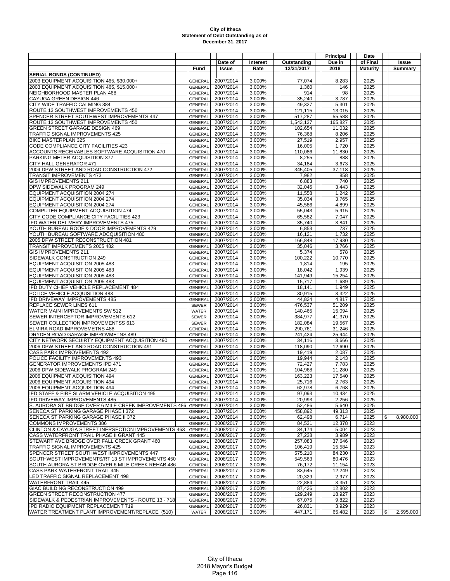| Due in<br>of Final<br>Date of<br><b>Interest</b><br>Outstanding<br>Issue<br>Rate<br>12/31/2017<br>2018<br><b>Maturity</b><br>Fund<br>Issue<br>Summary<br><b>SERIAL BONDS (CONTINUED)</b><br>2003 EQUIPMENT ACQUISITION 465, \$30,000+<br>2007/2014<br>3.000%<br>77,074<br>8,283<br>2025<br><b>GENERAL</b><br>2003 EQUIPMENT ACQUISITION 465, \$15,000+<br>2007/2014<br>3.000%<br>2025<br>1,360<br>146<br><b>GENERAL</b><br>NEIGHBORHOOD MASTER PLAN 468<br>2007/2014<br>3.000%<br>914<br>98<br>2025<br><b>GENERAL</b><br>CAYUGA GREEN DESIGN 446<br>2007/2014<br>3.000%<br>35.240<br>3,787<br>2025<br>GENERAL<br>CITY WIDE TRAFFIC CALMING 384<br>2007/2014<br>49,327<br>5,301<br>2025<br>3.000%<br>GENERAL<br>ROUTE 13 SOUTHWEST IMPROVEMENTS 450<br>2007/2014<br>3.000%<br>121,115<br>13,015<br>2025<br>GENERAL<br>SPENCER STREET SOUTHWEST IMPROVEMENTS 447<br>2007/2014<br>3.000%<br>517,287<br>55,588<br>2025<br>GENERAL<br>2007/2014<br>3.000%<br>1,543,137<br>165,827<br>2025<br><b>GENERAL</b><br>GREEN STREET GARAGE DESIGN 469<br>2007/2014<br>2025<br><b>GENERAL</b><br>3.000%<br>102,654<br>11,032<br>TRAFFIC SIGNAL IMPROVEMENTS 425<br>2007/2014<br>3.000%<br>8,206<br>2025<br>GENERAL<br>76.368<br><b>BIKE MASTERPLAN 325</b><br><b>GENERAL</b><br>2007/2014<br>3.000%<br>27,519<br>2,957<br>2025<br>CODE COMPLIANCE CITY FACILITIES 423<br>2007/2014<br>3.000%<br>16,005<br>1,720<br>2025<br><b>GENERAL</b><br>ACCOUNTS RECEIVABLES SOFTWARE ACQUISITION 470<br>2007/2014<br>11,830<br>2025<br>GENERAL<br>3.000%<br>110,086<br>2007/2014<br>PARKING METER ACQUISITION 377<br><b>GENERAL</b><br>3.000%<br>8,255<br>888<br>2025<br>CITY HALL GENERATOR 471<br>2007/2014<br>3.000%<br>34,184<br>3,673<br>2025<br><b>GENERAL</b><br>2025<br>2004 DPW STREET AND ROAD CONSTRUCTION 472<br>2007/2014<br>3.000%<br>345,405<br>37,118<br>GENERAL<br><b>TRANSIT IMPROVEMENTS 473</b><br>2007/2014<br>3.000%<br>7,982<br>858<br>2025<br><b>GENERAL</b><br><b>GIS IMPROVEMENTS 211</b><br>2007/2014<br>740<br>2025<br>3.000%<br>6,883<br><b>GENERAL</b><br>DPW SIDEWALK PROGRAM 249<br>2007/2014<br>3.000%<br>3,443<br>2025<br>GENERAL<br>32,045<br>EQUIPMENT ACQUISITION 2004 274<br>2007/2014<br>3.000%<br>11,558<br>1,242<br>2025<br>GENERAL<br>EQUIPMENT ACQUISITION 2004 274<br>2007/2014<br>3,765<br>2025<br>3.000%<br>35,034<br><b>GENERAL</b><br>2007/2014<br>45,586<br>4,899<br>2025<br>EQUIPMENT ACQUISITION 2004 274<br>GENERAL<br>3.000%<br>2025<br>COMPUTER EQUIPMENT ACQUISITION 474<br><b>GENERAL</b><br>2007/2014<br>3.000%<br>55,043<br>5,915<br>CITY CODE COMPLIANCE CITY FACILITIES 423<br>2007/2014<br>3.000%<br>7,047<br>2025<br><b>GENERAL</b><br>65,582<br>IFD WATER DELIVERY IMPROVEMENTS 475<br>2007/2014<br>3.000%<br>35,740<br>3,841<br>2025<br><b>GENERAL</b><br>YOUTH BUREAU ROOF & DOOR IMPROVEMENTS 479<br>2007/2014<br>3.000%<br>6,853<br>737<br>2025<br><b>GENERAL</b><br>2007/2014<br>1,732<br>YOUTH BUREAU SOFTWARE ADCQUISITION 480<br>3.000%<br>16,121<br>2025<br>GENERAL<br>2005 DPW STREET RECONSTRUCTION 481<br>2007/2014<br>3.000%<br>166,848<br>17,930<br>2025<br>GENERAL<br>TRANSIT IMPROVEMENTS 2005 482<br>2007/2014<br>3.000%<br>35,046<br>3,766<br>2025<br><b>GENERAL</b><br>2007/2014<br>2025<br>GIS IMPROVEMENTS 211<br>3.000%<br>5,374<br>578<br>GENERAL<br>SIDEWALK CONSTRUCTION 249<br>2007/2014<br>3.000%<br>100,222<br>10,770<br>2025<br><b>GENERAL</b><br>EQUIPMENT ACQUISITION 2005 483<br><b>GENERAL</b><br>2007/2014<br>3.000%<br>1,814<br>195<br>2025<br>EQUIPMENT ACQUISITION 2005 483<br>2007/2014<br>18,042<br>1,939<br>2025<br>GENERAL<br>3.000%<br>EQUIPMENT ACQUISITION 2005 483<br>2007/2014<br>15,254<br>2025<br><b>GENERAL</b><br>3.000%<br>141,949<br>EQUIPMENT ACQUISITION 2005 483<br>2007/2014<br>3.000%<br>1,689<br>2025<br><b>GENERAL</b><br>15,717<br>2007/2014<br>IFD DUTY CHIEF VEHICLE REPLACEMENT 484<br>3.000%<br>18,141<br>1,949<br>2025<br><b>GENERAL</b><br>2007/2014<br>3.000%<br>30,915<br>3,322<br>2025<br><b>GENERAL</b><br>2007/2014<br>3.000%<br>44,824<br>4,817<br>2025<br><b>GENERAL</b><br>2007/2014<br>3.000%<br>476,537<br>51,209<br>2025<br>SEWER<br>WATER MAIN IMPROVEMENTS SW 512<br>2007/2014<br>3.000%<br>140,465<br>15,094<br>2025<br>WATER<br>384,977<br>2025<br>SEWER INTERCEPTOR IMPROVEMENTS 612<br><b>SEWER</b><br>2007/2014<br>3.000%<br>41,370<br>SEWER COLLECTION IMPROVEMENTSS 613<br>2007/2014<br>3.000%<br>182,084<br>19,567<br>2025<br>SEWER<br>ELMIRA ROAD IMPROVEMETNS 488<br>2007/2014<br>31,246<br>2025<br>3.000%<br>290,761<br><b>GENERAL</b><br>DRYDEN ROAD GARAGE IMPROVMETNS 489<br>2007/2014<br>3.000%<br>25,944<br>2025<br><b>GENERAL</b><br>241,424<br>CITY NETWORK SECUIRTY EQUIPMENT ACQUISITION 490<br>2007/2014<br>3.000%<br>3,666<br>2025<br>GENERAL<br>34,116<br>2007/2014<br>2025<br>2006 DPW STREET AND ROAD CONSTRUCTION 491<br>3.000%<br>118,090<br>12,690<br><b>GENERAL</b><br>2025<br><b>GENERAL</b><br>2007/2014<br>3.000%<br>19,419<br>2,087<br>2025<br>2007/2014<br>3.000%<br>19.944<br>2,143<br><b>GENERAL</b><br>GENERATOR IMPROVEMENTS IPD 471<br>2007/2014<br>3.000%<br>72,427<br>7,783<br>2025<br><b>GENERAL</b><br>2006 DPW SIDEWALK PROGRAM 249<br>2007/2014<br>3.000%<br>104,968<br>11,280<br>2025<br><b>GENERAL</b><br>2006 EQUIPMENT ACQUISITION 494<br>2007/2014<br>3.000%<br>163,223<br>17,540<br>2025<br><b>GENERAL</b><br>2006 EQUIPMENT ACQUISITION 494<br>2007/2014<br>3.000%<br>25,716<br>2,763<br>2025<br>GENERAL<br>2006 EQUIPMENT ACQUISITION 494<br>2007/2014<br>62,978<br>3.000%<br>6,768<br>2025<br><b>GENERAL</b><br>IFD STAFF & FIRE SLARM VEHICLE ACQUISITION 495<br>2007/2014<br>3.000%<br>97,093<br>10,434<br>GENERAL<br>2025<br>2007/2014<br>2,256<br><b>GENERAL</b><br>3.000%<br>20,993<br>2025<br>S. AURORA ST BRIDGE OVER 6 MILE CREEK IMPROVEMENTS 486 GENERAL<br>2007/2014<br>3.000%<br>52,486<br>5,640<br>2025<br>2007/2014<br>458,892<br>49,313<br>GENERAL<br>3.000%<br>2025<br>2007/2014<br>6,714<br>$\frac{1}{2}$<br>8,980,000<br><b>GENERAL</b><br>3.000%<br>62,498<br>2025<br><b>COMMONS IMPROVEMENTS 386</b><br>12,378<br>2008/2017<br>3.000%<br>84,531<br>2023<br><b>GENERAL</b><br>CLINTON & CAYUGA STREET INERSECTION IMPROVEMENTS 463<br>GENERAL<br>2008/2017<br>3.000%<br>34,174<br>5,004<br>2023<br>CASS WATERFRONT TRAIL PHASE II GRANT 445<br>2008/2017<br>3.000%<br>27,238<br>3,989<br>2023<br><b>GENERAL</b><br>STEWART AVE BRIDGE OVER FALL CREEK GRANT 460<br>GENERAL<br>2008/2017<br>3.000%<br>257,083<br>37,646<br>2023<br>TRAFFIC SIGNAL IMPROVEMENTS 425<br>2008/2017<br>3.000%<br>106,419<br>15,584<br>2023<br>GENERAL<br>SPENCER STREET SOUTHWEST IMPROVEMENTS 447<br>2008/2017<br>3.000%<br>575,210<br>84,230<br>2023<br>GENERAL<br>SOUTHWEST IMPROVEMENTS/RT 13 ST IMPROVEMENTS 450<br>2008/2017<br>3.000%<br>549,563<br>80,476<br>2023<br>GENERAL<br>2008/2017<br>3.000%<br>11,154<br>GENERAL<br>76,172<br>2023<br>2008/2017<br>3.000%<br>12,249<br>2023<br>GENERAL<br>83,645<br>LED TRAFFIC SIGNAL REPLACEMENT 498<br>2008/2017<br>3.000%<br>2,977<br>2023<br>GENERAL<br>20,329<br><b>WATERFRONT TRAIL 445</b><br>2008/2017<br>22,884<br>GENERAL<br>3.000%<br>3,351<br>2023<br>GIAC BUILDING RECONSTRUCTION 499<br>2008/2017<br>3.000%<br>12,802<br>2023<br><b>GENERAL</b><br>87,426<br>GREEN STREET RECONSTRUCTION 477<br>GENERAL<br>2008/2017<br>3.000%<br>129,249<br>18,927<br>2023<br>SIDEWALK & PEDESTRIAN IMPROVEMENTS - ROUTE 13 - 718<br>2008/2017<br>3.000%<br>67,075<br>9,822<br>2023<br><b>GENERAL</b><br>IPD RADIO EQUIPMENT REPLACEMENT 719<br><b>GENERAL</b><br>2008/2017<br>3.000%<br>26,831<br>3,929<br>2023<br>WATER TREATMENT PLANT IMPROVEMENT/REPLACE (510)<br>$\mathbb{S}$<br>2008/2017<br>3.000%<br>447,171<br>65,482<br>2023<br>2,595,000<br>WATER |                                                    |  |  | Principal | Date |  |
|-----------------------------------------------------------------------------------------------------------------------------------------------------------------------------------------------------------------------------------------------------------------------------------------------------------------------------------------------------------------------------------------------------------------------------------------------------------------------------------------------------------------------------------------------------------------------------------------------------------------------------------------------------------------------------------------------------------------------------------------------------------------------------------------------------------------------------------------------------------------------------------------------------------------------------------------------------------------------------------------------------------------------------------------------------------------------------------------------------------------------------------------------------------------------------------------------------------------------------------------------------------------------------------------------------------------------------------------------------------------------------------------------------------------------------------------------------------------------------------------------------------------------------------------------------------------------------------------------------------------------------------------------------------------------------------------------------------------------------------------------------------------------------------------------------------------------------------------------------------------------------------------------------------------------------------------------------------------------------------------------------------------------------------------------------------------------------------------------------------------------------------------------------------------------------------------------------------------------------------------------------------------------------------------------------------------------------------------------------------------------------------------------------------------------------------------------------------------------------------------------------------------------------------------------------------------------------------------------------------------------------------------------------------------------------------------------------------------------------------------------------------------------------------------------------------------------------------------------------------------------------------------------------------------------------------------------------------------------------------------------------------------------------------------------------------------------------------------------------------------------------------------------------------------------------------------------------------------------------------------------------------------------------------------------------------------------------------------------------------------------------------------------------------------------------------------------------------------------------------------------------------------------------------------------------------------------------------------------------------------------------------------------------------------------------------------------------------------------------------------------------------------------------------------------------------------------------------------------------------------------------------------------------------------------------------------------------------------------------------------------------------------------------------------------------------------------------------------------------------------------------------------------------------------------------------------------------------------------------------------------------------------------------------------------------------------------------------------------------------------------------------------------------------------------------------------------------------------------------------------------------------------------------------------------------------------------------------------------------------------------------------------------------------------------------------------------------------------------------------------------------------------------------------------------------------------------------------------------------------------------------------------------------------------------------------------------------------------------------------------------------------------------------------------------------------------------------------------------------------------------------------------------------------------------------------------------------------------------------------------------------------------------------------------------------------------------------------------------------------------------------------------------------------------------------------------------------------------------------------------------------------------------------------------------------------------------------------------------------------------------------------------------------------------------------------------------------------------------------------------------------------------------------------------------------------------------------------------------------------------------------------------------------------------------------------------------------------------------------------------------------------------------------------------------------------------------------------------------------------------------------------------------------------------------------------------------------------------------------------------------------------------------------------------------------------------------------------------------------------------------------------------------------------------------------------------------------------------------------------------------------------------------------------------------------------------------------------------------------------------------------------------------------------------------------------------------------------------------------------------------------------------------------------------------------------------------------------------------------------------------------------------------------------------------------------------------------------------------------------------------------------------------------------------------------------------------------------------------------------------------------------------------------------------------------------------------------------------------------------------------------------------------------------------------------------------------------------------------------------------------------------------------------------------------------------------------------------------------------------------------------------------------------------------------------------------------------------------------------------------------------------------------------------------------------------------------------------------------------------------------------------------------------------------|----------------------------------------------------|--|--|-----------|------|--|
|                                                                                                                                                                                                                                                                                                                                                                                                                                                                                                                                                                                                                                                                                                                                                                                                                                                                                                                                                                                                                                                                                                                                                                                                                                                                                                                                                                                                                                                                                                                                                                                                                                                                                                                                                                                                                                                                                                                                                                                                                                                                                                                                                                                                                                                                                                                                                                                                                                                                                                                                                                                                                                                                                                                                                                                                                                                                                                                                                                                                                                                                                                                                                                                                                                                                                                                                                                                                                                                                                                                                                                                                                                                                                                                                                                                                                                                                                                                                                                                                                                                                                                                                                                                                                                                                                                                                                                                                                                                                                                                                                                                                                                                                                                                                                                                                                                                                                                                                                                                                                                                                                                                                                                                                                                                                                                                                                                                                                                                                                                                                                                                                                                                                                                                                                                                                                                                                                                                                                                                                                                                                                                                                                                                                                                                                                                                                                                                                                                                                                                                                                                                                                                                                                                                                                                                                                                                                                                                                                                                                                                                                                                                                                                                                                                                                                                                                                                                                                                                                                                                                                                                                                                                                                                                                                                                         |                                                    |  |  |           |      |  |
|                                                                                                                                                                                                                                                                                                                                                                                                                                                                                                                                                                                                                                                                                                                                                                                                                                                                                                                                                                                                                                                                                                                                                                                                                                                                                                                                                                                                                                                                                                                                                                                                                                                                                                                                                                                                                                                                                                                                                                                                                                                                                                                                                                                                                                                                                                                                                                                                                                                                                                                                                                                                                                                                                                                                                                                                                                                                                                                                                                                                                                                                                                                                                                                                                                                                                                                                                                                                                                                                                                                                                                                                                                                                                                                                                                                                                                                                                                                                                                                                                                                                                                                                                                                                                                                                                                                                                                                                                                                                                                                                                                                                                                                                                                                                                                                                                                                                                                                                                                                                                                                                                                                                                                                                                                                                                                                                                                                                                                                                                                                                                                                                                                                                                                                                                                                                                                                                                                                                                                                                                                                                                                                                                                                                                                                                                                                                                                                                                                                                                                                                                                                                                                                                                                                                                                                                                                                                                                                                                                                                                                                                                                                                                                                                                                                                                                                                                                                                                                                                                                                                                                                                                                                                                                                                                                                         |                                                    |  |  |           |      |  |
|                                                                                                                                                                                                                                                                                                                                                                                                                                                                                                                                                                                                                                                                                                                                                                                                                                                                                                                                                                                                                                                                                                                                                                                                                                                                                                                                                                                                                                                                                                                                                                                                                                                                                                                                                                                                                                                                                                                                                                                                                                                                                                                                                                                                                                                                                                                                                                                                                                                                                                                                                                                                                                                                                                                                                                                                                                                                                                                                                                                                                                                                                                                                                                                                                                                                                                                                                                                                                                                                                                                                                                                                                                                                                                                                                                                                                                                                                                                                                                                                                                                                                                                                                                                                                                                                                                                                                                                                                                                                                                                                                                                                                                                                                                                                                                                                                                                                                                                                                                                                                                                                                                                                                                                                                                                                                                                                                                                                                                                                                                                                                                                                                                                                                                                                                                                                                                                                                                                                                                                                                                                                                                                                                                                                                                                                                                                                                                                                                                                                                                                                                                                                                                                                                                                                                                                                                                                                                                                                                                                                                                                                                                                                                                                                                                                                                                                                                                                                                                                                                                                                                                                                                                                                                                                                                                                         |                                                    |  |  |           |      |  |
|                                                                                                                                                                                                                                                                                                                                                                                                                                                                                                                                                                                                                                                                                                                                                                                                                                                                                                                                                                                                                                                                                                                                                                                                                                                                                                                                                                                                                                                                                                                                                                                                                                                                                                                                                                                                                                                                                                                                                                                                                                                                                                                                                                                                                                                                                                                                                                                                                                                                                                                                                                                                                                                                                                                                                                                                                                                                                                                                                                                                                                                                                                                                                                                                                                                                                                                                                                                                                                                                                                                                                                                                                                                                                                                                                                                                                                                                                                                                                                                                                                                                                                                                                                                                                                                                                                                                                                                                                                                                                                                                                                                                                                                                                                                                                                                                                                                                                                                                                                                                                                                                                                                                                                                                                                                                                                                                                                                                                                                                                                                                                                                                                                                                                                                                                                                                                                                                                                                                                                                                                                                                                                                                                                                                                                                                                                                                                                                                                                                                                                                                                                                                                                                                                                                                                                                                                                                                                                                                                                                                                                                                                                                                                                                                                                                                                                                                                                                                                                                                                                                                                                                                                                                                                                                                                                                         |                                                    |  |  |           |      |  |
|                                                                                                                                                                                                                                                                                                                                                                                                                                                                                                                                                                                                                                                                                                                                                                                                                                                                                                                                                                                                                                                                                                                                                                                                                                                                                                                                                                                                                                                                                                                                                                                                                                                                                                                                                                                                                                                                                                                                                                                                                                                                                                                                                                                                                                                                                                                                                                                                                                                                                                                                                                                                                                                                                                                                                                                                                                                                                                                                                                                                                                                                                                                                                                                                                                                                                                                                                                                                                                                                                                                                                                                                                                                                                                                                                                                                                                                                                                                                                                                                                                                                                                                                                                                                                                                                                                                                                                                                                                                                                                                                                                                                                                                                                                                                                                                                                                                                                                                                                                                                                                                                                                                                                                                                                                                                                                                                                                                                                                                                                                                                                                                                                                                                                                                                                                                                                                                                                                                                                                                                                                                                                                                                                                                                                                                                                                                                                                                                                                                                                                                                                                                                                                                                                                                                                                                                                                                                                                                                                                                                                                                                                                                                                                                                                                                                                                                                                                                                                                                                                                                                                                                                                                                                                                                                                                                         |                                                    |  |  |           |      |  |
|                                                                                                                                                                                                                                                                                                                                                                                                                                                                                                                                                                                                                                                                                                                                                                                                                                                                                                                                                                                                                                                                                                                                                                                                                                                                                                                                                                                                                                                                                                                                                                                                                                                                                                                                                                                                                                                                                                                                                                                                                                                                                                                                                                                                                                                                                                                                                                                                                                                                                                                                                                                                                                                                                                                                                                                                                                                                                                                                                                                                                                                                                                                                                                                                                                                                                                                                                                                                                                                                                                                                                                                                                                                                                                                                                                                                                                                                                                                                                                                                                                                                                                                                                                                                                                                                                                                                                                                                                                                                                                                                                                                                                                                                                                                                                                                                                                                                                                                                                                                                                                                                                                                                                                                                                                                                                                                                                                                                                                                                                                                                                                                                                                                                                                                                                                                                                                                                                                                                                                                                                                                                                                                                                                                                                                                                                                                                                                                                                                                                                                                                                                                                                                                                                                                                                                                                                                                                                                                                                                                                                                                                                                                                                                                                                                                                                                                                                                                                                                                                                                                                                                                                                                                                                                                                                                                         |                                                    |  |  |           |      |  |
|                                                                                                                                                                                                                                                                                                                                                                                                                                                                                                                                                                                                                                                                                                                                                                                                                                                                                                                                                                                                                                                                                                                                                                                                                                                                                                                                                                                                                                                                                                                                                                                                                                                                                                                                                                                                                                                                                                                                                                                                                                                                                                                                                                                                                                                                                                                                                                                                                                                                                                                                                                                                                                                                                                                                                                                                                                                                                                                                                                                                                                                                                                                                                                                                                                                                                                                                                                                                                                                                                                                                                                                                                                                                                                                                                                                                                                                                                                                                                                                                                                                                                                                                                                                                                                                                                                                                                                                                                                                                                                                                                                                                                                                                                                                                                                                                                                                                                                                                                                                                                                                                                                                                                                                                                                                                                                                                                                                                                                                                                                                                                                                                                                                                                                                                                                                                                                                                                                                                                                                                                                                                                                                                                                                                                                                                                                                                                                                                                                                                                                                                                                                                                                                                                                                                                                                                                                                                                                                                                                                                                                                                                                                                                                                                                                                                                                                                                                                                                                                                                                                                                                                                                                                                                                                                                                                         |                                                    |  |  |           |      |  |
|                                                                                                                                                                                                                                                                                                                                                                                                                                                                                                                                                                                                                                                                                                                                                                                                                                                                                                                                                                                                                                                                                                                                                                                                                                                                                                                                                                                                                                                                                                                                                                                                                                                                                                                                                                                                                                                                                                                                                                                                                                                                                                                                                                                                                                                                                                                                                                                                                                                                                                                                                                                                                                                                                                                                                                                                                                                                                                                                                                                                                                                                                                                                                                                                                                                                                                                                                                                                                                                                                                                                                                                                                                                                                                                                                                                                                                                                                                                                                                                                                                                                                                                                                                                                                                                                                                                                                                                                                                                                                                                                                                                                                                                                                                                                                                                                                                                                                                                                                                                                                                                                                                                                                                                                                                                                                                                                                                                                                                                                                                                                                                                                                                                                                                                                                                                                                                                                                                                                                                                                                                                                                                                                                                                                                                                                                                                                                                                                                                                                                                                                                                                                                                                                                                                                                                                                                                                                                                                                                                                                                                                                                                                                                                                                                                                                                                                                                                                                                                                                                                                                                                                                                                                                                                                                                                                         |                                                    |  |  |           |      |  |
|                                                                                                                                                                                                                                                                                                                                                                                                                                                                                                                                                                                                                                                                                                                                                                                                                                                                                                                                                                                                                                                                                                                                                                                                                                                                                                                                                                                                                                                                                                                                                                                                                                                                                                                                                                                                                                                                                                                                                                                                                                                                                                                                                                                                                                                                                                                                                                                                                                                                                                                                                                                                                                                                                                                                                                                                                                                                                                                                                                                                                                                                                                                                                                                                                                                                                                                                                                                                                                                                                                                                                                                                                                                                                                                                                                                                                                                                                                                                                                                                                                                                                                                                                                                                                                                                                                                                                                                                                                                                                                                                                                                                                                                                                                                                                                                                                                                                                                                                                                                                                                                                                                                                                                                                                                                                                                                                                                                                                                                                                                                                                                                                                                                                                                                                                                                                                                                                                                                                                                                                                                                                                                                                                                                                                                                                                                                                                                                                                                                                                                                                                                                                                                                                                                                                                                                                                                                                                                                                                                                                                                                                                                                                                                                                                                                                                                                                                                                                                                                                                                                                                                                                                                                                                                                                                                                         |                                                    |  |  |           |      |  |
|                                                                                                                                                                                                                                                                                                                                                                                                                                                                                                                                                                                                                                                                                                                                                                                                                                                                                                                                                                                                                                                                                                                                                                                                                                                                                                                                                                                                                                                                                                                                                                                                                                                                                                                                                                                                                                                                                                                                                                                                                                                                                                                                                                                                                                                                                                                                                                                                                                                                                                                                                                                                                                                                                                                                                                                                                                                                                                                                                                                                                                                                                                                                                                                                                                                                                                                                                                                                                                                                                                                                                                                                                                                                                                                                                                                                                                                                                                                                                                                                                                                                                                                                                                                                                                                                                                                                                                                                                                                                                                                                                                                                                                                                                                                                                                                                                                                                                                                                                                                                                                                                                                                                                                                                                                                                                                                                                                                                                                                                                                                                                                                                                                                                                                                                                                                                                                                                                                                                                                                                                                                                                                                                                                                                                                                                                                                                                                                                                                                                                                                                                                                                                                                                                                                                                                                                                                                                                                                                                                                                                                                                                                                                                                                                                                                                                                                                                                                                                                                                                                                                                                                                                                                                                                                                                                                         | ROUTE 13 SOUTHWEST IMPROVEMENTS 450                |  |  |           |      |  |
|                                                                                                                                                                                                                                                                                                                                                                                                                                                                                                                                                                                                                                                                                                                                                                                                                                                                                                                                                                                                                                                                                                                                                                                                                                                                                                                                                                                                                                                                                                                                                                                                                                                                                                                                                                                                                                                                                                                                                                                                                                                                                                                                                                                                                                                                                                                                                                                                                                                                                                                                                                                                                                                                                                                                                                                                                                                                                                                                                                                                                                                                                                                                                                                                                                                                                                                                                                                                                                                                                                                                                                                                                                                                                                                                                                                                                                                                                                                                                                                                                                                                                                                                                                                                                                                                                                                                                                                                                                                                                                                                                                                                                                                                                                                                                                                                                                                                                                                                                                                                                                                                                                                                                                                                                                                                                                                                                                                                                                                                                                                                                                                                                                                                                                                                                                                                                                                                                                                                                                                                                                                                                                                                                                                                                                                                                                                                                                                                                                                                                                                                                                                                                                                                                                                                                                                                                                                                                                                                                                                                                                                                                                                                                                                                                                                                                                                                                                                                                                                                                                                                                                                                                                                                                                                                                                                         |                                                    |  |  |           |      |  |
|                                                                                                                                                                                                                                                                                                                                                                                                                                                                                                                                                                                                                                                                                                                                                                                                                                                                                                                                                                                                                                                                                                                                                                                                                                                                                                                                                                                                                                                                                                                                                                                                                                                                                                                                                                                                                                                                                                                                                                                                                                                                                                                                                                                                                                                                                                                                                                                                                                                                                                                                                                                                                                                                                                                                                                                                                                                                                                                                                                                                                                                                                                                                                                                                                                                                                                                                                                                                                                                                                                                                                                                                                                                                                                                                                                                                                                                                                                                                                                                                                                                                                                                                                                                                                                                                                                                                                                                                                                                                                                                                                                                                                                                                                                                                                                                                                                                                                                                                                                                                                                                                                                                                                                                                                                                                                                                                                                                                                                                                                                                                                                                                                                                                                                                                                                                                                                                                                                                                                                                                                                                                                                                                                                                                                                                                                                                                                                                                                                                                                                                                                                                                                                                                                                                                                                                                                                                                                                                                                                                                                                                                                                                                                                                                                                                                                                                                                                                                                                                                                                                                                                                                                                                                                                                                                                                         |                                                    |  |  |           |      |  |
|                                                                                                                                                                                                                                                                                                                                                                                                                                                                                                                                                                                                                                                                                                                                                                                                                                                                                                                                                                                                                                                                                                                                                                                                                                                                                                                                                                                                                                                                                                                                                                                                                                                                                                                                                                                                                                                                                                                                                                                                                                                                                                                                                                                                                                                                                                                                                                                                                                                                                                                                                                                                                                                                                                                                                                                                                                                                                                                                                                                                                                                                                                                                                                                                                                                                                                                                                                                                                                                                                                                                                                                                                                                                                                                                                                                                                                                                                                                                                                                                                                                                                                                                                                                                                                                                                                                                                                                                                                                                                                                                                                                                                                                                                                                                                                                                                                                                                                                                                                                                                                                                                                                                                                                                                                                                                                                                                                                                                                                                                                                                                                                                                                                                                                                                                                                                                                                                                                                                                                                                                                                                                                                                                                                                                                                                                                                                                                                                                                                                                                                                                                                                                                                                                                                                                                                                                                                                                                                                                                                                                                                                                                                                                                                                                                                                                                                                                                                                                                                                                                                                                                                                                                                                                                                                                                                         |                                                    |  |  |           |      |  |
|                                                                                                                                                                                                                                                                                                                                                                                                                                                                                                                                                                                                                                                                                                                                                                                                                                                                                                                                                                                                                                                                                                                                                                                                                                                                                                                                                                                                                                                                                                                                                                                                                                                                                                                                                                                                                                                                                                                                                                                                                                                                                                                                                                                                                                                                                                                                                                                                                                                                                                                                                                                                                                                                                                                                                                                                                                                                                                                                                                                                                                                                                                                                                                                                                                                                                                                                                                                                                                                                                                                                                                                                                                                                                                                                                                                                                                                                                                                                                                                                                                                                                                                                                                                                                                                                                                                                                                                                                                                                                                                                                                                                                                                                                                                                                                                                                                                                                                                                                                                                                                                                                                                                                                                                                                                                                                                                                                                                                                                                                                                                                                                                                                                                                                                                                                                                                                                                                                                                                                                                                                                                                                                                                                                                                                                                                                                                                                                                                                                                                                                                                                                                                                                                                                                                                                                                                                                                                                                                                                                                                                                                                                                                                                                                                                                                                                                                                                                                                                                                                                                                                                                                                                                                                                                                                                                         |                                                    |  |  |           |      |  |
|                                                                                                                                                                                                                                                                                                                                                                                                                                                                                                                                                                                                                                                                                                                                                                                                                                                                                                                                                                                                                                                                                                                                                                                                                                                                                                                                                                                                                                                                                                                                                                                                                                                                                                                                                                                                                                                                                                                                                                                                                                                                                                                                                                                                                                                                                                                                                                                                                                                                                                                                                                                                                                                                                                                                                                                                                                                                                                                                                                                                                                                                                                                                                                                                                                                                                                                                                                                                                                                                                                                                                                                                                                                                                                                                                                                                                                                                                                                                                                                                                                                                                                                                                                                                                                                                                                                                                                                                                                                                                                                                                                                                                                                                                                                                                                                                                                                                                                                                                                                                                                                                                                                                                                                                                                                                                                                                                                                                                                                                                                                                                                                                                                                                                                                                                                                                                                                                                                                                                                                                                                                                                                                                                                                                                                                                                                                                                                                                                                                                                                                                                                                                                                                                                                                                                                                                                                                                                                                                                                                                                                                                                                                                                                                                                                                                                                                                                                                                                                                                                                                                                                                                                                                                                                                                                                                         |                                                    |  |  |           |      |  |
|                                                                                                                                                                                                                                                                                                                                                                                                                                                                                                                                                                                                                                                                                                                                                                                                                                                                                                                                                                                                                                                                                                                                                                                                                                                                                                                                                                                                                                                                                                                                                                                                                                                                                                                                                                                                                                                                                                                                                                                                                                                                                                                                                                                                                                                                                                                                                                                                                                                                                                                                                                                                                                                                                                                                                                                                                                                                                                                                                                                                                                                                                                                                                                                                                                                                                                                                                                                                                                                                                                                                                                                                                                                                                                                                                                                                                                                                                                                                                                                                                                                                                                                                                                                                                                                                                                                                                                                                                                                                                                                                                                                                                                                                                                                                                                                                                                                                                                                                                                                                                                                                                                                                                                                                                                                                                                                                                                                                                                                                                                                                                                                                                                                                                                                                                                                                                                                                                                                                                                                                                                                                                                                                                                                                                                                                                                                                                                                                                                                                                                                                                                                                                                                                                                                                                                                                                                                                                                                                                                                                                                                                                                                                                                                                                                                                                                                                                                                                                                                                                                                                                                                                                                                                                                                                                                                         |                                                    |  |  |           |      |  |
|                                                                                                                                                                                                                                                                                                                                                                                                                                                                                                                                                                                                                                                                                                                                                                                                                                                                                                                                                                                                                                                                                                                                                                                                                                                                                                                                                                                                                                                                                                                                                                                                                                                                                                                                                                                                                                                                                                                                                                                                                                                                                                                                                                                                                                                                                                                                                                                                                                                                                                                                                                                                                                                                                                                                                                                                                                                                                                                                                                                                                                                                                                                                                                                                                                                                                                                                                                                                                                                                                                                                                                                                                                                                                                                                                                                                                                                                                                                                                                                                                                                                                                                                                                                                                                                                                                                                                                                                                                                                                                                                                                                                                                                                                                                                                                                                                                                                                                                                                                                                                                                                                                                                                                                                                                                                                                                                                                                                                                                                                                                                                                                                                                                                                                                                                                                                                                                                                                                                                                                                                                                                                                                                                                                                                                                                                                                                                                                                                                                                                                                                                                                                                                                                                                                                                                                                                                                                                                                                                                                                                                                                                                                                                                                                                                                                                                                                                                                                                                                                                                                                                                                                                                                                                                                                                                                         |                                                    |  |  |           |      |  |
|                                                                                                                                                                                                                                                                                                                                                                                                                                                                                                                                                                                                                                                                                                                                                                                                                                                                                                                                                                                                                                                                                                                                                                                                                                                                                                                                                                                                                                                                                                                                                                                                                                                                                                                                                                                                                                                                                                                                                                                                                                                                                                                                                                                                                                                                                                                                                                                                                                                                                                                                                                                                                                                                                                                                                                                                                                                                                                                                                                                                                                                                                                                                                                                                                                                                                                                                                                                                                                                                                                                                                                                                                                                                                                                                                                                                                                                                                                                                                                                                                                                                                                                                                                                                                                                                                                                                                                                                                                                                                                                                                                                                                                                                                                                                                                                                                                                                                                                                                                                                                                                                                                                                                                                                                                                                                                                                                                                                                                                                                                                                                                                                                                                                                                                                                                                                                                                                                                                                                                                                                                                                                                                                                                                                                                                                                                                                                                                                                                                                                                                                                                                                                                                                                                                                                                                                                                                                                                                                                                                                                                                                                                                                                                                                                                                                                                                                                                                                                                                                                                                                                                                                                                                                                                                                                                                         |                                                    |  |  |           |      |  |
|                                                                                                                                                                                                                                                                                                                                                                                                                                                                                                                                                                                                                                                                                                                                                                                                                                                                                                                                                                                                                                                                                                                                                                                                                                                                                                                                                                                                                                                                                                                                                                                                                                                                                                                                                                                                                                                                                                                                                                                                                                                                                                                                                                                                                                                                                                                                                                                                                                                                                                                                                                                                                                                                                                                                                                                                                                                                                                                                                                                                                                                                                                                                                                                                                                                                                                                                                                                                                                                                                                                                                                                                                                                                                                                                                                                                                                                                                                                                                                                                                                                                                                                                                                                                                                                                                                                                                                                                                                                                                                                                                                                                                                                                                                                                                                                                                                                                                                                                                                                                                                                                                                                                                                                                                                                                                                                                                                                                                                                                                                                                                                                                                                                                                                                                                                                                                                                                                                                                                                                                                                                                                                                                                                                                                                                                                                                                                                                                                                                                                                                                                                                                                                                                                                                                                                                                                                                                                                                                                                                                                                                                                                                                                                                                                                                                                                                                                                                                                                                                                                                                                                                                                                                                                                                                                                                         |                                                    |  |  |           |      |  |
|                                                                                                                                                                                                                                                                                                                                                                                                                                                                                                                                                                                                                                                                                                                                                                                                                                                                                                                                                                                                                                                                                                                                                                                                                                                                                                                                                                                                                                                                                                                                                                                                                                                                                                                                                                                                                                                                                                                                                                                                                                                                                                                                                                                                                                                                                                                                                                                                                                                                                                                                                                                                                                                                                                                                                                                                                                                                                                                                                                                                                                                                                                                                                                                                                                                                                                                                                                                                                                                                                                                                                                                                                                                                                                                                                                                                                                                                                                                                                                                                                                                                                                                                                                                                                                                                                                                                                                                                                                                                                                                                                                                                                                                                                                                                                                                                                                                                                                                                                                                                                                                                                                                                                                                                                                                                                                                                                                                                                                                                                                                                                                                                                                                                                                                                                                                                                                                                                                                                                                                                                                                                                                                                                                                                                                                                                                                                                                                                                                                                                                                                                                                                                                                                                                                                                                                                                                                                                                                                                                                                                                                                                                                                                                                                                                                                                                                                                                                                                                                                                                                                                                                                                                                                                                                                                                                         |                                                    |  |  |           |      |  |
|                                                                                                                                                                                                                                                                                                                                                                                                                                                                                                                                                                                                                                                                                                                                                                                                                                                                                                                                                                                                                                                                                                                                                                                                                                                                                                                                                                                                                                                                                                                                                                                                                                                                                                                                                                                                                                                                                                                                                                                                                                                                                                                                                                                                                                                                                                                                                                                                                                                                                                                                                                                                                                                                                                                                                                                                                                                                                                                                                                                                                                                                                                                                                                                                                                                                                                                                                                                                                                                                                                                                                                                                                                                                                                                                                                                                                                                                                                                                                                                                                                                                                                                                                                                                                                                                                                                                                                                                                                                                                                                                                                                                                                                                                                                                                                                                                                                                                                                                                                                                                                                                                                                                                                                                                                                                                                                                                                                                                                                                                                                                                                                                                                                                                                                                                                                                                                                                                                                                                                                                                                                                                                                                                                                                                                                                                                                                                                                                                                                                                                                                                                                                                                                                                                                                                                                                                                                                                                                                                                                                                                                                                                                                                                                                                                                                                                                                                                                                                                                                                                                                                                                                                                                                                                                                                                                         |                                                    |  |  |           |      |  |
|                                                                                                                                                                                                                                                                                                                                                                                                                                                                                                                                                                                                                                                                                                                                                                                                                                                                                                                                                                                                                                                                                                                                                                                                                                                                                                                                                                                                                                                                                                                                                                                                                                                                                                                                                                                                                                                                                                                                                                                                                                                                                                                                                                                                                                                                                                                                                                                                                                                                                                                                                                                                                                                                                                                                                                                                                                                                                                                                                                                                                                                                                                                                                                                                                                                                                                                                                                                                                                                                                                                                                                                                                                                                                                                                                                                                                                                                                                                                                                                                                                                                                                                                                                                                                                                                                                                                                                                                                                                                                                                                                                                                                                                                                                                                                                                                                                                                                                                                                                                                                                                                                                                                                                                                                                                                                                                                                                                                                                                                                                                                                                                                                                                                                                                                                                                                                                                                                                                                                                                                                                                                                                                                                                                                                                                                                                                                                                                                                                                                                                                                                                                                                                                                                                                                                                                                                                                                                                                                                                                                                                                                                                                                                                                                                                                                                                                                                                                                                                                                                                                                                                                                                                                                                                                                                                                         |                                                    |  |  |           |      |  |
|                                                                                                                                                                                                                                                                                                                                                                                                                                                                                                                                                                                                                                                                                                                                                                                                                                                                                                                                                                                                                                                                                                                                                                                                                                                                                                                                                                                                                                                                                                                                                                                                                                                                                                                                                                                                                                                                                                                                                                                                                                                                                                                                                                                                                                                                                                                                                                                                                                                                                                                                                                                                                                                                                                                                                                                                                                                                                                                                                                                                                                                                                                                                                                                                                                                                                                                                                                                                                                                                                                                                                                                                                                                                                                                                                                                                                                                                                                                                                                                                                                                                                                                                                                                                                                                                                                                                                                                                                                                                                                                                                                                                                                                                                                                                                                                                                                                                                                                                                                                                                                                                                                                                                                                                                                                                                                                                                                                                                                                                                                                                                                                                                                                                                                                                                                                                                                                                                                                                                                                                                                                                                                                                                                                                                                                                                                                                                                                                                                                                                                                                                                                                                                                                                                                                                                                                                                                                                                                                                                                                                                                                                                                                                                                                                                                                                                                                                                                                                                                                                                                                                                                                                                                                                                                                                                                         |                                                    |  |  |           |      |  |
|                                                                                                                                                                                                                                                                                                                                                                                                                                                                                                                                                                                                                                                                                                                                                                                                                                                                                                                                                                                                                                                                                                                                                                                                                                                                                                                                                                                                                                                                                                                                                                                                                                                                                                                                                                                                                                                                                                                                                                                                                                                                                                                                                                                                                                                                                                                                                                                                                                                                                                                                                                                                                                                                                                                                                                                                                                                                                                                                                                                                                                                                                                                                                                                                                                                                                                                                                                                                                                                                                                                                                                                                                                                                                                                                                                                                                                                                                                                                                                                                                                                                                                                                                                                                                                                                                                                                                                                                                                                                                                                                                                                                                                                                                                                                                                                                                                                                                                                                                                                                                                                                                                                                                                                                                                                                                                                                                                                                                                                                                                                                                                                                                                                                                                                                                                                                                                                                                                                                                                                                                                                                                                                                                                                                                                                                                                                                                                                                                                                                                                                                                                                                                                                                                                                                                                                                                                                                                                                                                                                                                                                                                                                                                                                                                                                                                                                                                                                                                                                                                                                                                                                                                                                                                                                                                                                         |                                                    |  |  |           |      |  |
|                                                                                                                                                                                                                                                                                                                                                                                                                                                                                                                                                                                                                                                                                                                                                                                                                                                                                                                                                                                                                                                                                                                                                                                                                                                                                                                                                                                                                                                                                                                                                                                                                                                                                                                                                                                                                                                                                                                                                                                                                                                                                                                                                                                                                                                                                                                                                                                                                                                                                                                                                                                                                                                                                                                                                                                                                                                                                                                                                                                                                                                                                                                                                                                                                                                                                                                                                                                                                                                                                                                                                                                                                                                                                                                                                                                                                                                                                                                                                                                                                                                                                                                                                                                                                                                                                                                                                                                                                                                                                                                                                                                                                                                                                                                                                                                                                                                                                                                                                                                                                                                                                                                                                                                                                                                                                                                                                                                                                                                                                                                                                                                                                                                                                                                                                                                                                                                                                                                                                                                                                                                                                                                                                                                                                                                                                                                                                                                                                                                                                                                                                                                                                                                                                                                                                                                                                                                                                                                                                                                                                                                                                                                                                                                                                                                                                                                                                                                                                                                                                                                                                                                                                                                                                                                                                                                         |                                                    |  |  |           |      |  |
|                                                                                                                                                                                                                                                                                                                                                                                                                                                                                                                                                                                                                                                                                                                                                                                                                                                                                                                                                                                                                                                                                                                                                                                                                                                                                                                                                                                                                                                                                                                                                                                                                                                                                                                                                                                                                                                                                                                                                                                                                                                                                                                                                                                                                                                                                                                                                                                                                                                                                                                                                                                                                                                                                                                                                                                                                                                                                                                                                                                                                                                                                                                                                                                                                                                                                                                                                                                                                                                                                                                                                                                                                                                                                                                                                                                                                                                                                                                                                                                                                                                                                                                                                                                                                                                                                                                                                                                                                                                                                                                                                                                                                                                                                                                                                                                                                                                                                                                                                                                                                                                                                                                                                                                                                                                                                                                                                                                                                                                                                                                                                                                                                                                                                                                                                                                                                                                                                                                                                                                                                                                                                                                                                                                                                                                                                                                                                                                                                                                                                                                                                                                                                                                                                                                                                                                                                                                                                                                                                                                                                                                                                                                                                                                                                                                                                                                                                                                                                                                                                                                                                                                                                                                                                                                                                                                         |                                                    |  |  |           |      |  |
|                                                                                                                                                                                                                                                                                                                                                                                                                                                                                                                                                                                                                                                                                                                                                                                                                                                                                                                                                                                                                                                                                                                                                                                                                                                                                                                                                                                                                                                                                                                                                                                                                                                                                                                                                                                                                                                                                                                                                                                                                                                                                                                                                                                                                                                                                                                                                                                                                                                                                                                                                                                                                                                                                                                                                                                                                                                                                                                                                                                                                                                                                                                                                                                                                                                                                                                                                                                                                                                                                                                                                                                                                                                                                                                                                                                                                                                                                                                                                                                                                                                                                                                                                                                                                                                                                                                                                                                                                                                                                                                                                                                                                                                                                                                                                                                                                                                                                                                                                                                                                                                                                                                                                                                                                                                                                                                                                                                                                                                                                                                                                                                                                                                                                                                                                                                                                                                                                                                                                                                                                                                                                                                                                                                                                                                                                                                                                                                                                                                                                                                                                                                                                                                                                                                                                                                                                                                                                                                                                                                                                                                                                                                                                                                                                                                                                                                                                                                                                                                                                                                                                                                                                                                                                                                                                                                         |                                                    |  |  |           |      |  |
|                                                                                                                                                                                                                                                                                                                                                                                                                                                                                                                                                                                                                                                                                                                                                                                                                                                                                                                                                                                                                                                                                                                                                                                                                                                                                                                                                                                                                                                                                                                                                                                                                                                                                                                                                                                                                                                                                                                                                                                                                                                                                                                                                                                                                                                                                                                                                                                                                                                                                                                                                                                                                                                                                                                                                                                                                                                                                                                                                                                                                                                                                                                                                                                                                                                                                                                                                                                                                                                                                                                                                                                                                                                                                                                                                                                                                                                                                                                                                                                                                                                                                                                                                                                                                                                                                                                                                                                                                                                                                                                                                                                                                                                                                                                                                                                                                                                                                                                                                                                                                                                                                                                                                                                                                                                                                                                                                                                                                                                                                                                                                                                                                                                                                                                                                                                                                                                                                                                                                                                                                                                                                                                                                                                                                                                                                                                                                                                                                                                                                                                                                                                                                                                                                                                                                                                                                                                                                                                                                                                                                                                                                                                                                                                                                                                                                                                                                                                                                                                                                                                                                                                                                                                                                                                                                                                         |                                                    |  |  |           |      |  |
|                                                                                                                                                                                                                                                                                                                                                                                                                                                                                                                                                                                                                                                                                                                                                                                                                                                                                                                                                                                                                                                                                                                                                                                                                                                                                                                                                                                                                                                                                                                                                                                                                                                                                                                                                                                                                                                                                                                                                                                                                                                                                                                                                                                                                                                                                                                                                                                                                                                                                                                                                                                                                                                                                                                                                                                                                                                                                                                                                                                                                                                                                                                                                                                                                                                                                                                                                                                                                                                                                                                                                                                                                                                                                                                                                                                                                                                                                                                                                                                                                                                                                                                                                                                                                                                                                                                                                                                                                                                                                                                                                                                                                                                                                                                                                                                                                                                                                                                                                                                                                                                                                                                                                                                                                                                                                                                                                                                                                                                                                                                                                                                                                                                                                                                                                                                                                                                                                                                                                                                                                                                                                                                                                                                                                                                                                                                                                                                                                                                                                                                                                                                                                                                                                                                                                                                                                                                                                                                                                                                                                                                                                                                                                                                                                                                                                                                                                                                                                                                                                                                                                                                                                                                                                                                                                                                         |                                                    |  |  |           |      |  |
|                                                                                                                                                                                                                                                                                                                                                                                                                                                                                                                                                                                                                                                                                                                                                                                                                                                                                                                                                                                                                                                                                                                                                                                                                                                                                                                                                                                                                                                                                                                                                                                                                                                                                                                                                                                                                                                                                                                                                                                                                                                                                                                                                                                                                                                                                                                                                                                                                                                                                                                                                                                                                                                                                                                                                                                                                                                                                                                                                                                                                                                                                                                                                                                                                                                                                                                                                                                                                                                                                                                                                                                                                                                                                                                                                                                                                                                                                                                                                                                                                                                                                                                                                                                                                                                                                                                                                                                                                                                                                                                                                                                                                                                                                                                                                                                                                                                                                                                                                                                                                                                                                                                                                                                                                                                                                                                                                                                                                                                                                                                                                                                                                                                                                                                                                                                                                                                                                                                                                                                                                                                                                                                                                                                                                                                                                                                                                                                                                                                                                                                                                                                                                                                                                                                                                                                                                                                                                                                                                                                                                                                                                                                                                                                                                                                                                                                                                                                                                                                                                                                                                                                                                                                                                                                                                                                         |                                                    |  |  |           |      |  |
|                                                                                                                                                                                                                                                                                                                                                                                                                                                                                                                                                                                                                                                                                                                                                                                                                                                                                                                                                                                                                                                                                                                                                                                                                                                                                                                                                                                                                                                                                                                                                                                                                                                                                                                                                                                                                                                                                                                                                                                                                                                                                                                                                                                                                                                                                                                                                                                                                                                                                                                                                                                                                                                                                                                                                                                                                                                                                                                                                                                                                                                                                                                                                                                                                                                                                                                                                                                                                                                                                                                                                                                                                                                                                                                                                                                                                                                                                                                                                                                                                                                                                                                                                                                                                                                                                                                                                                                                                                                                                                                                                                                                                                                                                                                                                                                                                                                                                                                                                                                                                                                                                                                                                                                                                                                                                                                                                                                                                                                                                                                                                                                                                                                                                                                                                                                                                                                                                                                                                                                                                                                                                                                                                                                                                                                                                                                                                                                                                                                                                                                                                                                                                                                                                                                                                                                                                                                                                                                                                                                                                                                                                                                                                                                                                                                                                                                                                                                                                                                                                                                                                                                                                                                                                                                                                                                         |                                                    |  |  |           |      |  |
|                                                                                                                                                                                                                                                                                                                                                                                                                                                                                                                                                                                                                                                                                                                                                                                                                                                                                                                                                                                                                                                                                                                                                                                                                                                                                                                                                                                                                                                                                                                                                                                                                                                                                                                                                                                                                                                                                                                                                                                                                                                                                                                                                                                                                                                                                                                                                                                                                                                                                                                                                                                                                                                                                                                                                                                                                                                                                                                                                                                                                                                                                                                                                                                                                                                                                                                                                                                                                                                                                                                                                                                                                                                                                                                                                                                                                                                                                                                                                                                                                                                                                                                                                                                                                                                                                                                                                                                                                                                                                                                                                                                                                                                                                                                                                                                                                                                                                                                                                                                                                                                                                                                                                                                                                                                                                                                                                                                                                                                                                                                                                                                                                                                                                                                                                                                                                                                                                                                                                                                                                                                                                                                                                                                                                                                                                                                                                                                                                                                                                                                                                                                                                                                                                                                                                                                                                                                                                                                                                                                                                                                                                                                                                                                                                                                                                                                                                                                                                                                                                                                                                                                                                                                                                                                                                                                         |                                                    |  |  |           |      |  |
|                                                                                                                                                                                                                                                                                                                                                                                                                                                                                                                                                                                                                                                                                                                                                                                                                                                                                                                                                                                                                                                                                                                                                                                                                                                                                                                                                                                                                                                                                                                                                                                                                                                                                                                                                                                                                                                                                                                                                                                                                                                                                                                                                                                                                                                                                                                                                                                                                                                                                                                                                                                                                                                                                                                                                                                                                                                                                                                                                                                                                                                                                                                                                                                                                                                                                                                                                                                                                                                                                                                                                                                                                                                                                                                                                                                                                                                                                                                                                                                                                                                                                                                                                                                                                                                                                                                                                                                                                                                                                                                                                                                                                                                                                                                                                                                                                                                                                                                                                                                                                                                                                                                                                                                                                                                                                                                                                                                                                                                                                                                                                                                                                                                                                                                                                                                                                                                                                                                                                                                                                                                                                                                                                                                                                                                                                                                                                                                                                                                                                                                                                                                                                                                                                                                                                                                                                                                                                                                                                                                                                                                                                                                                                                                                                                                                                                                                                                                                                                                                                                                                                                                                                                                                                                                                                                                         |                                                    |  |  |           |      |  |
|                                                                                                                                                                                                                                                                                                                                                                                                                                                                                                                                                                                                                                                                                                                                                                                                                                                                                                                                                                                                                                                                                                                                                                                                                                                                                                                                                                                                                                                                                                                                                                                                                                                                                                                                                                                                                                                                                                                                                                                                                                                                                                                                                                                                                                                                                                                                                                                                                                                                                                                                                                                                                                                                                                                                                                                                                                                                                                                                                                                                                                                                                                                                                                                                                                                                                                                                                                                                                                                                                                                                                                                                                                                                                                                                                                                                                                                                                                                                                                                                                                                                                                                                                                                                                                                                                                                                                                                                                                                                                                                                                                                                                                                                                                                                                                                                                                                                                                                                                                                                                                                                                                                                                                                                                                                                                                                                                                                                                                                                                                                                                                                                                                                                                                                                                                                                                                                                                                                                                                                                                                                                                                                                                                                                                                                                                                                                                                                                                                                                                                                                                                                                                                                                                                                                                                                                                                                                                                                                                                                                                                                                                                                                                                                                                                                                                                                                                                                                                                                                                                                                                                                                                                                                                                                                                                                         |                                                    |  |  |           |      |  |
|                                                                                                                                                                                                                                                                                                                                                                                                                                                                                                                                                                                                                                                                                                                                                                                                                                                                                                                                                                                                                                                                                                                                                                                                                                                                                                                                                                                                                                                                                                                                                                                                                                                                                                                                                                                                                                                                                                                                                                                                                                                                                                                                                                                                                                                                                                                                                                                                                                                                                                                                                                                                                                                                                                                                                                                                                                                                                                                                                                                                                                                                                                                                                                                                                                                                                                                                                                                                                                                                                                                                                                                                                                                                                                                                                                                                                                                                                                                                                                                                                                                                                                                                                                                                                                                                                                                                                                                                                                                                                                                                                                                                                                                                                                                                                                                                                                                                                                                                                                                                                                                                                                                                                                                                                                                                                                                                                                                                                                                                                                                                                                                                                                                                                                                                                                                                                                                                                                                                                                                                                                                                                                                                                                                                                                                                                                                                                                                                                                                                                                                                                                                                                                                                                                                                                                                                                                                                                                                                                                                                                                                                                                                                                                                                                                                                                                                                                                                                                                                                                                                                                                                                                                                                                                                                                                                         |                                                    |  |  |           |      |  |
|                                                                                                                                                                                                                                                                                                                                                                                                                                                                                                                                                                                                                                                                                                                                                                                                                                                                                                                                                                                                                                                                                                                                                                                                                                                                                                                                                                                                                                                                                                                                                                                                                                                                                                                                                                                                                                                                                                                                                                                                                                                                                                                                                                                                                                                                                                                                                                                                                                                                                                                                                                                                                                                                                                                                                                                                                                                                                                                                                                                                                                                                                                                                                                                                                                                                                                                                                                                                                                                                                                                                                                                                                                                                                                                                                                                                                                                                                                                                                                                                                                                                                                                                                                                                                                                                                                                                                                                                                                                                                                                                                                                                                                                                                                                                                                                                                                                                                                                                                                                                                                                                                                                                                                                                                                                                                                                                                                                                                                                                                                                                                                                                                                                                                                                                                                                                                                                                                                                                                                                                                                                                                                                                                                                                                                                                                                                                                                                                                                                                                                                                                                                                                                                                                                                                                                                                                                                                                                                                                                                                                                                                                                                                                                                                                                                                                                                                                                                                                                                                                                                                                                                                                                                                                                                                                                                         | POLICE VEHICLE ACQUISITION 483                     |  |  |           |      |  |
|                                                                                                                                                                                                                                                                                                                                                                                                                                                                                                                                                                                                                                                                                                                                                                                                                                                                                                                                                                                                                                                                                                                                                                                                                                                                                                                                                                                                                                                                                                                                                                                                                                                                                                                                                                                                                                                                                                                                                                                                                                                                                                                                                                                                                                                                                                                                                                                                                                                                                                                                                                                                                                                                                                                                                                                                                                                                                                                                                                                                                                                                                                                                                                                                                                                                                                                                                                                                                                                                                                                                                                                                                                                                                                                                                                                                                                                                                                                                                                                                                                                                                                                                                                                                                                                                                                                                                                                                                                                                                                                                                                                                                                                                                                                                                                                                                                                                                                                                                                                                                                                                                                                                                                                                                                                                                                                                                                                                                                                                                                                                                                                                                                                                                                                                                                                                                                                                                                                                                                                                                                                                                                                                                                                                                                                                                                                                                                                                                                                                                                                                                                                                                                                                                                                                                                                                                                                                                                                                                                                                                                                                                                                                                                                                                                                                                                                                                                                                                                                                                                                                                                                                                                                                                                                                                                                         | IFD DRIVEWAY IMPROVEMENTS 485                      |  |  |           |      |  |
|                                                                                                                                                                                                                                                                                                                                                                                                                                                                                                                                                                                                                                                                                                                                                                                                                                                                                                                                                                                                                                                                                                                                                                                                                                                                                                                                                                                                                                                                                                                                                                                                                                                                                                                                                                                                                                                                                                                                                                                                                                                                                                                                                                                                                                                                                                                                                                                                                                                                                                                                                                                                                                                                                                                                                                                                                                                                                                                                                                                                                                                                                                                                                                                                                                                                                                                                                                                                                                                                                                                                                                                                                                                                                                                                                                                                                                                                                                                                                                                                                                                                                                                                                                                                                                                                                                                                                                                                                                                                                                                                                                                                                                                                                                                                                                                                                                                                                                                                                                                                                                                                                                                                                                                                                                                                                                                                                                                                                                                                                                                                                                                                                                                                                                                                                                                                                                                                                                                                                                                                                                                                                                                                                                                                                                                                                                                                                                                                                                                                                                                                                                                                                                                                                                                                                                                                                                                                                                                                                                                                                                                                                                                                                                                                                                                                                                                                                                                                                                                                                                                                                                                                                                                                                                                                                                                         | REPLACE SEWER LINES 611                            |  |  |           |      |  |
|                                                                                                                                                                                                                                                                                                                                                                                                                                                                                                                                                                                                                                                                                                                                                                                                                                                                                                                                                                                                                                                                                                                                                                                                                                                                                                                                                                                                                                                                                                                                                                                                                                                                                                                                                                                                                                                                                                                                                                                                                                                                                                                                                                                                                                                                                                                                                                                                                                                                                                                                                                                                                                                                                                                                                                                                                                                                                                                                                                                                                                                                                                                                                                                                                                                                                                                                                                                                                                                                                                                                                                                                                                                                                                                                                                                                                                                                                                                                                                                                                                                                                                                                                                                                                                                                                                                                                                                                                                                                                                                                                                                                                                                                                                                                                                                                                                                                                                                                                                                                                                                                                                                                                                                                                                                                                                                                                                                                                                                                                                                                                                                                                                                                                                                                                                                                                                                                                                                                                                                                                                                                                                                                                                                                                                                                                                                                                                                                                                                                                                                                                                                                                                                                                                                                                                                                                                                                                                                                                                                                                                                                                                                                                                                                                                                                                                                                                                                                                                                                                                                                                                                                                                                                                                                                                                                         |                                                    |  |  |           |      |  |
|                                                                                                                                                                                                                                                                                                                                                                                                                                                                                                                                                                                                                                                                                                                                                                                                                                                                                                                                                                                                                                                                                                                                                                                                                                                                                                                                                                                                                                                                                                                                                                                                                                                                                                                                                                                                                                                                                                                                                                                                                                                                                                                                                                                                                                                                                                                                                                                                                                                                                                                                                                                                                                                                                                                                                                                                                                                                                                                                                                                                                                                                                                                                                                                                                                                                                                                                                                                                                                                                                                                                                                                                                                                                                                                                                                                                                                                                                                                                                                                                                                                                                                                                                                                                                                                                                                                                                                                                                                                                                                                                                                                                                                                                                                                                                                                                                                                                                                                                                                                                                                                                                                                                                                                                                                                                                                                                                                                                                                                                                                                                                                                                                                                                                                                                                                                                                                                                                                                                                                                                                                                                                                                                                                                                                                                                                                                                                                                                                                                                                                                                                                                                                                                                                                                                                                                                                                                                                                                                                                                                                                                                                                                                                                                                                                                                                                                                                                                                                                                                                                                                                                                                                                                                                                                                                                                         |                                                    |  |  |           |      |  |
|                                                                                                                                                                                                                                                                                                                                                                                                                                                                                                                                                                                                                                                                                                                                                                                                                                                                                                                                                                                                                                                                                                                                                                                                                                                                                                                                                                                                                                                                                                                                                                                                                                                                                                                                                                                                                                                                                                                                                                                                                                                                                                                                                                                                                                                                                                                                                                                                                                                                                                                                                                                                                                                                                                                                                                                                                                                                                                                                                                                                                                                                                                                                                                                                                                                                                                                                                                                                                                                                                                                                                                                                                                                                                                                                                                                                                                                                                                                                                                                                                                                                                                                                                                                                                                                                                                                                                                                                                                                                                                                                                                                                                                                                                                                                                                                                                                                                                                                                                                                                                                                                                                                                                                                                                                                                                                                                                                                                                                                                                                                                                                                                                                                                                                                                                                                                                                                                                                                                                                                                                                                                                                                                                                                                                                                                                                                                                                                                                                                                                                                                                                                                                                                                                                                                                                                                                                                                                                                                                                                                                                                                                                                                                                                                                                                                                                                                                                                                                                                                                                                                                                                                                                                                                                                                                                                         |                                                    |  |  |           |      |  |
|                                                                                                                                                                                                                                                                                                                                                                                                                                                                                                                                                                                                                                                                                                                                                                                                                                                                                                                                                                                                                                                                                                                                                                                                                                                                                                                                                                                                                                                                                                                                                                                                                                                                                                                                                                                                                                                                                                                                                                                                                                                                                                                                                                                                                                                                                                                                                                                                                                                                                                                                                                                                                                                                                                                                                                                                                                                                                                                                                                                                                                                                                                                                                                                                                                                                                                                                                                                                                                                                                                                                                                                                                                                                                                                                                                                                                                                                                                                                                                                                                                                                                                                                                                                                                                                                                                                                                                                                                                                                                                                                                                                                                                                                                                                                                                                                                                                                                                                                                                                                                                                                                                                                                                                                                                                                                                                                                                                                                                                                                                                                                                                                                                                                                                                                                                                                                                                                                                                                                                                                                                                                                                                                                                                                                                                                                                                                                                                                                                                                                                                                                                                                                                                                                                                                                                                                                                                                                                                                                                                                                                                                                                                                                                                                                                                                                                                                                                                                                                                                                                                                                                                                                                                                                                                                                                                         |                                                    |  |  |           |      |  |
|                                                                                                                                                                                                                                                                                                                                                                                                                                                                                                                                                                                                                                                                                                                                                                                                                                                                                                                                                                                                                                                                                                                                                                                                                                                                                                                                                                                                                                                                                                                                                                                                                                                                                                                                                                                                                                                                                                                                                                                                                                                                                                                                                                                                                                                                                                                                                                                                                                                                                                                                                                                                                                                                                                                                                                                                                                                                                                                                                                                                                                                                                                                                                                                                                                                                                                                                                                                                                                                                                                                                                                                                                                                                                                                                                                                                                                                                                                                                                                                                                                                                                                                                                                                                                                                                                                                                                                                                                                                                                                                                                                                                                                                                                                                                                                                                                                                                                                                                                                                                                                                                                                                                                                                                                                                                                                                                                                                                                                                                                                                                                                                                                                                                                                                                                                                                                                                                                                                                                                                                                                                                                                                                                                                                                                                                                                                                                                                                                                                                                                                                                                                                                                                                                                                                                                                                                                                                                                                                                                                                                                                                                                                                                                                                                                                                                                                                                                                                                                                                                                                                                                                                                                                                                                                                                                                         |                                                    |  |  |           |      |  |
|                                                                                                                                                                                                                                                                                                                                                                                                                                                                                                                                                                                                                                                                                                                                                                                                                                                                                                                                                                                                                                                                                                                                                                                                                                                                                                                                                                                                                                                                                                                                                                                                                                                                                                                                                                                                                                                                                                                                                                                                                                                                                                                                                                                                                                                                                                                                                                                                                                                                                                                                                                                                                                                                                                                                                                                                                                                                                                                                                                                                                                                                                                                                                                                                                                                                                                                                                                                                                                                                                                                                                                                                                                                                                                                                                                                                                                                                                                                                                                                                                                                                                                                                                                                                                                                                                                                                                                                                                                                                                                                                                                                                                                                                                                                                                                                                                                                                                                                                                                                                                                                                                                                                                                                                                                                                                                                                                                                                                                                                                                                                                                                                                                                                                                                                                                                                                                                                                                                                                                                                                                                                                                                                                                                                                                                                                                                                                                                                                                                                                                                                                                                                                                                                                                                                                                                                                                                                                                                                                                                                                                                                                                                                                                                                                                                                                                                                                                                                                                                                                                                                                                                                                                                                                                                                                                                         |                                                    |  |  |           |      |  |
|                                                                                                                                                                                                                                                                                                                                                                                                                                                                                                                                                                                                                                                                                                                                                                                                                                                                                                                                                                                                                                                                                                                                                                                                                                                                                                                                                                                                                                                                                                                                                                                                                                                                                                                                                                                                                                                                                                                                                                                                                                                                                                                                                                                                                                                                                                                                                                                                                                                                                                                                                                                                                                                                                                                                                                                                                                                                                                                                                                                                                                                                                                                                                                                                                                                                                                                                                                                                                                                                                                                                                                                                                                                                                                                                                                                                                                                                                                                                                                                                                                                                                                                                                                                                                                                                                                                                                                                                                                                                                                                                                                                                                                                                                                                                                                                                                                                                                                                                                                                                                                                                                                                                                                                                                                                                                                                                                                                                                                                                                                                                                                                                                                                                                                                                                                                                                                                                                                                                                                                                                                                                                                                                                                                                                                                                                                                                                                                                                                                                                                                                                                                                                                                                                                                                                                                                                                                                                                                                                                                                                                                                                                                                                                                                                                                                                                                                                                                                                                                                                                                                                                                                                                                                                                                                                                                         | <b>CASS PARK IMPROVEMENTS 492</b>                  |  |  |           |      |  |
|                                                                                                                                                                                                                                                                                                                                                                                                                                                                                                                                                                                                                                                                                                                                                                                                                                                                                                                                                                                                                                                                                                                                                                                                                                                                                                                                                                                                                                                                                                                                                                                                                                                                                                                                                                                                                                                                                                                                                                                                                                                                                                                                                                                                                                                                                                                                                                                                                                                                                                                                                                                                                                                                                                                                                                                                                                                                                                                                                                                                                                                                                                                                                                                                                                                                                                                                                                                                                                                                                                                                                                                                                                                                                                                                                                                                                                                                                                                                                                                                                                                                                                                                                                                                                                                                                                                                                                                                                                                                                                                                                                                                                                                                                                                                                                                                                                                                                                                                                                                                                                                                                                                                                                                                                                                                                                                                                                                                                                                                                                                                                                                                                                                                                                                                                                                                                                                                                                                                                                                                                                                                                                                                                                                                                                                                                                                                                                                                                                                                                                                                                                                                                                                                                                                                                                                                                                                                                                                                                                                                                                                                                                                                                                                                                                                                                                                                                                                                                                                                                                                                                                                                                                                                                                                                                                                         | POLICE FACILITY IMPROVEMENTS 493                   |  |  |           |      |  |
|                                                                                                                                                                                                                                                                                                                                                                                                                                                                                                                                                                                                                                                                                                                                                                                                                                                                                                                                                                                                                                                                                                                                                                                                                                                                                                                                                                                                                                                                                                                                                                                                                                                                                                                                                                                                                                                                                                                                                                                                                                                                                                                                                                                                                                                                                                                                                                                                                                                                                                                                                                                                                                                                                                                                                                                                                                                                                                                                                                                                                                                                                                                                                                                                                                                                                                                                                                                                                                                                                                                                                                                                                                                                                                                                                                                                                                                                                                                                                                                                                                                                                                                                                                                                                                                                                                                                                                                                                                                                                                                                                                                                                                                                                                                                                                                                                                                                                                                                                                                                                                                                                                                                                                                                                                                                                                                                                                                                                                                                                                                                                                                                                                                                                                                                                                                                                                                                                                                                                                                                                                                                                                                                                                                                                                                                                                                                                                                                                                                                                                                                                                                                                                                                                                                                                                                                                                                                                                                                                                                                                                                                                                                                                                                                                                                                                                                                                                                                                                                                                                                                                                                                                                                                                                                                                                                         |                                                    |  |  |           |      |  |
|                                                                                                                                                                                                                                                                                                                                                                                                                                                                                                                                                                                                                                                                                                                                                                                                                                                                                                                                                                                                                                                                                                                                                                                                                                                                                                                                                                                                                                                                                                                                                                                                                                                                                                                                                                                                                                                                                                                                                                                                                                                                                                                                                                                                                                                                                                                                                                                                                                                                                                                                                                                                                                                                                                                                                                                                                                                                                                                                                                                                                                                                                                                                                                                                                                                                                                                                                                                                                                                                                                                                                                                                                                                                                                                                                                                                                                                                                                                                                                                                                                                                                                                                                                                                                                                                                                                                                                                                                                                                                                                                                                                                                                                                                                                                                                                                                                                                                                                                                                                                                                                                                                                                                                                                                                                                                                                                                                                                                                                                                                                                                                                                                                                                                                                                                                                                                                                                                                                                                                                                                                                                                                                                                                                                                                                                                                                                                                                                                                                                                                                                                                                                                                                                                                                                                                                                                                                                                                                                                                                                                                                                                                                                                                                                                                                                                                                                                                                                                                                                                                                                                                                                                                                                                                                                                                                         |                                                    |  |  |           |      |  |
|                                                                                                                                                                                                                                                                                                                                                                                                                                                                                                                                                                                                                                                                                                                                                                                                                                                                                                                                                                                                                                                                                                                                                                                                                                                                                                                                                                                                                                                                                                                                                                                                                                                                                                                                                                                                                                                                                                                                                                                                                                                                                                                                                                                                                                                                                                                                                                                                                                                                                                                                                                                                                                                                                                                                                                                                                                                                                                                                                                                                                                                                                                                                                                                                                                                                                                                                                                                                                                                                                                                                                                                                                                                                                                                                                                                                                                                                                                                                                                                                                                                                                                                                                                                                                                                                                                                                                                                                                                                                                                                                                                                                                                                                                                                                                                                                                                                                                                                                                                                                                                                                                                                                                                                                                                                                                                                                                                                                                                                                                                                                                                                                                                                                                                                                                                                                                                                                                                                                                                                                                                                                                                                                                                                                                                                                                                                                                                                                                                                                                                                                                                                                                                                                                                                                                                                                                                                                                                                                                                                                                                                                                                                                                                                                                                                                                                                                                                                                                                                                                                                                                                                                                                                                                                                                                                                         |                                                    |  |  |           |      |  |
|                                                                                                                                                                                                                                                                                                                                                                                                                                                                                                                                                                                                                                                                                                                                                                                                                                                                                                                                                                                                                                                                                                                                                                                                                                                                                                                                                                                                                                                                                                                                                                                                                                                                                                                                                                                                                                                                                                                                                                                                                                                                                                                                                                                                                                                                                                                                                                                                                                                                                                                                                                                                                                                                                                                                                                                                                                                                                                                                                                                                                                                                                                                                                                                                                                                                                                                                                                                                                                                                                                                                                                                                                                                                                                                                                                                                                                                                                                                                                                                                                                                                                                                                                                                                                                                                                                                                                                                                                                                                                                                                                                                                                                                                                                                                                                                                                                                                                                                                                                                                                                                                                                                                                                                                                                                                                                                                                                                                                                                                                                                                                                                                                                                                                                                                                                                                                                                                                                                                                                                                                                                                                                                                                                                                                                                                                                                                                                                                                                                                                                                                                                                                                                                                                                                                                                                                                                                                                                                                                                                                                                                                                                                                                                                                                                                                                                                                                                                                                                                                                                                                                                                                                                                                                                                                                                                         |                                                    |  |  |           |      |  |
|                                                                                                                                                                                                                                                                                                                                                                                                                                                                                                                                                                                                                                                                                                                                                                                                                                                                                                                                                                                                                                                                                                                                                                                                                                                                                                                                                                                                                                                                                                                                                                                                                                                                                                                                                                                                                                                                                                                                                                                                                                                                                                                                                                                                                                                                                                                                                                                                                                                                                                                                                                                                                                                                                                                                                                                                                                                                                                                                                                                                                                                                                                                                                                                                                                                                                                                                                                                                                                                                                                                                                                                                                                                                                                                                                                                                                                                                                                                                                                                                                                                                                                                                                                                                                                                                                                                                                                                                                                                                                                                                                                                                                                                                                                                                                                                                                                                                                                                                                                                                                                                                                                                                                                                                                                                                                                                                                                                                                                                                                                                                                                                                                                                                                                                                                                                                                                                                                                                                                                                                                                                                                                                                                                                                                                                                                                                                                                                                                                                                                                                                                                                                                                                                                                                                                                                                                                                                                                                                                                                                                                                                                                                                                                                                                                                                                                                                                                                                                                                                                                                                                                                                                                                                                                                                                                                         |                                                    |  |  |           |      |  |
|                                                                                                                                                                                                                                                                                                                                                                                                                                                                                                                                                                                                                                                                                                                                                                                                                                                                                                                                                                                                                                                                                                                                                                                                                                                                                                                                                                                                                                                                                                                                                                                                                                                                                                                                                                                                                                                                                                                                                                                                                                                                                                                                                                                                                                                                                                                                                                                                                                                                                                                                                                                                                                                                                                                                                                                                                                                                                                                                                                                                                                                                                                                                                                                                                                                                                                                                                                                                                                                                                                                                                                                                                                                                                                                                                                                                                                                                                                                                                                                                                                                                                                                                                                                                                                                                                                                                                                                                                                                                                                                                                                                                                                                                                                                                                                                                                                                                                                                                                                                                                                                                                                                                                                                                                                                                                                                                                                                                                                                                                                                                                                                                                                                                                                                                                                                                                                                                                                                                                                                                                                                                                                                                                                                                                                                                                                                                                                                                                                                                                                                                                                                                                                                                                                                                                                                                                                                                                                                                                                                                                                                                                                                                                                                                                                                                                                                                                                                                                                                                                                                                                                                                                                                                                                                                                                                         | IFD DRIVEWAY IMPROVEMENTS 485                      |  |  |           |      |  |
|                                                                                                                                                                                                                                                                                                                                                                                                                                                                                                                                                                                                                                                                                                                                                                                                                                                                                                                                                                                                                                                                                                                                                                                                                                                                                                                                                                                                                                                                                                                                                                                                                                                                                                                                                                                                                                                                                                                                                                                                                                                                                                                                                                                                                                                                                                                                                                                                                                                                                                                                                                                                                                                                                                                                                                                                                                                                                                                                                                                                                                                                                                                                                                                                                                                                                                                                                                                                                                                                                                                                                                                                                                                                                                                                                                                                                                                                                                                                                                                                                                                                                                                                                                                                                                                                                                                                                                                                                                                                                                                                                                                                                                                                                                                                                                                                                                                                                                                                                                                                                                                                                                                                                                                                                                                                                                                                                                                                                                                                                                                                                                                                                                                                                                                                                                                                                                                                                                                                                                                                                                                                                                                                                                                                                                                                                                                                                                                                                                                                                                                                                                                                                                                                                                                                                                                                                                                                                                                                                                                                                                                                                                                                                                                                                                                                                                                                                                                                                                                                                                                                                                                                                                                                                                                                                                                         |                                                    |  |  |           |      |  |
|                                                                                                                                                                                                                                                                                                                                                                                                                                                                                                                                                                                                                                                                                                                                                                                                                                                                                                                                                                                                                                                                                                                                                                                                                                                                                                                                                                                                                                                                                                                                                                                                                                                                                                                                                                                                                                                                                                                                                                                                                                                                                                                                                                                                                                                                                                                                                                                                                                                                                                                                                                                                                                                                                                                                                                                                                                                                                                                                                                                                                                                                                                                                                                                                                                                                                                                                                                                                                                                                                                                                                                                                                                                                                                                                                                                                                                                                                                                                                                                                                                                                                                                                                                                                                                                                                                                                                                                                                                                                                                                                                                                                                                                                                                                                                                                                                                                                                                                                                                                                                                                                                                                                                                                                                                                                                                                                                                                                                                                                                                                                                                                                                                                                                                                                                                                                                                                                                                                                                                                                                                                                                                                                                                                                                                                                                                                                                                                                                                                                                                                                                                                                                                                                                                                                                                                                                                                                                                                                                                                                                                                                                                                                                                                                                                                                                                                                                                                                                                                                                                                                                                                                                                                                                                                                                                                         | SENECA ST PARKING GARAGE PHASE I 372               |  |  |           |      |  |
|                                                                                                                                                                                                                                                                                                                                                                                                                                                                                                                                                                                                                                                                                                                                                                                                                                                                                                                                                                                                                                                                                                                                                                                                                                                                                                                                                                                                                                                                                                                                                                                                                                                                                                                                                                                                                                                                                                                                                                                                                                                                                                                                                                                                                                                                                                                                                                                                                                                                                                                                                                                                                                                                                                                                                                                                                                                                                                                                                                                                                                                                                                                                                                                                                                                                                                                                                                                                                                                                                                                                                                                                                                                                                                                                                                                                                                                                                                                                                                                                                                                                                                                                                                                                                                                                                                                                                                                                                                                                                                                                                                                                                                                                                                                                                                                                                                                                                                                                                                                                                                                                                                                                                                                                                                                                                                                                                                                                                                                                                                                                                                                                                                                                                                                                                                                                                                                                                                                                                                                                                                                                                                                                                                                                                                                                                                                                                                                                                                                                                                                                                                                                                                                                                                                                                                                                                                                                                                                                                                                                                                                                                                                                                                                                                                                                                                                                                                                                                                                                                                                                                                                                                                                                                                                                                                                         | SENECA ST PARKING GARAGE PHASE II 372              |  |  |           |      |  |
|                                                                                                                                                                                                                                                                                                                                                                                                                                                                                                                                                                                                                                                                                                                                                                                                                                                                                                                                                                                                                                                                                                                                                                                                                                                                                                                                                                                                                                                                                                                                                                                                                                                                                                                                                                                                                                                                                                                                                                                                                                                                                                                                                                                                                                                                                                                                                                                                                                                                                                                                                                                                                                                                                                                                                                                                                                                                                                                                                                                                                                                                                                                                                                                                                                                                                                                                                                                                                                                                                                                                                                                                                                                                                                                                                                                                                                                                                                                                                                                                                                                                                                                                                                                                                                                                                                                                                                                                                                                                                                                                                                                                                                                                                                                                                                                                                                                                                                                                                                                                                                                                                                                                                                                                                                                                                                                                                                                                                                                                                                                                                                                                                                                                                                                                                                                                                                                                                                                                                                                                                                                                                                                                                                                                                                                                                                                                                                                                                                                                                                                                                                                                                                                                                                                                                                                                                                                                                                                                                                                                                                                                                                                                                                                                                                                                                                                                                                                                                                                                                                                                                                                                                                                                                                                                                                                         |                                                    |  |  |           |      |  |
|                                                                                                                                                                                                                                                                                                                                                                                                                                                                                                                                                                                                                                                                                                                                                                                                                                                                                                                                                                                                                                                                                                                                                                                                                                                                                                                                                                                                                                                                                                                                                                                                                                                                                                                                                                                                                                                                                                                                                                                                                                                                                                                                                                                                                                                                                                                                                                                                                                                                                                                                                                                                                                                                                                                                                                                                                                                                                                                                                                                                                                                                                                                                                                                                                                                                                                                                                                                                                                                                                                                                                                                                                                                                                                                                                                                                                                                                                                                                                                                                                                                                                                                                                                                                                                                                                                                                                                                                                                                                                                                                                                                                                                                                                                                                                                                                                                                                                                                                                                                                                                                                                                                                                                                                                                                                                                                                                                                                                                                                                                                                                                                                                                                                                                                                                                                                                                                                                                                                                                                                                                                                                                                                                                                                                                                                                                                                                                                                                                                                                                                                                                                                                                                                                                                                                                                                                                                                                                                                                                                                                                                                                                                                                                                                                                                                                                                                                                                                                                                                                                                                                                                                                                                                                                                                                                                         |                                                    |  |  |           |      |  |
|                                                                                                                                                                                                                                                                                                                                                                                                                                                                                                                                                                                                                                                                                                                                                                                                                                                                                                                                                                                                                                                                                                                                                                                                                                                                                                                                                                                                                                                                                                                                                                                                                                                                                                                                                                                                                                                                                                                                                                                                                                                                                                                                                                                                                                                                                                                                                                                                                                                                                                                                                                                                                                                                                                                                                                                                                                                                                                                                                                                                                                                                                                                                                                                                                                                                                                                                                                                                                                                                                                                                                                                                                                                                                                                                                                                                                                                                                                                                                                                                                                                                                                                                                                                                                                                                                                                                                                                                                                                                                                                                                                                                                                                                                                                                                                                                                                                                                                                                                                                                                                                                                                                                                                                                                                                                                                                                                                                                                                                                                                                                                                                                                                                                                                                                                                                                                                                                                                                                                                                                                                                                                                                                                                                                                                                                                                                                                                                                                                                                                                                                                                                                                                                                                                                                                                                                                                                                                                                                                                                                                                                                                                                                                                                                                                                                                                                                                                                                                                                                                                                                                                                                                                                                                                                                                                                         |                                                    |  |  |           |      |  |
|                                                                                                                                                                                                                                                                                                                                                                                                                                                                                                                                                                                                                                                                                                                                                                                                                                                                                                                                                                                                                                                                                                                                                                                                                                                                                                                                                                                                                                                                                                                                                                                                                                                                                                                                                                                                                                                                                                                                                                                                                                                                                                                                                                                                                                                                                                                                                                                                                                                                                                                                                                                                                                                                                                                                                                                                                                                                                                                                                                                                                                                                                                                                                                                                                                                                                                                                                                                                                                                                                                                                                                                                                                                                                                                                                                                                                                                                                                                                                                                                                                                                                                                                                                                                                                                                                                                                                                                                                                                                                                                                                                                                                                                                                                                                                                                                                                                                                                                                                                                                                                                                                                                                                                                                                                                                                                                                                                                                                                                                                                                                                                                                                                                                                                                                                                                                                                                                                                                                                                                                                                                                                                                                                                                                                                                                                                                                                                                                                                                                                                                                                                                                                                                                                                                                                                                                                                                                                                                                                                                                                                                                                                                                                                                                                                                                                                                                                                                                                                                                                                                                                                                                                                                                                                                                                                                         |                                                    |  |  |           |      |  |
|                                                                                                                                                                                                                                                                                                                                                                                                                                                                                                                                                                                                                                                                                                                                                                                                                                                                                                                                                                                                                                                                                                                                                                                                                                                                                                                                                                                                                                                                                                                                                                                                                                                                                                                                                                                                                                                                                                                                                                                                                                                                                                                                                                                                                                                                                                                                                                                                                                                                                                                                                                                                                                                                                                                                                                                                                                                                                                                                                                                                                                                                                                                                                                                                                                                                                                                                                                                                                                                                                                                                                                                                                                                                                                                                                                                                                                                                                                                                                                                                                                                                                                                                                                                                                                                                                                                                                                                                                                                                                                                                                                                                                                                                                                                                                                                                                                                                                                                                                                                                                                                                                                                                                                                                                                                                                                                                                                                                                                                                                                                                                                                                                                                                                                                                                                                                                                                                                                                                                                                                                                                                                                                                                                                                                                                                                                                                                                                                                                                                                                                                                                                                                                                                                                                                                                                                                                                                                                                                                                                                                                                                                                                                                                                                                                                                                                                                                                                                                                                                                                                                                                                                                                                                                                                                                                                         |                                                    |  |  |           |      |  |
|                                                                                                                                                                                                                                                                                                                                                                                                                                                                                                                                                                                                                                                                                                                                                                                                                                                                                                                                                                                                                                                                                                                                                                                                                                                                                                                                                                                                                                                                                                                                                                                                                                                                                                                                                                                                                                                                                                                                                                                                                                                                                                                                                                                                                                                                                                                                                                                                                                                                                                                                                                                                                                                                                                                                                                                                                                                                                                                                                                                                                                                                                                                                                                                                                                                                                                                                                                                                                                                                                                                                                                                                                                                                                                                                                                                                                                                                                                                                                                                                                                                                                                                                                                                                                                                                                                                                                                                                                                                                                                                                                                                                                                                                                                                                                                                                                                                                                                                                                                                                                                                                                                                                                                                                                                                                                                                                                                                                                                                                                                                                                                                                                                                                                                                                                                                                                                                                                                                                                                                                                                                                                                                                                                                                                                                                                                                                                                                                                                                                                                                                                                                                                                                                                                                                                                                                                                                                                                                                                                                                                                                                                                                                                                                                                                                                                                                                                                                                                                                                                                                                                                                                                                                                                                                                                                                         |                                                    |  |  |           |      |  |
|                                                                                                                                                                                                                                                                                                                                                                                                                                                                                                                                                                                                                                                                                                                                                                                                                                                                                                                                                                                                                                                                                                                                                                                                                                                                                                                                                                                                                                                                                                                                                                                                                                                                                                                                                                                                                                                                                                                                                                                                                                                                                                                                                                                                                                                                                                                                                                                                                                                                                                                                                                                                                                                                                                                                                                                                                                                                                                                                                                                                                                                                                                                                                                                                                                                                                                                                                                                                                                                                                                                                                                                                                                                                                                                                                                                                                                                                                                                                                                                                                                                                                                                                                                                                                                                                                                                                                                                                                                                                                                                                                                                                                                                                                                                                                                                                                                                                                                                                                                                                                                                                                                                                                                                                                                                                                                                                                                                                                                                                                                                                                                                                                                                                                                                                                                                                                                                                                                                                                                                                                                                                                                                                                                                                                                                                                                                                                                                                                                                                                                                                                                                                                                                                                                                                                                                                                                                                                                                                                                                                                                                                                                                                                                                                                                                                                                                                                                                                                                                                                                                                                                                                                                                                                                                                                                                         | SOUTH AURORA ST BRIDGE OVER 6 MILE CREEK REHAB 486 |  |  |           |      |  |
|                                                                                                                                                                                                                                                                                                                                                                                                                                                                                                                                                                                                                                                                                                                                                                                                                                                                                                                                                                                                                                                                                                                                                                                                                                                                                                                                                                                                                                                                                                                                                                                                                                                                                                                                                                                                                                                                                                                                                                                                                                                                                                                                                                                                                                                                                                                                                                                                                                                                                                                                                                                                                                                                                                                                                                                                                                                                                                                                                                                                                                                                                                                                                                                                                                                                                                                                                                                                                                                                                                                                                                                                                                                                                                                                                                                                                                                                                                                                                                                                                                                                                                                                                                                                                                                                                                                                                                                                                                                                                                                                                                                                                                                                                                                                                                                                                                                                                                                                                                                                                                                                                                                                                                                                                                                                                                                                                                                                                                                                                                                                                                                                                                                                                                                                                                                                                                                                                                                                                                                                                                                                                                                                                                                                                                                                                                                                                                                                                                                                                                                                                                                                                                                                                                                                                                                                                                                                                                                                                                                                                                                                                                                                                                                                                                                                                                                                                                                                                                                                                                                                                                                                                                                                                                                                                                                         | CASS PARK WATERFRONT TRAIL 445                     |  |  |           |      |  |
|                                                                                                                                                                                                                                                                                                                                                                                                                                                                                                                                                                                                                                                                                                                                                                                                                                                                                                                                                                                                                                                                                                                                                                                                                                                                                                                                                                                                                                                                                                                                                                                                                                                                                                                                                                                                                                                                                                                                                                                                                                                                                                                                                                                                                                                                                                                                                                                                                                                                                                                                                                                                                                                                                                                                                                                                                                                                                                                                                                                                                                                                                                                                                                                                                                                                                                                                                                                                                                                                                                                                                                                                                                                                                                                                                                                                                                                                                                                                                                                                                                                                                                                                                                                                                                                                                                                                                                                                                                                                                                                                                                                                                                                                                                                                                                                                                                                                                                                                                                                                                                                                                                                                                                                                                                                                                                                                                                                                                                                                                                                                                                                                                                                                                                                                                                                                                                                                                                                                                                                                                                                                                                                                                                                                                                                                                                                                                                                                                                                                                                                                                                                                                                                                                                                                                                                                                                                                                                                                                                                                                                                                                                                                                                                                                                                                                                                                                                                                                                                                                                                                                                                                                                                                                                                                                                                         |                                                    |  |  |           |      |  |
|                                                                                                                                                                                                                                                                                                                                                                                                                                                                                                                                                                                                                                                                                                                                                                                                                                                                                                                                                                                                                                                                                                                                                                                                                                                                                                                                                                                                                                                                                                                                                                                                                                                                                                                                                                                                                                                                                                                                                                                                                                                                                                                                                                                                                                                                                                                                                                                                                                                                                                                                                                                                                                                                                                                                                                                                                                                                                                                                                                                                                                                                                                                                                                                                                                                                                                                                                                                                                                                                                                                                                                                                                                                                                                                                                                                                                                                                                                                                                                                                                                                                                                                                                                                                                                                                                                                                                                                                                                                                                                                                                                                                                                                                                                                                                                                                                                                                                                                                                                                                                                                                                                                                                                                                                                                                                                                                                                                                                                                                                                                                                                                                                                                                                                                                                                                                                                                                                                                                                                                                                                                                                                                                                                                                                                                                                                                                                                                                                                                                                                                                                                                                                                                                                                                                                                                                                                                                                                                                                                                                                                                                                                                                                                                                                                                                                                                                                                                                                                                                                                                                                                                                                                                                                                                                                                                         |                                                    |  |  |           |      |  |
|                                                                                                                                                                                                                                                                                                                                                                                                                                                                                                                                                                                                                                                                                                                                                                                                                                                                                                                                                                                                                                                                                                                                                                                                                                                                                                                                                                                                                                                                                                                                                                                                                                                                                                                                                                                                                                                                                                                                                                                                                                                                                                                                                                                                                                                                                                                                                                                                                                                                                                                                                                                                                                                                                                                                                                                                                                                                                                                                                                                                                                                                                                                                                                                                                                                                                                                                                                                                                                                                                                                                                                                                                                                                                                                                                                                                                                                                                                                                                                                                                                                                                                                                                                                                                                                                                                                                                                                                                                                                                                                                                                                                                                                                                                                                                                                                                                                                                                                                                                                                                                                                                                                                                                                                                                                                                                                                                                                                                                                                                                                                                                                                                                                                                                                                                                                                                                                                                                                                                                                                                                                                                                                                                                                                                                                                                                                                                                                                                                                                                                                                                                                                                                                                                                                                                                                                                                                                                                                                                                                                                                                                                                                                                                                                                                                                                                                                                                                                                                                                                                                                                                                                                                                                                                                                                                                         |                                                    |  |  |           |      |  |
|                                                                                                                                                                                                                                                                                                                                                                                                                                                                                                                                                                                                                                                                                                                                                                                                                                                                                                                                                                                                                                                                                                                                                                                                                                                                                                                                                                                                                                                                                                                                                                                                                                                                                                                                                                                                                                                                                                                                                                                                                                                                                                                                                                                                                                                                                                                                                                                                                                                                                                                                                                                                                                                                                                                                                                                                                                                                                                                                                                                                                                                                                                                                                                                                                                                                                                                                                                                                                                                                                                                                                                                                                                                                                                                                                                                                                                                                                                                                                                                                                                                                                                                                                                                                                                                                                                                                                                                                                                                                                                                                                                                                                                                                                                                                                                                                                                                                                                                                                                                                                                                                                                                                                                                                                                                                                                                                                                                                                                                                                                                                                                                                                                                                                                                                                                                                                                                                                                                                                                                                                                                                                                                                                                                                                                                                                                                                                                                                                                                                                                                                                                                                                                                                                                                                                                                                                                                                                                                                                                                                                                                                                                                                                                                                                                                                                                                                                                                                                                                                                                                                                                                                                                                                                                                                                                                         |                                                    |  |  |           |      |  |
|                                                                                                                                                                                                                                                                                                                                                                                                                                                                                                                                                                                                                                                                                                                                                                                                                                                                                                                                                                                                                                                                                                                                                                                                                                                                                                                                                                                                                                                                                                                                                                                                                                                                                                                                                                                                                                                                                                                                                                                                                                                                                                                                                                                                                                                                                                                                                                                                                                                                                                                                                                                                                                                                                                                                                                                                                                                                                                                                                                                                                                                                                                                                                                                                                                                                                                                                                                                                                                                                                                                                                                                                                                                                                                                                                                                                                                                                                                                                                                                                                                                                                                                                                                                                                                                                                                                                                                                                                                                                                                                                                                                                                                                                                                                                                                                                                                                                                                                                                                                                                                                                                                                                                                                                                                                                                                                                                                                                                                                                                                                                                                                                                                                                                                                                                                                                                                                                                                                                                                                                                                                                                                                                                                                                                                                                                                                                                                                                                                                                                                                                                                                                                                                                                                                                                                                                                                                                                                                                                                                                                                                                                                                                                                                                                                                                                                                                                                                                                                                                                                                                                                                                                                                                                                                                                                                         |                                                    |  |  |           |      |  |
|                                                                                                                                                                                                                                                                                                                                                                                                                                                                                                                                                                                                                                                                                                                                                                                                                                                                                                                                                                                                                                                                                                                                                                                                                                                                                                                                                                                                                                                                                                                                                                                                                                                                                                                                                                                                                                                                                                                                                                                                                                                                                                                                                                                                                                                                                                                                                                                                                                                                                                                                                                                                                                                                                                                                                                                                                                                                                                                                                                                                                                                                                                                                                                                                                                                                                                                                                                                                                                                                                                                                                                                                                                                                                                                                                                                                                                                                                                                                                                                                                                                                                                                                                                                                                                                                                                                                                                                                                                                                                                                                                                                                                                                                                                                                                                                                                                                                                                                                                                                                                                                                                                                                                                                                                                                                                                                                                                                                                                                                                                                                                                                                                                                                                                                                                                                                                                                                                                                                                                                                                                                                                                                                                                                                                                                                                                                                                                                                                                                                                                                                                                                                                                                                                                                                                                                                                                                                                                                                                                                                                                                                                                                                                                                                                                                                                                                                                                                                                                                                                                                                                                                                                                                                                                                                                                                         |                                                    |  |  |           |      |  |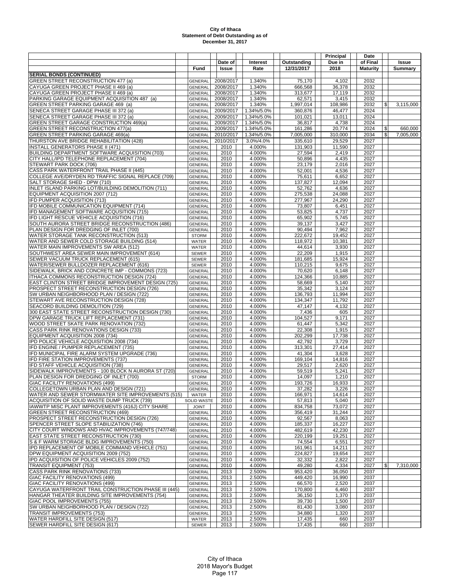| Date of<br>Interest<br>Issue<br>12/31/2017<br>2018<br><b>Issue</b><br>Rate<br><b>Maturity</b><br>Summary<br>Fund<br><b>SERIAL BONDS (CONTINUED)</b><br>GREEN STREET RECONSTRUCTION 477 (a)<br>1.340%<br>2008/2017<br>75,170<br>4,102<br>2032<br><b>GENERAL</b><br>CAYUGA GREEN PROJECT PHASE II 469 (a)<br>2008/2017<br>1.340%<br>36,378<br>2032<br><b>GENERAL</b><br>666,568<br>CAYUGA GREEN PROJECT PHASE II 469 (a)<br>2008/2017<br>1.340%<br>313,677<br>17,119<br>2032<br><b>GENERAL</b><br>PARKING GARAGE EQUIPMENT ACQUISITION 487 (a)<br>2008/2017<br>1.340%<br>62,571<br>3,415<br>2032<br><b>GENERAL</b><br>2008/2017<br>1.340%<br>1,997,014<br>108,986<br>2032<br>GREEN STREET PARKING GARAGE 469 (a)<br><b>GENERAL</b><br>$\mathfrak{S}$<br>3,115,000<br>SENECA STREET GARAGE PHASE III 372 (a)<br>2009/2017<br>1.34%/5.0%<br>360,876<br>46,477<br>2024<br><b>GENERAL</b><br>SENECA STREET GARAGE PHASE III 372 (a)<br>2009/2017<br>1.34%/5.0%<br>101,021<br>13,011<br>2024<br><b>GENERAL</b><br>GREEN STREET GARAGE CONSTRUCTION 469(a)<br><b>GENERAL</b><br>2009/2017<br>1.34%/5.0%<br>36,817<br>4,738<br>2024<br><b>GREEN STREET RECONSTRUCTION 477(a)</b><br>2009/2017<br>20,774<br>2024<br>\$<br>1.34%/5.0%<br>161,286<br>660.000<br><b>GENERAL</b><br><b>GREEN STREET PARKING GARAGE 469(a)</b><br>2010/2017<br>310.000<br>2034<br>\$<br><b>GENERAL</b><br>1.34%/5.0%<br>7,005,000<br>7,005,000<br>THURSTON AVE BRIDGE REHABILITATION (428)<br>2010/2017<br>2027<br><b>GENERAL</b><br>3.0%/4.0%<br>335,610<br>29,529<br><b>INSTALL GENERATORS PHASE II (471)</b><br>4.000%<br>2027<br><b>GENERAL</b><br>2010<br>131,903<br>11,590<br>BUILDING DEPARTMENT SOFTWARE ACQUISITION (703)<br>2010<br>4.000%<br>27,594<br>2,419<br>2027<br><b>GENERAL</b><br>4,435<br>2027<br>CITY HALL/IPD TELEPHONE REPLACEMENT (704)<br><b>GENERAL</b><br>2010<br>4.000%<br>50,896<br>STEWART PARK DOCK (706)<br><b>GENERAL</b><br>2010<br>4.000%<br>23,179<br>2,016<br>2027<br>CASS PARK WATERFRONT TRAIL PHASE II (445)<br>2010<br>4.000%<br>52,001<br>4,536<br>2027<br><b>GENERAL</b><br>COLLEGE AVE/DRYDEN RD TRAFFIC SIGNAL REPLACE (709)<br>2010<br>4.000%<br>75,611<br>6,652<br>2027<br><b>GENERAL</b><br>SALT STORAGE SHED - DPW (710)<br>2010<br>4.000%<br>137,827<br>12,094<br>2027<br><b>GENERAL</b><br>INLET ISLAND PARKING LOT/BUILDING DEMOLITION (711)<br>2010<br>4.000%<br>52,762<br>4,636<br>2027<br><b>GENERAL</b><br>EQUIPMENT ACQUISITION 2007 (712)<br>2010<br>4.000%<br>275,538<br>24,088<br>2027<br><b>GENERAL</b><br>IFD PUMPER ACQUISITION (713)<br>4.000%<br>24,290<br>2027<br><b>GENERAL</b><br>2010<br>277,967<br>IFD MOBILE COMMUNICATION EQUIPMENT (714)<br><b>GENERAL</b><br>2010<br>4.000%<br>73,807<br>6,451<br>2027<br>IFD MANAGEMENT SOFTWARE ACQUSITION (715)<br>2010<br>4,737<br>2027<br><b>GENERAL</b><br>4.000%<br>53,825<br>IFD LIGHT RESCUE VEHICLE ACQUISITION (716)<br>2010<br>4.000%<br>65,902<br>5,745<br>2027<br><b>GENERAL</b><br>SOUTH AURORA STREET BRIDGE RECONSTRUCTION (486)<br>4.000%<br>2010<br>39,137<br>3,427<br>2027<br><b>GENERAL</b><br>PLAN DESIGN FOR DREDGING OF INLET (700)<br><b>GENERAL</b><br>2010<br>4.000%<br>90,494<br>7,962<br>2027<br>WATER STORAGE TANK RECONSTRUCTION (513)<br>2010<br>4.000%<br>222,672<br>19,452<br>2027<br><b>STORM</b><br>WATER AND SEWER COLD STORAGE BUILDING (514)<br>4.000%<br>2010<br>118,972<br>10,381<br>2027<br>WATER<br>WATER MAIN IMPROVEMENTS SW AREA (512)<br>WATER<br>2010<br>4.000%<br>44,614<br>3,930<br>2027<br>2010<br>4.000%<br>1,915<br>2027<br>SOUTHWEST AREA SEWER MAIN IMPROVEMENT (614)<br>22,209<br><b>SEWER</b><br>SEWER VACUUM TRUCK REPLACEMENT (615)<br>2010<br>4.000%<br>181,685<br>15,924<br>2027<br>SEWER<br>WATER/SEWER BULLDOZER REPLACEMENT (616)<br>2010<br>4.000%<br>110,215<br>9,675<br>2027<br><b>SEWER</b><br>SIDEWALK, BRICK AND CONCRETE IMP - COMMONS (723)<br>2010<br>4.000%<br>70,620<br>6,148<br>2027<br><b>GENERAL</b><br>ITHACA COMMONS RECONSTRUCTION DESIGN (724)<br><b>GENERAL</b><br>2010<br>4.000%<br>124,366<br>10,885<br>2027<br>EAST CLINTON STREET BRIDGE IMPROVEMENT DESIGN (725)<br>2010<br>4.000%<br>2027<br>58,669<br>5,140<br><b>GENERAL</b><br>PROSPECT STREET RECONSTRUCTION DESIGN (726)<br>2010<br>4.000%<br>35,342<br>3,124<br>2027<br><b>GENERAL</b><br>4.000%<br>2027<br>SW URBAN NEIGHBORHOOD PLAN / DESIGN (722)<br><b>GENERAL</b><br>2010<br>136,793<br>11,994<br>STEWART AVE RECONSTRUCTION DESIGN (728)<br>2010<br>2027<br>4.000%<br>134,347<br>11,792<br><b>GENERAL</b><br>SEACORD BUILDING DEMOLITION (729)<br><b>GENERAL</b><br>2010<br>4.000%<br>47,147<br>4,132<br>2027<br>300 EAST STATE STREET RECONSTRUCTION DESIGN (730)<br>2010<br>4.000%<br>7,436<br>605<br>2027<br><b>GENERAL</b><br>DPW GARAGE TRUCK LIFT REPLACEMENT (731)<br>2010<br>4.000%<br>9,171<br>2027<br><b>GENERAL</b><br>104,527<br>WOOD STREET SKATE PARK RENOVATION (732)<br>2010<br>4.000%<br>61,447<br>5,342<br>2027<br><b>GENERAL</b><br>CASS PARK RINK RENOVATIONS DESIGN (733)<br><b>GENERAL</b><br>2010<br>4.000%<br>22,308<br>1,915<br>2027<br>EQUIPMENT ACQUISITION 2008 (734)<br>2010<br>17,738<br>2027<br>4.000%<br>202,299<br><b>GENERAL</b><br>IPD POLICE VEHICLE ACQUISITION 2008 (734)<br>2010<br>4.000%<br>42,792<br>3,729<br>2027<br><b>GENERAL</b><br>IFD ENGINE / PUMPER REPLACEMENT (735)<br>2010<br>4.000%<br>2027<br><b>GENERAL</b><br>313,301<br>27,414<br>IFD MUNICIPAL FIRE ALARM SYSTEM UPGRADE (736)<br>2010<br>4.000%<br>41,304<br>3,628<br>2027<br><b>GENERAL</b><br>IFD FIRE STATION IMPROVEMENTS (737)<br>2010<br>4.000%<br>2027<br><b>GENERAL</b><br>169,104<br>14,816<br>IFD STAFF VEHICLE ACQUISITION (738)<br>2010<br>4.000%<br>29,517<br>2,620<br>2027<br><b>GENERAL</b><br>SIDEWALK IMPROVEMENTS - 100 BLOCK N AURORA ST (720)<br>2010<br>4.000%<br>59,519<br>5,241<br>2027<br><b>GENERAL</b><br>PLAN DESIGN FOR DREDGING OF INLET (700)<br>2010<br>4.000%<br>14,097<br>1,210<br>2027<br><b>STORM</b><br>GIAC FACILITY RENOVATIONS (499)<br>GENERAL<br>2010<br>4.000%<br>193,726<br>16,933<br>2027<br>COLLEGETOWN URBAN PLAN AND DESIGN (721)<br>4.000%<br>37,282<br>2027<br><b>GENERAL</b><br>2010<br>3,226<br>WATER AND SEWER STORMWATER SITE IMPROVEMENTS (515)<br>2010<br>4.000%<br>166,971<br>14,614<br>2027<br>WATER<br>ACQUISITION OF SOLID WASTE DUMP TRUCK (739)<br>2010<br>4.000%<br>57,813<br>5,040<br>2027<br><b>SOLID WASTE</b><br>IAWWTP MISC PLANT IMPROVEMENTS (416J) CITY SHARE<br>4.000%<br>2027<br><b>JOINT</b><br>2010<br>834,758<br>73,072<br><b>GREEN STREET RECONSTRUCTION (469)</b><br>4.000%<br>356,419<br>31,244<br>2010<br>2027<br>GENERAL<br>PROSPECT STREET RECONSTRUCTION DESIGN (726)<br>4.000%<br>92,567<br><b>GENERAL</b><br>2010<br>8,063<br>2027<br>SPENCER STREET SLOPE STABILIZATION (746)<br>2010<br>4.000%<br>185,337<br>16,227<br>2027<br><b>GENERAL</b><br>CITY COURT WINDOWS AND HVAC IMPROVEMENTS (747/748)<br>2010<br>4.000%<br>482,619<br>42,230<br>2027<br><b>GENERAL</b><br><b>EAST STATE STREET RECONSTRUCTION (730)</b><br>4.000%<br>220,199<br><b>GENERAL</b><br>2010<br>19,251<br>2027<br>S & F WARM STORAGE BLDG IMPROVEMENTS (750)<br>2010<br>4.000%<br>74,554<br>6,551<br>2027<br><b>GENERAL</b><br>IPD REPLACEMENT OF MOBILE COMMAND VEHICLE (751)<br>2010<br>4.000%<br>14,211<br>2027<br><b>GENERAL</b><br>161,961<br>DPW EQUIPMENT ACQUISITION 2009 (752)<br>2010<br>4.000%<br>224,827<br>19,654<br>2027<br><b>GENERAL</b><br>IPD ACQUISITION OF POLICE VEHICLES 2009 (752)<br>4.000%<br>32,332<br>2,822<br>2027<br><b>GENERAL</b><br>2010<br>49,280<br><b>TRANSIT EQUIPMENT (753)</b><br>2010<br>4.000%<br>4,334<br>2027<br>\$<br>7.310.000<br><b>GENERAL</b><br><b>CASS PARK RINK RENOVATIONS (733)</b><br>2013<br>2.500%<br>953.420<br>36,050<br>2037<br><b>GENERAL</b><br>GIAC FACILITY RENOVATIONS (499)<br>2013<br>2.500%<br>449,420<br>16,990<br>2037<br><b>GENERAL</b><br>GIAC FACILITY RENOVATIONS (499)<br>2013<br>2.500%<br>66,570<br>2,520<br>2037<br><b>GENERAL</b><br>CAYUGA WATERFRONT TRAIL CONSTRUCTION PHASE III (445)<br>2013<br>2.500%<br>170,800<br>6,460<br>2037<br><b>GENERAL</b><br>HANGAR THEATER BUILDING SITE IMPROVEMENTS (754)<br>2.500%<br><b>GENERAL</b><br>2013<br>36,150<br>1,370<br>2037<br>GIAC POOL IMPROVEMENTS (755)<br>2013<br>2.500%<br>1,500<br>2037<br><b>GENERAL</b><br>39,730<br>SW URBAN NEIGHBORHOOD PLAN / DESIGN (722)<br>2013<br>2.500%<br>81,430<br>3,080<br>2037<br><b>GENERAL</b><br>2.500%<br><b>TRANSIT IMPROVEMENTS (753)</b><br><b>GENERAL</b><br>2013<br>34,880<br>1,320<br>2037<br>WATER HARDFILL SITE DESIGN (517)<br>2013<br>2.500%<br>17,435<br>2037<br>WATER<br>660<br>SEWER HARDFILL SITE DESIGN (617)<br>2013<br>2.500%<br>17,435<br>660<br>2037<br>SEWER |  |  |             | Principal | Date     |  |
|--------------------------------------------------------------------------------------------------------------------------------------------------------------------------------------------------------------------------------------------------------------------------------------------------------------------------------------------------------------------------------------------------------------------------------------------------------------------------------------------------------------------------------------------------------------------------------------------------------------------------------------------------------------------------------------------------------------------------------------------------------------------------------------------------------------------------------------------------------------------------------------------------------------------------------------------------------------------------------------------------------------------------------------------------------------------------------------------------------------------------------------------------------------------------------------------------------------------------------------------------------------------------------------------------------------------------------------------------------------------------------------------------------------------------------------------------------------------------------------------------------------------------------------------------------------------------------------------------------------------------------------------------------------------------------------------------------------------------------------------------------------------------------------------------------------------------------------------------------------------------------------------------------------------------------------------------------------------------------------------------------------------------------------------------------------------------------------------------------------------------------------------------------------------------------------------------------------------------------------------------------------------------------------------------------------------------------------------------------------------------------------------------------------------------------------------------------------------------------------------------------------------------------------------------------------------------------------------------------------------------------------------------------------------------------------------------------------------------------------------------------------------------------------------------------------------------------------------------------------------------------------------------------------------------------------------------------------------------------------------------------------------------------------------------------------------------------------------------------------------------------------------------------------------------------------------------------------------------------------------------------------------------------------------------------------------------------------------------------------------------------------------------------------------------------------------------------------------------------------------------------------------------------------------------------------------------------------------------------------------------------------------------------------------------------------------------------------------------------------------------------------------------------------------------------------------------------------------------------------------------------------------------------------------------------------------------------------------------------------------------------------------------------------------------------------------------------------------------------------------------------------------------------------------------------------------------------------------------------------------------------------------------------------------------------------------------------------------------------------------------------------------------------------------------------------------------------------------------------------------------------------------------------------------------------------------------------------------------------------------------------------------------------------------------------------------------------------------------------------------------------------------------------------------------------------------------------------------------------------------------------------------------------------------------------------------------------------------------------------------------------------------------------------------------------------------------------------------------------------------------------------------------------------------------------------------------------------------------------------------------------------------------------------------------------------------------------------------------------------------------------------------------------------------------------------------------------------------------------------------------------------------------------------------------------------------------------------------------------------------------------------------------------------------------------------------------------------------------------------------------------------------------------------------------------------------------------------------------------------------------------------------------------------------------------------------------------------------------------------------------------------------------------------------------------------------------------------------------------------------------------------------------------------------------------------------------------------------------------------------------------------------------------------------------------------------------------------------------------------------------------------------------------------------------------------------------------------------------------------------------------------------------------------------------------------------------------------------------------------------------------------------------------------------------------------------------------------------------------------------------------------------------------------------------------------------------------------------------------------------------------------------------------------------------------------------------------------------------------------------------------------------------------------------------------------------------------------------------------------------------------------------------------------------------------------------------------------------------------------------------------------------------------------------------------------------------------------------------------------------------------------------------------------------------------------------------------------------------------------------------------------------------------------------------------------------------------------------------------------------------------------------------------------------------------------------------------------------------------------------------------------------------------------------------------------------------------------------------------------------------------------------------------------------------------------------------------------------------------------------------------------------------------------------------------------------------------------------------------------------------------------------------------------------------------------------------------------------------------------------------------------------------------------------------------------------------------------------------------------------------------------------------------------------------------------------------------------------------------------------------------------------------------------------------------------------------------------------------------------------------------------------------------------------------------------------------------------------------------------------------------------------|--|--|-------------|-----------|----------|--|
|                                                                                                                                                                                                                                                                                                                                                                                                                                                                                                                                                                                                                                                                                                                                                                                                                                                                                                                                                                                                                                                                                                                                                                                                                                                                                                                                                                                                                                                                                                                                                                                                                                                                                                                                                                                                                                                                                                                                                                                                                                                                                                                                                                                                                                                                                                                                                                                                                                                                                                                                                                                                                                                                                                                                                                                                                                                                                                                                                                                                                                                                                                                                                                                                                                                                                                                                                                                                                                                                                                                                                                                                                                                                                                                                                                                                                                                                                                                                                                                                                                                                                                                                                                                                                                                                                                                                                                                                                                                                                                                                                                                                                                                                                                                                                                                                                                                                                                                                                                                                                                                                                                                                                                                                                                                                                                                                                                                                                                                                                                                                                                                                                                                                                                                                                                                                                                                                                                                                                                                                                                                                                                                                                                                                                                                                                                                                                                                                                                                                                                                                                                                                                                                                                                                                                                                                                                                                                                                                                                                                                                                                                                                                                                                                                                                                                                                                                                                                                                                                                                                                                                                                                                                                                                                                                                                                                                                                                                                                                                                                                                                                                                                                                                                                                                                                                                                                                                                                                                                                                                                                                                                                                                                                                                                                                                    |  |  | Outstanding | Due in    | of Final |  |
|                                                                                                                                                                                                                                                                                                                                                                                                                                                                                                                                                                                                                                                                                                                                                                                                                                                                                                                                                                                                                                                                                                                                                                                                                                                                                                                                                                                                                                                                                                                                                                                                                                                                                                                                                                                                                                                                                                                                                                                                                                                                                                                                                                                                                                                                                                                                                                                                                                                                                                                                                                                                                                                                                                                                                                                                                                                                                                                                                                                                                                                                                                                                                                                                                                                                                                                                                                                                                                                                                                                                                                                                                                                                                                                                                                                                                                                                                                                                                                                                                                                                                                                                                                                                                                                                                                                                                                                                                                                                                                                                                                                                                                                                                                                                                                                                                                                                                                                                                                                                                                                                                                                                                                                                                                                                                                                                                                                                                                                                                                                                                                                                                                                                                                                                                                                                                                                                                                                                                                                                                                                                                                                                                                                                                                                                                                                                                                                                                                                                                                                                                                                                                                                                                                                                                                                                                                                                                                                                                                                                                                                                                                                                                                                                                                                                                                                                                                                                                                                                                                                                                                                                                                                                                                                                                                                                                                                                                                                                                                                                                                                                                                                                                                                                                                                                                                                                                                                                                                                                                                                                                                                                                                                                                                                                                                    |  |  |             |           |          |  |
|                                                                                                                                                                                                                                                                                                                                                                                                                                                                                                                                                                                                                                                                                                                                                                                                                                                                                                                                                                                                                                                                                                                                                                                                                                                                                                                                                                                                                                                                                                                                                                                                                                                                                                                                                                                                                                                                                                                                                                                                                                                                                                                                                                                                                                                                                                                                                                                                                                                                                                                                                                                                                                                                                                                                                                                                                                                                                                                                                                                                                                                                                                                                                                                                                                                                                                                                                                                                                                                                                                                                                                                                                                                                                                                                                                                                                                                                                                                                                                                                                                                                                                                                                                                                                                                                                                                                                                                                                                                                                                                                                                                                                                                                                                                                                                                                                                                                                                                                                                                                                                                                                                                                                                                                                                                                                                                                                                                                                                                                                                                                                                                                                                                                                                                                                                                                                                                                                                                                                                                                                                                                                                                                                                                                                                                                                                                                                                                                                                                                                                                                                                                                                                                                                                                                                                                                                                                                                                                                                                                                                                                                                                                                                                                                                                                                                                                                                                                                                                                                                                                                                                                                                                                                                                                                                                                                                                                                                                                                                                                                                                                                                                                                                                                                                                                                                                                                                                                                                                                                                                                                                                                                                                                                                                                                                                    |  |  |             |           |          |  |
|                                                                                                                                                                                                                                                                                                                                                                                                                                                                                                                                                                                                                                                                                                                                                                                                                                                                                                                                                                                                                                                                                                                                                                                                                                                                                                                                                                                                                                                                                                                                                                                                                                                                                                                                                                                                                                                                                                                                                                                                                                                                                                                                                                                                                                                                                                                                                                                                                                                                                                                                                                                                                                                                                                                                                                                                                                                                                                                                                                                                                                                                                                                                                                                                                                                                                                                                                                                                                                                                                                                                                                                                                                                                                                                                                                                                                                                                                                                                                                                                                                                                                                                                                                                                                                                                                                                                                                                                                                                                                                                                                                                                                                                                                                                                                                                                                                                                                                                                                                                                                                                                                                                                                                                                                                                                                                                                                                                                                                                                                                                                                                                                                                                                                                                                                                                                                                                                                                                                                                                                                                                                                                                                                                                                                                                                                                                                                                                                                                                                                                                                                                                                                                                                                                                                                                                                                                                                                                                                                                                                                                                                                                                                                                                                                                                                                                                                                                                                                                                                                                                                                                                                                                                                                                                                                                                                                                                                                                                                                                                                                                                                                                                                                                                                                                                                                                                                                                                                                                                                                                                                                                                                                                                                                                                                                                    |  |  |             |           |          |  |
|                                                                                                                                                                                                                                                                                                                                                                                                                                                                                                                                                                                                                                                                                                                                                                                                                                                                                                                                                                                                                                                                                                                                                                                                                                                                                                                                                                                                                                                                                                                                                                                                                                                                                                                                                                                                                                                                                                                                                                                                                                                                                                                                                                                                                                                                                                                                                                                                                                                                                                                                                                                                                                                                                                                                                                                                                                                                                                                                                                                                                                                                                                                                                                                                                                                                                                                                                                                                                                                                                                                                                                                                                                                                                                                                                                                                                                                                                                                                                                                                                                                                                                                                                                                                                                                                                                                                                                                                                                                                                                                                                                                                                                                                                                                                                                                                                                                                                                                                                                                                                                                                                                                                                                                                                                                                                                                                                                                                                                                                                                                                                                                                                                                                                                                                                                                                                                                                                                                                                                                                                                                                                                                                                                                                                                                                                                                                                                                                                                                                                                                                                                                                                                                                                                                                                                                                                                                                                                                                                                                                                                                                                                                                                                                                                                                                                                                                                                                                                                                                                                                                                                                                                                                                                                                                                                                                                                                                                                                                                                                                                                                                                                                                                                                                                                                                                                                                                                                                                                                                                                                                                                                                                                                                                                                                                                    |  |  |             |           |          |  |
|                                                                                                                                                                                                                                                                                                                                                                                                                                                                                                                                                                                                                                                                                                                                                                                                                                                                                                                                                                                                                                                                                                                                                                                                                                                                                                                                                                                                                                                                                                                                                                                                                                                                                                                                                                                                                                                                                                                                                                                                                                                                                                                                                                                                                                                                                                                                                                                                                                                                                                                                                                                                                                                                                                                                                                                                                                                                                                                                                                                                                                                                                                                                                                                                                                                                                                                                                                                                                                                                                                                                                                                                                                                                                                                                                                                                                                                                                                                                                                                                                                                                                                                                                                                                                                                                                                                                                                                                                                                                                                                                                                                                                                                                                                                                                                                                                                                                                                                                                                                                                                                                                                                                                                                                                                                                                                                                                                                                                                                                                                                                                                                                                                                                                                                                                                                                                                                                                                                                                                                                                                                                                                                                                                                                                                                                                                                                                                                                                                                                                                                                                                                                                                                                                                                                                                                                                                                                                                                                                                                                                                                                                                                                                                                                                                                                                                                                                                                                                                                                                                                                                                                                                                                                                                                                                                                                                                                                                                                                                                                                                                                                                                                                                                                                                                                                                                                                                                                                                                                                                                                                                                                                                                                                                                                                                                    |  |  |             |           |          |  |
|                                                                                                                                                                                                                                                                                                                                                                                                                                                                                                                                                                                                                                                                                                                                                                                                                                                                                                                                                                                                                                                                                                                                                                                                                                                                                                                                                                                                                                                                                                                                                                                                                                                                                                                                                                                                                                                                                                                                                                                                                                                                                                                                                                                                                                                                                                                                                                                                                                                                                                                                                                                                                                                                                                                                                                                                                                                                                                                                                                                                                                                                                                                                                                                                                                                                                                                                                                                                                                                                                                                                                                                                                                                                                                                                                                                                                                                                                                                                                                                                                                                                                                                                                                                                                                                                                                                                                                                                                                                                                                                                                                                                                                                                                                                                                                                                                                                                                                                                                                                                                                                                                                                                                                                                                                                                                                                                                                                                                                                                                                                                                                                                                                                                                                                                                                                                                                                                                                                                                                                                                                                                                                                                                                                                                                                                                                                                                                                                                                                                                                                                                                                                                                                                                                                                                                                                                                                                                                                                                                                                                                                                                                                                                                                                                                                                                                                                                                                                                                                                                                                                                                                                                                                                                                                                                                                                                                                                                                                                                                                                                                                                                                                                                                                                                                                                                                                                                                                                                                                                                                                                                                                                                                                                                                                                                                    |  |  |             |           |          |  |
|                                                                                                                                                                                                                                                                                                                                                                                                                                                                                                                                                                                                                                                                                                                                                                                                                                                                                                                                                                                                                                                                                                                                                                                                                                                                                                                                                                                                                                                                                                                                                                                                                                                                                                                                                                                                                                                                                                                                                                                                                                                                                                                                                                                                                                                                                                                                                                                                                                                                                                                                                                                                                                                                                                                                                                                                                                                                                                                                                                                                                                                                                                                                                                                                                                                                                                                                                                                                                                                                                                                                                                                                                                                                                                                                                                                                                                                                                                                                                                                                                                                                                                                                                                                                                                                                                                                                                                                                                                                                                                                                                                                                                                                                                                                                                                                                                                                                                                                                                                                                                                                                                                                                                                                                                                                                                                                                                                                                                                                                                                                                                                                                                                                                                                                                                                                                                                                                                                                                                                                                                                                                                                                                                                                                                                                                                                                                                                                                                                                                                                                                                                                                                                                                                                                                                                                                                                                                                                                                                                                                                                                                                                                                                                                                                                                                                                                                                                                                                                                                                                                                                                                                                                                                                                                                                                                                                                                                                                                                                                                                                                                                                                                                                                                                                                                                                                                                                                                                                                                                                                                                                                                                                                                                                                                                                                    |  |  |             |           |          |  |
|                                                                                                                                                                                                                                                                                                                                                                                                                                                                                                                                                                                                                                                                                                                                                                                                                                                                                                                                                                                                                                                                                                                                                                                                                                                                                                                                                                                                                                                                                                                                                                                                                                                                                                                                                                                                                                                                                                                                                                                                                                                                                                                                                                                                                                                                                                                                                                                                                                                                                                                                                                                                                                                                                                                                                                                                                                                                                                                                                                                                                                                                                                                                                                                                                                                                                                                                                                                                                                                                                                                                                                                                                                                                                                                                                                                                                                                                                                                                                                                                                                                                                                                                                                                                                                                                                                                                                                                                                                                                                                                                                                                                                                                                                                                                                                                                                                                                                                                                                                                                                                                                                                                                                                                                                                                                                                                                                                                                                                                                                                                                                                                                                                                                                                                                                                                                                                                                                                                                                                                                                                                                                                                                                                                                                                                                                                                                                                                                                                                                                                                                                                                                                                                                                                                                                                                                                                                                                                                                                                                                                                                                                                                                                                                                                                                                                                                                                                                                                                                                                                                                                                                                                                                                                                                                                                                                                                                                                                                                                                                                                                                                                                                                                                                                                                                                                                                                                                                                                                                                                                                                                                                                                                                                                                                                                                    |  |  |             |           |          |  |
|                                                                                                                                                                                                                                                                                                                                                                                                                                                                                                                                                                                                                                                                                                                                                                                                                                                                                                                                                                                                                                                                                                                                                                                                                                                                                                                                                                                                                                                                                                                                                                                                                                                                                                                                                                                                                                                                                                                                                                                                                                                                                                                                                                                                                                                                                                                                                                                                                                                                                                                                                                                                                                                                                                                                                                                                                                                                                                                                                                                                                                                                                                                                                                                                                                                                                                                                                                                                                                                                                                                                                                                                                                                                                                                                                                                                                                                                                                                                                                                                                                                                                                                                                                                                                                                                                                                                                                                                                                                                                                                                                                                                                                                                                                                                                                                                                                                                                                                                                                                                                                                                                                                                                                                                                                                                                                                                                                                                                                                                                                                                                                                                                                                                                                                                                                                                                                                                                                                                                                                                                                                                                                                                                                                                                                                                                                                                                                                                                                                                                                                                                                                                                                                                                                                                                                                                                                                                                                                                                                                                                                                                                                                                                                                                                                                                                                                                                                                                                                                                                                                                                                                                                                                                                                                                                                                                                                                                                                                                                                                                                                                                                                                                                                                                                                                                                                                                                                                                                                                                                                                                                                                                                                                                                                                                                                    |  |  |             |           |          |  |
|                                                                                                                                                                                                                                                                                                                                                                                                                                                                                                                                                                                                                                                                                                                                                                                                                                                                                                                                                                                                                                                                                                                                                                                                                                                                                                                                                                                                                                                                                                                                                                                                                                                                                                                                                                                                                                                                                                                                                                                                                                                                                                                                                                                                                                                                                                                                                                                                                                                                                                                                                                                                                                                                                                                                                                                                                                                                                                                                                                                                                                                                                                                                                                                                                                                                                                                                                                                                                                                                                                                                                                                                                                                                                                                                                                                                                                                                                                                                                                                                                                                                                                                                                                                                                                                                                                                                                                                                                                                                                                                                                                                                                                                                                                                                                                                                                                                                                                                                                                                                                                                                                                                                                                                                                                                                                                                                                                                                                                                                                                                                                                                                                                                                                                                                                                                                                                                                                                                                                                                                                                                                                                                                                                                                                                                                                                                                                                                                                                                                                                                                                                                                                                                                                                                                                                                                                                                                                                                                                                                                                                                                                                                                                                                                                                                                                                                                                                                                                                                                                                                                                                                                                                                                                                                                                                                                                                                                                                                                                                                                                                                                                                                                                                                                                                                                                                                                                                                                                                                                                                                                                                                                                                                                                                                                                                    |  |  |             |           |          |  |
|                                                                                                                                                                                                                                                                                                                                                                                                                                                                                                                                                                                                                                                                                                                                                                                                                                                                                                                                                                                                                                                                                                                                                                                                                                                                                                                                                                                                                                                                                                                                                                                                                                                                                                                                                                                                                                                                                                                                                                                                                                                                                                                                                                                                                                                                                                                                                                                                                                                                                                                                                                                                                                                                                                                                                                                                                                                                                                                                                                                                                                                                                                                                                                                                                                                                                                                                                                                                                                                                                                                                                                                                                                                                                                                                                                                                                                                                                                                                                                                                                                                                                                                                                                                                                                                                                                                                                                                                                                                                                                                                                                                                                                                                                                                                                                                                                                                                                                                                                                                                                                                                                                                                                                                                                                                                                                                                                                                                                                                                                                                                                                                                                                                                                                                                                                                                                                                                                                                                                                                                                                                                                                                                                                                                                                                                                                                                                                                                                                                                                                                                                                                                                                                                                                                                                                                                                                                                                                                                                                                                                                                                                                                                                                                                                                                                                                                                                                                                                                                                                                                                                                                                                                                                                                                                                                                                                                                                                                                                                                                                                                                                                                                                                                                                                                                                                                                                                                                                                                                                                                                                                                                                                                                                                                                                                                    |  |  |             |           |          |  |
|                                                                                                                                                                                                                                                                                                                                                                                                                                                                                                                                                                                                                                                                                                                                                                                                                                                                                                                                                                                                                                                                                                                                                                                                                                                                                                                                                                                                                                                                                                                                                                                                                                                                                                                                                                                                                                                                                                                                                                                                                                                                                                                                                                                                                                                                                                                                                                                                                                                                                                                                                                                                                                                                                                                                                                                                                                                                                                                                                                                                                                                                                                                                                                                                                                                                                                                                                                                                                                                                                                                                                                                                                                                                                                                                                                                                                                                                                                                                                                                                                                                                                                                                                                                                                                                                                                                                                                                                                                                                                                                                                                                                                                                                                                                                                                                                                                                                                                                                                                                                                                                                                                                                                                                                                                                                                                                                                                                                                                                                                                                                                                                                                                                                                                                                                                                                                                                                                                                                                                                                                                                                                                                                                                                                                                                                                                                                                                                                                                                                                                                                                                                                                                                                                                                                                                                                                                                                                                                                                                                                                                                                                                                                                                                                                                                                                                                                                                                                                                                                                                                                                                                                                                                                                                                                                                                                                                                                                                                                                                                                                                                                                                                                                                                                                                                                                                                                                                                                                                                                                                                                                                                                                                                                                                                                                                    |  |  |             |           |          |  |
|                                                                                                                                                                                                                                                                                                                                                                                                                                                                                                                                                                                                                                                                                                                                                                                                                                                                                                                                                                                                                                                                                                                                                                                                                                                                                                                                                                                                                                                                                                                                                                                                                                                                                                                                                                                                                                                                                                                                                                                                                                                                                                                                                                                                                                                                                                                                                                                                                                                                                                                                                                                                                                                                                                                                                                                                                                                                                                                                                                                                                                                                                                                                                                                                                                                                                                                                                                                                                                                                                                                                                                                                                                                                                                                                                                                                                                                                                                                                                                                                                                                                                                                                                                                                                                                                                                                                                                                                                                                                                                                                                                                                                                                                                                                                                                                                                                                                                                                                                                                                                                                                                                                                                                                                                                                                                                                                                                                                                                                                                                                                                                                                                                                                                                                                                                                                                                                                                                                                                                                                                                                                                                                                                                                                                                                                                                                                                                                                                                                                                                                                                                                                                                                                                                                                                                                                                                                                                                                                                                                                                                                                                                                                                                                                                                                                                                                                                                                                                                                                                                                                                                                                                                                                                                                                                                                                                                                                                                                                                                                                                                                                                                                                                                                                                                                                                                                                                                                                                                                                                                                                                                                                                                                                                                                                                                    |  |  |             |           |          |  |
|                                                                                                                                                                                                                                                                                                                                                                                                                                                                                                                                                                                                                                                                                                                                                                                                                                                                                                                                                                                                                                                                                                                                                                                                                                                                                                                                                                                                                                                                                                                                                                                                                                                                                                                                                                                                                                                                                                                                                                                                                                                                                                                                                                                                                                                                                                                                                                                                                                                                                                                                                                                                                                                                                                                                                                                                                                                                                                                                                                                                                                                                                                                                                                                                                                                                                                                                                                                                                                                                                                                                                                                                                                                                                                                                                                                                                                                                                                                                                                                                                                                                                                                                                                                                                                                                                                                                                                                                                                                                                                                                                                                                                                                                                                                                                                                                                                                                                                                                                                                                                                                                                                                                                                                                                                                                                                                                                                                                                                                                                                                                                                                                                                                                                                                                                                                                                                                                                                                                                                                                                                                                                                                                                                                                                                                                                                                                                                                                                                                                                                                                                                                                                                                                                                                                                                                                                                                                                                                                                                                                                                                                                                                                                                                                                                                                                                                                                                                                                                                                                                                                                                                                                                                                                                                                                                                                                                                                                                                                                                                                                                                                                                                                                                                                                                                                                                                                                                                                                                                                                                                                                                                                                                                                                                                                                                    |  |  |             |           |          |  |
|                                                                                                                                                                                                                                                                                                                                                                                                                                                                                                                                                                                                                                                                                                                                                                                                                                                                                                                                                                                                                                                                                                                                                                                                                                                                                                                                                                                                                                                                                                                                                                                                                                                                                                                                                                                                                                                                                                                                                                                                                                                                                                                                                                                                                                                                                                                                                                                                                                                                                                                                                                                                                                                                                                                                                                                                                                                                                                                                                                                                                                                                                                                                                                                                                                                                                                                                                                                                                                                                                                                                                                                                                                                                                                                                                                                                                                                                                                                                                                                                                                                                                                                                                                                                                                                                                                                                                                                                                                                                                                                                                                                                                                                                                                                                                                                                                                                                                                                                                                                                                                                                                                                                                                                                                                                                                                                                                                                                                                                                                                                                                                                                                                                                                                                                                                                                                                                                                                                                                                                                                                                                                                                                                                                                                                                                                                                                                                                                                                                                                                                                                                                                                                                                                                                                                                                                                                                                                                                                                                                                                                                                                                                                                                                                                                                                                                                                                                                                                                                                                                                                                                                                                                                                                                                                                                                                                                                                                                                                                                                                                                                                                                                                                                                                                                                                                                                                                                                                                                                                                                                                                                                                                                                                                                                                                                    |  |  |             |           |          |  |
|                                                                                                                                                                                                                                                                                                                                                                                                                                                                                                                                                                                                                                                                                                                                                                                                                                                                                                                                                                                                                                                                                                                                                                                                                                                                                                                                                                                                                                                                                                                                                                                                                                                                                                                                                                                                                                                                                                                                                                                                                                                                                                                                                                                                                                                                                                                                                                                                                                                                                                                                                                                                                                                                                                                                                                                                                                                                                                                                                                                                                                                                                                                                                                                                                                                                                                                                                                                                                                                                                                                                                                                                                                                                                                                                                                                                                                                                                                                                                                                                                                                                                                                                                                                                                                                                                                                                                                                                                                                                                                                                                                                                                                                                                                                                                                                                                                                                                                                                                                                                                                                                                                                                                                                                                                                                                                                                                                                                                                                                                                                                                                                                                                                                                                                                                                                                                                                                                                                                                                                                                                                                                                                                                                                                                                                                                                                                                                                                                                                                                                                                                                                                                                                                                                                                                                                                                                                                                                                                                                                                                                                                                                                                                                                                                                                                                                                                                                                                                                                                                                                                                                                                                                                                                                                                                                                                                                                                                                                                                                                                                                                                                                                                                                                                                                                                                                                                                                                                                                                                                                                                                                                                                                                                                                                                                                    |  |  |             |           |          |  |
|                                                                                                                                                                                                                                                                                                                                                                                                                                                                                                                                                                                                                                                                                                                                                                                                                                                                                                                                                                                                                                                                                                                                                                                                                                                                                                                                                                                                                                                                                                                                                                                                                                                                                                                                                                                                                                                                                                                                                                                                                                                                                                                                                                                                                                                                                                                                                                                                                                                                                                                                                                                                                                                                                                                                                                                                                                                                                                                                                                                                                                                                                                                                                                                                                                                                                                                                                                                                                                                                                                                                                                                                                                                                                                                                                                                                                                                                                                                                                                                                                                                                                                                                                                                                                                                                                                                                                                                                                                                                                                                                                                                                                                                                                                                                                                                                                                                                                                                                                                                                                                                                                                                                                                                                                                                                                                                                                                                                                                                                                                                                                                                                                                                                                                                                                                                                                                                                                                                                                                                                                                                                                                                                                                                                                                                                                                                                                                                                                                                                                                                                                                                                                                                                                                                                                                                                                                                                                                                                                                                                                                                                                                                                                                                                                                                                                                                                                                                                                                                                                                                                                                                                                                                                                                                                                                                                                                                                                                                                                                                                                                                                                                                                                                                                                                                                                                                                                                                                                                                                                                                                                                                                                                                                                                                                                                    |  |  |             |           |          |  |
|                                                                                                                                                                                                                                                                                                                                                                                                                                                                                                                                                                                                                                                                                                                                                                                                                                                                                                                                                                                                                                                                                                                                                                                                                                                                                                                                                                                                                                                                                                                                                                                                                                                                                                                                                                                                                                                                                                                                                                                                                                                                                                                                                                                                                                                                                                                                                                                                                                                                                                                                                                                                                                                                                                                                                                                                                                                                                                                                                                                                                                                                                                                                                                                                                                                                                                                                                                                                                                                                                                                                                                                                                                                                                                                                                                                                                                                                                                                                                                                                                                                                                                                                                                                                                                                                                                                                                                                                                                                                                                                                                                                                                                                                                                                                                                                                                                                                                                                                                                                                                                                                                                                                                                                                                                                                                                                                                                                                                                                                                                                                                                                                                                                                                                                                                                                                                                                                                                                                                                                                                                                                                                                                                                                                                                                                                                                                                                                                                                                                                                                                                                                                                                                                                                                                                                                                                                                                                                                                                                                                                                                                                                                                                                                                                                                                                                                                                                                                                                                                                                                                                                                                                                                                                                                                                                                                                                                                                                                                                                                                                                                                                                                                                                                                                                                                                                                                                                                                                                                                                                                                                                                                                                                                                                                                                                    |  |  |             |           |          |  |
|                                                                                                                                                                                                                                                                                                                                                                                                                                                                                                                                                                                                                                                                                                                                                                                                                                                                                                                                                                                                                                                                                                                                                                                                                                                                                                                                                                                                                                                                                                                                                                                                                                                                                                                                                                                                                                                                                                                                                                                                                                                                                                                                                                                                                                                                                                                                                                                                                                                                                                                                                                                                                                                                                                                                                                                                                                                                                                                                                                                                                                                                                                                                                                                                                                                                                                                                                                                                                                                                                                                                                                                                                                                                                                                                                                                                                                                                                                                                                                                                                                                                                                                                                                                                                                                                                                                                                                                                                                                                                                                                                                                                                                                                                                                                                                                                                                                                                                                                                                                                                                                                                                                                                                                                                                                                                                                                                                                                                                                                                                                                                                                                                                                                                                                                                                                                                                                                                                                                                                                                                                                                                                                                                                                                                                                                                                                                                                                                                                                                                                                                                                                                                                                                                                                                                                                                                                                                                                                                                                                                                                                                                                                                                                                                                                                                                                                                                                                                                                                                                                                                                                                                                                                                                                                                                                                                                                                                                                                                                                                                                                                                                                                                                                                                                                                                                                                                                                                                                                                                                                                                                                                                                                                                                                                                                                    |  |  |             |           |          |  |
|                                                                                                                                                                                                                                                                                                                                                                                                                                                                                                                                                                                                                                                                                                                                                                                                                                                                                                                                                                                                                                                                                                                                                                                                                                                                                                                                                                                                                                                                                                                                                                                                                                                                                                                                                                                                                                                                                                                                                                                                                                                                                                                                                                                                                                                                                                                                                                                                                                                                                                                                                                                                                                                                                                                                                                                                                                                                                                                                                                                                                                                                                                                                                                                                                                                                                                                                                                                                                                                                                                                                                                                                                                                                                                                                                                                                                                                                                                                                                                                                                                                                                                                                                                                                                                                                                                                                                                                                                                                                                                                                                                                                                                                                                                                                                                                                                                                                                                                                                                                                                                                                                                                                                                                                                                                                                                                                                                                                                                                                                                                                                                                                                                                                                                                                                                                                                                                                                                                                                                                                                                                                                                                                                                                                                                                                                                                                                                                                                                                                                                                                                                                                                                                                                                                                                                                                                                                                                                                                                                                                                                                                                                                                                                                                                                                                                                                                                                                                                                                                                                                                                                                                                                                                                                                                                                                                                                                                                                                                                                                                                                                                                                                                                                                                                                                                                                                                                                                                                                                                                                                                                                                                                                                                                                                                                                    |  |  |             |           |          |  |
|                                                                                                                                                                                                                                                                                                                                                                                                                                                                                                                                                                                                                                                                                                                                                                                                                                                                                                                                                                                                                                                                                                                                                                                                                                                                                                                                                                                                                                                                                                                                                                                                                                                                                                                                                                                                                                                                                                                                                                                                                                                                                                                                                                                                                                                                                                                                                                                                                                                                                                                                                                                                                                                                                                                                                                                                                                                                                                                                                                                                                                                                                                                                                                                                                                                                                                                                                                                                                                                                                                                                                                                                                                                                                                                                                                                                                                                                                                                                                                                                                                                                                                                                                                                                                                                                                                                                                                                                                                                                                                                                                                                                                                                                                                                                                                                                                                                                                                                                                                                                                                                                                                                                                                                                                                                                                                                                                                                                                                                                                                                                                                                                                                                                                                                                                                                                                                                                                                                                                                                                                                                                                                                                                                                                                                                                                                                                                                                                                                                                                                                                                                                                                                                                                                                                                                                                                                                                                                                                                                                                                                                                                                                                                                                                                                                                                                                                                                                                                                                                                                                                                                                                                                                                                                                                                                                                                                                                                                                                                                                                                                                                                                                                                                                                                                                                                                                                                                                                                                                                                                                                                                                                                                                                                                                                                                    |  |  |             |           |          |  |
|                                                                                                                                                                                                                                                                                                                                                                                                                                                                                                                                                                                                                                                                                                                                                                                                                                                                                                                                                                                                                                                                                                                                                                                                                                                                                                                                                                                                                                                                                                                                                                                                                                                                                                                                                                                                                                                                                                                                                                                                                                                                                                                                                                                                                                                                                                                                                                                                                                                                                                                                                                                                                                                                                                                                                                                                                                                                                                                                                                                                                                                                                                                                                                                                                                                                                                                                                                                                                                                                                                                                                                                                                                                                                                                                                                                                                                                                                                                                                                                                                                                                                                                                                                                                                                                                                                                                                                                                                                                                                                                                                                                                                                                                                                                                                                                                                                                                                                                                                                                                                                                                                                                                                                                                                                                                                                                                                                                                                                                                                                                                                                                                                                                                                                                                                                                                                                                                                                                                                                                                                                                                                                                                                                                                                                                                                                                                                                                                                                                                                                                                                                                                                                                                                                                                                                                                                                                                                                                                                                                                                                                                                                                                                                                                                                                                                                                                                                                                                                                                                                                                                                                                                                                                                                                                                                                                                                                                                                                                                                                                                                                                                                                                                                                                                                                                                                                                                                                                                                                                                                                                                                                                                                                                                                                                                                    |  |  |             |           |          |  |
|                                                                                                                                                                                                                                                                                                                                                                                                                                                                                                                                                                                                                                                                                                                                                                                                                                                                                                                                                                                                                                                                                                                                                                                                                                                                                                                                                                                                                                                                                                                                                                                                                                                                                                                                                                                                                                                                                                                                                                                                                                                                                                                                                                                                                                                                                                                                                                                                                                                                                                                                                                                                                                                                                                                                                                                                                                                                                                                                                                                                                                                                                                                                                                                                                                                                                                                                                                                                                                                                                                                                                                                                                                                                                                                                                                                                                                                                                                                                                                                                                                                                                                                                                                                                                                                                                                                                                                                                                                                                                                                                                                                                                                                                                                                                                                                                                                                                                                                                                                                                                                                                                                                                                                                                                                                                                                                                                                                                                                                                                                                                                                                                                                                                                                                                                                                                                                                                                                                                                                                                                                                                                                                                                                                                                                                                                                                                                                                                                                                                                                                                                                                                                                                                                                                                                                                                                                                                                                                                                                                                                                                                                                                                                                                                                                                                                                                                                                                                                                                                                                                                                                                                                                                                                                                                                                                                                                                                                                                                                                                                                                                                                                                                                                                                                                                                                                                                                                                                                                                                                                                                                                                                                                                                                                                                                                    |  |  |             |           |          |  |
|                                                                                                                                                                                                                                                                                                                                                                                                                                                                                                                                                                                                                                                                                                                                                                                                                                                                                                                                                                                                                                                                                                                                                                                                                                                                                                                                                                                                                                                                                                                                                                                                                                                                                                                                                                                                                                                                                                                                                                                                                                                                                                                                                                                                                                                                                                                                                                                                                                                                                                                                                                                                                                                                                                                                                                                                                                                                                                                                                                                                                                                                                                                                                                                                                                                                                                                                                                                                                                                                                                                                                                                                                                                                                                                                                                                                                                                                                                                                                                                                                                                                                                                                                                                                                                                                                                                                                                                                                                                                                                                                                                                                                                                                                                                                                                                                                                                                                                                                                                                                                                                                                                                                                                                                                                                                                                                                                                                                                                                                                                                                                                                                                                                                                                                                                                                                                                                                                                                                                                                                                                                                                                                                                                                                                                                                                                                                                                                                                                                                                                                                                                                                                                                                                                                                                                                                                                                                                                                                                                                                                                                                                                                                                                                                                                                                                                                                                                                                                                                                                                                                                                                                                                                                                                                                                                                                                                                                                                                                                                                                                                                                                                                                                                                                                                                                                                                                                                                                                                                                                                                                                                                                                                                                                                                                                                    |  |  |             |           |          |  |
|                                                                                                                                                                                                                                                                                                                                                                                                                                                                                                                                                                                                                                                                                                                                                                                                                                                                                                                                                                                                                                                                                                                                                                                                                                                                                                                                                                                                                                                                                                                                                                                                                                                                                                                                                                                                                                                                                                                                                                                                                                                                                                                                                                                                                                                                                                                                                                                                                                                                                                                                                                                                                                                                                                                                                                                                                                                                                                                                                                                                                                                                                                                                                                                                                                                                                                                                                                                                                                                                                                                                                                                                                                                                                                                                                                                                                                                                                                                                                                                                                                                                                                                                                                                                                                                                                                                                                                                                                                                                                                                                                                                                                                                                                                                                                                                                                                                                                                                                                                                                                                                                                                                                                                                                                                                                                                                                                                                                                                                                                                                                                                                                                                                                                                                                                                                                                                                                                                                                                                                                                                                                                                                                                                                                                                                                                                                                                                                                                                                                                                                                                                                                                                                                                                                                                                                                                                                                                                                                                                                                                                                                                                                                                                                                                                                                                                                                                                                                                                                                                                                                                                                                                                                                                                                                                                                                                                                                                                                                                                                                                                                                                                                                                                                                                                                                                                                                                                                                                                                                                                                                                                                                                                                                                                                                                                    |  |  |             |           |          |  |
|                                                                                                                                                                                                                                                                                                                                                                                                                                                                                                                                                                                                                                                                                                                                                                                                                                                                                                                                                                                                                                                                                                                                                                                                                                                                                                                                                                                                                                                                                                                                                                                                                                                                                                                                                                                                                                                                                                                                                                                                                                                                                                                                                                                                                                                                                                                                                                                                                                                                                                                                                                                                                                                                                                                                                                                                                                                                                                                                                                                                                                                                                                                                                                                                                                                                                                                                                                                                                                                                                                                                                                                                                                                                                                                                                                                                                                                                                                                                                                                                                                                                                                                                                                                                                                                                                                                                                                                                                                                                                                                                                                                                                                                                                                                                                                                                                                                                                                                                                                                                                                                                                                                                                                                                                                                                                                                                                                                                                                                                                                                                                                                                                                                                                                                                                                                                                                                                                                                                                                                                                                                                                                                                                                                                                                                                                                                                                                                                                                                                                                                                                                                                                                                                                                                                                                                                                                                                                                                                                                                                                                                                                                                                                                                                                                                                                                                                                                                                                                                                                                                                                                                                                                                                                                                                                                                                                                                                                                                                                                                                                                                                                                                                                                                                                                                                                                                                                                                                                                                                                                                                                                                                                                                                                                                                                                    |  |  |             |           |          |  |
|                                                                                                                                                                                                                                                                                                                                                                                                                                                                                                                                                                                                                                                                                                                                                                                                                                                                                                                                                                                                                                                                                                                                                                                                                                                                                                                                                                                                                                                                                                                                                                                                                                                                                                                                                                                                                                                                                                                                                                                                                                                                                                                                                                                                                                                                                                                                                                                                                                                                                                                                                                                                                                                                                                                                                                                                                                                                                                                                                                                                                                                                                                                                                                                                                                                                                                                                                                                                                                                                                                                                                                                                                                                                                                                                                                                                                                                                                                                                                                                                                                                                                                                                                                                                                                                                                                                                                                                                                                                                                                                                                                                                                                                                                                                                                                                                                                                                                                                                                                                                                                                                                                                                                                                                                                                                                                                                                                                                                                                                                                                                                                                                                                                                                                                                                                                                                                                                                                                                                                                                                                                                                                                                                                                                                                                                                                                                                                                                                                                                                                                                                                                                                                                                                                                                                                                                                                                                                                                                                                                                                                                                                                                                                                                                                                                                                                                                                                                                                                                                                                                                                                                                                                                                                                                                                                                                                                                                                                                                                                                                                                                                                                                                                                                                                                                                                                                                                                                                                                                                                                                                                                                                                                                                                                                                                                    |  |  |             |           |          |  |
|                                                                                                                                                                                                                                                                                                                                                                                                                                                                                                                                                                                                                                                                                                                                                                                                                                                                                                                                                                                                                                                                                                                                                                                                                                                                                                                                                                                                                                                                                                                                                                                                                                                                                                                                                                                                                                                                                                                                                                                                                                                                                                                                                                                                                                                                                                                                                                                                                                                                                                                                                                                                                                                                                                                                                                                                                                                                                                                                                                                                                                                                                                                                                                                                                                                                                                                                                                                                                                                                                                                                                                                                                                                                                                                                                                                                                                                                                                                                                                                                                                                                                                                                                                                                                                                                                                                                                                                                                                                                                                                                                                                                                                                                                                                                                                                                                                                                                                                                                                                                                                                                                                                                                                                                                                                                                                                                                                                                                                                                                                                                                                                                                                                                                                                                                                                                                                                                                                                                                                                                                                                                                                                                                                                                                                                                                                                                                                                                                                                                                                                                                                                                                                                                                                                                                                                                                                                                                                                                                                                                                                                                                                                                                                                                                                                                                                                                                                                                                                                                                                                                                                                                                                                                                                                                                                                                                                                                                                                                                                                                                                                                                                                                                                                                                                                                                                                                                                                                                                                                                                                                                                                                                                                                                                                                                                    |  |  |             |           |          |  |
|                                                                                                                                                                                                                                                                                                                                                                                                                                                                                                                                                                                                                                                                                                                                                                                                                                                                                                                                                                                                                                                                                                                                                                                                                                                                                                                                                                                                                                                                                                                                                                                                                                                                                                                                                                                                                                                                                                                                                                                                                                                                                                                                                                                                                                                                                                                                                                                                                                                                                                                                                                                                                                                                                                                                                                                                                                                                                                                                                                                                                                                                                                                                                                                                                                                                                                                                                                                                                                                                                                                                                                                                                                                                                                                                                                                                                                                                                                                                                                                                                                                                                                                                                                                                                                                                                                                                                                                                                                                                                                                                                                                                                                                                                                                                                                                                                                                                                                                                                                                                                                                                                                                                                                                                                                                                                                                                                                                                                                                                                                                                                                                                                                                                                                                                                                                                                                                                                                                                                                                                                                                                                                                                                                                                                                                                                                                                                                                                                                                                                                                                                                                                                                                                                                                                                                                                                                                                                                                                                                                                                                                                                                                                                                                                                                                                                                                                                                                                                                                                                                                                                                                                                                                                                                                                                                                                                                                                                                                                                                                                                                                                                                                                                                                                                                                                                                                                                                                                                                                                                                                                                                                                                                                                                                                                                                    |  |  |             |           |          |  |
|                                                                                                                                                                                                                                                                                                                                                                                                                                                                                                                                                                                                                                                                                                                                                                                                                                                                                                                                                                                                                                                                                                                                                                                                                                                                                                                                                                                                                                                                                                                                                                                                                                                                                                                                                                                                                                                                                                                                                                                                                                                                                                                                                                                                                                                                                                                                                                                                                                                                                                                                                                                                                                                                                                                                                                                                                                                                                                                                                                                                                                                                                                                                                                                                                                                                                                                                                                                                                                                                                                                                                                                                                                                                                                                                                                                                                                                                                                                                                                                                                                                                                                                                                                                                                                                                                                                                                                                                                                                                                                                                                                                                                                                                                                                                                                                                                                                                                                                                                                                                                                                                                                                                                                                                                                                                                                                                                                                                                                                                                                                                                                                                                                                                                                                                                                                                                                                                                                                                                                                                                                                                                                                                                                                                                                                                                                                                                                                                                                                                                                                                                                                                                                                                                                                                                                                                                                                                                                                                                                                                                                                                                                                                                                                                                                                                                                                                                                                                                                                                                                                                                                                                                                                                                                                                                                                                                                                                                                                                                                                                                                                                                                                                                                                                                                                                                                                                                                                                                                                                                                                                                                                                                                                                                                                                                                    |  |  |             |           |          |  |
|                                                                                                                                                                                                                                                                                                                                                                                                                                                                                                                                                                                                                                                                                                                                                                                                                                                                                                                                                                                                                                                                                                                                                                                                                                                                                                                                                                                                                                                                                                                                                                                                                                                                                                                                                                                                                                                                                                                                                                                                                                                                                                                                                                                                                                                                                                                                                                                                                                                                                                                                                                                                                                                                                                                                                                                                                                                                                                                                                                                                                                                                                                                                                                                                                                                                                                                                                                                                                                                                                                                                                                                                                                                                                                                                                                                                                                                                                                                                                                                                                                                                                                                                                                                                                                                                                                                                                                                                                                                                                                                                                                                                                                                                                                                                                                                                                                                                                                                                                                                                                                                                                                                                                                                                                                                                                                                                                                                                                                                                                                                                                                                                                                                                                                                                                                                                                                                                                                                                                                                                                                                                                                                                                                                                                                                                                                                                                                                                                                                                                                                                                                                                                                                                                                                                                                                                                                                                                                                                                                                                                                                                                                                                                                                                                                                                                                                                                                                                                                                                                                                                                                                                                                                                                                                                                                                                                                                                                                                                                                                                                                                                                                                                                                                                                                                                                                                                                                                                                                                                                                                                                                                                                                                                                                                                                                    |  |  |             |           |          |  |
|                                                                                                                                                                                                                                                                                                                                                                                                                                                                                                                                                                                                                                                                                                                                                                                                                                                                                                                                                                                                                                                                                                                                                                                                                                                                                                                                                                                                                                                                                                                                                                                                                                                                                                                                                                                                                                                                                                                                                                                                                                                                                                                                                                                                                                                                                                                                                                                                                                                                                                                                                                                                                                                                                                                                                                                                                                                                                                                                                                                                                                                                                                                                                                                                                                                                                                                                                                                                                                                                                                                                                                                                                                                                                                                                                                                                                                                                                                                                                                                                                                                                                                                                                                                                                                                                                                                                                                                                                                                                                                                                                                                                                                                                                                                                                                                                                                                                                                                                                                                                                                                                                                                                                                                                                                                                                                                                                                                                                                                                                                                                                                                                                                                                                                                                                                                                                                                                                                                                                                                                                                                                                                                                                                                                                                                                                                                                                                                                                                                                                                                                                                                                                                                                                                                                                                                                                                                                                                                                                                                                                                                                                                                                                                                                                                                                                                                                                                                                                                                                                                                                                                                                                                                                                                                                                                                                                                                                                                                                                                                                                                                                                                                                                                                                                                                                                                                                                                                                                                                                                                                                                                                                                                                                                                                                                                    |  |  |             |           |          |  |
|                                                                                                                                                                                                                                                                                                                                                                                                                                                                                                                                                                                                                                                                                                                                                                                                                                                                                                                                                                                                                                                                                                                                                                                                                                                                                                                                                                                                                                                                                                                                                                                                                                                                                                                                                                                                                                                                                                                                                                                                                                                                                                                                                                                                                                                                                                                                                                                                                                                                                                                                                                                                                                                                                                                                                                                                                                                                                                                                                                                                                                                                                                                                                                                                                                                                                                                                                                                                                                                                                                                                                                                                                                                                                                                                                                                                                                                                                                                                                                                                                                                                                                                                                                                                                                                                                                                                                                                                                                                                                                                                                                                                                                                                                                                                                                                                                                                                                                                                                                                                                                                                                                                                                                                                                                                                                                                                                                                                                                                                                                                                                                                                                                                                                                                                                                                                                                                                                                                                                                                                                                                                                                                                                                                                                                                                                                                                                                                                                                                                                                                                                                                                                                                                                                                                                                                                                                                                                                                                                                                                                                                                                                                                                                                                                                                                                                                                                                                                                                                                                                                                                                                                                                                                                                                                                                                                                                                                                                                                                                                                                                                                                                                                                                                                                                                                                                                                                                                                                                                                                                                                                                                                                                                                                                                                                                    |  |  |             |           |          |  |
|                                                                                                                                                                                                                                                                                                                                                                                                                                                                                                                                                                                                                                                                                                                                                                                                                                                                                                                                                                                                                                                                                                                                                                                                                                                                                                                                                                                                                                                                                                                                                                                                                                                                                                                                                                                                                                                                                                                                                                                                                                                                                                                                                                                                                                                                                                                                                                                                                                                                                                                                                                                                                                                                                                                                                                                                                                                                                                                                                                                                                                                                                                                                                                                                                                                                                                                                                                                                                                                                                                                                                                                                                                                                                                                                                                                                                                                                                                                                                                                                                                                                                                                                                                                                                                                                                                                                                                                                                                                                                                                                                                                                                                                                                                                                                                                                                                                                                                                                                                                                                                                                                                                                                                                                                                                                                                                                                                                                                                                                                                                                                                                                                                                                                                                                                                                                                                                                                                                                                                                                                                                                                                                                                                                                                                                                                                                                                                                                                                                                                                                                                                                                                                                                                                                                                                                                                                                                                                                                                                                                                                                                                                                                                                                                                                                                                                                                                                                                                                                                                                                                                                                                                                                                                                                                                                                                                                                                                                                                                                                                                                                                                                                                                                                                                                                                                                                                                                                                                                                                                                                                                                                                                                                                                                                                                                    |  |  |             |           |          |  |
|                                                                                                                                                                                                                                                                                                                                                                                                                                                                                                                                                                                                                                                                                                                                                                                                                                                                                                                                                                                                                                                                                                                                                                                                                                                                                                                                                                                                                                                                                                                                                                                                                                                                                                                                                                                                                                                                                                                                                                                                                                                                                                                                                                                                                                                                                                                                                                                                                                                                                                                                                                                                                                                                                                                                                                                                                                                                                                                                                                                                                                                                                                                                                                                                                                                                                                                                                                                                                                                                                                                                                                                                                                                                                                                                                                                                                                                                                                                                                                                                                                                                                                                                                                                                                                                                                                                                                                                                                                                                                                                                                                                                                                                                                                                                                                                                                                                                                                                                                                                                                                                                                                                                                                                                                                                                                                                                                                                                                                                                                                                                                                                                                                                                                                                                                                                                                                                                                                                                                                                                                                                                                                                                                                                                                                                                                                                                                                                                                                                                                                                                                                                                                                                                                                                                                                                                                                                                                                                                                                                                                                                                                                                                                                                                                                                                                                                                                                                                                                                                                                                                                                                                                                                                                                                                                                                                                                                                                                                                                                                                                                                                                                                                                                                                                                                                                                                                                                                                                                                                                                                                                                                                                                                                                                                                                                    |  |  |             |           |          |  |
|                                                                                                                                                                                                                                                                                                                                                                                                                                                                                                                                                                                                                                                                                                                                                                                                                                                                                                                                                                                                                                                                                                                                                                                                                                                                                                                                                                                                                                                                                                                                                                                                                                                                                                                                                                                                                                                                                                                                                                                                                                                                                                                                                                                                                                                                                                                                                                                                                                                                                                                                                                                                                                                                                                                                                                                                                                                                                                                                                                                                                                                                                                                                                                                                                                                                                                                                                                                                                                                                                                                                                                                                                                                                                                                                                                                                                                                                                                                                                                                                                                                                                                                                                                                                                                                                                                                                                                                                                                                                                                                                                                                                                                                                                                                                                                                                                                                                                                                                                                                                                                                                                                                                                                                                                                                                                                                                                                                                                                                                                                                                                                                                                                                                                                                                                                                                                                                                                                                                                                                                                                                                                                                                                                                                                                                                                                                                                                                                                                                                                                                                                                                                                                                                                                                                                                                                                                                                                                                                                                                                                                                                                                                                                                                                                                                                                                                                                                                                                                                                                                                                                                                                                                                                                                                                                                                                                                                                                                                                                                                                                                                                                                                                                                                                                                                                                                                                                                                                                                                                                                                                                                                                                                                                                                                                                                    |  |  |             |           |          |  |
|                                                                                                                                                                                                                                                                                                                                                                                                                                                                                                                                                                                                                                                                                                                                                                                                                                                                                                                                                                                                                                                                                                                                                                                                                                                                                                                                                                                                                                                                                                                                                                                                                                                                                                                                                                                                                                                                                                                                                                                                                                                                                                                                                                                                                                                                                                                                                                                                                                                                                                                                                                                                                                                                                                                                                                                                                                                                                                                                                                                                                                                                                                                                                                                                                                                                                                                                                                                                                                                                                                                                                                                                                                                                                                                                                                                                                                                                                                                                                                                                                                                                                                                                                                                                                                                                                                                                                                                                                                                                                                                                                                                                                                                                                                                                                                                                                                                                                                                                                                                                                                                                                                                                                                                                                                                                                                                                                                                                                                                                                                                                                                                                                                                                                                                                                                                                                                                                                                                                                                                                                                                                                                                                                                                                                                                                                                                                                                                                                                                                                                                                                                                                                                                                                                                                                                                                                                                                                                                                                                                                                                                                                                                                                                                                                                                                                                                                                                                                                                                                                                                                                                                                                                                                                                                                                                                                                                                                                                                                                                                                                                                                                                                                                                                                                                                                                                                                                                                                                                                                                                                                                                                                                                                                                                                                                                    |  |  |             |           |          |  |
|                                                                                                                                                                                                                                                                                                                                                                                                                                                                                                                                                                                                                                                                                                                                                                                                                                                                                                                                                                                                                                                                                                                                                                                                                                                                                                                                                                                                                                                                                                                                                                                                                                                                                                                                                                                                                                                                                                                                                                                                                                                                                                                                                                                                                                                                                                                                                                                                                                                                                                                                                                                                                                                                                                                                                                                                                                                                                                                                                                                                                                                                                                                                                                                                                                                                                                                                                                                                                                                                                                                                                                                                                                                                                                                                                                                                                                                                                                                                                                                                                                                                                                                                                                                                                                                                                                                                                                                                                                                                                                                                                                                                                                                                                                                                                                                                                                                                                                                                                                                                                                                                                                                                                                                                                                                                                                                                                                                                                                                                                                                                                                                                                                                                                                                                                                                                                                                                                                                                                                                                                                                                                                                                                                                                                                                                                                                                                                                                                                                                                                                                                                                                                                                                                                                                                                                                                                                                                                                                                                                                                                                                                                                                                                                                                                                                                                                                                                                                                                                                                                                                                                                                                                                                                                                                                                                                                                                                                                                                                                                                                                                                                                                                                                                                                                                                                                                                                                                                                                                                                                                                                                                                                                                                                                                                                                    |  |  |             |           |          |  |
|                                                                                                                                                                                                                                                                                                                                                                                                                                                                                                                                                                                                                                                                                                                                                                                                                                                                                                                                                                                                                                                                                                                                                                                                                                                                                                                                                                                                                                                                                                                                                                                                                                                                                                                                                                                                                                                                                                                                                                                                                                                                                                                                                                                                                                                                                                                                                                                                                                                                                                                                                                                                                                                                                                                                                                                                                                                                                                                                                                                                                                                                                                                                                                                                                                                                                                                                                                                                                                                                                                                                                                                                                                                                                                                                                                                                                                                                                                                                                                                                                                                                                                                                                                                                                                                                                                                                                                                                                                                                                                                                                                                                                                                                                                                                                                                                                                                                                                                                                                                                                                                                                                                                                                                                                                                                                                                                                                                                                                                                                                                                                                                                                                                                                                                                                                                                                                                                                                                                                                                                                                                                                                                                                                                                                                                                                                                                                                                                                                                                                                                                                                                                                                                                                                                                                                                                                                                                                                                                                                                                                                                                                                                                                                                                                                                                                                                                                                                                                                                                                                                                                                                                                                                                                                                                                                                                                                                                                                                                                                                                                                                                                                                                                                                                                                                                                                                                                                                                                                                                                                                                                                                                                                                                                                                                                                    |  |  |             |           |          |  |
|                                                                                                                                                                                                                                                                                                                                                                                                                                                                                                                                                                                                                                                                                                                                                                                                                                                                                                                                                                                                                                                                                                                                                                                                                                                                                                                                                                                                                                                                                                                                                                                                                                                                                                                                                                                                                                                                                                                                                                                                                                                                                                                                                                                                                                                                                                                                                                                                                                                                                                                                                                                                                                                                                                                                                                                                                                                                                                                                                                                                                                                                                                                                                                                                                                                                                                                                                                                                                                                                                                                                                                                                                                                                                                                                                                                                                                                                                                                                                                                                                                                                                                                                                                                                                                                                                                                                                                                                                                                                                                                                                                                                                                                                                                                                                                                                                                                                                                                                                                                                                                                                                                                                                                                                                                                                                                                                                                                                                                                                                                                                                                                                                                                                                                                                                                                                                                                                                                                                                                                                                                                                                                                                                                                                                                                                                                                                                                                                                                                                                                                                                                                                                                                                                                                                                                                                                                                                                                                                                                                                                                                                                                                                                                                                                                                                                                                                                                                                                                                                                                                                                                                                                                                                                                                                                                                                                                                                                                                                                                                                                                                                                                                                                                                                                                                                                                                                                                                                                                                                                                                                                                                                                                                                                                                                                                    |  |  |             |           |          |  |
|                                                                                                                                                                                                                                                                                                                                                                                                                                                                                                                                                                                                                                                                                                                                                                                                                                                                                                                                                                                                                                                                                                                                                                                                                                                                                                                                                                                                                                                                                                                                                                                                                                                                                                                                                                                                                                                                                                                                                                                                                                                                                                                                                                                                                                                                                                                                                                                                                                                                                                                                                                                                                                                                                                                                                                                                                                                                                                                                                                                                                                                                                                                                                                                                                                                                                                                                                                                                                                                                                                                                                                                                                                                                                                                                                                                                                                                                                                                                                                                                                                                                                                                                                                                                                                                                                                                                                                                                                                                                                                                                                                                                                                                                                                                                                                                                                                                                                                                                                                                                                                                                                                                                                                                                                                                                                                                                                                                                                                                                                                                                                                                                                                                                                                                                                                                                                                                                                                                                                                                                                                                                                                                                                                                                                                                                                                                                                                                                                                                                                                                                                                                                                                                                                                                                                                                                                                                                                                                                                                                                                                                                                                                                                                                                                                                                                                                                                                                                                                                                                                                                                                                                                                                                                                                                                                                                                                                                                                                                                                                                                                                                                                                                                                                                                                                                                                                                                                                                                                                                                                                                                                                                                                                                                                                                                                    |  |  |             |           |          |  |
|                                                                                                                                                                                                                                                                                                                                                                                                                                                                                                                                                                                                                                                                                                                                                                                                                                                                                                                                                                                                                                                                                                                                                                                                                                                                                                                                                                                                                                                                                                                                                                                                                                                                                                                                                                                                                                                                                                                                                                                                                                                                                                                                                                                                                                                                                                                                                                                                                                                                                                                                                                                                                                                                                                                                                                                                                                                                                                                                                                                                                                                                                                                                                                                                                                                                                                                                                                                                                                                                                                                                                                                                                                                                                                                                                                                                                                                                                                                                                                                                                                                                                                                                                                                                                                                                                                                                                                                                                                                                                                                                                                                                                                                                                                                                                                                                                                                                                                                                                                                                                                                                                                                                                                                                                                                                                                                                                                                                                                                                                                                                                                                                                                                                                                                                                                                                                                                                                                                                                                                                                                                                                                                                                                                                                                                                                                                                                                                                                                                                                                                                                                                                                                                                                                                                                                                                                                                                                                                                                                                                                                                                                                                                                                                                                                                                                                                                                                                                                                                                                                                                                                                                                                                                                                                                                                                                                                                                                                                                                                                                                                                                                                                                                                                                                                                                                                                                                                                                                                                                                                                                                                                                                                                                                                                                                                    |  |  |             |           |          |  |
|                                                                                                                                                                                                                                                                                                                                                                                                                                                                                                                                                                                                                                                                                                                                                                                                                                                                                                                                                                                                                                                                                                                                                                                                                                                                                                                                                                                                                                                                                                                                                                                                                                                                                                                                                                                                                                                                                                                                                                                                                                                                                                                                                                                                                                                                                                                                                                                                                                                                                                                                                                                                                                                                                                                                                                                                                                                                                                                                                                                                                                                                                                                                                                                                                                                                                                                                                                                                                                                                                                                                                                                                                                                                                                                                                                                                                                                                                                                                                                                                                                                                                                                                                                                                                                                                                                                                                                                                                                                                                                                                                                                                                                                                                                                                                                                                                                                                                                                                                                                                                                                                                                                                                                                                                                                                                                                                                                                                                                                                                                                                                                                                                                                                                                                                                                                                                                                                                                                                                                                                                                                                                                                                                                                                                                                                                                                                                                                                                                                                                                                                                                                                                                                                                                                                                                                                                                                                                                                                                                                                                                                                                                                                                                                                                                                                                                                                                                                                                                                                                                                                                                                                                                                                                                                                                                                                                                                                                                                                                                                                                                                                                                                                                                                                                                                                                                                                                                                                                                                                                                                                                                                                                                                                                                                                                                    |  |  |             |           |          |  |
|                                                                                                                                                                                                                                                                                                                                                                                                                                                                                                                                                                                                                                                                                                                                                                                                                                                                                                                                                                                                                                                                                                                                                                                                                                                                                                                                                                                                                                                                                                                                                                                                                                                                                                                                                                                                                                                                                                                                                                                                                                                                                                                                                                                                                                                                                                                                                                                                                                                                                                                                                                                                                                                                                                                                                                                                                                                                                                                                                                                                                                                                                                                                                                                                                                                                                                                                                                                                                                                                                                                                                                                                                                                                                                                                                                                                                                                                                                                                                                                                                                                                                                                                                                                                                                                                                                                                                                                                                                                                                                                                                                                                                                                                                                                                                                                                                                                                                                                                                                                                                                                                                                                                                                                                                                                                                                                                                                                                                                                                                                                                                                                                                                                                                                                                                                                                                                                                                                                                                                                                                                                                                                                                                                                                                                                                                                                                                                                                                                                                                                                                                                                                                                                                                                                                                                                                                                                                                                                                                                                                                                                                                                                                                                                                                                                                                                                                                                                                                                                                                                                                                                                                                                                                                                                                                                                                                                                                                                                                                                                                                                                                                                                                                                                                                                                                                                                                                                                                                                                                                                                                                                                                                                                                                                                                                                    |  |  |             |           |          |  |
|                                                                                                                                                                                                                                                                                                                                                                                                                                                                                                                                                                                                                                                                                                                                                                                                                                                                                                                                                                                                                                                                                                                                                                                                                                                                                                                                                                                                                                                                                                                                                                                                                                                                                                                                                                                                                                                                                                                                                                                                                                                                                                                                                                                                                                                                                                                                                                                                                                                                                                                                                                                                                                                                                                                                                                                                                                                                                                                                                                                                                                                                                                                                                                                                                                                                                                                                                                                                                                                                                                                                                                                                                                                                                                                                                                                                                                                                                                                                                                                                                                                                                                                                                                                                                                                                                                                                                                                                                                                                                                                                                                                                                                                                                                                                                                                                                                                                                                                                                                                                                                                                                                                                                                                                                                                                                                                                                                                                                                                                                                                                                                                                                                                                                                                                                                                                                                                                                                                                                                                                                                                                                                                                                                                                                                                                                                                                                                                                                                                                                                                                                                                                                                                                                                                                                                                                                                                                                                                                                                                                                                                                                                                                                                                                                                                                                                                                                                                                                                                                                                                                                                                                                                                                                                                                                                                                                                                                                                                                                                                                                                                                                                                                                                                                                                                                                                                                                                                                                                                                                                                                                                                                                                                                                                                                                                    |  |  |             |           |          |  |
|                                                                                                                                                                                                                                                                                                                                                                                                                                                                                                                                                                                                                                                                                                                                                                                                                                                                                                                                                                                                                                                                                                                                                                                                                                                                                                                                                                                                                                                                                                                                                                                                                                                                                                                                                                                                                                                                                                                                                                                                                                                                                                                                                                                                                                                                                                                                                                                                                                                                                                                                                                                                                                                                                                                                                                                                                                                                                                                                                                                                                                                                                                                                                                                                                                                                                                                                                                                                                                                                                                                                                                                                                                                                                                                                                                                                                                                                                                                                                                                                                                                                                                                                                                                                                                                                                                                                                                                                                                                                                                                                                                                                                                                                                                                                                                                                                                                                                                                                                                                                                                                                                                                                                                                                                                                                                                                                                                                                                                                                                                                                                                                                                                                                                                                                                                                                                                                                                                                                                                                                                                                                                                                                                                                                                                                                                                                                                                                                                                                                                                                                                                                                                                                                                                                                                                                                                                                                                                                                                                                                                                                                                                                                                                                                                                                                                                                                                                                                                                                                                                                                                                                                                                                                                                                                                                                                                                                                                                                                                                                                                                                                                                                                                                                                                                                                                                                                                                                                                                                                                                                                                                                                                                                                                                                                                                    |  |  |             |           |          |  |
|                                                                                                                                                                                                                                                                                                                                                                                                                                                                                                                                                                                                                                                                                                                                                                                                                                                                                                                                                                                                                                                                                                                                                                                                                                                                                                                                                                                                                                                                                                                                                                                                                                                                                                                                                                                                                                                                                                                                                                                                                                                                                                                                                                                                                                                                                                                                                                                                                                                                                                                                                                                                                                                                                                                                                                                                                                                                                                                                                                                                                                                                                                                                                                                                                                                                                                                                                                                                                                                                                                                                                                                                                                                                                                                                                                                                                                                                                                                                                                                                                                                                                                                                                                                                                                                                                                                                                                                                                                                                                                                                                                                                                                                                                                                                                                                                                                                                                                                                                                                                                                                                                                                                                                                                                                                                                                                                                                                                                                                                                                                                                                                                                                                                                                                                                                                                                                                                                                                                                                                                                                                                                                                                                                                                                                                                                                                                                                                                                                                                                                                                                                                                                                                                                                                                                                                                                                                                                                                                                                                                                                                                                                                                                                                                                                                                                                                                                                                                                                                                                                                                                                                                                                                                                                                                                                                                                                                                                                                                                                                                                                                                                                                                                                                                                                                                                                                                                                                                                                                                                                                                                                                                                                                                                                                                                                    |  |  |             |           |          |  |
|                                                                                                                                                                                                                                                                                                                                                                                                                                                                                                                                                                                                                                                                                                                                                                                                                                                                                                                                                                                                                                                                                                                                                                                                                                                                                                                                                                                                                                                                                                                                                                                                                                                                                                                                                                                                                                                                                                                                                                                                                                                                                                                                                                                                                                                                                                                                                                                                                                                                                                                                                                                                                                                                                                                                                                                                                                                                                                                                                                                                                                                                                                                                                                                                                                                                                                                                                                                                                                                                                                                                                                                                                                                                                                                                                                                                                                                                                                                                                                                                                                                                                                                                                                                                                                                                                                                                                                                                                                                                                                                                                                                                                                                                                                                                                                                                                                                                                                                                                                                                                                                                                                                                                                                                                                                                                                                                                                                                                                                                                                                                                                                                                                                                                                                                                                                                                                                                                                                                                                                                                                                                                                                                                                                                                                                                                                                                                                                                                                                                                                                                                                                                                                                                                                                                                                                                                                                                                                                                                                                                                                                                                                                                                                                                                                                                                                                                                                                                                                                                                                                                                                                                                                                                                                                                                                                                                                                                                                                                                                                                                                                                                                                                                                                                                                                                                                                                                                                                                                                                                                                                                                                                                                                                                                                                                                    |  |  |             |           |          |  |
|                                                                                                                                                                                                                                                                                                                                                                                                                                                                                                                                                                                                                                                                                                                                                                                                                                                                                                                                                                                                                                                                                                                                                                                                                                                                                                                                                                                                                                                                                                                                                                                                                                                                                                                                                                                                                                                                                                                                                                                                                                                                                                                                                                                                                                                                                                                                                                                                                                                                                                                                                                                                                                                                                                                                                                                                                                                                                                                                                                                                                                                                                                                                                                                                                                                                                                                                                                                                                                                                                                                                                                                                                                                                                                                                                                                                                                                                                                                                                                                                                                                                                                                                                                                                                                                                                                                                                                                                                                                                                                                                                                                                                                                                                                                                                                                                                                                                                                                                                                                                                                                                                                                                                                                                                                                                                                                                                                                                                                                                                                                                                                                                                                                                                                                                                                                                                                                                                                                                                                                                                                                                                                                                                                                                                                                                                                                                                                                                                                                                                                                                                                                                                                                                                                                                                                                                                                                                                                                                                                                                                                                                                                                                                                                                                                                                                                                                                                                                                                                                                                                                                                                                                                                                                                                                                                                                                                                                                                                                                                                                                                                                                                                                                                                                                                                                                                                                                                                                                                                                                                                                                                                                                                                                                                                                                                    |  |  |             |           |          |  |
|                                                                                                                                                                                                                                                                                                                                                                                                                                                                                                                                                                                                                                                                                                                                                                                                                                                                                                                                                                                                                                                                                                                                                                                                                                                                                                                                                                                                                                                                                                                                                                                                                                                                                                                                                                                                                                                                                                                                                                                                                                                                                                                                                                                                                                                                                                                                                                                                                                                                                                                                                                                                                                                                                                                                                                                                                                                                                                                                                                                                                                                                                                                                                                                                                                                                                                                                                                                                                                                                                                                                                                                                                                                                                                                                                                                                                                                                                                                                                                                                                                                                                                                                                                                                                                                                                                                                                                                                                                                                                                                                                                                                                                                                                                                                                                                                                                                                                                                                                                                                                                                                                                                                                                                                                                                                                                                                                                                                                                                                                                                                                                                                                                                                                                                                                                                                                                                                                                                                                                                                                                                                                                                                                                                                                                                                                                                                                                                                                                                                                                                                                                                                                                                                                                                                                                                                                                                                                                                                                                                                                                                                                                                                                                                                                                                                                                                                                                                                                                                                                                                                                                                                                                                                                                                                                                                                                                                                                                                                                                                                                                                                                                                                                                                                                                                                                                                                                                                                                                                                                                                                                                                                                                                                                                                                                                    |  |  |             |           |          |  |
|                                                                                                                                                                                                                                                                                                                                                                                                                                                                                                                                                                                                                                                                                                                                                                                                                                                                                                                                                                                                                                                                                                                                                                                                                                                                                                                                                                                                                                                                                                                                                                                                                                                                                                                                                                                                                                                                                                                                                                                                                                                                                                                                                                                                                                                                                                                                                                                                                                                                                                                                                                                                                                                                                                                                                                                                                                                                                                                                                                                                                                                                                                                                                                                                                                                                                                                                                                                                                                                                                                                                                                                                                                                                                                                                                                                                                                                                                                                                                                                                                                                                                                                                                                                                                                                                                                                                                                                                                                                                                                                                                                                                                                                                                                                                                                                                                                                                                                                                                                                                                                                                                                                                                                                                                                                                                                                                                                                                                                                                                                                                                                                                                                                                                                                                                                                                                                                                                                                                                                                                                                                                                                                                                                                                                                                                                                                                                                                                                                                                                                                                                                                                                                                                                                                                                                                                                                                                                                                                                                                                                                                                                                                                                                                                                                                                                                                                                                                                                                                                                                                                                                                                                                                                                                                                                                                                                                                                                                                                                                                                                                                                                                                                                                                                                                                                                                                                                                                                                                                                                                                                                                                                                                                                                                                                                                    |  |  |             |           |          |  |
|                                                                                                                                                                                                                                                                                                                                                                                                                                                                                                                                                                                                                                                                                                                                                                                                                                                                                                                                                                                                                                                                                                                                                                                                                                                                                                                                                                                                                                                                                                                                                                                                                                                                                                                                                                                                                                                                                                                                                                                                                                                                                                                                                                                                                                                                                                                                                                                                                                                                                                                                                                                                                                                                                                                                                                                                                                                                                                                                                                                                                                                                                                                                                                                                                                                                                                                                                                                                                                                                                                                                                                                                                                                                                                                                                                                                                                                                                                                                                                                                                                                                                                                                                                                                                                                                                                                                                                                                                                                                                                                                                                                                                                                                                                                                                                                                                                                                                                                                                                                                                                                                                                                                                                                                                                                                                                                                                                                                                                                                                                                                                                                                                                                                                                                                                                                                                                                                                                                                                                                                                                                                                                                                                                                                                                                                                                                                                                                                                                                                                                                                                                                                                                                                                                                                                                                                                                                                                                                                                                                                                                                                                                                                                                                                                                                                                                                                                                                                                                                                                                                                                                                                                                                                                                                                                                                                                                                                                                                                                                                                                                                                                                                                                                                                                                                                                                                                                                                                                                                                                                                                                                                                                                                                                                                                                                    |  |  |             |           |          |  |
|                                                                                                                                                                                                                                                                                                                                                                                                                                                                                                                                                                                                                                                                                                                                                                                                                                                                                                                                                                                                                                                                                                                                                                                                                                                                                                                                                                                                                                                                                                                                                                                                                                                                                                                                                                                                                                                                                                                                                                                                                                                                                                                                                                                                                                                                                                                                                                                                                                                                                                                                                                                                                                                                                                                                                                                                                                                                                                                                                                                                                                                                                                                                                                                                                                                                                                                                                                                                                                                                                                                                                                                                                                                                                                                                                                                                                                                                                                                                                                                                                                                                                                                                                                                                                                                                                                                                                                                                                                                                                                                                                                                                                                                                                                                                                                                                                                                                                                                                                                                                                                                                                                                                                                                                                                                                                                                                                                                                                                                                                                                                                                                                                                                                                                                                                                                                                                                                                                                                                                                                                                                                                                                                                                                                                                                                                                                                                                                                                                                                                                                                                                                                                                                                                                                                                                                                                                                                                                                                                                                                                                                                                                                                                                                                                                                                                                                                                                                                                                                                                                                                                                                                                                                                                                                                                                                                                                                                                                                                                                                                                                                                                                                                                                                                                                                                                                                                                                                                                                                                                                                                                                                                                                                                                                                                                                    |  |  |             |           |          |  |
|                                                                                                                                                                                                                                                                                                                                                                                                                                                                                                                                                                                                                                                                                                                                                                                                                                                                                                                                                                                                                                                                                                                                                                                                                                                                                                                                                                                                                                                                                                                                                                                                                                                                                                                                                                                                                                                                                                                                                                                                                                                                                                                                                                                                                                                                                                                                                                                                                                                                                                                                                                                                                                                                                                                                                                                                                                                                                                                                                                                                                                                                                                                                                                                                                                                                                                                                                                                                                                                                                                                                                                                                                                                                                                                                                                                                                                                                                                                                                                                                                                                                                                                                                                                                                                                                                                                                                                                                                                                                                                                                                                                                                                                                                                                                                                                                                                                                                                                                                                                                                                                                                                                                                                                                                                                                                                                                                                                                                                                                                                                                                                                                                                                                                                                                                                                                                                                                                                                                                                                                                                                                                                                                                                                                                                                                                                                                                                                                                                                                                                                                                                                                                                                                                                                                                                                                                                                                                                                                                                                                                                                                                                                                                                                                                                                                                                                                                                                                                                                                                                                                                                                                                                                                                                                                                                                                                                                                                                                                                                                                                                                                                                                                                                                                                                                                                                                                                                                                                                                                                                                                                                                                                                                                                                                                                                    |  |  |             |           |          |  |
|                                                                                                                                                                                                                                                                                                                                                                                                                                                                                                                                                                                                                                                                                                                                                                                                                                                                                                                                                                                                                                                                                                                                                                                                                                                                                                                                                                                                                                                                                                                                                                                                                                                                                                                                                                                                                                                                                                                                                                                                                                                                                                                                                                                                                                                                                                                                                                                                                                                                                                                                                                                                                                                                                                                                                                                                                                                                                                                                                                                                                                                                                                                                                                                                                                                                                                                                                                                                                                                                                                                                                                                                                                                                                                                                                                                                                                                                                                                                                                                                                                                                                                                                                                                                                                                                                                                                                                                                                                                                                                                                                                                                                                                                                                                                                                                                                                                                                                                                                                                                                                                                                                                                                                                                                                                                                                                                                                                                                                                                                                                                                                                                                                                                                                                                                                                                                                                                                                                                                                                                                                                                                                                                                                                                                                                                                                                                                                                                                                                                                                                                                                                                                                                                                                                                                                                                                                                                                                                                                                                                                                                                                                                                                                                                                                                                                                                                                                                                                                                                                                                                                                                                                                                                                                                                                                                                                                                                                                                                                                                                                                                                                                                                                                                                                                                                                                                                                                                                                                                                                                                                                                                                                                                                                                                                                                    |  |  |             |           |          |  |
|                                                                                                                                                                                                                                                                                                                                                                                                                                                                                                                                                                                                                                                                                                                                                                                                                                                                                                                                                                                                                                                                                                                                                                                                                                                                                                                                                                                                                                                                                                                                                                                                                                                                                                                                                                                                                                                                                                                                                                                                                                                                                                                                                                                                                                                                                                                                                                                                                                                                                                                                                                                                                                                                                                                                                                                                                                                                                                                                                                                                                                                                                                                                                                                                                                                                                                                                                                                                                                                                                                                                                                                                                                                                                                                                                                                                                                                                                                                                                                                                                                                                                                                                                                                                                                                                                                                                                                                                                                                                                                                                                                                                                                                                                                                                                                                                                                                                                                                                                                                                                                                                                                                                                                                                                                                                                                                                                                                                                                                                                                                                                                                                                                                                                                                                                                                                                                                                                                                                                                                                                                                                                                                                                                                                                                                                                                                                                                                                                                                                                                                                                                                                                                                                                                                                                                                                                                                                                                                                                                                                                                                                                                                                                                                                                                                                                                                                                                                                                                                                                                                                                                                                                                                                                                                                                                                                                                                                                                                                                                                                                                                                                                                                                                                                                                                                                                                                                                                                                                                                                                                                                                                                                                                                                                                                                                    |  |  |             |           |          |  |
|                                                                                                                                                                                                                                                                                                                                                                                                                                                                                                                                                                                                                                                                                                                                                                                                                                                                                                                                                                                                                                                                                                                                                                                                                                                                                                                                                                                                                                                                                                                                                                                                                                                                                                                                                                                                                                                                                                                                                                                                                                                                                                                                                                                                                                                                                                                                                                                                                                                                                                                                                                                                                                                                                                                                                                                                                                                                                                                                                                                                                                                                                                                                                                                                                                                                                                                                                                                                                                                                                                                                                                                                                                                                                                                                                                                                                                                                                                                                                                                                                                                                                                                                                                                                                                                                                                                                                                                                                                                                                                                                                                                                                                                                                                                                                                                                                                                                                                                                                                                                                                                                                                                                                                                                                                                                                                                                                                                                                                                                                                                                                                                                                                                                                                                                                                                                                                                                                                                                                                                                                                                                                                                                                                                                                                                                                                                                                                                                                                                                                                                                                                                                                                                                                                                                                                                                                                                                                                                                                                                                                                                                                                                                                                                                                                                                                                                                                                                                                                                                                                                                                                                                                                                                                                                                                                                                                                                                                                                                                                                                                                                                                                                                                                                                                                                                                                                                                                                                                                                                                                                                                                                                                                                                                                                                                                    |  |  |             |           |          |  |
|                                                                                                                                                                                                                                                                                                                                                                                                                                                                                                                                                                                                                                                                                                                                                                                                                                                                                                                                                                                                                                                                                                                                                                                                                                                                                                                                                                                                                                                                                                                                                                                                                                                                                                                                                                                                                                                                                                                                                                                                                                                                                                                                                                                                                                                                                                                                                                                                                                                                                                                                                                                                                                                                                                                                                                                                                                                                                                                                                                                                                                                                                                                                                                                                                                                                                                                                                                                                                                                                                                                                                                                                                                                                                                                                                                                                                                                                                                                                                                                                                                                                                                                                                                                                                                                                                                                                                                                                                                                                                                                                                                                                                                                                                                                                                                                                                                                                                                                                                                                                                                                                                                                                                                                                                                                                                                                                                                                                                                                                                                                                                                                                                                                                                                                                                                                                                                                                                                                                                                                                                                                                                                                                                                                                                                                                                                                                                                                                                                                                                                                                                                                                                                                                                                                                                                                                                                                                                                                                                                                                                                                                                                                                                                                                                                                                                                                                                                                                                                                                                                                                                                                                                                                                                                                                                                                                                                                                                                                                                                                                                                                                                                                                                                                                                                                                                                                                                                                                                                                                                                                                                                                                                                                                                                                                                                    |  |  |             |           |          |  |
|                                                                                                                                                                                                                                                                                                                                                                                                                                                                                                                                                                                                                                                                                                                                                                                                                                                                                                                                                                                                                                                                                                                                                                                                                                                                                                                                                                                                                                                                                                                                                                                                                                                                                                                                                                                                                                                                                                                                                                                                                                                                                                                                                                                                                                                                                                                                                                                                                                                                                                                                                                                                                                                                                                                                                                                                                                                                                                                                                                                                                                                                                                                                                                                                                                                                                                                                                                                                                                                                                                                                                                                                                                                                                                                                                                                                                                                                                                                                                                                                                                                                                                                                                                                                                                                                                                                                                                                                                                                                                                                                                                                                                                                                                                                                                                                                                                                                                                                                                                                                                                                                                                                                                                                                                                                                                                                                                                                                                                                                                                                                                                                                                                                                                                                                                                                                                                                                                                                                                                                                                                                                                                                                                                                                                                                                                                                                                                                                                                                                                                                                                                                                                                                                                                                                                                                                                                                                                                                                                                                                                                                                                                                                                                                                                                                                                                                                                                                                                                                                                                                                                                                                                                                                                                                                                                                                                                                                                                                                                                                                                                                                                                                                                                                                                                                                                                                                                                                                                                                                                                                                                                                                                                                                                                                                                                    |  |  |             |           |          |  |
|                                                                                                                                                                                                                                                                                                                                                                                                                                                                                                                                                                                                                                                                                                                                                                                                                                                                                                                                                                                                                                                                                                                                                                                                                                                                                                                                                                                                                                                                                                                                                                                                                                                                                                                                                                                                                                                                                                                                                                                                                                                                                                                                                                                                                                                                                                                                                                                                                                                                                                                                                                                                                                                                                                                                                                                                                                                                                                                                                                                                                                                                                                                                                                                                                                                                                                                                                                                                                                                                                                                                                                                                                                                                                                                                                                                                                                                                                                                                                                                                                                                                                                                                                                                                                                                                                                                                                                                                                                                                                                                                                                                                                                                                                                                                                                                                                                                                                                                                                                                                                                                                                                                                                                                                                                                                                                                                                                                                                                                                                                                                                                                                                                                                                                                                                                                                                                                                                                                                                                                                                                                                                                                                                                                                                                                                                                                                                                                                                                                                                                                                                                                                                                                                                                                                                                                                                                                                                                                                                                                                                                                                                                                                                                                                                                                                                                                                                                                                                                                                                                                                                                                                                                                                                                                                                                                                                                                                                                                                                                                                                                                                                                                                                                                                                                                                                                                                                                                                                                                                                                                                                                                                                                                                                                                                                                    |  |  |             |           |          |  |
|                                                                                                                                                                                                                                                                                                                                                                                                                                                                                                                                                                                                                                                                                                                                                                                                                                                                                                                                                                                                                                                                                                                                                                                                                                                                                                                                                                                                                                                                                                                                                                                                                                                                                                                                                                                                                                                                                                                                                                                                                                                                                                                                                                                                                                                                                                                                                                                                                                                                                                                                                                                                                                                                                                                                                                                                                                                                                                                                                                                                                                                                                                                                                                                                                                                                                                                                                                                                                                                                                                                                                                                                                                                                                                                                                                                                                                                                                                                                                                                                                                                                                                                                                                                                                                                                                                                                                                                                                                                                                                                                                                                                                                                                                                                                                                                                                                                                                                                                                                                                                                                                                                                                                                                                                                                                                                                                                                                                                                                                                                                                                                                                                                                                                                                                                                                                                                                                                                                                                                                                                                                                                                                                                                                                                                                                                                                                                                                                                                                                                                                                                                                                                                                                                                                                                                                                                                                                                                                                                                                                                                                                                                                                                                                                                                                                                                                                                                                                                                                                                                                                                                                                                                                                                                                                                                                                                                                                                                                                                                                                                                                                                                                                                                                                                                                                                                                                                                                                                                                                                                                                                                                                                                                                                                                                                                    |  |  |             |           |          |  |
|                                                                                                                                                                                                                                                                                                                                                                                                                                                                                                                                                                                                                                                                                                                                                                                                                                                                                                                                                                                                                                                                                                                                                                                                                                                                                                                                                                                                                                                                                                                                                                                                                                                                                                                                                                                                                                                                                                                                                                                                                                                                                                                                                                                                                                                                                                                                                                                                                                                                                                                                                                                                                                                                                                                                                                                                                                                                                                                                                                                                                                                                                                                                                                                                                                                                                                                                                                                                                                                                                                                                                                                                                                                                                                                                                                                                                                                                                                                                                                                                                                                                                                                                                                                                                                                                                                                                                                                                                                                                                                                                                                                                                                                                                                                                                                                                                                                                                                                                                                                                                                                                                                                                                                                                                                                                                                                                                                                                                                                                                                                                                                                                                                                                                                                                                                                                                                                                                                                                                                                                                                                                                                                                                                                                                                                                                                                                                                                                                                                                                                                                                                                                                                                                                                                                                                                                                                                                                                                                                                                                                                                                                                                                                                                                                                                                                                                                                                                                                                                                                                                                                                                                                                                                                                                                                                                                                                                                                                                                                                                                                                                                                                                                                                                                                                                                                                                                                                                                                                                                                                                                                                                                                                                                                                                                                                    |  |  |             |           |          |  |
|                                                                                                                                                                                                                                                                                                                                                                                                                                                                                                                                                                                                                                                                                                                                                                                                                                                                                                                                                                                                                                                                                                                                                                                                                                                                                                                                                                                                                                                                                                                                                                                                                                                                                                                                                                                                                                                                                                                                                                                                                                                                                                                                                                                                                                                                                                                                                                                                                                                                                                                                                                                                                                                                                                                                                                                                                                                                                                                                                                                                                                                                                                                                                                                                                                                                                                                                                                                                                                                                                                                                                                                                                                                                                                                                                                                                                                                                                                                                                                                                                                                                                                                                                                                                                                                                                                                                                                                                                                                                                                                                                                                                                                                                                                                                                                                                                                                                                                                                                                                                                                                                                                                                                                                                                                                                                                                                                                                                                                                                                                                                                                                                                                                                                                                                                                                                                                                                                                                                                                                                                                                                                                                                                                                                                                                                                                                                                                                                                                                                                                                                                                                                                                                                                                                                                                                                                                                                                                                                                                                                                                                                                                                                                                                                                                                                                                                                                                                                                                                                                                                                                                                                                                                                                                                                                                                                                                                                                                                                                                                                                                                                                                                                                                                                                                                                                                                                                                                                                                                                                                                                                                                                                                                                                                                                                                    |  |  |             |           |          |  |
|                                                                                                                                                                                                                                                                                                                                                                                                                                                                                                                                                                                                                                                                                                                                                                                                                                                                                                                                                                                                                                                                                                                                                                                                                                                                                                                                                                                                                                                                                                                                                                                                                                                                                                                                                                                                                                                                                                                                                                                                                                                                                                                                                                                                                                                                                                                                                                                                                                                                                                                                                                                                                                                                                                                                                                                                                                                                                                                                                                                                                                                                                                                                                                                                                                                                                                                                                                                                                                                                                                                                                                                                                                                                                                                                                                                                                                                                                                                                                                                                                                                                                                                                                                                                                                                                                                                                                                                                                                                                                                                                                                                                                                                                                                                                                                                                                                                                                                                                                                                                                                                                                                                                                                                                                                                                                                                                                                                                                                                                                                                                                                                                                                                                                                                                                                                                                                                                                                                                                                                                                                                                                                                                                                                                                                                                                                                                                                                                                                                                                                                                                                                                                                                                                                                                                                                                                                                                                                                                                                                                                                                                                                                                                                                                                                                                                                                                                                                                                                                                                                                                                                                                                                                                                                                                                                                                                                                                                                                                                                                                                                                                                                                                                                                                                                                                                                                                                                                                                                                                                                                                                                                                                                                                                                                                                                    |  |  |             |           |          |  |
|                                                                                                                                                                                                                                                                                                                                                                                                                                                                                                                                                                                                                                                                                                                                                                                                                                                                                                                                                                                                                                                                                                                                                                                                                                                                                                                                                                                                                                                                                                                                                                                                                                                                                                                                                                                                                                                                                                                                                                                                                                                                                                                                                                                                                                                                                                                                                                                                                                                                                                                                                                                                                                                                                                                                                                                                                                                                                                                                                                                                                                                                                                                                                                                                                                                                                                                                                                                                                                                                                                                                                                                                                                                                                                                                                                                                                                                                                                                                                                                                                                                                                                                                                                                                                                                                                                                                                                                                                                                                                                                                                                                                                                                                                                                                                                                                                                                                                                                                                                                                                                                                                                                                                                                                                                                                                                                                                                                                                                                                                                                                                                                                                                                                                                                                                                                                                                                                                                                                                                                                                                                                                                                                                                                                                                                                                                                                                                                                                                                                                                                                                                                                                                                                                                                                                                                                                                                                                                                                                                                                                                                                                                                                                                                                                                                                                                                                                                                                                                                                                                                                                                                                                                                                                                                                                                                                                                                                                                                                                                                                                                                                                                                                                                                                                                                                                                                                                                                                                                                                                                                                                                                                                                                                                                                                                                    |  |  |             |           |          |  |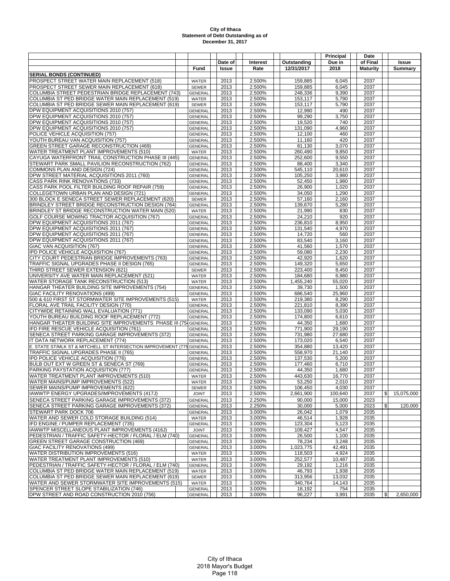|                                                                                                |                                  |              |                  |                      | Principal        | Date            |                             |
|------------------------------------------------------------------------------------------------|----------------------------------|--------------|------------------|----------------------|------------------|-----------------|-----------------------------|
|                                                                                                |                                  | Date of      | <b>Interest</b>  | Outstanding          | Due in           | of Final        | Issue                       |
|                                                                                                | Fund                             | Issue        | Rate             | 12/31/2017           | 2018             | <b>Maturity</b> | <b>Summary</b>              |
| <b>SERIAL BONDS (CONTINUED)</b>                                                                |                                  |              |                  |                      |                  |                 |                             |
| PROSPECT STREET WATER MAIN REPLACEMENT (518)                                                   | WATER                            | 2013         | 2.500%           | 159,885              | 6,045            | 2037            |                             |
| PROSPECT STREET SEWER MAIN REPLACEMENT (618)                                                   | <b>SEWER</b>                     | 2013         | 2.500%           | 159,885              | 6,045            | 2037            |                             |
| COLUMBIA STREET PEDESTRIAN BRIDGE REPLACEMENT (743)                                            | <b>GENERAL</b>                   | 2013         | 2.500%           | 248,336              | 9,390            | 2037            |                             |
| COLUMBIA ST PED BRIDGE WATER MAIN REPLACEMENT (519)                                            | WATER                            | 2013         | 2.500%           | 153,117              | 5,790            | 2037            |                             |
| COLUMBIA ST PED BRIDGE SEWER MAIN REPLACEMENT (619)                                            | <b>SEWER</b>                     | 2013         | 2.500%           | 153,117              | 5,790            | 2037            |                             |
| DPW EQUIPMENT ACQUISITIONS 2010 (757)                                                          | GENERAL                          | 2013         | 2.500%           | 12,990               | 490              | 2037            |                             |
| DPW EQUIPMENT ACQUISITIONS 2010 (757)                                                          | <b>GENERAL</b>                   | 2013         | 2.500%           | 99,290               | 3,750            | 2037            |                             |
| DPW EQUIPMENT ACQUISITIONS 2010 (757)<br>DPW EQUIPMENT ACQUISITIONS 2010 (757)                 | <b>GENERAL</b>                   | 2013         | 2.500%           | 19,520               | 740              | 2037            |                             |
| POLICE VEHICLE ACQUISITION (757)                                                               | <b>GENERAL</b>                   | 2013<br>2013 | 2.500%<br>2.500% | 131,090<br>12,100    | 4,960<br>460     | 2037<br>2037    |                             |
| YOUTH BUREAU VAN ACQUISITION (757)                                                             | <b>GENERAL</b><br><b>GENERAL</b> | 2013         | 2.500%           | 11.160               | 420              | 2037            |                             |
| GREEN STREET GARAGE RECONSTRUCTION (469)                                                       | <b>GENERAL</b>                   | 2013         | 2.500%           | 81.130               | 3,070            | 2037            |                             |
| WATER TREATMENT PLANT IMPROVEMENTS (510)                                                       | WATER                            | 2013         | 2.500%           | 260,490              | 9,850            | 2037            |                             |
| CAYUGA WATERFRONT TRAIL CONSTRUCTION PHASE III (445)                                           | <b>GENERAL</b>                   | 2013         | 2.500%           | 252,600              | 9,550            | 2037            |                             |
| STEWART PARK SMALL PAVILION RECONSTRUCTION (762)                                               | <b>GENERAL</b>                   | 2013         | 2.500%           | 88,400               | 3,340            | 2037            |                             |
| COMMONS PLAN AND DESIGN (724)                                                                  | <b>GENERAL</b>                   | 2013         | 2.500%           | 545,110              | 20,610           | 2037            |                             |
| DPW STREET MATERIAL ACQUISITIONS 2011 (760)                                                    | <b>GENERAL</b>                   | 2013         | 2.500%           | 105,250              | 3,980            | 2037            |                             |
| CASS PARK RINK RENOVATIONS (733)                                                               | <b>GENERAL</b>                   | 2013         | 2.500%           | 52,450               | 1,980            | 2037            |                             |
| CASS PARK POOL FILTER BUILDING ROOF REPAIR (759)                                               | <b>GENERAL</b>                   | 2013         | 2.500%           | 26,900               | 1,020            | 2037            |                             |
| COLLEGETOWN URBAN PLAN AND DESIGN (721)                                                        | GENERAL                          | 2013         | 2.500%           | 34,050               | 1,290            | 2037            |                             |
| 300 BLOCK E SENECA STREET SEWER REPLACEMENT (620)                                              | <b>SEWER</b>                     | 2013         | 2.500%           | 57,160               | 2,160            | 2037            |                             |
| BRINDLEY STREET BRIDGE RECONSTRUCTION DESIGN (764)                                             | <b>GENERAL</b>                   | 2013         | 2.500%           | 139,670              | 5,280            | 2037            |                             |
| BRINDLEY ST BRIDGE RECONSTRUCTION WATER MAIN (520)                                             | WATER                            | 2013         | 2.500%           | 21,990               | 830              | 2037            |                             |
| GOLF COURSE MOWING TRACTOR ACQUISITION (767)                                                   | <b>GENERAL</b>                   | 2013         | 2.500%           | 24,210               | 920              | 2037            |                             |
| DPW EQUIPMENT ACQUISITIONS 2011 (767)<br>DPW EQUIPMENT ACQUISITIONS 2011 (767)                 | <b>GENERAL</b>                   | 2013<br>2013 | 2.500%<br>2.500% | 236,810              | 8,950            | 2037<br>2037    |                             |
| DPW EQUIPMENT ACQUISITIONS 2011 (767)                                                          | <b>GENERAL</b><br><b>GENERAL</b> | 2013         | 2.500%           | 131,540<br>14,720    | 4,970<br>560     | 2037            |                             |
| DPW EQUIPMENT ACQUISITIONS 2011 (767)                                                          | <b>GENERAL</b>                   | 2013         | 2.500%           | 83,540               | 3,160            | 2037            |                             |
| GIAC VAN ACQUISITION (767)                                                                     | <b>GENERAL</b>                   | 2013         | 2.500%           | 41,560               | 1,570            | 2037            |                             |
| IPD POLICE VEHICLE ACQUISITION (767)                                                           | <b>GENERAL</b>                   | 2013         | 2.500%           | 59,080               | 2,230            | 2037            |                             |
| CITY COURT PEDESTRIAN BRIDGE IMPROVEMENTS (763)                                                | <b>GENERAL</b>                   | 2013         | 2.500%           | 42,920               | 1,620            | 2037            |                             |
| TRAFFIC SIGNAL UPGRADES PHASE II DESIGN (765)                                                  | <b>GENERAL</b>                   | 2013         | 2.500%           | 149,320              | 5,650            | 2037            |                             |
| THIRD STREET SEWER EXTENSION (621)                                                             | <b>SEWER</b>                     | 2013         | 2.500%           | 223,400              | 8,450            | 2037            |                             |
| UNIVERSITY AVE WATER MAIN REPLACEMENT (521)                                                    | <b>WATER</b>                     | 2013         | 2.500%           | 184,680              | 6,980            | 2037            |                             |
| WATER STORAGE TANK RECONSTRUCTION (513)                                                        | WATER                            | 2013         | 2.500%           | 1,455,240            | 55,020           | 2037            |                             |
| HANGAR THEATER BUILDING SITE IMPROVEMENTS (754)                                                | GENERAL                          | 2013         | 2.500%           | 39,730               | 1,500            | 2037            |                             |
| GIAC FACILITY RENOVATIONS (499)                                                                | <b>GENERAL</b>                   | 2013         | 2.500%           | 686,540              | 25,960           | 2037            |                             |
| 500 & 610 FIRST ST STORMWATER SITE IMPROVEMENTS (515)                                          | WATER                            | 2013         | 2.500%           | 219,380              | 8,290            | 2037            |                             |
| FLORAL AVE TRAIL FACILITY DESIGN (770)<br>CITYWIDE RETAINING WALL EVALUATION (771)             | <b>GENERAL</b><br><b>GENERAL</b> | 2013<br>2013 | 2.500%<br>2.500% | 221,810<br>133,090   | 8,390<br>5,030   | 2037<br>2037    |                             |
| YOUTH BUREAU BUILDING ROOF REPLACEMENT (772)                                                   | <b>GENERAL</b>                   | 2013         | 2.500%           | 174,800              | 6,610            | 2037            |                             |
| HANGAR THEATER BUILDING SITE IMPROVEMENTS PHASE III (75 GENERAL                                |                                  | 2013         | 2.500%           | 44,350               | 1,680            | 2037            |                             |
| IFD FIRE RESCUE VEHICLE ACQUISITION (761)                                                      | <b>GENERAL</b>                   | 2013         | 2.500%           | 771,900              | 29,190           | 2037            |                             |
| SENECA STREET PARKING GARAGE IMPROVEMENTS (372)                                                | <b>GENERAL</b>                   | 2013         | 2.500%           | 731,980              | 27,680           | 2037            |                             |
| IT DATA NETWORK REPLACEMENT (774)                                                              | <b>GENERAL</b>                   | 2013         | 2.500%           | 173,020              | 6,540            | 2037            |                             |
| E. STATE ST/MLK ST & MITCHELL ST INTERSECTION IMPROVEMENT (775 GENERAL                         |                                  | 2013         | 2.500%           | 354,880              | 13,420           | 2037            |                             |
| TRAFFIC SIGNAL UPGRADES PHASE II (765)                                                         | <b>GENERAL</b>                   | 2013         | 2.500%           | 558,970              | 21,140           | 2037            |                             |
| IPD POLICE VEHICLE ACQUISITION (776)                                                           | <b>GENERAL</b>                   | 2013         | 2.500%           | 137,530              | 5,200            | 2037            |                             |
| BULB OUT EXT W GREEN ST & SENECA ST (769)                                                      | <b>GENERAL</b>                   | 2013         | 2.500%           | 177,460              | 6,710            | 2037            |                             |
| PARKING PAYSTATION ACQUISITION (777)                                                           | GENERAL                          | 2013         | 2.500%           | 44,350               | 1,680            | 2037            |                             |
| WATER TREATMENT PLANT IMPROVEMENTS (510)                                                       | WATER                            | 2013         | 2.500%           | 443,630              | 16,770           | 2037            |                             |
| WATER MAINS/PUMP IMPROVEMENTS (522)                                                            | WATER                            | 2013         | 2.500%           | 53,250               | 2,010            | 2037            |                             |
| SEWER MAINS/PUMP IMPROVEMENTS (622)<br>IAWWTP ENERGY UPGRADES/IMPROVEMENTS (417J)              | <b>SEWER</b><br><b>JOINT</b>     | 2013<br>2013 | 2.500%<br>2.500% | 106,450<br>2,661,900 | 4,030<br>100,640 | 2037<br>2037    | $\frac{1}{2}$<br>15,075,000 |
| SENECA STREET PARKING GARAGE IMPROVEMENTS (372)                                                | <b>GENERAL</b>                   | 2013         | 2.250%           | 90,000               | 15,000           | 2023            |                             |
| SENECA STREET PARKING GARAGE IMPROVEMENTS (372)                                                | <b>GENERAL</b>                   | 2013         | 2.250%           | 30,000               | 5,000            | 2023            | \$<br>120,000               |
| STEWART PARK DOCK 706                                                                          | <b>GENERAL</b>                   | 2013         | 3.000%           | 26,042               | 1,079            | 2035            |                             |
| WATER AND SEWER COLD STORAGE BUILDING (514)                                                    | WATER                            | 2013         | 3.000%           | 46,514               | 1,928            | 2035            |                             |
| IFD ENGINE / PUMPER REPLACEMENT (735)                                                          | <b>GENERAL</b>                   | 2013         | 3.000%           | 123,304              | 5,123            | 2035            |                             |
| IAWWTP MISCELLANEOUS PLANT IMPROVEMENTS (416J)                                                 | <b>JOINT</b>                     | 2013         | 3.000%           | 109,427              | 4,547            | 2035            |                             |
| PEDESTRIAN / TRAFFIC SAFETY-HECTOR / FLORAL / ELM (740)                                        | <b>GENERAL</b>                   | 2013         | 3.000%           | 26,500               | 1,100            | 2035            |                             |
| <b>GREEN STREET GARAGE CONSTRUCTION (469)</b>                                                  | <b>GENERAL</b>                   | 2013         | 3.000%           | 78,234               | 3,248            | 2035            |                             |
| GIAC FACILITY RENOVATIONS (499)                                                                | GENERAL                          | 2013         | 3.000%           | 1,023,775            | 42,491           | 2035            |                             |
| WATER DISTRIBUTION IMPROVEMENTS (516)                                                          | WATER                            | 2013         | 3.000%           | 118,503              | 4,924            | 2035            |                             |
| WATER TREATMENT PLANT IMPROVEMENTS (510)                                                       | WATER                            | 2013         | 3.000%           | 252,577              | 10.487           | 2035            |                             |
| PEDESTRIAN / TRAFFIC SAFETY-HECTOR / FLORAL / ELM (740)                                        | <b>GENERAL</b>                   | 2013         | 3.000%           | 29,192               | 1,216            | 2035            |                             |
| COLUMBIA ST PED BRIDGE WATER MAIN REPLACEMENT (519)                                            | <b>WATER</b>                     | 2013         | 3.000%           | 46,793               | 1,938            | 2035            |                             |
| COLUMBIA ST PED BRIDGE SEWER MAIN REPLACEMENT (619)                                            | <b>SEWER</b>                     | 2013         | 3.000%           | 313,956              | 13,032           | 2035            |                             |
| WATER AND SEWER STORMWATER SITE IMPROVEMENTS (515)<br>SPENCER STREET SLOPE STABILIZATION (746) | WATER<br><b>GENERAL</b>          | 2013<br>2013 | 3.000%<br>3.000% | 340,764<br>18,192    | 14,143<br>754    | 2035<br>2035    |                             |
| DPW STREET AND ROAD CONSTRUCTION 2010 (756)                                                    | GENERAL                          | 2013         | 3.000%           | 96,227               | 3,991            | 2035            | $\mathbb{S}$<br>2,650,000   |
|                                                                                                |                                  |              |                  |                      |                  |                 |                             |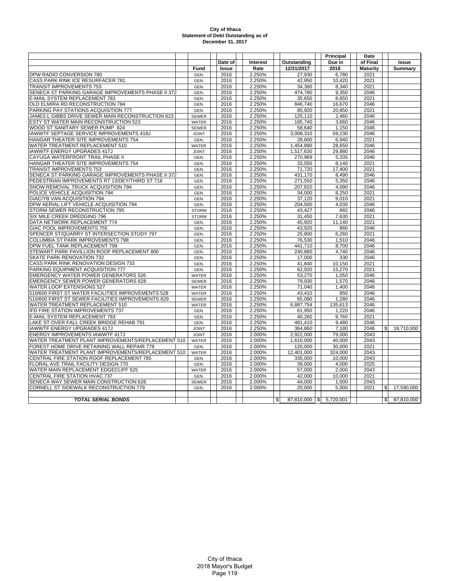|                                                    |              |              |          |                         | Principal | Date            |                  |
|----------------------------------------------------|--------------|--------------|----------|-------------------------|-----------|-----------------|------------------|
|                                                    |              | Date of      | Interest | Outstanding             | Due in    | of Final        | <b>Issue</b>     |
|                                                    | Fund         | <b>Issue</b> | Rate     | 12/31/2017              | 2018      | <b>Maturity</b> | Summary          |
| DPW RADIO CONVERSION 780                           | GEN.         | 2016         | 2.250%   | 27,930                  | 6,780     | 2021            |                  |
| CASS PARK RINK ICE RESURFACER 781                  | GEN.         | 2016         | 2.250%   | 42.950                  | 10.420    | 2021            |                  |
| TRANSIT IMPROVEMENTS 753                           | GEN.         | 2016         | 2.250%   | 34,360                  | 8,340     | 2021            |                  |
| SENECA ST PARKING GARAGE IMPROVEMENTS PHASE II 372 | GEN.         | 2016         | 2.250%   | 474.780                 | 9.350     | 2046            |                  |
| E-MAIL SYSTEM REPLACEMENT 783                      | GEN.         | 2016         | 2.250%   | 35.650                  | 8.650     | 2021            |                  |
| OLD ELMIRA RD RECONSTRUCTION 784                   | GEN.         | 2016         | 2.250%   | 846.740                 | 16,670    | 2046            |                  |
| PARKING PAY STATIONS ACQUISITION 777               | GEN.         | 2016         | 2.250%   | 85,920                  | 20,850    | 2021            |                  |
| JAMES L GIBBS DRIVE SEWER MAIN RECONSTRUCTION 623  | <b>SEWER</b> | 2016         | 2.250%   | 125,110                 | 2,460     | 2046            |                  |
| ESTY ST WATER MAIN RECONSTRUCTION 523              | <b>WATER</b> | 2016         | 2.250%   | 185,740                 | 3,660     | 2046            |                  |
| WOOD ST SANITARY SEWER PUMP 624                    | <b>SEWER</b> | 2016         | 2.250%   | 58,640                  | 1,150     | 2046            |                  |
| IAWWTF SEPTAGE SERVICE IMPROVEMENTS 418J           | <b>JOINT</b> | 2016         | 2.250%   | 3,008,310               | 59,230    | 2046            |                  |
| HANGAR THEATER SITE IMPROVEMENTS 754               | GEN.         | 2016         | 2.250%   | 28.600                  | 6,940     | 2021            |                  |
| WATER TREATMENT REPLACEMENT 510                    | WATER        | 2016         | 2.250%   | 1,454,890               | 28,650    | 2046            |                  |
| <b>IAWWTF ENERGY UPGRADES 417J</b>                 | <b>JOINT</b> | 2016         | 2.250%   | 1,517,630               | 29.880    | 2046            |                  |
| CAYUGA WATERFRONT TRAIL PHASE II                   | GEN.         | 2016         | 2.250%   | 270,969                 | 5,335     | 2046            |                  |
| HANGAR THEATER SITE IMPROVEMENTS 754               | GEN.         | 2016         | 2.250%   | 33,550                  | 8.140     | 2021            |                  |
| <b>TRANSIT IMPROVEMENTS 753</b>                    | GEN.         | 2016         | 2.250%   | 71,720                  | 17,400    | 2021            |                  |
| SENECA ST PARKING GARAGE IMPROVEMENTS PHASE II 372 | GEN.         | 2016         | 2.250%   | 431,170                 | 8.490     | 2046            |                  |
| PEDESTRIAN IMPROVEMENTS RT 13/DEY/THIRD ST 718     | GEN.         | 2016         | 2.250%   | 271,550                 | 5,350     | 2046            |                  |
| SNOW REMOVAL TRUCK ACQUISITION 794                 | GEN.         | 2016         | 2.250%   | 207,820                 | 4.090     | 2046            |                  |
| POLICE VEHICLE ACQUISITION 794                     | GEN.         | 2016         | 2.250%   | 34,000                  | 8,250     | 2021            |                  |
| GIAC/YB VAN ACQUISITION 794                        | GEN.         | 2016         | 2.250%   | 37,120                  | 9,010     | 2021            |                  |
| DPW AERIAL LIFT VEHICLE ACQUISITION 794            | GEN.         | 2016         | 2.250%   | 204,500                 | 4,030     | 2046            |                  |
| STORM SEWER RECONSTRUCTION 795                     | <b>STORM</b> | 2016         | 2.250%   | 43,427                  | 882       | 2046            |                  |
| SIX MILE CREEK DREDGING 796                        | <b>STORM</b> | 2016         | 2.250%   | 31,450                  | 7,630     | 2021            |                  |
| DATA NETWORK REPLACEMENT 774                       | GEN.         | 2016         | 2.250%   | 45.920                  | 11.140    | 2021            |                  |
| GIAC POOL IMPROVEMENTS 755                         | GEN.         | 2016         | 2.250%   | 43,920                  | 860       | 2046            |                  |
| SPENCER ST/QUARRY ST INTERSECTION STUDY 797        | GEN.         | 2016         | 2.250%   | 25.800                  | 6,260     | 2021            |                  |
| COLUMBIA ST PARK IMPROVEMENTS 798                  | GEN.         | 2016         | 2.250%   | 76,530                  | 1,510     | 2046            |                  |
| DPW FUEL TANK REPLACEMENT 799                      | GEN.         | 2016         | 2.250%   | 441,710                 | 8,700     | 2046            |                  |
| STEWART PARK PAVILLION ROOF REPLACEMENT 800        | GEN.         | 2016         | 2.250%   | 240,860                 | 4.740     | 2046            |                  |
| <b>SKATE PARK RENOVATION 732</b>                   | GEN.         | 2016         | 2.250%   | 17,000                  | 330       | 2046            |                  |
| CASS PARK RINK RENOVATION DESIGN 733               | GEN.         | 2016         | 2.250%   | 41,840                  | 10,150    | 2021            |                  |
| PARKING EQUIPMENT ACQUISITION 777                  | GEN.         | 2016         | 2.250%   | 62,920                  | 15,270    | 2021            |                  |
| <b>EMERGENCY WATER POWER GENERATORS 526</b>        | <b>WATER</b> | 2016         | 2.250%   | 53,270                  | 1.050     | 2046            |                  |
| <b>EMERGENCY SEWER POWER GENERATORS 628</b>        | <b>SEWER</b> | 2016         | 2.250%   | 79,930                  | 1.570     | 2046            |                  |
| WATER LOOP EXTENSIONS 527                          | <b>WATER</b> | 2016         | 2.250%   | 71.040                  | 1,400     | 2046            |                  |
| 510/600 FIRST ST WATER FACILITIES IMPROVEMENTS 528 | <b>WATER</b> | 2016         | 2.250%   | 43,410                  | 850       | 2046            |                  |
| 510/600 FIRST ST SEWER FACILITIES IMPROVEMENTS 629 | <b>SEWER</b> | 2016         | 2.250%   | 65,090                  | 1,280     | 2046            |                  |
| WATER TREATMENT REPLACEMENT 510                    | <b>WATER</b> | 2016         | 2.250%   | 6,887,754               | 135,613   | 2046            |                  |
| IFD FIRE STATION IMPROVEMENTS 737                  | GEN.         | 2016         | 2.250%   | 61,950                  | 1,220     | 2046            |                  |
| E-MAIL SYSTEM REPLACEMENT 783                      | GEN.         | 2016         | 2.250%   | 40.260                  | 9.760     | 2021            |                  |
| LAKE ST OVER FALL CREEK BRIDGE REHAB 791           | GEN.         | 2016         | 2.250%   | 481,410                 | 9,480     | 2046            |                  |
| <b>IAWWTF ENERGY UPGRADES 417J</b>                 | <b>JOINT</b> | 2016         | 2.250%   | 364,860                 | 7.180     | 2046            | \$<br>18,710,000 |
| ENERGY IMPROVEMENTS IAWWTF 417J                    | <b>JOINT</b> | 2016         | 2.000%   | 2,922,000               | 79,000    | 2043            |                  |
| WATER TREATMENT PLANT IMPROVEMENTS/REPLACEMENT 510 | <b>WATER</b> | 2016         | 2.000%   | 1,610,000               | 40.000    | 2043            |                  |
| FOREST HOME DRIVE RETAINING WALL REPAIR 778        | GEN.         | 2016         | 2.000%   | 120,000                 | 30,000    | 2021            |                  |
| WATER TREATMENT PLANT IMPROVEMENTS/REPLACEMENT 510 | <b>WATER</b> | 2016         | 2.000%   | 12,401,000              | 324,000   | 2043            |                  |
| CENTRAL FIRE STATION ROOF REPLACEMENT 785          | GEN.         | 2016         | 2.000%   | 335,000                 | 10,000    | 2043            |                  |
| FLORAL AVE TRAIL FACILITY DESIGN 770               | GEN.         | 2016         | 2.000%   | 39,000                  | 4,000     | 2025            |                  |
| WATER MAIN REPLACEMENT EDGECLIFF 525               | WATER        | 2016         | 2.000%   | 57,000                  | 2,000     | 2043            |                  |
| CENTRAL FIRE STATION HVAC 737                      | GEN.         | 2016         | 2.000%   | 42,000                  | 10,000    | 2021            |                  |
| SENECA WAY SEWER MAIN CONSTRUCTION 626             | <b>SEWER</b> | 2016         | 2.000%   | 44,000                  | 1,000     | 2043            |                  |
| CORNELL ST SIDEWALK RECONSTRUCTION 779             | GEN.         | 2016         | 2.000%   | 20,000                  | 5,000     | 2021            | 17,590,000<br>\$ |
|                                                    |              |              |          |                         |           |                 |                  |
| <b>TOTAL SERIAL BONDS</b>                          |              |              |          | \$<br>$87,810,000$   \$ | 5,720,001 |                 | \$<br>87,810,000 |
|                                                    |              |              |          |                         |           |                 |                  |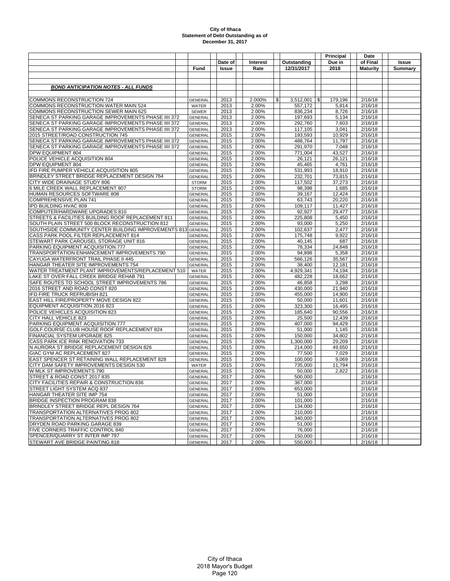|                                                                                 |                                  |              |                |                    | Principal        | Date               |         |  |  |
|---------------------------------------------------------------------------------|----------------------------------|--------------|----------------|--------------------|------------------|--------------------|---------|--|--|
|                                                                                 |                                  | Date of      | Interest       | Outstanding        | Due in           | of Final           | Issue   |  |  |
|                                                                                 | Fund                             | <b>Issue</b> | Rate           | 12/31/2017         | 2018             | <b>Maturity</b>    | Summary |  |  |
|                                                                                 |                                  |              |                |                    |                  |                    |         |  |  |
|                                                                                 |                                  |              |                |                    |                  |                    |         |  |  |
| <b>BOND ANTICIPATION NOTES - ALL FUNDS</b>                                      |                                  |              |                |                    |                  |                    |         |  |  |
|                                                                                 |                                  |              |                |                    |                  |                    |         |  |  |
| COMMONS RECONSTRUCTION 724                                                      | <b>GENERAL</b>                   | 2013         | 2.000%         | \$<br>3,512,001    | \$<br>179,196    | 2/16/18            |         |  |  |
| COMMONS RECONSTRUCTION WATER MAIN 524                                           | WATER                            | 2013         | 2.00%          | 557,172            | 5,814            | 2/16/18            |         |  |  |
| <b>COMMONS RECONSTRUCTION SEWER MAIN 625</b>                                    | <b>SEWER</b>                     | 2013         | 2.00%          | 836,234            | 8,726            | 2/16/18            |         |  |  |
| SENECA ST PARKING GARAGE IMPROVEMENTS PHASE IIII 372                            | <b>GENERAL</b>                   | 2013         | 2.00%          | 197,693            | 5,134            | 2/16/18            |         |  |  |
| SENECA ST PARKING GARAGE IMPROVEMENTS PHASE IIII 372                            | <b>GENERAL</b>                   | 2013         | 2.00%          | 292,760            | 7,603            | 2/16/18            |         |  |  |
| SENECA ST PARKING GARAGE IMPROVEMENTS PHASE IIII 372                            | <b>GENERAL</b>                   | 2013         | 2.00%          | 117,105            | 3,041            | 2/16/18            |         |  |  |
| 2015 STREET/ROAD CONSTRUCTION 745                                               | <b>GENERAL</b>                   | 2015         | 2.00%          | 193,593            | 10,929           | 2/16/18            |         |  |  |
| SENECA ST PARKING GARAGE IMPROVEMENTS PHASE IIII 372                            | <b>GENERAL</b>                   | 2015         | 2.00%          | 488,764            | 11,797           | 2/16/18            |         |  |  |
| SENECA ST PARKING GARAGE IMPROVEMENTS PHASE IIII 372                            | <b>GENERAL</b>                   | 2015         | 2.00%          | 291,970            | 7,048            | 2/16/18            |         |  |  |
| DPW EQUIPMENT 804                                                               | <b>GENERAL</b>                   | 2015         | 2.00%          | 771,004            | 43.527           | 2/16/18            |         |  |  |
| POLICE VEHICLE ACQUISITION 804                                                  | <b>GENERAL</b>                   | 2015         | 2.00%          | 26,121             | 26,121           | 2/16/18            |         |  |  |
| DPW EQUIPMENT 804<br>IFD FIRE PUMPER VEHICLE ACQUISITION 805                    | <b>GENERAL</b>                   | 2015<br>2015 | 2.00%<br>2.00% | 45,465<br>531,993  | 4,761<br>18,910  | 2/16/18<br>2/16/18 |         |  |  |
| BRINDLEY STREET BRIDGE REPLACEMENT DESIGN 764                                   | <b>GENERAL</b><br>GENERAL        | 2015         | 2.00%          | 232,701            | 73,815           | 2/16/18            |         |  |  |
| CITY WIDE DRAINAGE STUDY 806                                                    | <b>STORM</b>                     | 2015         | 2.00%          | 117,502            | 37,273           | 2/16/18            |         |  |  |
| 6 MILE CREEK WALL REPLACEMENT 807                                               | <b>STORM</b>                     | 2015         | 2.00%          | 98,398             | 1,685            | 2/16/18            |         |  |  |
| HUMAN RESOURCES SOFTWARE 808                                                    | <b>GENERAL</b>                   | 2015         | 2.00%          | 39,167             | 12,424           | 2/16/18            |         |  |  |
| <b>COMPREHENSIVE PLAN 741</b>                                                   | <b>GENERAL</b>                   | 2015         | 2.00%          | 63,743             | 20,220           | 2/16/18            |         |  |  |
| IPD BUILDING HVAC 809                                                           | <b>GENERAL</b>                   | 2015         | 2.00%          | 109,117            | 11,427           | 2/16/18            |         |  |  |
| COMPUTER/HARDWARE UPGRADES 810                                                  | <b>GENERAL</b>                   | 2015         | 2.00%          | 92,927             | 29,477           | 2/16/18            |         |  |  |
| STREETS & FACILITIES BUILDING ROOF REPLACEMENT 811                              | <b>GENERAL</b>                   | 2015         | 2.00%          | 225,808            | 5,450            | 2/16/18            |         |  |  |
| SOUTH PLAIN STREET 500 BLOCK RECONSTRUCTION 812                                 | <b>GENERAL</b>                   | 2015         | 2.00%          | 93,000             | 5,250            | 2/16/18            |         |  |  |
| SOUTHSIDE COMMUNITY CENTER BUILDING IMPROVEMENTS 813 GENERAL                    |                                  | 2015         | 2.00%          | 102,637            | 2,477            | 2/16/18            |         |  |  |
| CASS PARK POOL FILTER REPLACEMENT 814                                           | <b>GENERAL</b>                   | 2015         | 2.00%          | 175.748            | 9,922            | 2/16/18            |         |  |  |
| STEWART PARK CAROUSEL STORAGE UNIT 816                                          | <b>GENERAL</b>                   | 2015         | 2.00%          | 40,145             | 687              | 2/16/18            |         |  |  |
| PARKING EQUIPMENT ACQUISITION 777                                               | <b>GENERAL</b>                   | 2015         | 2.00%          | 78,334             | 24,848           | 2/16/18            |         |  |  |
| TRANSPORTATION ENHANCEMENT IMPROVEMENTS 790                                     | <b>GENERAL</b>                   | 2015         | 2.00%          | 94,898             | 5,358            | 2/16/18            |         |  |  |
| CAYUGA WATERFRONT TRAIL PHASE II 445                                            | <b>GENERAL</b>                   | 2015         | 2.00%          | 566,126            | 35,567           | 2/16/18            |         |  |  |
| HANGAR THEATER SITE IMPROVEMENTS 754                                            | <b>GENERAL</b>                   | 2015         | 2.00%          | 38,400             | 12,181           | 2/16/18            |         |  |  |
| WATER TREATMENT PLANT IMPROVEMENTS/REPLACEMENT 510                              | WATER                            | 2015         | 2.00%          | 4,929,341          | 74,194           | 2/16/18            |         |  |  |
| LAKE ST OVER FALL CREEK BRIDGE REHAB 791                                        | <b>GENERAL</b>                   | 2015         | 2.00%          | 482,228            | 18,662           | 2/16/18            |         |  |  |
| SAFE ROUTES TO SCHOOL STREET IMPROVEMENTS 786<br>2016 STREET AND ROAD CONST 820 | <b>GENERAL</b><br><b>GENERAL</b> | 2015<br>2015 | 2.00%          | 46,858             | 3,298            | 2/16/18<br>2/16/18 |         |  |  |
| IFD FIRE TRUCK REFRUBISH 821                                                    | <b>GENERAL</b>                   | 2015         | 2.00%<br>2.00% | 430,000<br>455,000 | 21,940<br>14,900 | 2/16/18            |         |  |  |
| EAST HILL FIRE/PROPERTY MOVE DESIGN 822                                         | <b>GENERAL</b>                   | 2015         | 2.00%          | 50,000             | 11,601           | 2/16/18            |         |  |  |
| EQUIPMENT ACQUISITION 2016 823                                                  | <b>GENERAL</b>                   | 2015         | 2.00%          | 323,300            | 16,495           | 2/16/18            |         |  |  |
| POLICE VEHICLES ACQUISITION 823                                                 | <b>GENERAL</b>                   | 2015         | 2.00%          | 185,640            | 90,556           | 2/16/18            |         |  |  |
| CITY HALL VEHICLE 823                                                           | <b>GENERAL</b>                   | 2015         | 2.00%          | 25,500             | 12,439           | 2/16/18            |         |  |  |
| PARKING EQUIPMENT ACQUISITION 777                                               | <b>GENERAL</b>                   | 2015         | 2.00%          | 407,000            | 94,429           | 2/16/18            |         |  |  |
| GOLF COURSE CLUB HOUSE ROOF REPLACEMENT 824                                     | <b>GENERAL</b>                   | 2015         | 2.00%          | 51,000             | 1,145            | 2/16/18            |         |  |  |
| FINANCIAL SYSTEM UPGRADE 825                                                    | <b>GENERAL</b>                   | 2015         | 2.00%          | 150,000            | 34,802           | 2/16/18            |         |  |  |
| CASS PARK ICE RINK RENOVATION 733                                               | <b>GENERAL</b>                   | 2015         | 2.00%          | 1,300,000          | 29,209           | 2/16/18            |         |  |  |
| N AURORA ST BRIDGE REPLACEMENT DESIGN 826                                       | <b>GENERAL</b>                   | 2015         | 2.00%          | 214,000            | 49,650           | 2/16/18            |         |  |  |
| GIAC GYM AC REPLACEMENT 827                                                     | <b>GENERAL</b>                   | 2015         | 2.00%          | 77.500             | 7,029            | 2/16/18            |         |  |  |
| EAST SPENCER ST RETAINING WALL REPLACEMENT 828                                  | <b>GENERAL</b>                   | 2015         | 2.00%          | 100,000            | 9,069            | 2/16/18            |         |  |  |
| CITY DAM SAFETY IMPROVEMENTS DESIGN 530                                         | <b>WATER</b>                     | 2015         | 2.00%          | 735,000            | 11,794           | 2/16/18            |         |  |  |
| W MLK ST IMPROVEMENTS 790                                                       | <b>GENERAL</b>                   | 2015         | 2.00%          | 50,000             | 2,822            | 2/16/18            |         |  |  |
| STREET & ROAD CONST 2017 835                                                    | <b>GENERAL</b>                   | 2017         | 2.00%          | 500,000            |                  | 2/16/18            |         |  |  |
| CITY FACILITIES REPAIR & CONSTRUCTION 836                                       | <b>GENERAL</b>                   | 2017         | 2.00%          | 367,000            |                  | 2/16/18            |         |  |  |
| STREET LIGHT SYSTEM ACQ 837                                                     | <b>GENERAL</b>                   | 2017         | 2.00%          | 653,000            |                  | 2/16/18            |         |  |  |
| HANGAR THEATER SITE IMP 754                                                     | <b>GENERAL</b>                   | 2017         | 2.00%          | 51,000             |                  | 2/16/18            |         |  |  |
| BRIDGE INSPECTION PROGRAM 838                                                   | <b>GENERAL</b>                   | 2017         | 2.00%          | 101,000            |                  | 2/16/18            |         |  |  |
| BRINDLEY STREET BRIDGE REPL DESIGN 764<br>TRANSPORTATION ALTERNATIVES PROG 802  | <b>GENERAL</b>                   | 2017         | 2.00%          | 134,000            |                  | 2/16/18            |         |  |  |
| TRANSPORTATION ALTERNATIVES PROG 802                                            | <b>GENERAL</b><br><b>GENERAL</b> | 2017<br>2017 | 2.00%<br>2.00% | 210,000<br>340,000 |                  | 2/16/18<br>2/16/18 |         |  |  |
| DRYDEN ROAD PARKING GARAGE 839                                                  | <b>GENERAL</b>                   | 2017         | 2.00%          | 51,000             |                  | 2/16/18            |         |  |  |
| FIVE CORNERS TRAFFIC CONTROL 840                                                | <b>GENERAL</b>                   | 2017         | 2.00%          | 76,000             |                  | 2/16/18            |         |  |  |
| SPENCER/QUARRY ST INTER IMP 797                                                 | <b>GENERAL</b>                   | 2017         | 2.00%          | 150,000            |                  | 2/16/18            |         |  |  |
| STEWART AVE BRIDGE PAINTING 818                                                 | <b>GENERAL</b>                   | 2017         | 2.00%          | 550,000            |                  | 2/16/18            |         |  |  |
|                                                                                 |                                  |              |                |                    |                  |                    |         |  |  |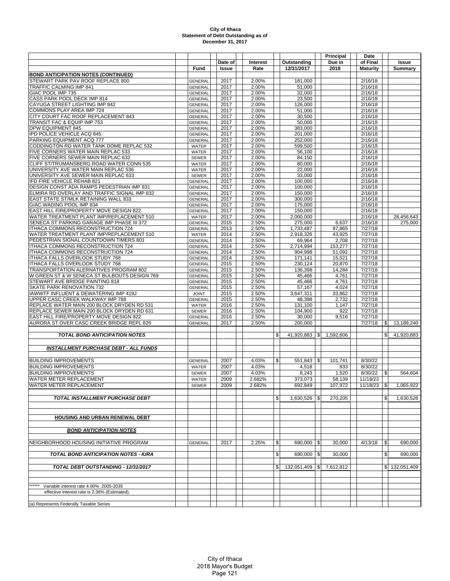|                                                                                          |                                  |              |                 |                |                     |     | Principal        | Date               |               |                       |
|------------------------------------------------------------------------------------------|----------------------------------|--------------|-----------------|----------------|---------------------|-----|------------------|--------------------|---------------|-----------------------|
|                                                                                          |                                  | Date of      | <b>Interest</b> |                | Outstanding         |     | Due in           | of Final           |               | <b>Issue</b>          |
|                                                                                          | Fund                             | Issue        | Rate            |                | 12/31/2017          |     | 2018             | <b>Maturity</b>    |               | Summary               |
| <b>BOND ANTICIPATION NOTES (CONTINUED)</b>                                               |                                  |              |                 |                |                     |     |                  |                    |               |                       |
| STEWART PARK PAV ROOF REPLACE 800<br>TRAFFIC CALMING IMP 841                             | <b>GENERAL</b><br><b>GENERAL</b> | 2017<br>2017 | 2.00%<br>2.00%  |                | 181,000<br>51,000   |     |                  | 2/16/18<br>2/16/18 |               |                       |
| GIAC POOL IMP 735                                                                        | <b>GENERAL</b>                   | 2017         | 2.00%           |                | 32,000              |     |                  | 2/16/18            |               |                       |
| CASS PARK POOL DECK IMP 814                                                              | <b>GENERAL</b>                   | 2017         | 2.00%           |                | 23,500              |     |                  | 2/16/18            |               |                       |
| CAYUGA STREET LIGHTING IMP 842                                                           | <b>GENERAL</b>                   | 2017         | 2.00%           |                | 126,000             |     |                  | 2/16/18            |               |                       |
| COMMONS PLAY AREA IMP 724                                                                | <b>GENERAL</b>                   | 2017         | 2.00%           |                | 51,000              |     |                  | 2/16/18            |               |                       |
| CITY COURT FAC ROOF REPLACEMENT 843                                                      | <b>GENERAL</b>                   | 2017         | 2.00%           |                | 30,500              |     |                  | 2/16/18            |               |                       |
| TRANSIT FAC & EQUIP IMP 753                                                              | <b>GENERAL</b>                   | 2017         | 2.00%           |                | 50,000              |     |                  | 2/16/18            |               |                       |
| <b>DPW EQUIPMENT 845</b><br>IPD POLICE VEHICLE ACQ 845                                   | <b>GENERAL</b><br><b>GENERAL</b> | 2017<br>2017 | 2.00%<br>2.00%  |                | 383,000<br>201.000  |     |                  | 2/16/18<br>2/16/18 |               |                       |
| PARKING EQUIPMENT ACQ 777                                                                | <b>GENERAL</b>                   | 2017         | 2.00%           |                | 252,000             |     |                  | 2/16/18            |               |                       |
| CODDINGTON RD WATER TANK DOME REPLAC 532                                                 | <b>WATER</b>                     | 2017         | 2.00%           |                | 599.500             |     |                  | 2/16/18            |               |                       |
| FIVE CORNERS WATER MAIN REPLAC 533                                                       | <b>WATER</b>                     | 2017         | 2.00%           |                | 56,100              |     |                  | 2/16/18            |               |                       |
| FIVE CORNERS SEWER MAIN REPLAC 632                                                       | <b>SEWER</b>                     | 2017         | 2.00%           |                | 84,150              |     |                  | 2/16/18            |               |                       |
| CLIFF ST/TRUMANSBERG ROAD WATER CONN 535                                                 | <b>WATER</b>                     | 2017         | 2.00%           |                | 80,000              |     |                  | 2/16/18            |               |                       |
| UNIVERSITY AVE WATER MAIN REPLAC 536                                                     | <b>WATER</b>                     | 2017         | 2.00%           |                | 22,000              |     |                  | 2/16/18            |               |                       |
| UNIVERSITY AVE SEWER MAIN REPLAC 633                                                     | <b>SEWER</b>                     | 2017         | 2.00%           |                | 33,000              |     |                  | 2/16/18            |               |                       |
| IFD FIRE VEHICLE REHAB 821<br>DESIGN CONST ADA RAMPS PEDESTRIAN IMP 831                  | <b>GENERAL</b><br><b>GENERAL</b> | 2017<br>2017 | 2.00%<br>2.00%  |                | 100,000<br>100,000  |     |                  | 2/16/18<br>2/16/18 |               |                       |
| ELMIRA RD OVERLAY AND TRAFFIC SIGNAL IMP 832                                             | <b>GENERAL</b>                   | 2017         | 2.00%           |                | 150,000             |     |                  | 2/16/18            |               |                       |
| EAST STATE ST/MLK RETAINING WALL 833                                                     | <b>GENERAL</b>                   | 2017         | 2.00%           |                | 300,000             |     |                  | 2/16/18            |               |                       |
| GIAC WADING POOL IMP 834                                                                 | <b>GENERAL</b>                   | 2017         | 2.00%           |                | 175,000             |     |                  | 2/16/18            |               |                       |
| EAST HILL FIRE/PROPERTY MOVE DESIGN 822                                                  | <b>GENERAL</b>                   | 2017         | 2.00%           |                | 150.000             |     |                  | 2/16/18            |               |                       |
| WATER TREATMENT PLANT IMP/REPLACEMENT 510                                                | <b>WATER</b>                     | 2017         | 2.00%           |                | 2,000,000           |     |                  | 2/16/18            |               | 28,456,643            |
| SENECA ST PARKING GARAGE IMP PHASE III 372                                               | GENERAL                          | 2015         | 2.50%           |                | 275,000             |     | 6,637            | 2/16/18            |               | 275,000               |
| ITHACA COMMONS RECONSTRUCTION 724                                                        | <b>GENERAL</b>                   | 2013         | 2.50%           |                | 1,733,487           |     | 97.865           | 7/27/18            |               |                       |
| WATER TREATMENT PLANT IMP/REPLACEMENT 510                                                | <b>WATER</b>                     | 2014         | 2.50%           |                | 2,918,326           |     | 43,925           | 7/27/18            |               |                       |
| PEDESTRIAN SIGNAL COUNTDOWN TIMERS 801<br>ITHACA COMMONS RECONSTRUCTION 724              | GENERAL<br><b>GENERAL</b>        | 2014<br>2014 | 2.50%<br>2.50%  |                | 69,964<br>2.714.994 |     | 2,708<br>153,277 | 7/27/18<br>7/27/18 |               |                       |
| ITHACA COMMONS RECONSTRUCTION 724                                                        | <b>GENERAL</b>                   | 2014         | 2.50%           |                | 904,998             |     | 51,092           | 7/27/18            |               |                       |
| ITHACA FALLS OVERLOOK STUDY 768                                                          | <b>GENERAL</b>                   | 2014         | 2.50%           |                | 171,141             |     | 15,521           | 7/27/18            |               |                       |
| <b>ITHACA FALLS OVERLOOK STUDY 768</b>                                                   | <b>GENERAL</b>                   | 2015         | 2.50%           |                | 230,124             |     | 20,870           | 7/27/18            |               |                       |
| TRANSPORTATION ALERNATIVES PROGRAM 802                                                   | <b>GENERAL</b>                   | 2015         | 2.50%           |                | 136,398             |     | 14,284           | 7/27/18            |               |                       |
| W GREEN ST & W SENECA ST BULBOUTS DESIGN 769                                             | <b>GENERAL</b>                   | 2015         | 2.50%           |                | 45,466              |     | 4,761            | 7/27/18            |               |                       |
| STEWART AVE BRIDGE PAINTING 818                                                          | <b>GENERAL</b>                   | 2015         | 2.50%           |                | 45,466              |     | 4,761            | 7/27/18            |               |                       |
| SKATE PARK RENOVATION 732                                                                | <b>GENERAL</b>                   | 2015         | 2.50%           |                | 57,167              |     | 4,024            | 7/27/18            |               |                       |
| IAWWTF INFLUENT & DEWATERING IMP 419J                                                    | <b>JOINT</b>                     | 2015         | 2.50%           |                | 3,647,311           |     | 33,862           | 7/27/18            |               |                       |
| UPPER CASC CREEK WALKWAY IMP 788                                                         | GENERAL<br><b>WATER</b>          | 2015<br>2016 | 2.50%           |                | 48,398<br>131,100   |     | 2,732<br>1,147   | 7/27/18<br>7/27/18 |               |                       |
| REPLACE WATER MAIN 200 BLOCK DRYDEN RD 531<br>REPLACE SEWER MAIN 200 BLOCK DRYDEN RD 631 | <b>SEWER</b>                     | 2016         | 2.50%<br>2.50%  |                | 104,900             |     | 922              | 7/27/18            |               |                       |
| EAST HILL FIRE/PROPERTY MOVE DESIGN 822                                                  | <b>GENERAL</b>                   | 2016         | 2.50%           |                | 30,000              |     | 9,516            | 7/27/18            |               |                       |
| AURORA ST OVER CASC CREEK BRIDGE REPL 826                                                | <b>GENERAL</b>                   | 2017         | 2.50%           |                | 200,000             |     |                  | 7/27/18            | $\frac{1}{2}$ | 13,189,240            |
|                                                                                          |                                  |              |                 |                |                     |     |                  |                    |               |                       |
| <b>TOTAL BOND ANTICIPATION NOTES</b>                                                     |                                  |              |                 | \$             | 41,920,883          | \$  | 1,592,606        |                    | \$            | 41,920,883            |
|                                                                                          |                                  |              |                 |                |                     |     |                  |                    |               |                       |
| <b>INSTALLMENT PURCHASE DEBT - ALL FUNDS</b>                                             |                                  |              |                 |                |                     |     |                  |                    |               |                       |
|                                                                                          |                                  |              |                 |                |                     |     |                  |                    |               |                       |
| <b>BUILDING IMPROVEMENTS</b>                                                             | <b>GENERAL</b>                   | 2007         | 4.03%           | $\mathfrak{S}$ | 551,843             | \$  | 101,741          | 8/30/22            |               |                       |
| <b>BUILDING IMPROVEMENTS</b>                                                             | <b>WATER</b>                     | 2007         | 4.03%           |                | 4,518               |     | 833              | 8/30/22            |               |                       |
| <b>BUILDING IMPROVEMENTS</b>                                                             | SEWER                            | 2007         | 4.03%           |                | 8,243               |     | 1,520            | 8/30/22            | $\frac{1}{2}$ | 564,604               |
| WATER METER REPLACEMENT                                                                  | <b>WATER</b>                     | 2009         | 2.682%          |                | 373,073             |     | 58,139           | 11/18/23           |               |                       |
| WATER METER REPLACEMENT                                                                  | SEWER                            | 2009         | 2.682%          |                | 692,849             |     | 107,972          | 11/18/23           | \$            | 1,065,922             |
| <b>TOTAL INSTALLMENT PURCHASE DEBT</b>                                                   |                                  |              |                 | \$             | 1,630,526           | \$  | 270,205          |                    | \$            | 1,630,526             |
|                                                                                          |                                  |              |                 |                |                     |     |                  |                    |               |                       |
|                                                                                          |                                  |              |                 |                |                     |     |                  |                    |               |                       |
| HOUSING AND URBAN RENEWAL DEBT                                                           |                                  |              |                 |                |                     |     |                  |                    |               |                       |
|                                                                                          |                                  |              |                 |                |                     |     |                  |                    |               |                       |
| <b>BOND ANTICIPATION NOTES</b>                                                           |                                  |              |                 |                |                     |     |                  |                    |               |                       |
|                                                                                          |                                  |              |                 |                |                     |     |                  |                    |               |                       |
| NEIGHBORHOOD HOUSING INITIATIVE PROGRAM                                                  | <b>GENERAL</b>                   | 2017         | 2.25%           | \$             | 690,000             | \$  | 30,000           | 4/13/18            | $\frac{1}{2}$ | 690.000               |
|                                                                                          |                                  |              |                 |                |                     |     |                  |                    |               |                       |
| <b>TOTAL BOND ANTICIPATION NOTES - IURA</b>                                              |                                  |              |                 | \$             | 690,000             | \$  | 30,000           |                    | \$            | 690.000               |
|                                                                                          |                                  |              |                 |                |                     |     |                  |                    |               |                       |
| TOTAL DEBT OUTSTANDING - 12/31/2017                                                      |                                  |              |                 | \$             | 132,051,409         | SI. | 7,612,812        |                    |               | $ 132,051,409\rangle$ |
|                                                                                          |                                  |              |                 |                |                     |     |                  |                    |               |                       |
|                                                                                          |                                  |              |                 |                |                     |     |                  |                    |               |                       |
| ******<br>Variable interest rate 4.00% 2005-2035                                         |                                  |              |                 |                |                     |     |                  |                    |               |                       |
| effective interest rate is 2.38% (Estimated).                                            |                                  |              |                 |                |                     |     |                  |                    |               |                       |
|                                                                                          |                                  |              |                 |                |                     |     |                  |                    |               |                       |
| (a) Represents Federally Taxable Series                                                  |                                  |              |                 |                |                     |     |                  |                    |               |                       |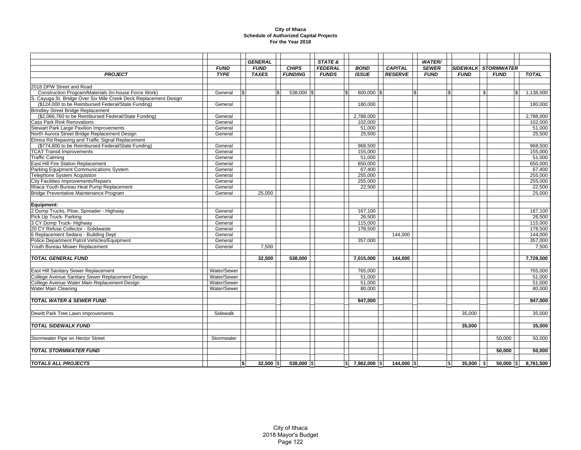## **City of Ithaca Schedule of Authorized Capital Projects For the Year 2018**

|                                                                  |             |     | <b>GENERAL</b> |                | STATE &        |                     |                | <b>WATER/</b>  |             |                            |                        |
|------------------------------------------------------------------|-------------|-----|----------------|----------------|----------------|---------------------|----------------|----------------|-------------|----------------------------|------------------------|
|                                                                  | <b>FUND</b> |     | <b>FUND</b>    | <b>CHIPS</b>   | <b>FEDERAL</b> | <b>BOND</b>         | <b>CAPITAL</b> | <b>SEWER</b>   |             | <b>SIDEWALK STORMWATER</b> |                        |
| <b>PROJECT</b>                                                   | <b>TYPE</b> |     | <b>TAXES</b>   | <b>FUNDING</b> | <b>FUNDS</b>   | <b>ISSUE</b>        | <b>RESERVE</b> | <b>FUND</b>    | <b>FUND</b> | <b>FUND</b>                | <b>TOTAL</b>           |
| 2018 DPW Street and Road                                         |             |     |                |                |                |                     |                |                |             |                            |                        |
| Construction Program/Materials (In-house Force Work)             | General     | \$  |                | 538,000 \$     | l \$           | 600,000 \$          |                | $\mathfrak{s}$ |             | \$                         | $\overline{1,138,000}$ |
| S. Cayuga St. Bridge Over Six Mile Creek Deck Replacement Design |             |     |                |                |                |                     |                |                |             |                            |                        |
| (\$124,000 to be Reimbursed Federal/State Funding)               | General     |     |                |                |                | 180,000             |                |                |             |                            | 180,000                |
| <b>Brindley Street Bridge Replacement</b>                        |             |     |                |                |                |                     |                |                |             |                            |                        |
| (\$2,066,760 to be Reimbursed Federal/State Funding)             | General     |     |                |                |                | 2,788,000           |                |                |             |                            | 2,788,000              |
| <b>Cass Park Rink Renovations</b>                                | General     |     |                |                |                | 102,000             |                |                |             |                            | 102,000                |
| <b>Stewart Park Large Pavilion Improvements</b>                  | General     |     |                |                |                | 51,000              |                |                |             |                            | 51,000                 |
| North Aurora Street Bridge Replacement Design                    | General     |     |                |                |                | 25,500              |                |                |             |                            | 25,500                 |
| Elmira Rd Repaving and Traffic Signal Replacement                |             |     |                |                |                |                     |                |                |             |                            |                        |
| (\$774,800 to be Reimbursed Federal/State Funding)               | General     |     |                |                |                | 968,500             |                |                |             |                            | 968,500                |
| <b>TCAT Transit Improvements</b>                                 | General     |     |                |                |                | 155,000             |                |                |             |                            | 155,000                |
| <b>Traffic Calming</b>                                           | General     |     |                |                |                | 51,000              |                |                |             |                            | 51,000                 |
| East Hill Fire Station Replacement                               | General     |     |                |                |                | 650,000             |                |                |             |                            | 650,000                |
| Parking Equipment Communications System                          | General     |     |                |                |                | 67,400              |                |                |             |                            | 67,400                 |
| <b>Telephone System Acquistion</b>                               | General     |     |                |                |                | 255,000             |                |                |             |                            | 255,000                |
| <b>City Facilities Improvements/Repairs</b>                      | General     |     |                |                |                | 255.000             |                |                |             |                            | 255,000                |
| Ithaca Youth Bureau Heat Pump Replacement                        | General     |     |                |                |                | 22,500              |                |                |             |                            | 22,500                 |
| Bridge Preventative Maintenance Program                          | General     |     | 25,000         |                |                |                     |                |                |             |                            | 25,000                 |
|                                                                  |             |     |                |                |                |                     |                |                |             |                            |                        |
| Equipment:                                                       |             |     |                |                |                |                     |                |                |             |                            |                        |
| 2 Dump Trucks, Plow, Spreader - Highway                          | General     |     |                |                |                | 167,100             |                |                |             |                            | 167,100                |
| Pick Up Truck- Parking                                           | General     |     |                |                |                | 26,500              |                |                |             |                            | 26,500                 |
| 3 CY Dump Truck- Highway                                         | General     |     |                |                |                | 115,000             |                |                |             |                            | 115,000                |
| 20 CY Refuse Collector - Solidwaste                              | General     |     |                |                |                | 178,500             |                |                |             |                            | 178,500                |
| 6 Replacement Sedans - Building Dept                             | General     |     |                |                |                |                     | 144,000        |                |             |                            | 144,000                |
| Police Department Patrol Vehicles/Equipment                      | General     |     |                |                |                | 357,000             |                |                |             |                            | 357,000                |
| Youth Bureau Mower Replacement                                   | General     |     | 7.500          |                |                |                     |                |                |             |                            | 7.500                  |
|                                                                  |             |     |                |                |                |                     |                |                |             |                            |                        |
| <b>TOTAL GENERAL FUND</b>                                        |             |     | 32.500         | 538,000        |                | 7,015,000           | 144,000        |                |             |                            | 7,729,500              |
| East Hill Sanitary Sewer Replacement                             | Water/Sewer |     |                |                |                | 765,000             |                |                |             |                            | 765,000                |
| College Avenue Sanitary Sewer Replacement Design                 | Water/Sewer |     |                |                |                | 51,000              |                |                |             |                            | 51,000                 |
| College Avenue Water Main Replacement Design                     | Water/Sewer |     |                |                |                | 51,000              |                |                |             |                            | 51,000                 |
| Water Main Cleaning                                              | Water/Sewer |     |                |                |                | 80,000              |                |                |             |                            | 80,000                 |
|                                                                  |             |     |                |                |                |                     |                |                |             |                            |                        |
| <b>TOTAL WATER &amp; SEWER FUND</b>                              |             |     |                |                |                | 947.000             |                |                |             |                            | 947,000                |
|                                                                  |             |     |                |                |                |                     |                |                |             |                            |                        |
|                                                                  |             |     |                |                |                |                     |                |                |             |                            |                        |
| Dewitt Park Tree Lawn Improvements                               | Sidewalk    |     |                |                |                |                     |                |                | 35,000      |                            | 35,000                 |
|                                                                  |             |     |                |                |                |                     |                |                |             |                            |                        |
| <b>TOTAL SIDEWALK FUND</b>                                       |             |     |                |                |                |                     |                |                | 35,000      |                            | 35,000                 |
|                                                                  |             |     |                |                |                |                     |                |                |             |                            |                        |
| Stormwater Pipe on Hector Street                                 | Stormwater  |     |                |                |                |                     |                |                |             | 50.000                     | 50,000                 |
|                                                                  |             |     |                |                |                |                     |                |                |             |                            |                        |
| <b>TOTAL STORMWATER FUND</b>                                     |             |     |                |                |                |                     |                |                |             | 50,000                     | 50,000                 |
|                                                                  |             |     |                |                |                |                     |                |                |             |                            |                        |
| <b>TOTALS ALL PROJECTS</b>                                       |             | \$I | $32,500$ \\$   | 538,000 \$     |                | $ $$ 7,962,000 $ $$ | 144,000 \$     | l\$            | $35,000$ \$ | $50,000$ $ S $             | 8,761,500              |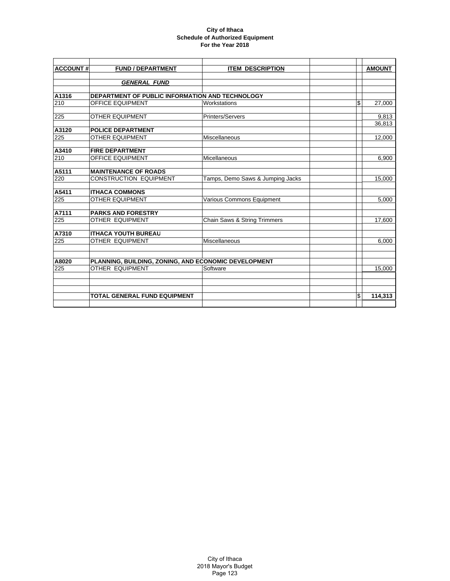## **City of Ithaca Schedule of Authorized Equipment For the Year 2018**

| <b>ACCOUNT#</b> | <b>FUND / DEPARTMENT</b>                             | <b>ITEM DESCRIPTION</b>                 | <b>AMOUNT</b>   |
|-----------------|------------------------------------------------------|-----------------------------------------|-----------------|
|                 | <b>GENERAL FUND</b>                                  |                                         |                 |
|                 |                                                      |                                         |                 |
| A1316           | DEPARTMENT OF PUBLIC INFORMATION AND TECHNOLOGY      |                                         |                 |
| 210             | <b>OFFICE EQUIPMENT</b>                              | Workstations                            | \$<br>27,000    |
| 225             |                                                      | Printers/Servers                        |                 |
|                 | <b>OTHER EQUIPMENT</b>                               |                                         | 9,813<br>36,813 |
| A3120           | <b>POLICE DEPARTMENT</b>                             |                                         |                 |
| 225             | <b>OTHER EQUIPMENT</b>                               | Miscellaneous                           | 12,000          |
| A3410           | <b>FIRE DEPARTMENT</b>                               |                                         |                 |
| 210             | <b>OFFICE EQUIPMENT</b>                              | Micellaneous                            | 6,900           |
| A5111           | <b>MAINTENANCE OF ROADS</b>                          |                                         |                 |
| 220             | <b>CONSTRUCTION EQUIPMENT</b>                        | Tamps, Demo Saws & Jumping Jacks        | 15,000          |
| A5411           | <b>ITHACA COMMONS</b>                                |                                         |                 |
| 225             | <b>OTHER EQUIPMENT</b>                               | Various Commons Equipment               | 5,000           |
| A7111           | PARKS AND FORESTRY                                   |                                         |                 |
| 225             | <b>OTHER EQUIPMENT</b>                               | <b>Chain Saws &amp; String Trimmers</b> | 17,600          |
| A7310           | <b>ITHACA YOUTH BUREAU</b>                           |                                         |                 |
| 225             | <b>OTHER EQUIPMENT</b>                               | Miscellaneous                           | 6,000           |
|                 |                                                      |                                         |                 |
| A8020           | PLANNING, BUILDING, ZONING, AND ECONOMIC DEVELOPMENT |                                         |                 |
| 225             | OTHER EQUIPMENT                                      | Software                                | 15,000          |
|                 |                                                      |                                         |                 |
|                 | <b>TOTAL GENERAL FUND EQUIPMENT</b>                  |                                         | \$<br>114,313   |
|                 |                                                      |                                         |                 |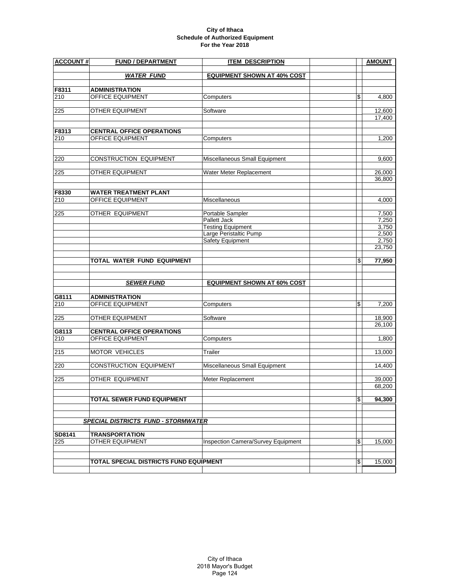## **City of Ithaca Schedule of Authorized Equipment For the Year 2018**

| <b>ACCOUNT#</b> | <b>FUND / DEPARTMENT</b><br><b>ITEM DESCRIPTION</b>  |                                    | <b>AMOUNT</b>    |
|-----------------|------------------------------------------------------|------------------------------------|------------------|
|                 | <b>WATER FUND</b>                                    | <b>EQUIPMENT SHOWN AT 40% COST</b> |                  |
| F8311           | <b>ADMINISTRATION</b>                                |                                    |                  |
| 210             | OFFICE EQUIPMENT                                     | Computers                          | \$<br>4.800      |
| 225             | <b>OTHER EQUIPMENT</b>                               | Software                           | 12,600           |
|                 |                                                      |                                    | 17,400           |
| F8313           |                                                      |                                    |                  |
| 210             | <b>CENTRAL OFFICE OPERATIONS</b><br>OFFICE EQUIPMENT | Computers                          | 1,200            |
|                 |                                                      |                                    |                  |
| 220             | <b>CONSTRUCTION EQUIPMENT</b>                        | Miscellaneous Small Equipment      | 9,600            |
|                 |                                                      |                                    |                  |
| 225             | OTHER EQUIPMENT                                      | Water Meter Replacement            | 26,000<br>36,800 |
| F8330           | <b>WATER TREATMENT PLANT</b>                         |                                    |                  |
| 210             | OFFICE EQUIPMENT                                     | Miscellaneous                      | 4,000            |
|                 |                                                      |                                    |                  |
| 225             | OTHER EQUIPMENT                                      | Portable Sampler<br>Pallett Jack   | 7,500<br>7,250   |
|                 |                                                      | <b>Testing Equipment</b>           | 3,750            |
|                 |                                                      | Large Peristaltic Pump             | 2,500            |
|                 |                                                      | Safety Equipment                   | 2,750<br>23,750  |
|                 |                                                      |                                    |                  |
|                 | <b>TOTAL WATER FUND EQUIPMENT</b>                    |                                    | \$<br>77,950     |
|                 | <b>SEWER FUND</b>                                    | <b>EQUIPMENT SHOWN AT 60% COST</b> |                  |
| G8111           | <b>ADMINISTRATION</b>                                |                                    |                  |
| 210             | OFFICE EQUIPMENT                                     | Computers                          | \$<br>7,200      |
| 225             | OTHER EQUIPMENT                                      | Software                           | 18,900           |
|                 |                                                      |                                    | 26,100           |
| G8113           | <b>CENTRAL OFFICE OPERATIONS</b>                     |                                    |                  |
| 210             | OFFICE EQUIPMENT                                     | Computers                          | 1,800            |
| 215             | MOTOR VEHICLES                                       | Trailer                            | 13,000           |
| 220             | CONSTRUCTION EQUIPMENT                               | Miscellaneous Small Equipment      | 14,400           |
| 225             | OTHER EQUIPMENT                                      | Meter Replacement                  | 39,000           |
|                 |                                                      |                                    | 68,200           |
|                 | <b>TOTAL SEWER FUND EQUIPMENT</b>                    |                                    | \$<br>94.300     |
|                 |                                                      |                                    |                  |
|                 | <b>SPECIAL DISTRICTS FUND - STORMWATER</b>           |                                    |                  |
| SD8141          | <b>TRANSPORTATION</b>                                |                                    |                  |
| 225             | <b>OTHER EQUIPMENT</b>                               | Inspection Camera/Survey Equipment | \$<br>15,000     |
|                 |                                                      |                                    |                  |
|                 | TOTAL SPECIAL DISTRICTS FUND EQUIPMENT               |                                    | \$<br>15,000     |
|                 |                                                      |                                    |                  |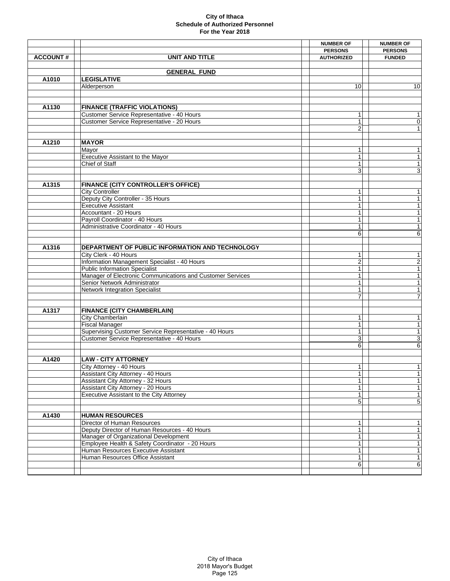|                 |                                                             | <b>NUMBER OF</b>  | <b>NUMBER OF</b>         |
|-----------------|-------------------------------------------------------------|-------------------|--------------------------|
|                 |                                                             | <b>PERSONS</b>    | <b>PERSONS</b>           |
| <b>ACCOUNT#</b> | <b>UNIT AND TITLE</b>                                       | <b>AUTHORIZED</b> | <b>FUNDED</b>            |
|                 |                                                             |                   |                          |
|                 | <b>GENERAL FUND</b>                                         |                   |                          |
| A1010           | <b>LEGISLATIVE</b>                                          |                   |                          |
|                 | Alderperson                                                 | 10                | 10                       |
|                 |                                                             |                   |                          |
|                 |                                                             |                   |                          |
| A1130           | <b>FINANCE (TRAFFIC VIOLATIONS)</b>                         |                   |                          |
|                 | Customer Service Representative - 40 Hours                  | 1                 | $\mathbf{1}$             |
|                 | Customer Service Representative - 20 Hours                  | 1                 | $\mathsf{O}\xspace$      |
|                 |                                                             | 2                 | $\mathbf{1}$             |
|                 |                                                             |                   |                          |
| A1210           | <b>MAYOR</b>                                                |                   |                          |
|                 | Mayor                                                       | 1                 | $\mathbf{1}$             |
|                 | Executive Assistant to the Mayor                            | $\mathbf{1}$      | $\mathbf{1}$             |
|                 | Chief of Staff                                              | 1                 | $\mathbf{1}$             |
|                 |                                                             | 3                 | $\overline{3}$           |
| A1315           | <b>FINANCE (CITY CONTROLLER'S OFFICE)</b>                   |                   |                          |
|                 |                                                             | $\mathbf{1}$      | $\mathbf{1}$             |
|                 | <b>City Controller</b><br>Deputy City Controller - 35 Hours | $\mathbf{1}$      | 1                        |
|                 | <b>Executive Assistant</b>                                  | 1                 | $\overline{1}$           |
|                 | Accountant - 20 Hours                                       | 1                 | $\overline{1}$           |
|                 | Payroll Coordinator - 40 Hours                              |                   | $\mathbf{1}$             |
|                 | Administrative Coordinator - 40 Hours                       | 1                 | 1                        |
|                 |                                                             | 6                 | 6                        |
|                 |                                                             |                   |                          |
| A1316           | DEPARTMENT OF PUBLIC INFORMATION AND TECHNOLOGY             |                   |                          |
|                 | City Clerk - 40 Hours                                       | 1                 | $\mathbf{1}$             |
|                 | Information Management Specialist - 40 Hours                | 2                 | $\overline{2}$           |
|                 | <b>Public Information Specialist</b>                        | 1                 | $\overline{1}$           |
|                 | Manager of Electronic Communications and Customer Services  | 1                 | $\overline{1}$           |
|                 | Senior Network Administrator                                | $\mathbf{1}$      | $\overline{\phantom{a}}$ |
|                 | <b>Network Integration Specialist</b>                       | 1                 | $\overline{1}$           |
|                 |                                                             | 7                 | $\overline{7}$           |
|                 |                                                             |                   |                          |
| A1317           | <b>FINANCE (CITY CHAMBERLAIN)</b>                           |                   |                          |
|                 | City Chamberlain                                            | 1                 | $\mathbf{1}$             |
|                 | <b>Fiscal Manager</b>                                       | $\mathbf{1}$      | $\overline{1}$           |
|                 | Supervising Customer Service Representative - 40 Hours      | $\mathbf{1}$      | $\overline{1}$           |
|                 | Customer Service Representative - 40 Hours                  | 3<br>6            | 3                        |
|                 |                                                             |                   | 6                        |
| A1420           | <b>LAW - CITY ATTORNEY</b>                                  |                   |                          |
|                 | City Attorney - 40 Hours                                    | $\mathbf{1}$      | 1                        |
|                 | Assistant City Attorney - 40 Hours                          | 1                 | $\mathbf{1}$             |
|                 | Assistant City Attorney - 32 Hours                          | 1                 | $\mathbf{1}$             |
|                 | Assistant City Attorney - 20 Hours                          |                   | $\mathbf{1}$             |
|                 | Executive Assistant to the City Attorney                    |                   | 1                        |
|                 |                                                             | 5                 | $\overline{5}$           |
|                 |                                                             |                   |                          |
| A1430           | <b>HUMAN RESOURCES</b>                                      |                   |                          |
|                 | <b>Director of Human Resources</b>                          | 1                 | $\mathbf{1}$             |
|                 | Deputy Director of Human Resources - 40 Hours               | 1                 | $\mathbf{1}$             |
|                 | Manager of Organizational Development                       | 1                 | 1                        |
|                 | Employee Health & Safety Coordinator - 20 Hours             |                   | $\overline{1}$           |
|                 | Human Resources Executive Assistant                         |                   | $\mathbf{1}$             |
|                 | Human Resources Office Assistant                            | 1                 | $\overline{\phantom{a}}$ |
|                 |                                                             | 6                 | 6                        |
|                 |                                                             |                   |                          |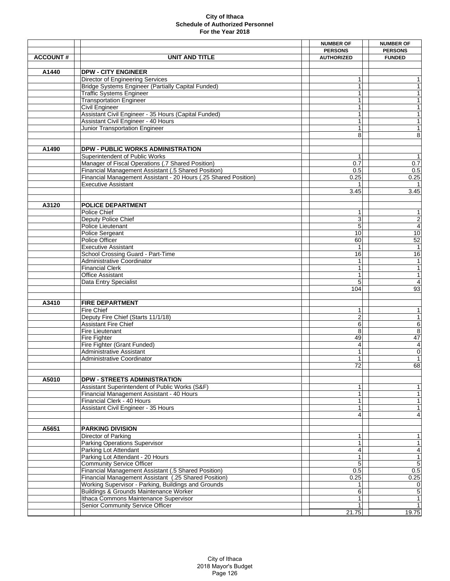|                 |                                                                                             | <b>NUMBER OF</b>  | <b>NUMBER OF</b>               |
|-----------------|---------------------------------------------------------------------------------------------|-------------------|--------------------------------|
|                 |                                                                                             | <b>PERSONS</b>    | <b>PERSONS</b>                 |
| <b>ACCOUNT#</b> | <b>UNIT AND TITLE</b>                                                                       | <b>AUTHORIZED</b> | <b>FUNDED</b>                  |
|                 |                                                                                             |                   |                                |
| A1440           | <b>DPW - CITY ENGINEER</b>                                                                  |                   |                                |
|                 | Director of Engineering Services                                                            | 1                 | $\mathbf{1}$                   |
|                 | Bridge Systems Engineer (Partially Capital Funded)                                          | $\mathbf{1}$      | $\mathbf{1}$                   |
|                 | <b>Traffic Systems Engineer</b>                                                             | 1                 | $\mathbf{1}$                   |
|                 | <b>Transportation Engineer</b>                                                              | 1                 | $\overline{1}$                 |
|                 | Civil Engineer                                                                              | 1                 | $\overline{\phantom{a}}$       |
|                 | Assistant Civil Engineer - 35 Hours (Capital Funded)<br>Assistant Civil Engineer - 40 Hours | $\mathbf{1}$      | $\mathbf{1}$                   |
|                 | Junior Transportation Engineer                                                              | 1                 | $\mathbf{1}$<br>$\overline{1}$ |
|                 |                                                                                             | 8                 | 8                              |
|                 |                                                                                             |                   |                                |
| A1490           | DPW - PUBLIC WORKS ADMINISTRATION                                                           |                   |                                |
|                 | Superintendent of Public Works                                                              | $\mathbf{1}$      | $\mathbf{1}$                   |
|                 | Manager of Fiscal Operations (.7 Shared Position)                                           | 0.7               | 0.7                            |
|                 | Financial Management Assistant (.5 Shared Position)                                         | 0.5               | 0.5                            |
|                 | Financial Management Assistant - 20 Hours (.25 Shared Position)                             | 0.25              | 0.25                           |
|                 | <b>Executive Assistant</b>                                                                  |                   | 1                              |
|                 |                                                                                             | 3.45              | 3.45                           |
|                 |                                                                                             |                   |                                |
| A3120           | <b>POLICE DEPARTMENT</b>                                                                    |                   |                                |
|                 | Police Chief                                                                                | 1                 | $\mathbf{1}$                   |
|                 | Deputy Police Chief                                                                         | 3                 | $\frac{2}{4}$                  |
|                 | Police Lieutenant                                                                           | 5                 |                                |
|                 | <b>Police Sergeant</b>                                                                      | 10                | 10                             |
|                 | Police Officer                                                                              | 60                | 52                             |
|                 | <b>Executive Assistant</b>                                                                  | $\mathbf{1}$      | $\overline{1}$                 |
|                 | School Crossing Guard - Part-Time                                                           | 16                | 16                             |
|                 | Administrative Coordinator<br><b>Financial Clerk</b>                                        | 1<br>$\mathbf{1}$ | $\mathbf{1}$<br>$\overline{1}$ |
|                 | <b>Office Assistant</b>                                                                     | 1                 | $\overline{1}$                 |
|                 | Data Entry Specialist                                                                       | 5                 | $\overline{\mathbf{4}}$        |
|                 |                                                                                             | 104               | 93                             |
|                 |                                                                                             |                   |                                |
| A3410           | <b>FIRE DEPARTMENT</b>                                                                      |                   |                                |
|                 | Fire Chief                                                                                  | 1                 | $\mathbf{1}$                   |
|                 | Deputy Fire Chief (Starts 11/1/18)                                                          | $\boldsymbol{2}$  | $\mathbf{1}$                   |
|                 | <b>Assistant Fire Chief</b>                                                                 | 6                 | $\overline{6}$                 |
|                 | Fire Lieutenant                                                                             | 8                 | $\overline{8}$                 |
|                 | Fire Fighter                                                                                | 49                | 47                             |
|                 | Fire Fighter (Grant Funded)                                                                 | 4                 | $\overline{4}$                 |
|                 | <b>Administrative Assistant</b>                                                             | 1                 | $\overline{0}$                 |
|                 | Administrative Coordinator                                                                  | 1                 | $\overline{1}$                 |
|                 |                                                                                             | $\overline{72}$   | 68                             |
|                 |                                                                                             |                   |                                |
| A5010           | <b>DPW - STREETS ADMINISTRATION</b>                                                         |                   |                                |
|                 | Assistant Superintendent of Public Works (S&F)<br>Financial Management Assistant - 40 Hours | 1<br>$\mathbf{1}$ | $\mathbf{1}$<br>$\mathbf{1}$   |
|                 | Financial Clerk - 40 Hours                                                                  | 1                 | $\mathbf{1}$                   |
|                 | Assistant Civil Engineer - 35 Hours                                                         | $\mathbf{1}$      | $\mathbf{1}$                   |
|                 |                                                                                             | 4                 | 4                              |
|                 |                                                                                             |                   |                                |
| A5651           | <b>PARKING DIVISION</b>                                                                     |                   |                                |
|                 | Director of Parking                                                                         | 1                 | $\mathbf{1}$                   |
|                 | Parking Operations Supervisor                                                               | 1                 | $\mathbf{1}$                   |
|                 | Parking Lot Attendant                                                                       | 4                 | 4                              |
|                 | Parking Lot Attendant - 20 Hours                                                            | 1                 | $\mathbf{1}$                   |
|                 | <b>Community Service Officer</b>                                                            | $\overline{5}$    | $\overline{5}$                 |
|                 | Financial Management Assistant (.5 Shared Position)                                         | 0.5               | 0.5                            |
|                 | Financial Management Assistant (.25 Shared Position)                                        | 0.25              | 0.25                           |
|                 | Working Supervisor - Parking, Buildings and Grounds                                         | 1                 | $\pmb{0}$                      |
|                 | Buildings & Grounds Maintenance Worker                                                      | 6                 | $\overline{5}$                 |
|                 | Ithaca Commons Maintenance Supervisor                                                       | 1                 | 1                              |
|                 | Senior Community Service Officer                                                            |                   | $\overline{1}$                 |
|                 |                                                                                             | 21.75             | 19.75                          |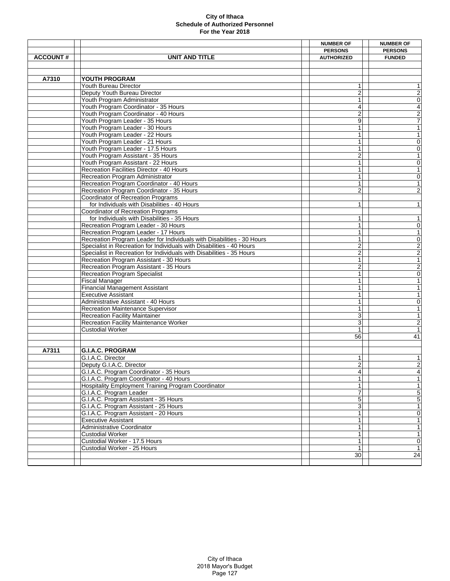|                 |                                                                        | <b>NUMBER OF</b>        | <b>NUMBER OF</b>         |
|-----------------|------------------------------------------------------------------------|-------------------------|--------------------------|
|                 |                                                                        | <b>PERSONS</b>          | <b>PERSONS</b>           |
| <b>ACCOUNT#</b> | UNIT AND TITLE                                                         | <b>AUTHORIZED</b>       | <b>FUNDED</b>            |
|                 |                                                                        |                         |                          |
|                 |                                                                        |                         |                          |
| A7310           | YOUTH PROGRAM                                                          |                         |                          |
|                 | Youth Bureau Director                                                  | 1                       | 1                        |
|                 | Deputy Youth Bureau Director                                           | 2                       | $\boldsymbol{2}$         |
|                 | Youth Program Administrator                                            | 1                       | $\overline{0}$           |
|                 | Youth Program Coordinator - 35 Hours                                   | 4                       | $\overline{4}$           |
|                 | Youth Program Coordinator - 40 Hours                                   | $\overline{c}$          |                          |
|                 | Youth Program Leader - 35 Hours                                        | 9                       | $rac{2}{7}$              |
|                 | Youth Program Leader - 30 Hours                                        | 1                       | $\overline{1}$           |
|                 | Youth Program Leader - 22 Hours                                        | 1                       | $\mathbf{1}$             |
|                 | Youth Program Leader - 21 Hours                                        | 1                       | 0                        |
|                 | Youth Program Leader - 17.5 Hours                                      |                         | $\overline{0}$           |
|                 | Youth Program Assistant - 35 Hours                                     | $\overline{2}$          | $\overline{1}$           |
|                 | Youth Program Assistant - 22 Hours                                     | 1                       |                          |
|                 |                                                                        |                         | $\mathsf{O}\xspace$      |
|                 | Recreation Facilities Director - 40 Hours                              | 1                       | $\overline{1}$           |
|                 | Recreation Program Administrator                                       | 1                       | $\overline{0}$           |
|                 | Recreation Program Coordinator - 40 Hours                              | $\mathbf{1}$            | $\overline{\phantom{a}}$ |
|                 | Recreation Program Coordinator - 35 Hours                              | $\overline{2}$          | $\overline{2}$           |
|                 | <b>Coordinator of Recreation Programs</b>                              |                         |                          |
|                 | for Individuals with Disabilities - 40 Hours                           | 1                       | $\mathbf{1}$             |
|                 | Coordinator of Recreation Programs                                     |                         |                          |
|                 | for Individuals with Disabilities - 35 Hours                           | 1                       | $\mathbf{1}$             |
|                 | Recreation Program Leader - 30 Hours                                   | $\mathbf{1}$            | $\mathsf{O}\xspace$      |
|                 | Recreation Program Leader - 17 Hours                                   | $\mathbf{1}$            | $\overline{\phantom{a}}$ |
|                 | Recreation Program Leader for Individuals with Disabilities - 30 Hours | 1                       | $\overline{0}$           |
|                 | Specialist in Recreation for Individuals with Disabilities - 40 Hours  | $\overline{2}$          | $\frac{2}{2}$            |
|                 | Specialist in Recreation for Individuals with Disabilities - 35 Hours  | $\overline{2}$          |                          |
|                 | Recreation Program Assistant - 30 Hours                                | 1                       |                          |
|                 | Recreation Program Assistant - 35 Hours                                | 2                       |                          |
|                 | <b>Recreation Program Specialist</b>                                   | 1                       | $\frac{2}{0}$            |
|                 | <b>Fiscal Manager</b>                                                  | 1                       | $\overline{1}$           |
|                 | <b>Financial Management Assistant</b>                                  | 1                       | $\overline{\phantom{a}}$ |
|                 | <b>Executive Assistant</b>                                             | 1                       | $\mathbf{1}$             |
|                 | Administrative Assistant - 40 Hours                                    |                         | $\mathsf 0$              |
|                 | Recreation Maintenance Supervisor                                      | 1                       | $\mathbf{1}$             |
|                 | <b>Recreation Facility Maintainer</b>                                  | 3                       | $\overline{\phantom{a}}$ |
|                 | Recreation Facility Maintenance Worker                                 | 3                       | $\overline{2}$           |
|                 | <b>Custodial Worker</b>                                                |                         | $\overline{1}$           |
|                 |                                                                        | 56                      | 41                       |
|                 |                                                                        |                         |                          |
|                 |                                                                        |                         |                          |
| A7311           | <b>G.I.A.C. PROGRAM</b>                                                |                         |                          |
|                 | G.I.A.C. Director                                                      | 1                       | 1                        |
|                 | Deputy G.I.A.C. Director                                               | $\overline{\mathbf{c}}$ | $\overline{c}$           |
|                 | G.I.A.C. Program Coordinator - 35 Hours                                | 4                       | 4                        |
|                 | G.I.A.C. Program Coordinator - 40 Hours                                | $\mathbf{1}$            | $\overline{1}$           |
|                 | Hospitality Employment Training Program Coordinator                    | $\mathbf{1}$            | $\mathbf{1}$             |
|                 | G.I.A.C. Program Leader                                                | 7                       | 5                        |
|                 | G.I.A.C. Program Assistant - 35 Hours                                  | 5                       | $\overline{5}$           |
|                 | G.I.A.C. Program Assistant - 25 Hours                                  | 3                       | $\overline{\phantom{a}}$ |
|                 | G.I.A.C. Program Assistant - 20 Hours                                  | 1                       | $\overline{0}$           |
|                 | <b>Executive Assistant</b>                                             | 1                       | $\mathbf{1}$             |
|                 | Administrative Coordinator                                             | 1                       | $\mathbf{1}$             |
|                 | <b>Custodial Worker</b>                                                | $\mathbf{1}$            | $\overline{1}$           |
|                 | Custodial Worker - 17.5 Hours                                          | 1                       | $\mathsf{O}\xspace$      |
|                 | Custodial Worker - 25 Hours                                            | $\mathbf{1}$            | $\mathbf{1}$             |
|                 |                                                                        | 30                      | 24                       |
|                 |                                                                        |                         |                          |
|                 |                                                                        |                         |                          |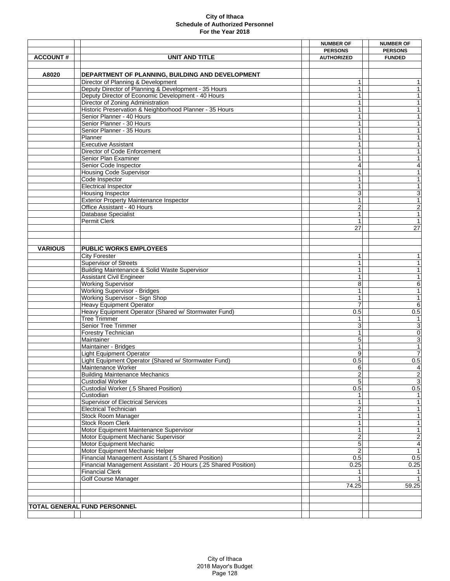|                 |                                                                     | <b>NUMBER OF</b>      | <b>NUMBER OF</b>         |
|-----------------|---------------------------------------------------------------------|-----------------------|--------------------------|
|                 |                                                                     | <b>PERSONS</b>        | <b>PERSONS</b>           |
| <b>ACCOUNT#</b> | <b>UNIT AND TITLE</b>                                               | <b>AUTHORIZED</b>     | <b>FUNDED</b>            |
|                 |                                                                     |                       |                          |
| A8020           | DEPARTMENT OF PLANNING, BUILDING AND DEVELOPMENT                    |                       |                          |
|                 | Director of Planning & Development                                  | $\mathbf{1}$          | $\mathbf{1}$             |
|                 | Deputy Director of Planning & Development - 35 Hours                | 1                     | $\mathbf{1}$             |
|                 | Deputy Director of Economic Development - 40 Hours                  |                       | $\mathbf{1}$             |
|                 | Director of Zoning Administration                                   |                       | $\mathbf{1}$             |
|                 | Historic Preservation & Neighborhood Planner - 35 Hours             | 1                     | $\overline{\phantom{a}}$ |
|                 | Senior Planner - 40 Hours                                           | 1                     | 1                        |
|                 | Senior Planner - 30 Hours                                           | 1                     | $\mathbf{1}$             |
|                 | Senior Planner - 35 Hours                                           | 1                     | $\overline{\phantom{a}}$ |
|                 | Planner                                                             | 1                     | $\mathbf{1}$             |
|                 | <b>Executive Assistant</b>                                          | 1                     | $\mathbf{1}$             |
|                 | Director of Code Enforcement                                        |                       | $\mathbf{1}$             |
|                 | Senior Plan Examiner                                                | 1                     | $\mathbf{1}$             |
|                 | Senior Code Inspector                                               | 4                     | 4                        |
|                 | <b>Housing Code Supervisor</b>                                      | 1                     | $\overline{\phantom{a}}$ |
|                 | Code Inspector                                                      | $\mathbf{1}$          | $\overline{\phantom{a}}$ |
|                 | <b>Electrical Inspector</b>                                         | 1                     | $\mathbf{1}$             |
|                 | Housing Inspector<br><b>Exterior Property Maintenance Inspector</b> | 3<br>1                | 3<br>$\mathbf{1}$        |
|                 | Office Assistant - 40 Hours                                         | $\overline{2}$        | $\overline{2}$           |
|                 | <b>Database Specialist</b>                                          | 1                     | $\overline{1}$           |
|                 | <b>Permit Clerk</b>                                                 | 1                     | $\overline{\phantom{a}}$ |
|                 |                                                                     | 27                    | 27                       |
|                 |                                                                     |                       |                          |
|                 |                                                                     |                       |                          |
| <b>VARIOUS</b>  | PUBLIC WORKS EMPLOYEES                                              |                       |                          |
|                 | <b>City Forester</b>                                                | 1                     | $\mathbf{1}$             |
|                 | <b>Supervisor of Streets</b>                                        | 1                     | $\mathbf{1}$             |
|                 | Building Maintenance & Solid Waste Supervisor                       | 1                     | $\mathbf{1}$             |
|                 | <b>Assistant Civil Engineer</b>                                     | 1                     | $\overline{1}$           |
|                 | <b>Working Supervisor</b>                                           | 8                     | $\overline{6}$           |
|                 | Working Supervisor - Bridges                                        | 1                     | $\overline{\phantom{a}}$ |
|                 | Working Supervisor - Sign Shop                                      | 1                     | $\overline{\phantom{a}}$ |
|                 | Heavy Equipment Operator                                            |                       | 6                        |
|                 | Heavy Equipment Operator (Shared w/ Stormwater Fund)                | 0.5                   | 0.5                      |
|                 | <b>Tree Trimmer</b>                                                 | 1                     | 1                        |
|                 | <b>Senior Tree Trimmer</b>                                          | 3                     | $\overline{3}$           |
|                 | Forestry Technician                                                 | 1                     | $\overline{\mathbf{0}}$  |
|                 | Maintainer                                                          | 5                     | $\overline{3}$           |
|                 | Maintainer - Bridges                                                | 1                     | $\overline{1}$           |
|                 | <b>Light Equipment Operator</b>                                     | 9                     | 7                        |
|                 | Light Equipment Operator (Shared w/ Stormwater Fund)                | 0.5                   | 0.5<br>$\overline{4}$    |
|                 | Maintenance Worker                                                  | 6                     |                          |
|                 | <b>Building Maintenance Mechanics</b><br><b>Custodial Worker</b>    | $\boldsymbol{2}$<br>5 | $\frac{2}{3}$            |
|                 | Custodial Worker (.5 Shared Position)                               | 0.5                   | 0.5                      |
|                 | Custodian                                                           | 1                     | $\mathbf{1}$             |
|                 | <b>Supervisor of Electrical Services</b>                            |                       | $\mathbf{1}$             |
|                 | <b>Electrical Technician</b>                                        | 2                     | $\mathbf{1}$             |
|                 | Stock Room Manager                                                  |                       | $\overline{1}$           |
|                 | Stock Room Clerk                                                    | 1                     | 1                        |
|                 | Motor Equipment Maintenance Supervisor                              | 1                     | $\overline{1}$           |
|                 | Motor Equipment Mechanic Supervisor                                 | $\overline{2}$        | $\overline{2}$           |
|                 | Motor Equipment Mechanic                                            | $\mathbf 5$           | $\overline{4}$           |
|                 | Motor Equipment Mechanic Helper                                     |                       | $\mathbf{1}$             |
|                 | Financial Management Assistant (.5 Shared Position)                 | 0.5                   | 0.5                      |
|                 | Financial Management Assistant - 20 Hours (.25 Shared Position)     | 0.25                  | 0.25                     |
|                 | <b>Financial Clerk</b>                                              |                       | 1                        |
|                 | Golf Course Manager                                                 |                       | 1                        |
|                 |                                                                     | 74.25                 | 59.25                    |
|                 |                                                                     |                       |                          |
|                 |                                                                     |                       |                          |
|                 | TOTAL GENERAL FUND PERSONNEL                                        |                       |                          |
|                 |                                                                     |                       |                          |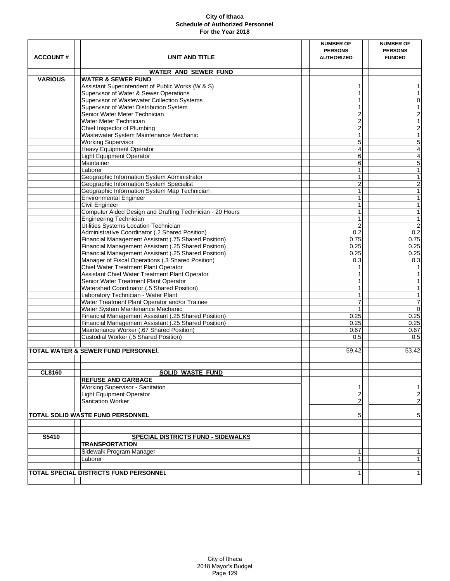|                 |                                                          | <b>NUMBER OF</b>        | <b>NUMBER OF</b>                           |
|-----------------|----------------------------------------------------------|-------------------------|--------------------------------------------|
|                 |                                                          | <b>PERSONS</b>          | <b>PERSONS</b>                             |
| <b>ACCOUNT#</b> | UNIT AND TITLE                                           | <b>AUTHORIZED</b>       | <b>FUNDED</b>                              |
|                 |                                                          |                         |                                            |
|                 | <b>WATER AND SEWER FUND</b>                              |                         |                                            |
| <b>VARIOUS</b>  | <b>WATER &amp; SEWER FUND</b>                            |                         |                                            |
|                 | Assistant Superintendent of Public Works (W & S)         | 1                       | 1                                          |
|                 | Supervisor of Water & Sewer Operations                   | $\mathbf{1}$            | $\mathbf{1}$                               |
|                 | Supervisor of Wastewater Collection Systems              | 1                       | $\overline{\mathsf{o}}$                    |
|                 | Supervisor of Water Distribution System                  | 1                       | $\overline{1}$                             |
|                 | Senior Water Meter Technician                            | 2                       | $\overline{2}$                             |
|                 | Water Meter Technician                                   | $\overline{\mathbf{c}}$ | $\overline{1}$                             |
|                 |                                                          |                         |                                            |
|                 | Chief Inspector of Plumbing                              | 2                       | $\overline{2}$                             |
|                 | Wastewater System Maintenance Mechanic                   | 1                       | $\overline{1}$                             |
|                 | <b>Working Supervisor</b>                                | 5                       | $\overline{5}$                             |
|                 | <b>Heavy Equipment Operator</b>                          | 4                       | $\begin{array}{c} 4 \\ 4 \\ 5 \end{array}$ |
|                 | <b>Light Equipment Operator</b>                          | 6                       |                                            |
|                 | Maintainer                                               | 6                       |                                            |
|                 | Laborer                                                  | $\mathbf{1}$            | $\overline{1}$                             |
|                 | Geographic Information System Administrator              | 1                       | $\overline{\phantom{a}}$                   |
|                 | Geographic Information System Specialist                 | $\overline{c}$          | $\overline{2}$                             |
|                 | Geographic Information System Map Technician             | 1                       | $\overline{1}$                             |
|                 | <b>Environmental Engineer</b>                            | 1                       | $\overline{\phantom{a}}$                   |
|                 | <b>Civil Engineer</b>                                    | 1                       | $\overline{\phantom{a}}$                   |
|                 | Computer Aided Design and Drafting Technician - 20 Hours | 1                       | $\overline{1}$                             |
|                 | <b>Engineering Technician</b>                            | $\mathbf{1}$            | $\overline{\phantom{a}}$                   |
|                 | Utilities Systems Location Technician                    | $\overline{2}$          |                                            |
|                 | Administrative Coordinator (.2 Shared Position)          | 0.2                     | $\frac{2}{0.2}$                            |
|                 |                                                          |                         |                                            |
|                 | Financial Management Assistant (.75 Shared Position)     | 0.75                    | 0.75                                       |
|                 | Financial Management Assistant (.25 Shared Position)     | 0.25                    | 0.25                                       |
|                 | Financial Management Assistant (.25 Shared Position)     | 0.25                    | 0.25                                       |
|                 | Manager of Fiscal Operations (.3 Shared Position)        | 0.3                     | 0.3                                        |
|                 | Chief Water Treatment Plant Operator                     | 1                       | $\overline{1}$                             |
|                 | Assistant Chief Water Treatment Plant Operator           | 1                       | $\overline{1}$                             |
|                 | Senior Water Treatment Plant Operator                    | 1                       | $\overline{\phantom{a}}$                   |
|                 | Watershed Coordinator (.5 Shared Position)               | $\mathbf{1}$            | $\mathbf{1}$                               |
|                 | Laboratory Technician - Water Plant                      |                         | $\overline{\phantom{a}}$                   |
|                 | Water Treatment Plant Operator and/or Trainee            | 7                       | $\overline{7}$                             |
|                 | Water System Maintenance Mechanic                        | $\mathbf{1}$            | $\overline{0}$                             |
|                 | Financial Management Assistant (.25 Shared Position)     | 0.25                    | 0.25                                       |
|                 | Financial Management Assistant (.25 Shared Position)     | 0.25                    | 0.25                                       |
|                 | Maintenance Worker (.67 Shared Position)                 | 0.67                    | 0.67                                       |
|                 |                                                          | 0.5                     |                                            |
|                 | Custodial Worker (.5 Shared Position)                    |                         | 0.5                                        |
|                 | <b>TOTAL WATER &amp; SEWER FUND PERSONNEL</b>            |                         |                                            |
|                 |                                                          | 59.42                   | 53.42                                      |
|                 |                                                          |                         |                                            |
|                 |                                                          |                         |                                            |
| <b>CL8160</b>   | <b>SOLID WASTE FUND</b>                                  |                         |                                            |
|                 | <b>REFUSE AND GARBAGE</b>                                |                         |                                            |
|                 | Working Supervisor - Sanitation                          | 1                       | 1                                          |
|                 | <b>Light Equipment Operator</b>                          | $\boldsymbol{2}$        | $\boldsymbol{2}$                           |
|                 | Sanitation Worker                                        | 2                       | $\overline{\mathbf{c}}$                    |
|                 |                                                          |                         |                                            |
|                 | <b>TOTAL SOLID WASTE FUND PERSONNEL</b>                  | 5                       | 5                                          |
|                 |                                                          |                         |                                            |
|                 |                                                          |                         |                                            |
|                 |                                                          |                         |                                            |
| S5410           | SPECIAL DISTRICTS FUND - SIDEWALKS                       |                         |                                            |
|                 | <b>TRANSPORTATION</b>                                    |                         |                                            |
|                 | Sidewalk Program Manager                                 | 1                       | 1                                          |
|                 | Laborer                                                  | 1                       | 1                                          |
|                 |                                                          |                         |                                            |
|                 | <b>TOTAL SPECIAL DISTRICTS FUND PERSONNEL</b>            | 1                       | $\mathbf{1}$                               |
|                 |                                                          |                         |                                            |
|                 |                                                          |                         |                                            |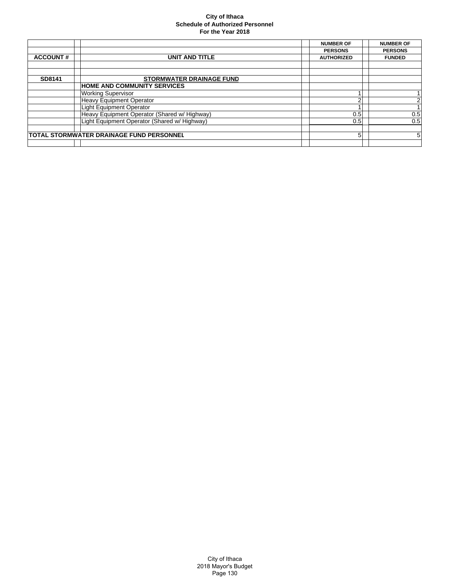|                 |                                                 | <b>NUMBER OF</b>  | <b>NUMBER OF</b> |
|-----------------|-------------------------------------------------|-------------------|------------------|
|                 |                                                 | <b>PERSONS</b>    | <b>PERSONS</b>   |
| <b>ACCOUNT#</b> | <b>UNIT AND TITLE</b>                           | <b>AUTHORIZED</b> | <b>FUNDED</b>    |
|                 |                                                 |                   |                  |
|                 |                                                 |                   |                  |
| SD8141          | <b>STORMWATER DRAINAGE FUND</b>                 |                   |                  |
|                 | <b>HOME AND COMMUNITY SERVICES</b>              |                   |                  |
|                 | <b>Working Supervisor</b>                       |                   |                  |
|                 | <b>Heavy Equipment Operator</b>                 | າ                 | $\overline{2}$   |
|                 | <b>Light Equipment Operator</b>                 |                   |                  |
|                 | Heavy Equipment Operator (Shared w/ Highway)    | 0.5               | 0.5              |
|                 | Light Equipment Operator (Shared w/ Highway)    | 0.5               | 0.5              |
|                 |                                                 |                   |                  |
|                 | <b>TOTAL STORMWATER DRAINAGE FUND PERSONNEL</b> | 5                 | 5                |
|                 |                                                 |                   |                  |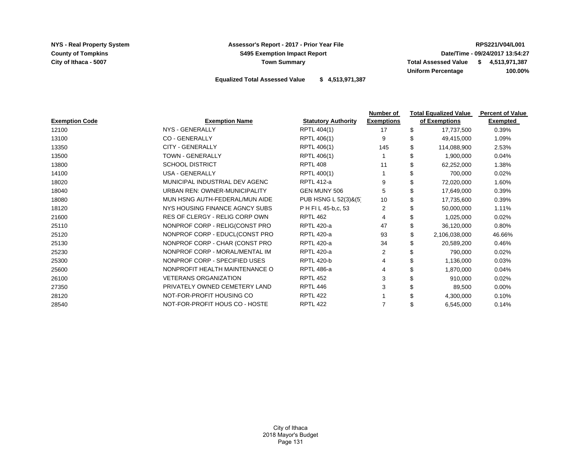**County of Tompkins**

**NYS - Real Property System RPS221/V04/L001 Assessor's Report - 2017 - Prior Year File S495 Exemption Impact Report Town Summary**

**City of Ithaca - 5007 6 and 5007 6 and 5007 \$ 1,513,971,387 \$ 1,513,971,387 Uniform Percentage 100.00% Date/Time - 09/24/2017 13:54:27**

**Equalized Total Assessed Value \$ 4,513,971,387**

| of Exemptions<br>17,737,500<br>49,415,000<br>114,088,900<br>1,900,000 | Exempted<br>0.39%<br>1.09%<br>2.53% |
|-----------------------------------------------------------------------|-------------------------------------|
|                                                                       |                                     |
|                                                                       |                                     |
|                                                                       |                                     |
|                                                                       |                                     |
|                                                                       | 0.04%                               |
| 62,252,000                                                            | 1.38%                               |
| 700,000                                                               | 0.02%                               |
| 72,020,000                                                            | 1.60%                               |
| 17,649,000                                                            | 0.39%                               |
| 17,735,600                                                            | 0.39%                               |
| 50,000,000                                                            | 1.11%                               |
| 1,025,000                                                             | 0.02%                               |
| 36,120,000                                                            | 0.80%                               |
| 2,106,038,000                                                         | 46.66%                              |
| 20,589,200                                                            | 0.46%                               |
| 790,000                                                               | 0.02%                               |
| 1,136,000                                                             | 0.03%                               |
| 1,870,000                                                             | 0.04%                               |
| 910,000                                                               | 0.02%                               |
| 89,500                                                                | $0.00\%$                            |
| 4,300,000                                                             | 0.10%                               |
| 6,545,000                                                             | 0.14%                               |
|                                                                       |                                     |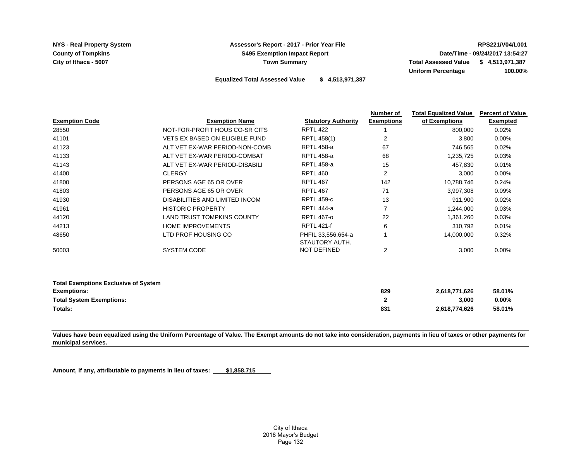**County of Tompkins**

## **NYS - Real Property System RPS221/V04/L001 Assessor's Report - 2017 - Prior Year File S495 Exemption Impact Report Town Summary**

**City of Ithaca - 5007 Total Assessed Value 4,513,971,387 \$ Uniform Percentage 100.00% Date/Time - 09/24/2017 13:54:27**

**Equalized Total Assessed Value \$ 4,513,971,387**

|                                                                                                      |                                       |                                      | Number of           | <b>Total Equalized Value</b> | <b>Percent of Value</b>      |
|------------------------------------------------------------------------------------------------------|---------------------------------------|--------------------------------------|---------------------|------------------------------|------------------------------|
| <b>Exemption Code</b>                                                                                | <b>Exemption Name</b>                 | <b>Statutory Authority</b>           | <b>Exemptions</b>   | of Exemptions                | <b>Exempted</b>              |
| 28550                                                                                                | NOT-FOR-PROFIT HOUS CO-SR CITS        | <b>RPTL 422</b>                      |                     | 800,000                      | 0.02%                        |
| 41101                                                                                                | <b>VETS EX BASED ON ELIGIBLE FUND</b> | RPTL 458(1)                          | 2                   | 3,800                        | $0.00\%$                     |
| 41123                                                                                                | ALT VET EX-WAR PERIOD-NON-COMB        | <b>RPTL 458-a</b>                    | 67                  | 746,565                      | 0.02%                        |
| 41133                                                                                                | ALT VET EX-WAR PERIOD-COMBAT          | <b>RPTL 458-a</b>                    | 68                  | 1,235,725                    | 0.03%                        |
| 41143                                                                                                | ALT VET EX-WAR PERIOD-DISABILI        | <b>RPTL 458-a</b>                    | 15                  | 457.830                      | 0.01%                        |
| 41400                                                                                                | <b>CLERGY</b>                         | <b>RPTL 460</b>                      | 2                   | 3.000                        | $0.00\%$                     |
| 41800                                                                                                | PERSONS AGE 65 OR OVER                | <b>RPTL 467</b>                      | 142                 | 10,788,746                   | 0.24%                        |
| 41803                                                                                                | PERSONS AGE 65 OR OVER                | <b>RPTL 467</b>                      | 71                  | 3,997,308                    | 0.09%                        |
| 41930                                                                                                | DISABILITIES AND LIMITED INCOM        | <b>RPTL 459-c</b>                    | 13                  | 911,900                      | 0.02%                        |
| 41961                                                                                                | <b>HISTORIC PROPERTY</b>              | <b>RPTL 444-a</b>                    | $\overline{7}$      | 1,244,000                    | 0.03%                        |
| 44120                                                                                                | <b>LAND TRUST TOMPKINS COUNTY</b>     | <b>RPTL 467-0</b>                    | 22                  | 1,361,260                    | 0.03%                        |
| 44213                                                                                                | <b>HOME IMPROVEMENTS</b>              | <b>RPTL 421-f</b>                    | 6                   | 310,792                      | 0.01%                        |
| 48650                                                                                                | LTD PROF HOUSING CO                   | PHFIL 33,556,654-a<br>STAUTORY AUTH. |                     | 14,000,000                   | 0.32%                        |
| 50003                                                                                                | SYSTEM CODE                           | NOT DEFINED                          | 2                   | 3,000                        | $0.00\%$                     |
| <b>Total Exemptions Exclusive of System</b><br><b>Exemptions:</b><br><b>Total System Exemptions:</b> |                                       |                                      | 829<br>$\mathbf{2}$ | 2,618,771,626<br>3,000       | 58.01%<br>$0.00\%$<br>58.01% |
| Totals:                                                                                              |                                       |                                      | 831                 |                              | 2,618,774,626                |

**Values have been equalized using the Uniform Percentage of Value. The Exempt amounts do not take into consideration, payments in lieu of taxes or other payments for municipal services.** 

Amount, if any, attributable to payments in lieu of taxes: **\$1,858,715**